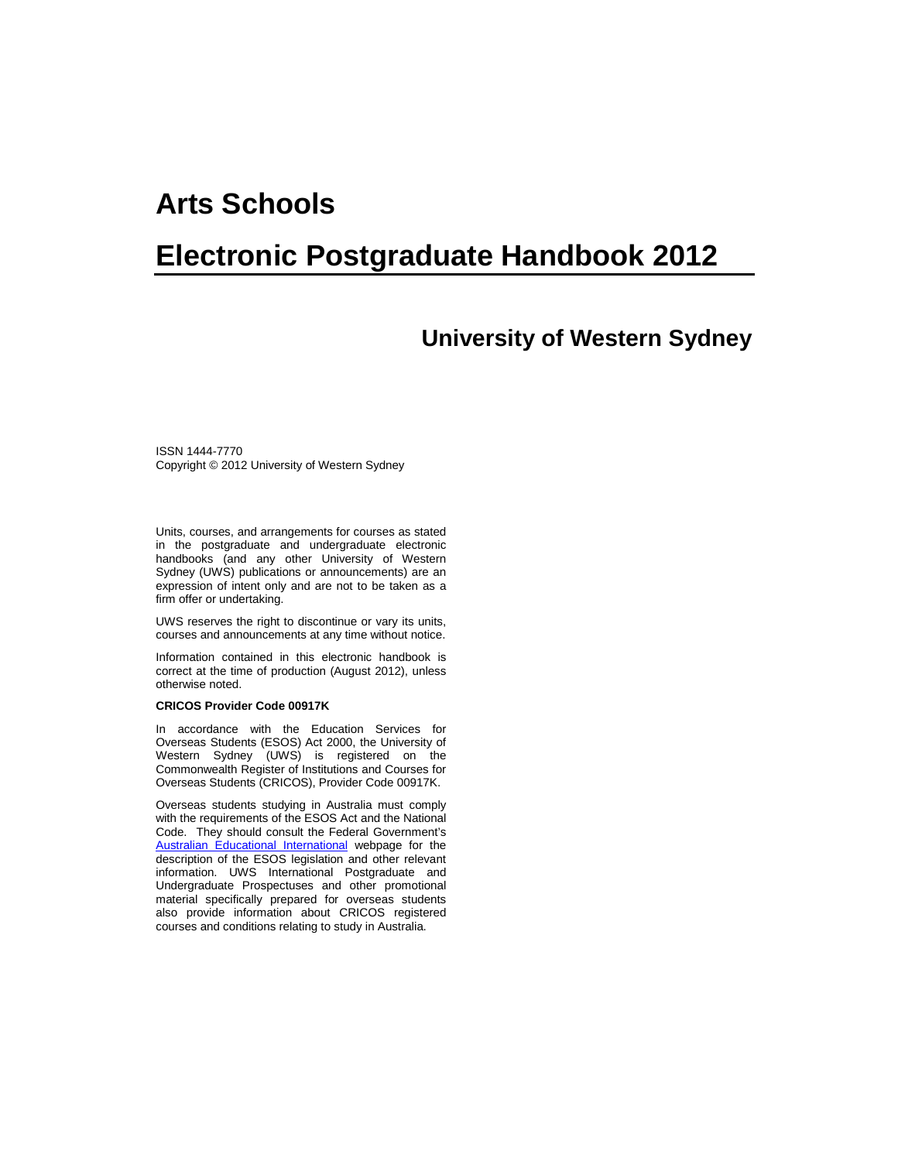## **Arts Schools**

## **Electronic Postgraduate Handbook 2012**

## **University of Western Sydney**

ISSN 1444-7770 Copyright © 2012 University of Western Sydney

Units, courses, and arrangements for courses as stated in the postgraduate and undergraduate electronic handbooks (and any other University of Western Sydney (UWS) publications or announcements) are an expression of intent only and are not to be taken as a firm offer or undertaking.

UWS reserves the right to discontinue or vary its units, courses and announcements at any time without notice.

Information contained in this electronic handbook is correct at the time of production (August 2012), unless otherwise noted.

#### **CRICOS Provider Code 00917K**

In accordance with the Education Services for Overseas Students (ESOS) Act 2000, the University of Western Sydney (UWS) is registered on the Commonwealth Register of Institutions and Courses for Overseas Students (CRICOS), Provider Code 00917K.

Overseas students studying in Australia must comply with the requirements of the ESOS Act and the National Code. They should consult the Federal Government's [Australian Educational International](https://aei.gov.au/Pages/default.aspx) webpage for the description of the ESOS legislation and other relevant information. UWS International Postgraduate and Undergraduate Prospectuses and other promotional material specifically prepared for overseas students also provide information about CRICOS registered courses and conditions relating to study in Australia.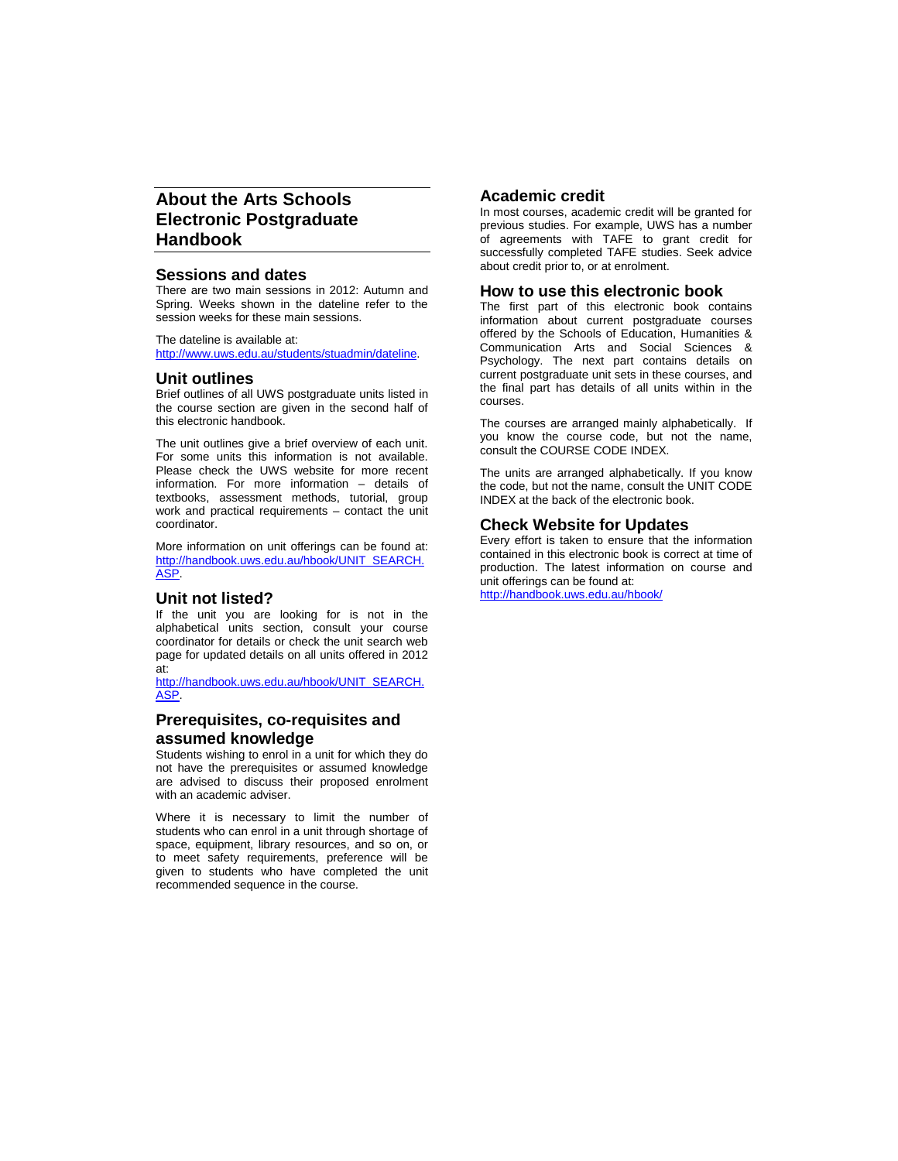## **About the Arts Schools Electronic Postgraduate Handbook**

#### **Sessions and dates**

There are two main sessions in 2012: Autumn and Spring. Weeks shown in the dateline refer to the session weeks for these main sessions.

#### The dateline is available at: [http://www.uws.edu.au/students/stuadmin/dateline.](http://www.uws.edu.au/students/stuadmin/dateline)

#### **Unit outlines**

Brief outlines of all UWS postgraduate units listed in the course section are given in the second half of this electronic handbook.

The unit outlines give a brief overview of each unit. For some units this information is not available. Please check the UWS website for more recent information. For more information – details of textbooks, assessment methods, tutorial, group work and practical requirements – contact the unit coordinator.

More information on unit offerings can be found at: [http://handbook.uws.edu.au/hbook/UNIT\\_SEARCH.](http://handbook.uws.edu.au/hbook/UNIT_SEARCH.ASP) [ASP.](http://handbook.uws.edu.au/hbook/UNIT_SEARCH.ASP)

### **Unit not listed?**

If the unit you are looking for is not in the alphabetical units section, consult your course coordinator for details or check the unit search web page for updated details on all units offered in 2012 at:

[http://handbook.uws.edu.au/hbook/UNIT\\_SEARCH.](http://handbook.uws.edu.au/hbook/UNIT_SEARCH.ASP) [ASP.](http://handbook.uws.edu.au/hbook/UNIT_SEARCH.ASP)

#### **Prerequisites, co-requisites and assumed knowledge**

Students wishing to enrol in a unit for which they do not have the prerequisites or assumed knowledge are advised to discuss their proposed enrolment with an academic adviser.

Where it is necessary to limit the number of students who can enrol in a unit through shortage of space, equipment, library resources, and so on, or to meet safety requirements, preference will be given to students who have completed the unit recommended sequence in the course.

#### **Academic credit**

In most courses, academic credit will be granted for previous studies. For example, UWS has a number of agreements with TAFE to grant credit for successfully completed TAFE studies. Seek advice about credit prior to, or at enrolment.

#### **How to use this electronic book**

The first part of this electronic book contains information about current postgraduate courses offered by the Schools of Education, Humanities & Communication Arts and Social Sciences & Psychology. The next part contains details on current postgraduate unit sets in these courses, and the final part has details of all units within in the courses.

The courses are arranged mainly alphabetically. If you know the course code, but not the name, consult the COURSE CODE INDEX.

The units are arranged alphabetically. If you know the code, but not the name, consult the UNIT CODE INDEX at the back of the electronic book.

#### **Check Website for Updates**

Every effort is taken to ensure that the information contained in this electronic book is correct at time of production. The latest information on course and unit offerings can be found at:

<http://handbook.uws.edu.au/hbook/>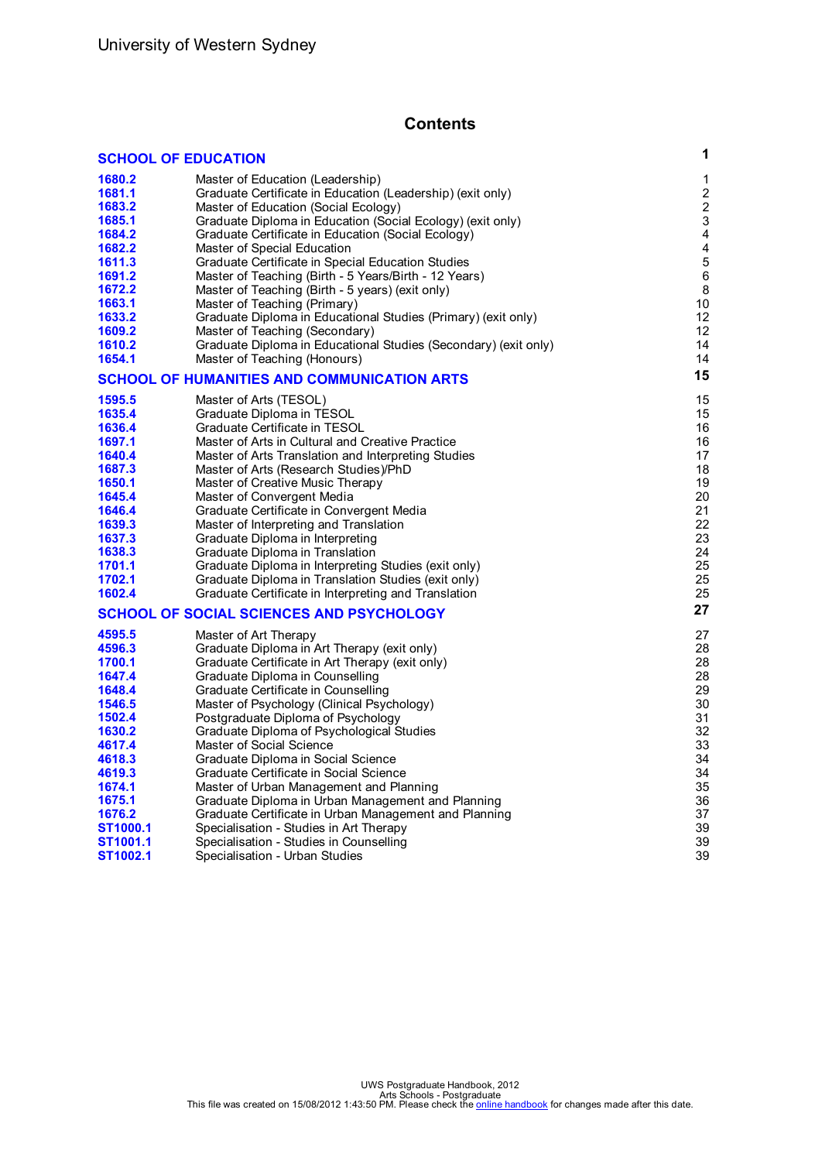## **Contents**

|                  | <b>SCHOOL OF EDUCATION</b>                                                                        | 1              |
|------------------|---------------------------------------------------------------------------------------------------|----------------|
| 1680.2           | Master of Education (Leadership)                                                                  | $\mathbf 1$    |
| 1681.1           | Graduate Certificate in Education (Leadership) (exit only)                                        | $\mathbf 2$    |
| 1683.2           | Master of Education (Social Ecology)                                                              | $\overline{c}$ |
| 1685.1           | Graduate Diploma in Education (Social Ecology) (exit only)                                        | 3              |
| 1684.2           | Graduate Certificate in Education (Social Ecology)                                                | 4              |
| 1682.2           | Master of Special Education                                                                       | 4              |
| 1611.3           | Graduate Certificate in Special Education Studies                                                 | 5              |
| 1691.2           | Master of Teaching (Birth - 5 Years/Birth - 12 Years)                                             | $\,6$          |
| 1672.2<br>1663.1 | Master of Teaching (Birth - 5 years) (exit only)                                                  | 8              |
| 1633.2           | Master of Teaching (Primary)                                                                      | 10<br>12       |
| 1609.2           | Graduate Diploma in Educational Studies (Primary) (exit only)                                     | 12             |
| 1610.2           | Master of Teaching (Secondary)<br>Graduate Diploma in Educational Studies (Secondary) (exit only) | 14             |
| 1654.1           | Master of Teaching (Honours)                                                                      | 14             |
|                  | <b>SCHOOL OF HUMANITIES AND COMMUNICATION ARTS</b>                                                | 15             |
|                  |                                                                                                   |                |
| 1595.5           | Master of Arts (TESOL)                                                                            | 15             |
| 1635.4           | Graduate Diploma in TESOL                                                                         | 15             |
| 1636.4           | Graduate Certificate in TESOL                                                                     | 16             |
| 1697.1           | Master of Arts in Cultural and Creative Practice                                                  | 16             |
| 1640.4           | Master of Arts Translation and Interpreting Studies                                               | 17<br>18       |
| 1687.3<br>1650.1 | Master of Arts (Research Studies)/PhD<br>Master of Creative Music Therapy                         | 19             |
| 1645.4           | Master of Convergent Media                                                                        | 20             |
| 1646.4           | Graduate Certificate in Convergent Media                                                          | 21             |
| 1639.3           | Master of Interpreting and Translation                                                            | 22             |
| 1637.3           | Graduate Diploma in Interpreting                                                                  | 23             |
| 1638.3           | Graduate Diploma in Translation                                                                   | 24             |
| 1701.1           | Graduate Diploma in Interpreting Studies (exit only)                                              | 25             |
| 1702.1           | Graduate Diploma in Translation Studies (exit only)                                               | 25             |
| 1602.4           | Graduate Certificate in Interpreting and Translation                                              | 25             |
|                  | <b>SCHOOL OF SOCIAL SCIENCES AND PSYCHOLOGY</b>                                                   | 27             |
| 4595.5           | Master of Art Therapy                                                                             | 27             |
| 4596.3           | Graduate Diploma in Art Therapy (exit only)                                                       | 28             |
| 1700.1           | Graduate Certificate in Art Therapy (exit only)                                                   | 28             |
| 1647.4           | Graduate Diploma in Counselling                                                                   | 28             |
| 1648.4           | Graduate Certificate in Counselling                                                               | 29             |
| 1546.5           | Master of Psychology (Clinical Psychology)                                                        | 30             |
| 1502.4           | Postgraduate Diploma of Psychology                                                                | 31             |
| 1630.2           | Graduate Diploma of Psychological Studies                                                         | 32             |
| 4617.4           | Master of Social Science                                                                          | 33             |
| 4618.3           | Graduate Diploma in Social Science                                                                | 34             |
| 4619.3           | Graduate Certificate in Social Science                                                            | 34             |
| 1674.1           | Master of Urban Management and Planning                                                           | 35             |
| 1675.1           | Graduate Diploma in Urban Management and Planning                                                 | 36             |
| 1676.2           | Graduate Certificate in Urban Management and Planning                                             | 37             |
| <b>ST1000.1</b>  | Specialisation - Studies in Art Therapy                                                           | 39             |
| ST1001.1         | Specialisation - Studies in Counselling                                                           | 39             |
| ST1002.1         | Specialisation - Urban Studies                                                                    | 39             |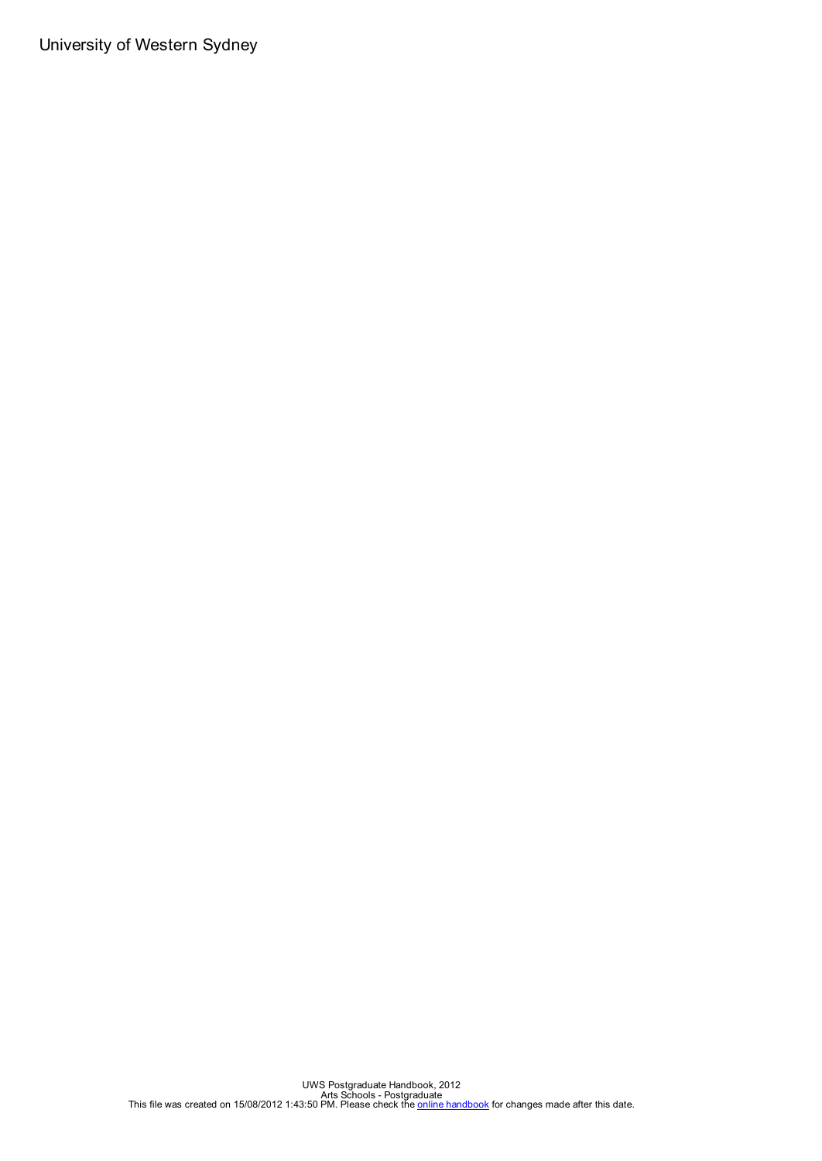University of Western Sydney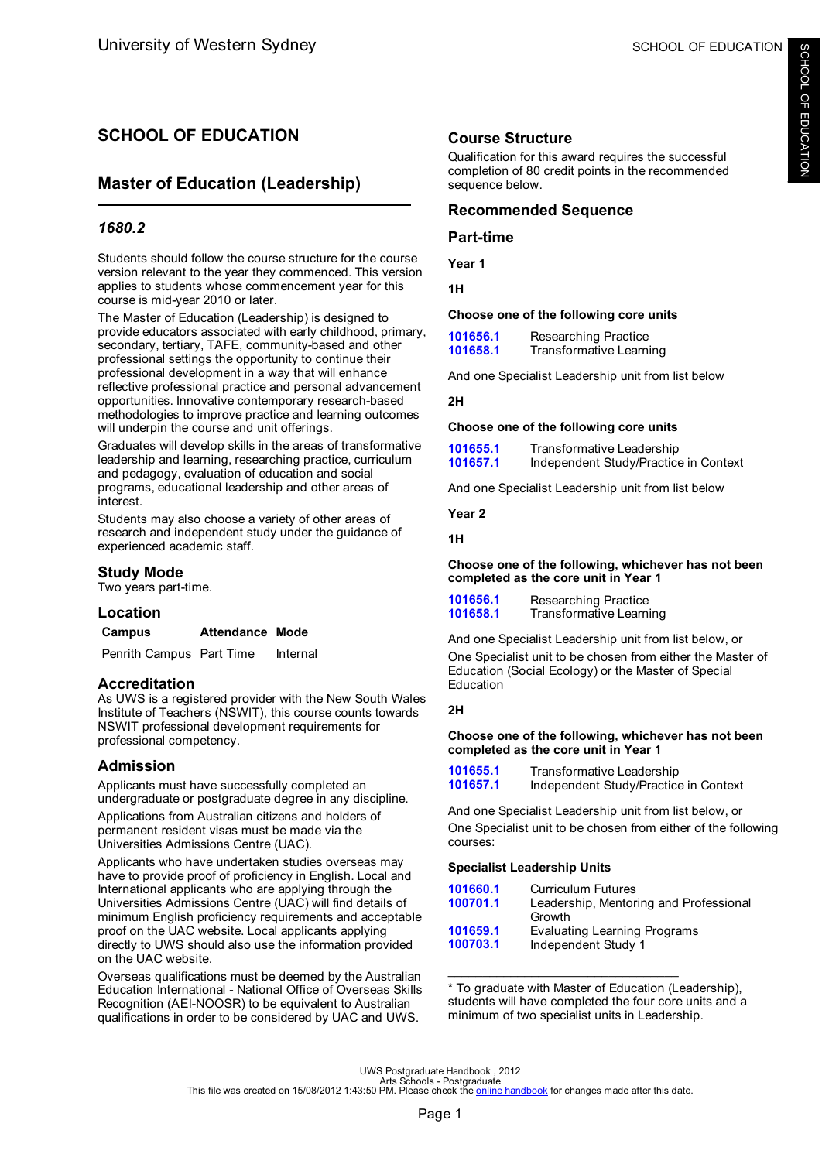## <span id="page-4-0"></span>**SCHOOL OF EDUCATION**

## **Master of Education (Leadership)**

## *1680.2*

Students should follow the course structure for the course version relevant to the year they commenced. This version applies to students whose commencement year for this course is mid-year 2010 or later.

The Master of Education (Leadership) is designed to provide educators associated with early childhood, primary, secondary, tertiary, TAFE, community-based and other professional settings the opportunity to continue their professional development in a way that will enhance reflective professional practice and personal advancement opportunities. Innovative contemporary research-based methodologies to improve practice and learning outcomes will underpin the course and unit offerings.

Graduates will develop skills in the areas of transformative leadership and learning, researching practice, curriculum and pedagogy, evaluation of education and social programs, educational leadership and other areas of interest.

Students may also choose a variety of other areas of research and independent study under the guidance of experienced academic staff.

## **Study Mode**

Two years part-time.

## **Location**

## **Campus Attendance Mode**

Penrith Campus Part Time Internal

## **Accreditation**

As UWS is a registered provider with the New South Wales Institute of Teachers (NSWIT), this course counts towards NSWIT professional development requirements for professional competency.

## **Admission**

Applicants must have successfully completed an undergraduate or postgraduate degree in any discipline.

Applications from Australian citizens and holders of permanent resident visas must be made via the Universities Admissions Centre (UAC).

Applicants who have undertaken studies overseas may have to provide proof of proficiency in English. Local and International applicants who are applying through the Universities Admissions Centre (UAC) will find details of minimum English proficiency requirements and acceptable proof on the UAC website. Local applicants applying directly to UWS should also use the information provided on the UAC website.

Overseas qualifications must be deemed by the Australian Education International - National Office of Overseas Skills Recognition (AEI-NOOSR) to be equivalent to Australian qualifications in order to be considered by UAC and UWS.

## **Course Structure**

Qualification for this award requires the successful completion of 80 credit points in the recommended sequence below.

## **Recommended Sequence**

## **Part-time**

**Year 1**

**1H**

## **Choose one of the following core units**

| 101656.1 | Researching Practice    |
|----------|-------------------------|
| 101658.1 | Transformative Learning |

And one Specialist Leadership unit from list below

**2H**

#### **Choose one of the following core units**

**[101655.1](#page-74-0)** Transformative Leadership **[101657.1](#page-57-0)** Independent Study/Practice in Context

And one Specialist Leadership unit from list below

**Year 2**

**1H**

#### **Choose one of the following, whichever has not been completed as the core unit in Year 1**

| 101656.1 | Researching Practice    |
|----------|-------------------------|
| 101658.1 | Transformative Learning |

And one Specialist Leadership unit from list below, or One Specialist unit to be chosen from either the Master of Education (Social Ecology) or the Master of Special Education

#### **2H**

#### **Choose one of the following, whichever has not been completed as the core unit in Year 1**

| 101655.1 | Transformative Leadership             |
|----------|---------------------------------------|
| 101657.1 | Independent Study/Practice in Context |

And one Specialist Leadership unit from list below, or One Specialist unit to be chosen from either of the following courses:

## **Specialist Leadership Units**

| 101660.1 | <b>Curriculum Futures</b>              |
|----------|----------------------------------------|
| 100701.1 | Leadership, Mentoring and Professional |
|          | Growth                                 |
| 101659.1 | <b>Evaluating Learning Programs</b>    |
| 100703.1 | Independent Study 1                    |
|          |                                        |

\_\_\_\_\_\_\_\_\_\_\_\_\_\_\_\_\_\_\_\_\_\_\_\_\_\_\_\_\_\_\_\_\_ \* To graduate with Master of Education (Leadership), students will have completed the four core units and a minimum of two specialist units in Leadership.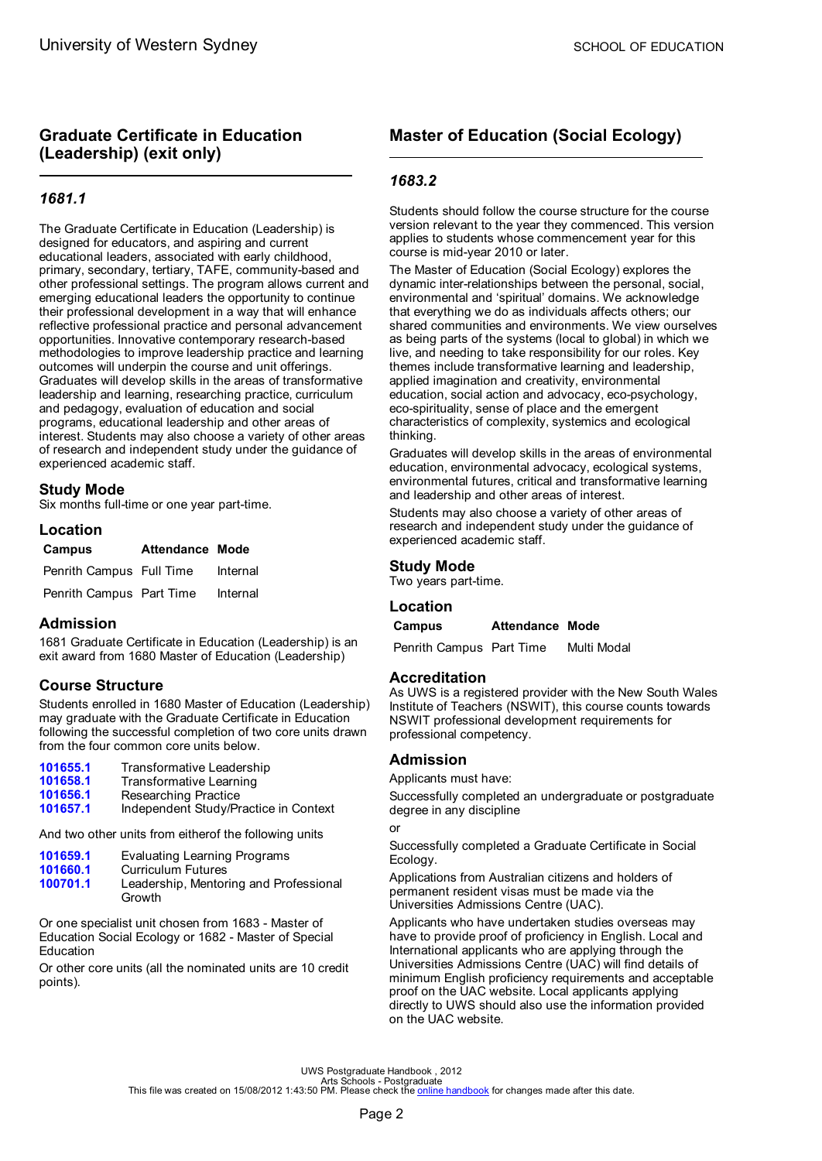## <span id="page-5-0"></span>**Graduate Certificate in Education (Leadership) (exit only)**

## *1681.1*

The Graduate Certificate in Education (Leadership) is designed for educators, and aspiring and current educational leaders, associated with early childhood, primary, secondary, tertiary, TAFE, community-based and other professional settings. The program allows current and emerging educational leaders the opportunity to continue their professional development in a way that will enhance reflective professional practice and personal advancement opportunities. Innovative contemporary research-based methodologies to improve leadership practice and learning outcomes will underpin the course and unit offerings. Graduates will develop skills in the areas of transformative leadership and learning, researching practice, curriculum and pedagogy, evaluation of education and social programs, educational leadership and other areas of interest. Students may also choose a variety of other areas of research and independent study under the guidance of experienced academic staff.

## **Study Mode**

Six months full-time or one year part-time.

### **Location**

| Campus                   | <b>Attendance Mode</b> |          |
|--------------------------|------------------------|----------|
| Penrith Campus Full Time |                        | Internal |
| Penrith Campus Part Time |                        | Internal |

## **Admission**

1681 Graduate Certificate in Education (Leadership) is an exit award from 1680 Master of Education (Leadership)

## **Course Structure**

Students enrolled in 1680 Master of Education (Leadership) may graduate with the Graduate Certificate in Education following the successful completion of two core units drawn from the four common core units below.

| 101655.1 | Transformative Leadership |
|----------|---------------------------|
| 101658.1 | Transformative Learning   |
| 101656.1 | Researching Practice      |

**[101657.1](#page-57-0)** Independent Study/Practice in Context

And two other units from eitherof the following units

| 101659.1 | <b>Evaluating Learning Programs</b>    |
|----------|----------------------------------------|
| 101660.1 | Curriculum Futures                     |
| 100701.1 | Leadership, Mentoring and Professional |
|          | Growth                                 |

Or one specialist unit chosen from 1683 - Master of Education Social Ecology or 1682 - Master of Special **Education** 

Or other core units (all the nominated units are 10 credit points).

## **Master of Education (Social Ecology)**

## *1683.2*

Students should follow the course structure for the course version relevant to the year they commenced. This version applies to students whose commencement year for this course is mid-year 2010 or later.

The Master of Education (Social Ecology) explores the dynamic inter-relationships between the personal, social, environmental and 'spiritual' domains. We acknowledge that everything we do as individuals affects others; our shared communities and environments. We view ourselves as being parts of the systems (local to global) in which we live, and needing to take responsibility for our roles. Key themes include transformative learning and leadership, applied imagination and creativity, environmental education, social action and advocacy, eco-psychology, eco-spirituality, sense of place and the emergent characteristics of complexity, systemics and ecological thinking.

Graduates will develop skills in the areas of environmental education, environmental advocacy, ecological systems, environmental futures, critical and transformative learning and leadership and other areas of interest.

Students may also choose a variety of other areas of research and independent study under the guidance of experienced academic staff.

## **Study Mode**

Two years part-time.

## **Location**

#### **Campus Attendance Mode**

Penrith Campus Part Time Multi Modal

#### **Accreditation**

As UWS is a registered provider with the New South Wales Institute of Teachers (NSWIT), this course counts towards NSWIT professional development requirements for professional competency.

## **Admission**

Applicants must have:

Successfully completed an undergraduate or postgraduate degree in any discipline

or

Successfully completed a Graduate Certificate in Social Ecology.

Applications from Australian citizens and holders of permanent resident visas must be made via the Universities Admissions Centre (UAC).

Applicants who have undertaken studies overseas may have to provide proof of proficiency in English. Local and International applicants who are applying through the Universities Admissions Centre (UAC) will find details of minimum English proficiency requirements and acceptable proof on the UAC website. Local applicants applying directly to UWS should also use the information provided on the UAC website.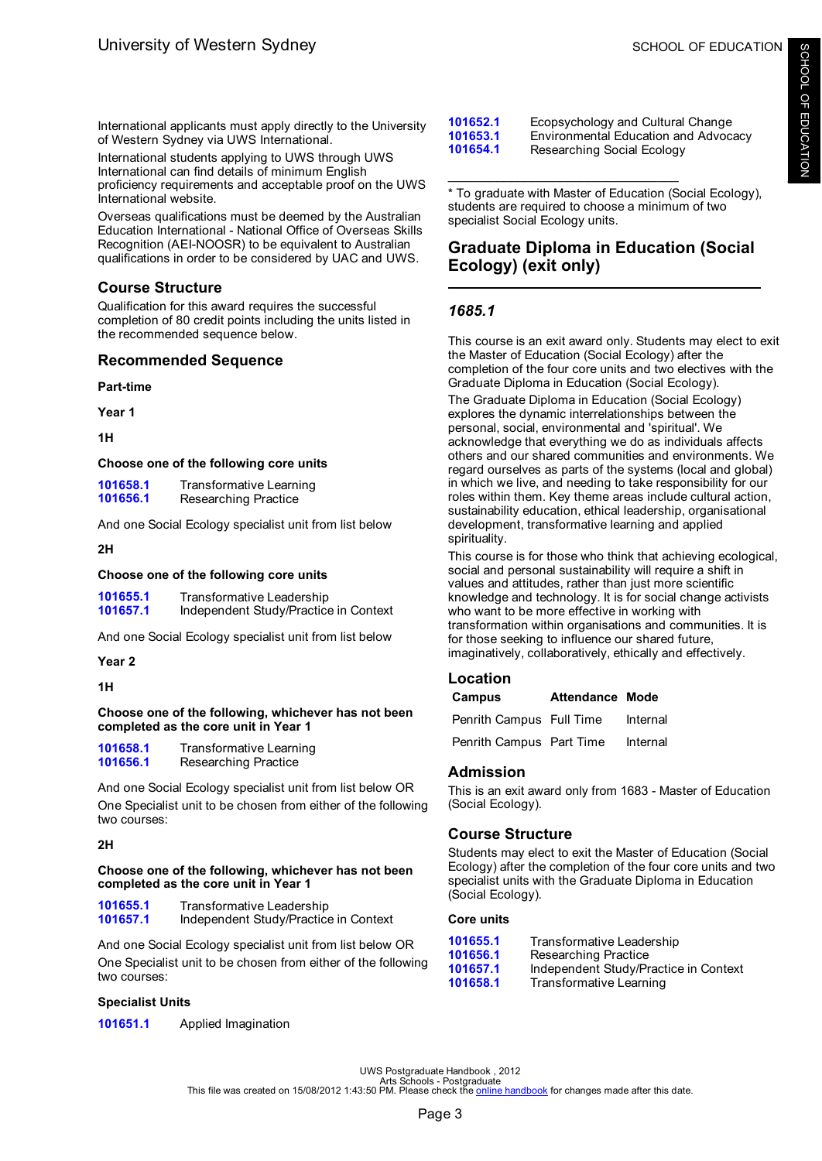<span id="page-6-0"></span>International applicants must apply directly to the University of Western Sydney via UWS International.

International students applying to UWS through UWS International can find details of minimum English proficiency requirements and acceptable proof on the UWS International website.

Overseas qualifications must be deemed by the Australian Education International - National Office of Overseas Skills Recognition (AEI-NOOSR) to be equivalent to Australian qualifications in order to be considered by UAC and UWS.

## **Course Structure**

Qualification for this award requires the successful completion of 80 credit points including the units listed in the recommended sequence below.

## **Recommended Sequence**

**Part-time**

**Year 1**

**1H**

#### **Choose one of the following core units**

| 101658.1 | Transformative Learning |
|----------|-------------------------|
| 101656.1 | Researching Practice    |

And one Social Ecology specialist unit from list below

**2H**

#### **Choose one of the following core units**

| 101655.1 | Transformative Leadership             |
|----------|---------------------------------------|
| 101657.1 | Independent Study/Practice in Context |

And one Social Ecology specialist unit from list below

#### **Year 2**

#### **1H**

#### **Choose one of the following, whichever has not been completed as the core unit in Year 1**

**[101658.1](#page-74-0)** Transformative Learning **[101656.1](#page-70-0)** Researching Practice

And one Social Ecology specialist unit from list below OR One Specialist unit to be chosen from either of the following two courses:

### **2H**

**Choose one of the following, whichever has not been completed as the core unit in Year 1**

**[101655.1](#page-74-0)** Transformative Leadership **[101657.1](#page-57-0)** Independent Study/Practice in Context

And one Social Ecology specialist unit from list below OR One Specialist unit to be chosen from either of the following two courses:

#### **Specialist Units**

**[101651.1](#page-43-0)** Applied Imagination

| 101652.1 | Ecopsychology and Cultural Change           |
|----------|---------------------------------------------|
| 101653.1 | <b>Environmental Education and Advocacy</b> |
| 101654.1 | Researching Social Ecology                  |

\_\_\_\_\_\_\_\_\_\_\_\_\_\_\_\_\_\_\_\_\_\_\_\_\_\_\_\_\_\_\_\_\_

\* To graduate with Master of Education (Social Ecology), students are required to choose a minimum of two specialist Social Ecology units.

## **Graduate Diploma in Education (Social Ecology) (exit only)**

## *1685.1*

This course is an exit award only. Students may elect to exit the Master of Education (Social Ecology) after the completion of the four core units and two electives with the Graduate Diploma in Education (Social Ecology).

The Graduate Diploma in Education (Social Ecology) explores the dynamic interrelationships between the personal, social, environmental and 'spiritual'. We acknowledge that everything we do as individuals affects others and our shared communities and environments. We regard ourselves as parts of the systems (local and global) in which we live, and needing to take responsibility for our roles within them. Key theme areas include cultural action, sustainability education, ethical leadership, organisational development, transformative learning and applied spirituality.

This course is for those who think that achieving ecological, social and personal sustainability will require a shift in values and attitudes, rather than just more scientific knowledge and technology. It is for social change activists who want to be more effective in working with transformation within organisations and communities. It is for those seeking to influence our shared future, imaginatively, collaboratively, ethically and effectively.

## **Location**

| Campus                   | <b>Attendance Mode</b> |          |
|--------------------------|------------------------|----------|
| Penrith Campus Full Time |                        | Internal |
| Penrith Campus Part Time |                        | Internal |

## **Admission**

This is an exit award only from 1683 - Master of Education (Social Ecology).

## **Course Structure**

Students may elect to exit the Master of Education (Social Ecology) after the completion of the four core units and two specialist units with the Graduate Diploma in Education (Social Ecology).

#### **Core units**

| 101655.1 | Transformative Leadership             |
|----------|---------------------------------------|
| 101656.1 | Researching Practice                  |
| 101657.1 | Independent Study/Practice in Context |
| 101658.1 | Transformative Learning               |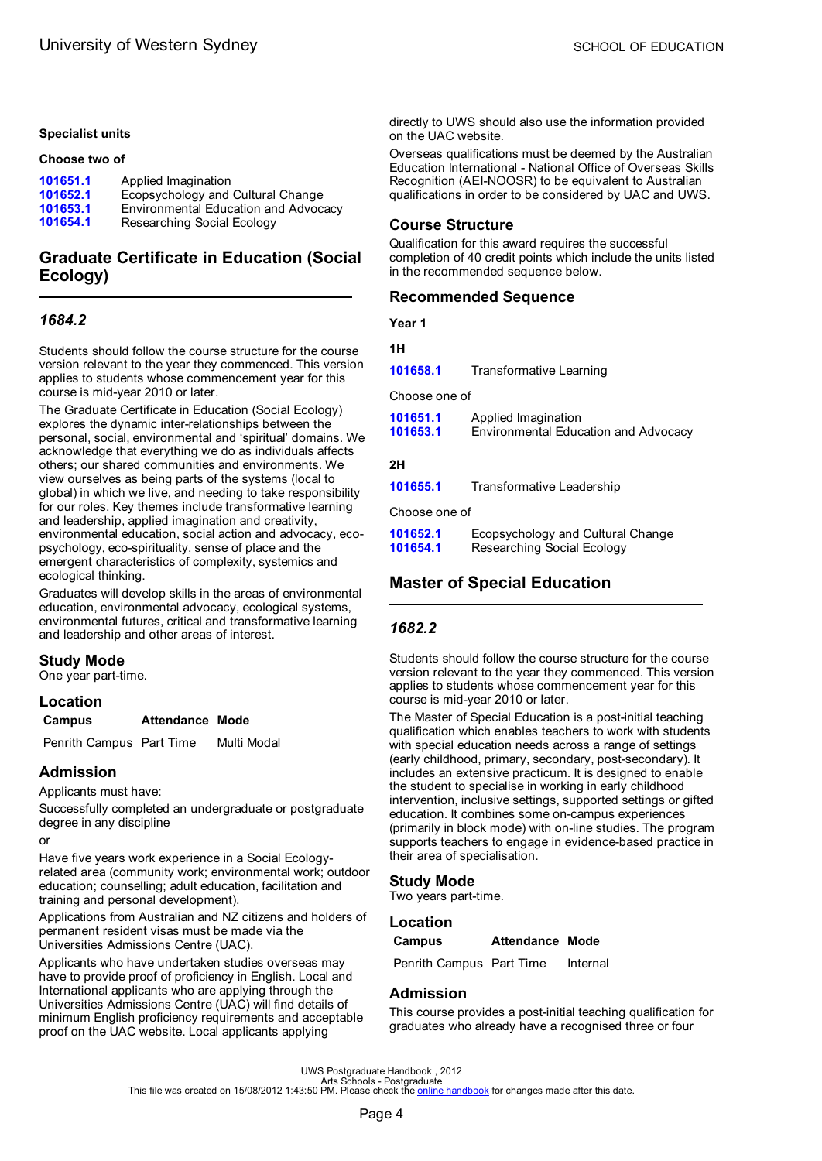#### <span id="page-7-0"></span>**Specialist units**

#### **Choose two of**

| 101651.1 | Applied Imagination                  |
|----------|--------------------------------------|
| 101652.1 | Ecopsychology and Cultural Change    |
| 101653.1 | Environmental Education and Advocacy |
| 101654.1 | Researching Social Ecology           |

## **Graduate Certificate in Education (Social Ecology)**

### *1684.2*

Students should follow the course structure for the course version relevant to the year they commenced. This version applies to students whose commencement year for this course is mid-year 2010 or later.

The Graduate Certificate in Education (Social Ecology) explores the dynamic inter-relationships between the personal, social, environmental and 'spiritual' domains. We acknowledge that everything we do as individuals affects others; our shared communities and environments. We view ourselves as being parts of the systems (local to global) in which we live, and needing to take responsibility for our roles. Key themes include transformative learning and leadership, applied imagination and creativity, environmental education, social action and advocacy, ecopsychology, eco-spirituality, sense of place and the emergent characteristics of complexity, systemics and ecological thinking.

Graduates will develop skills in the areas of environmental education, environmental advocacy, ecological systems, environmental futures, critical and transformative learning and leadership and other areas of interest.

## **Study Mode**

One year part-time.

#### **Location**

#### **Campus Attendance Mode**

Penrith Campus Part Time Multi Modal

## **Admission**

#### Applicants must have:

Successfully completed an undergraduate or postgraduate degree in any discipline

or

Have five years work experience in a Social Ecologyrelated area (community work; environmental work; outdoor education; counselling; adult education, facilitation and training and personal development).

Applications from Australian and NZ citizens and holders of permanent resident visas must be made via the Universities Admissions Centre (UAC).

Applicants who have undertaken studies overseas may have to provide proof of proficiency in English. Local and International applicants who are applying through the Universities Admissions Centre (UAC) will find details of minimum English proficiency requirements and acceptable proof on the UAC website. Local applicants applying

directly to UWS should also use the information provided on the UAC website.

Overseas qualifications must be deemed by the Australian Education International - National Office of Overseas Skills Recognition (AEI-NOOSR) to be equivalent to Australian qualifications in order to be considered by UAC and UWS.

#### **Course Structure**

Qualification for this award requires the successful completion of 40 credit points which include the units listed in the recommended sequence below.

## **Recommended Sequence**

#### **Year 1**

**1H**

| 101658.1<br>Transformative Learning |
|-------------------------------------|
|-------------------------------------|

Choose one of

| 101651.1 | Applied Imagination                  |
|----------|--------------------------------------|
| 101653.1 | Environmental Education and Advocacy |
| 2Н       |                                      |

**[101655.1](#page-74-0)** Transformative Leadership

Choose one of

| 101652.1 | Ecopsychology and Cultural Change |
|----------|-----------------------------------|
| 101654.1 | Researching Social Ecology        |

## **Master of Special Education**

## *1682.2*

Students should follow the course structure for the course version relevant to the year they commenced. This version applies to students whose commencement year for this course is mid-year 2010 or later.

The Master of Special Education is a post-initial teaching qualification which enables teachers to work with students with special education needs across a range of settings (early childhood, primary, secondary, post-secondary). It includes an extensive practicum. It is designed to enable the student to specialise in working in early childhood intervention, inclusive settings, supported settings or gifted education. It combines some on-campus experiences (primarily in block mode) with on-line studies. The program supports teachers to engage in evidence-based practice in their area of specialisation.

#### **Study Mode**

Two years part-time.

#### **Location**

**Campus Attendance Mode**

Penrith Campus Part Time Internal

## **Admission**

This course provides a post-initial teaching qualification for graduates who already have a recognised three or four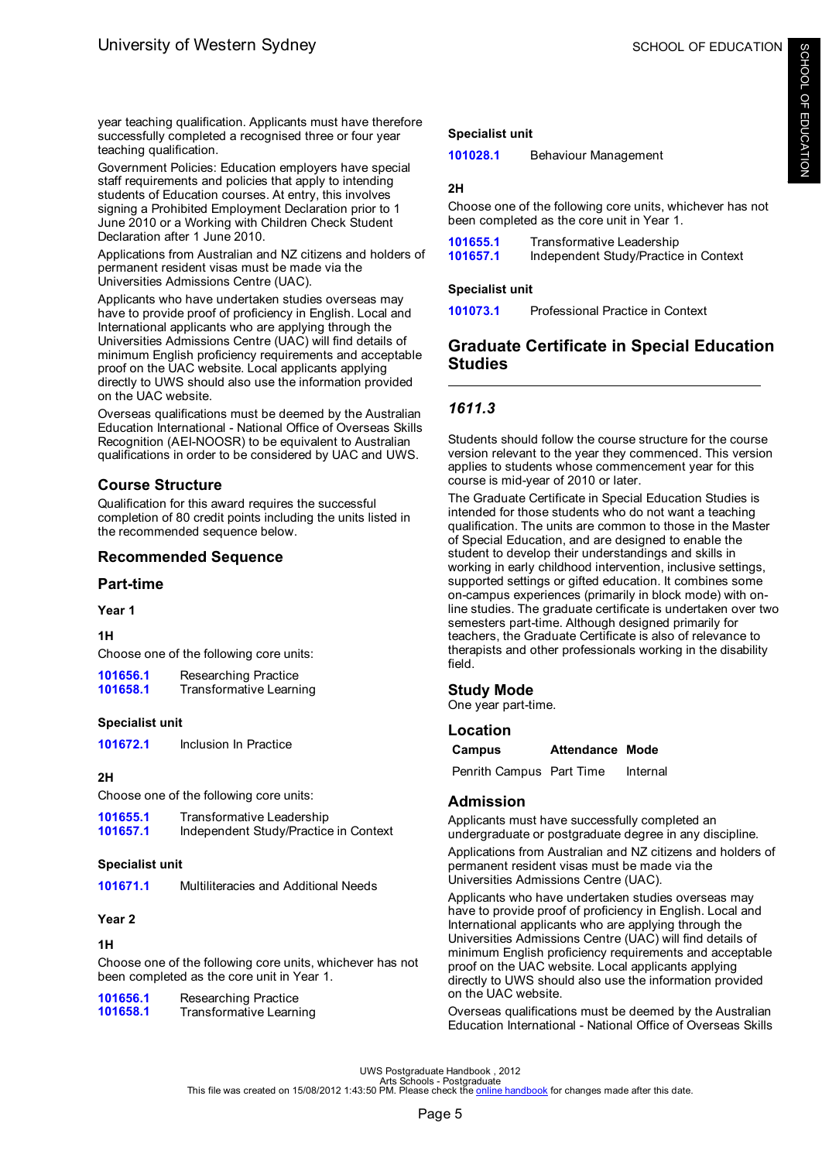<span id="page-8-0"></span>year teaching qualification. Applicants must have therefore successfully completed a recognised three or four year teaching qualification.

Government Policies: Education employers have special staff requirements and policies that apply to intending students of Education courses. At entry, this involves signing a Prohibited Employment Declaration prior to 1 June 2010 or a Working with Children Check Student Declaration after 1 June 2010.

Applications from Australian and NZ citizens and holders of permanent resident visas must be made via the Universities Admissions Centre (UAC).

Applicants who have undertaken studies overseas may have to provide proof of proficiency in English. Local and International applicants who are applying through the Universities Admissions Centre (UAC) will find details of minimum English proficiency requirements and acceptable proof on the UAC website. Local applicants applying directly to UWS should also use the information provided on the UAC website.

Overseas qualifications must be deemed by the Australian Education International - National Office of Overseas Skills Recognition (AEI-NOOSR) to be equivalent to Australian qualifications in order to be considered by UAC and UWS.

## **Course Structure**

Qualification for this award requires the successful completion of 80 credit points including the units listed in the recommended sequence below.

## **Recommended Sequence**

## **Part-time**

**Year 1**

## **1H**

Choose one of the following core units:

| 101656.1 | Researching Practice    |
|----------|-------------------------|
| 101658.1 | Transformative Learning |

#### **Specialist unit**

**[101672.1](#page-56-0)** Inclusion In Practice

## **2H**

Choose one of the following core units:

**[101655.1](#page-74-0)** Transformative Leadership **[101657.1](#page-57-0)** Independent Study/Practice in Context

#### **Specialist unit**

**[101671.1](#page-62-0)** Multiliteracies and Additional Needs

#### **Year 2**

#### **1H**

Choose one of the following core units, whichever has not been completed as the core unit in Year 1.

| 101656.1 | Researching Practice    |
|----------|-------------------------|
| 101658.1 | Transformative Learning |

### **Specialist unit**

| 101028.1 | Behaviour Management |
|----------|----------------------|
|----------|----------------------|

### **2H**

Choose one of the following core units, whichever has not been completed as the core unit in Year 1.

| 101655.1 | Transformative Leadership             |
|----------|---------------------------------------|
| 101657.1 | Independent Study/Practice in Context |

#### **Specialist unit**

```
101073.1 Professional Practice in Context
```
## **Graduate Certificate in Special Education Studies**

## *1611.3*

Students should follow the course structure for the course version relevant to the year they commenced. This version applies to students whose commencement year for this course is mid-year of 2010 or later.

The Graduate Certificate in Special Education Studies is intended for those students who do not want a teaching qualification. The units are common to those in the Master of Special Education, and are designed to enable the student to develop their understandings and skills in working in early childhood intervention, inclusive settings, supported settings or gifted education. It combines some on-campus experiences (primarily in block mode) with online studies. The graduate certificate is undertaken over two semesters part-time. Although designed primarily for teachers, the Graduate Certificate is also of relevance to therapists and other professionals working in the disability field.

## **Study Mode**

One year part-time.

## **Location**

| Campus                   | <b>Attendance Mode</b> |          |
|--------------------------|------------------------|----------|
| Penrith Campus Part Time |                        | Internal |

**Admission**

Applicants must have successfully completed an undergraduate or postgraduate degree in any discipline. Applications from Australian and NZ citizens and holders of permanent resident visas must be made via the Universities Admissions Centre (UAC).

Applicants who have undertaken studies overseas may have to provide proof of proficiency in English. Local and International applicants who are applying through the Universities Admissions Centre (UAC) will find details of minimum English proficiency requirements and acceptable proof on the UAC website. Local applicants applying directly to UWS should also use the information provided on the UAC website.

Overseas qualifications must be deemed by the Australian Education International - National Office of Overseas Skills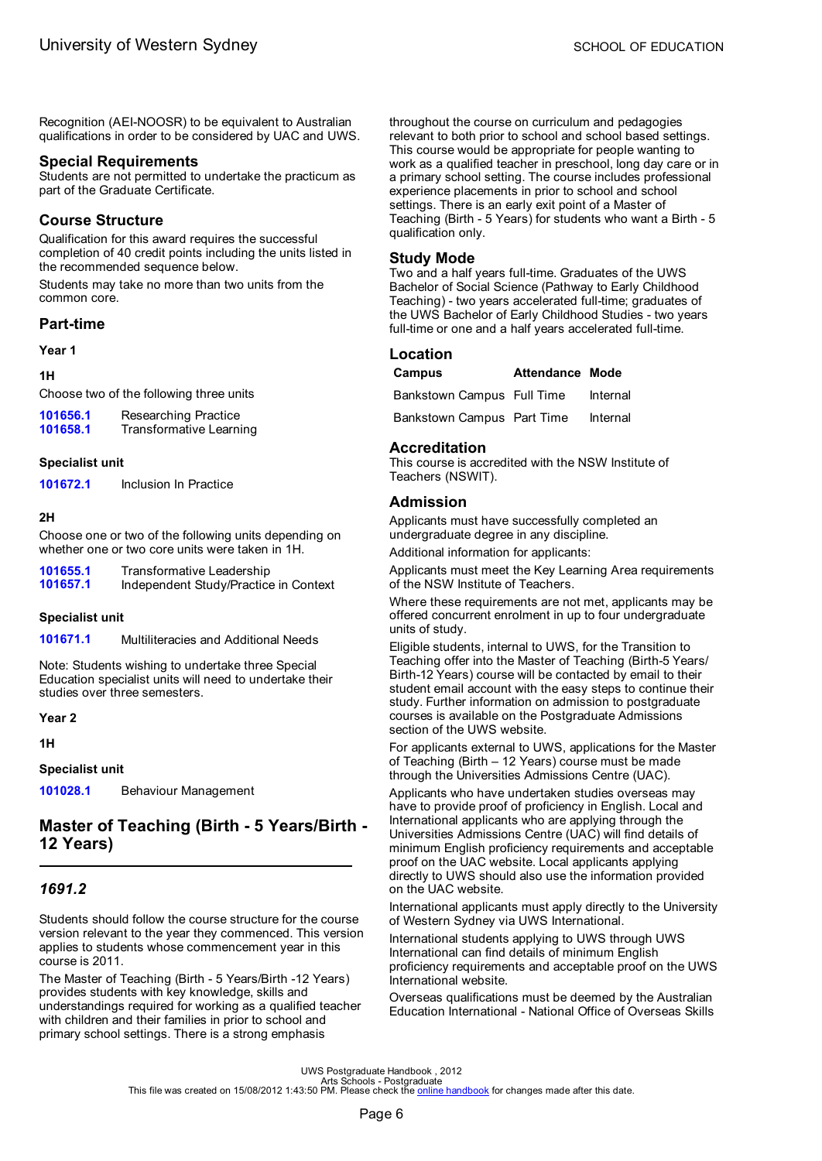<span id="page-9-0"></span>Recognition (AEI-NOOSR) to be equivalent to Australian qualifications in order to be considered by UAC and UWS.

#### **Special Requirements**

Students are not permitted to undertake the practicum as part of the Graduate Certificate.

## **Course Structure**

Qualification for this award requires the successful completion of 40 credit points including the units listed in the recommended sequence below.

Students may take no more than two units from the common core.

## **Part-time**

#### **Year 1**

### **1H**

Choose two of the following three units

| 101656.1 | Researching Practice    |
|----------|-------------------------|
| 101658.1 | Transformative Learning |

#### **Specialist unit**

**[101672.1](#page-56-0)** Inclusion In Practice

#### **2H**

Choose one or two of the following units depending on whether one or two core units were taken in 1H.

| 101655.1 | Transformative Leadership             |
|----------|---------------------------------------|
| 101657.1 | Independent Study/Practice in Context |

**Specialist unit**

**[101671.1](#page-62-0)** Multiliteracies and Additional Needs

Note: Students wishing to undertake three Special Education specialist units will need to undertake their studies over three semesters.

**Year 2**

**1H**

#### **Specialist unit**

**[101028.1](#page-44-0)** Behaviour Management

## **Master of Teaching (Birth - 5 Years/Birth - 12 Years)**

## *1691.2*

Students should follow the course structure for the course version relevant to the year they commenced. This version applies to students whose commencement year in this course is 2011.

The Master of Teaching (Birth - 5 Years/Birth -12 Years) provides students with key knowledge, skills and understandings required for working as a qualified teacher with children and their families in prior to school and primary school settings. There is a strong emphasis

throughout the course on curriculum and pedagogies relevant to both prior to school and school based settings. This course would be appropriate for people wanting to work as a qualified teacher in preschool, long day care or in a primary school setting. The course includes professional experience placements in prior to school and school settings. There is an early exit point of a Master of Teaching (Birth - 5 Years) for students who want a Birth - 5 qualification only.

## **Study Mode**

Two and a half years full-time. Graduates of the UWS Bachelor of Social Science (Pathway to Early Childhood Teaching) - two years accelerated full-time; graduates of the UWS Bachelor of Early Childhood Studies - two years full-time or one and a half years accelerated full-time.

## **Location**

| Campus                     | <b>Attendance Mode</b> |          |  |
|----------------------------|------------------------|----------|--|
| Bankstown Campus Full Time |                        | Internal |  |
| Bankstown Campus Part Time |                        | Internal |  |

## **Accreditation**

This course is accredited with the NSW Institute of Teachers (NSWIT).

## **Admission**

Applicants must have successfully completed an undergraduate degree in any discipline.

Additional information for applicants:

Applicants must meet the Key Learning Area requirements of the NSW Institute of Teachers.

Where these requirements are not met, applicants may be offered concurrent enrolment in up to four undergraduate units of study.

Eligible students, internal to UWS, for the Transition to Teaching offer into the Master of Teaching (Birth-5 Years/ Birth-12 Years) course will be contacted by email to their student email account with the easy steps to continue their study. Further information on admission to postgraduate courses is available on the Postgraduate Admissions section of the UWS website.

For applicants external to UWS, applications for the Master of Teaching (Birth – 12 Years) course must be made through the Universities Admissions Centre (UAC).

Applicants who have undertaken studies overseas may have to provide proof of proficiency in English. Local and International applicants who are applying through the Universities Admissions Centre (UAC) will find details of minimum English proficiency requirements and acceptable proof on the UAC website. Local applicants applying directly to UWS should also use the information provided on the UAC website.

International applicants must apply directly to the University of Western Sydney via UWS International.

International students applying to UWS through UWS International can find details of minimum English proficiency requirements and acceptable proof on the UWS International website.

Overseas qualifications must be deemed by the Australian Education International - National Office of Overseas Skills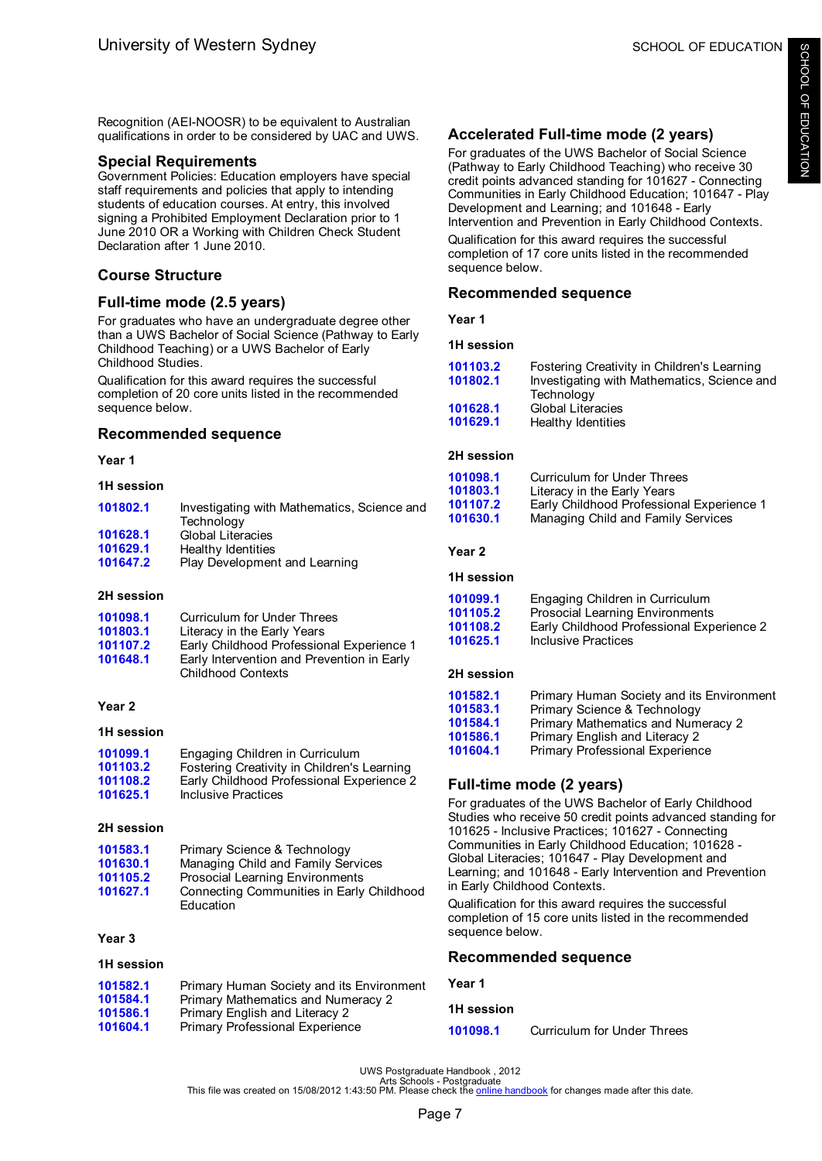Recognition (AEI-NOOSR) to be equivalent to Australian qualifications in order to be considered by UAC and UWS.

## **Special Requirements**

Government Policies: Education employers have special staff requirements and policies that apply to intending students of education courses. At entry, this involved signing a Prohibited Employment Declaration prior to 1 June 2010 OR a Working with Children Check Student Declaration after 1 June 2010.

## **Course Structure**

## **Full-time mode (2.5 years)**

For graduates who have an undergraduate degree other than a UWS Bachelor of Social Science (Pathway to Early Childhood Teaching) or a UWS Bachelor of Early Childhood Studies.

Qualification for this award requires the successful completion of 20 core units listed in the recommended sequence below.

## **Recommended sequence**

#### **Year 1**

#### **1H session**

| 101802.1 | Investigating with Mathematics, Science and<br>Technology |
|----------|-----------------------------------------------------------|
| 101628.1 | <b>Global Literacies</b>                                  |
| 101629.1 | Healthy Identities                                        |
| 101647.2 | Play Development and Learning                             |
|          |                                                           |

#### **2H session**

| 101098.1 | Curriculum for Under Threes                |
|----------|--------------------------------------------|
| 101803.1 | Literacy in the Early Years                |
| 101107.2 | Early Childhood Professional Experience 1  |
| 101648.1 | Early Intervention and Prevention in Early |
|          | <b>Childhood Contexts</b>                  |

#### **Year 2**

#### **1H session**

| 101099.1 | Engaging Children in Curriculum             |
|----------|---------------------------------------------|
| 101103.2 | Fostering Creativity in Children's Learning |
| 101108.2 | Early Childhood Professional Experience 2   |
| 101625.1 | Inclusive Practices                         |

#### **2H session**

| 101583.1 | Primary Science & Technology              |
|----------|-------------------------------------------|
| 101630.1 | Managing Child and Family Services        |
| 101105.2 | <b>Prosocial Learning Environments</b>    |
| 101627.1 | Connecting Communities in Early Childhood |
|          | Education                                 |

### **Year 3**

#### **1H session**

| 101582.1 | Primary Human Society and its Environment | Year 1 |
|----------|-------------------------------------------|--------|
| 101584.1 | Primary Mathematics and Numeracy 2        | 1H ses |
| 101586.1 | Primary English and Literacy 2            |        |
| 101604.1 | Primary Professional Experience           | 101098 |

## **Accelerated Full-time mode (2 years)**

For graduates of the UWS Bachelor of Social Science (Pathway to Early Childhood Teaching) who receive 30 credit points advanced standing for 101627 - Connecting Communities in Early Childhood Education; 101647 - Play Development and Learning; and 101648 - Early

Intervention and Prevention in Early Childhood Contexts.

Qualification for this award requires the successful completion of 17 core units listed in the recommended sequence below.

## **Recommended sequence**

**Year 1**

#### **1H session**

| 101103.2 | Fostering Creativity in Children's Learning |
|----------|---------------------------------------------|
| 101802.1 | Investigating with Mathematics, Science and |
|          | Technology                                  |
| 101628.1 | <b>Global Literacies</b>                    |
| 101629.1 | Healthy Identities                          |

#### **2H session**

| 101098.1 | Curriculum for Under Threes               |
|----------|-------------------------------------------|
| 101803.1 | Literacy in the Early Years               |
| 101107.2 | Early Childhood Professional Experience 1 |
| 101630.1 | Managing Child and Family Services        |

#### **Year 2**

#### **1H session**

| 101099.1 | Engaging Children in Curriculum           |
|----------|-------------------------------------------|
| 101105.2 | <b>Prosocial Learning Environments</b>    |
| 101108.2 | Early Childhood Professional Experience 2 |
| 101625.1 | Inclusive Practices                       |

#### **2H session**

| Primary Human Society and its Environment |
|-------------------------------------------|
| Primary Science & Technology              |
| Primary Mathematics and Numeracy 2        |
| Primary English and Literacy 2            |
| Primary Professional Experience           |
|                                           |

## **Full-time mode (2 years)**

For graduates of the UWS Bachelor of Early Childhood Studies who receive 50 credit points advanced standing for 101625 - Inclusive Practices; 101627 - Connecting Communities in Early Childhood Education; 101628 - Global Literacies; 101647 - Play Development and Learning; and 101648 - Early Intervention and Prevention in Early Childhood Contexts.

Qualification for this award requires the successful completion of 15 core units listed in the recommended sequence below.

## **Recommended sequence**

#### **1H session**

**[101098.1](#page-50-0)** Curriculum for Under Threes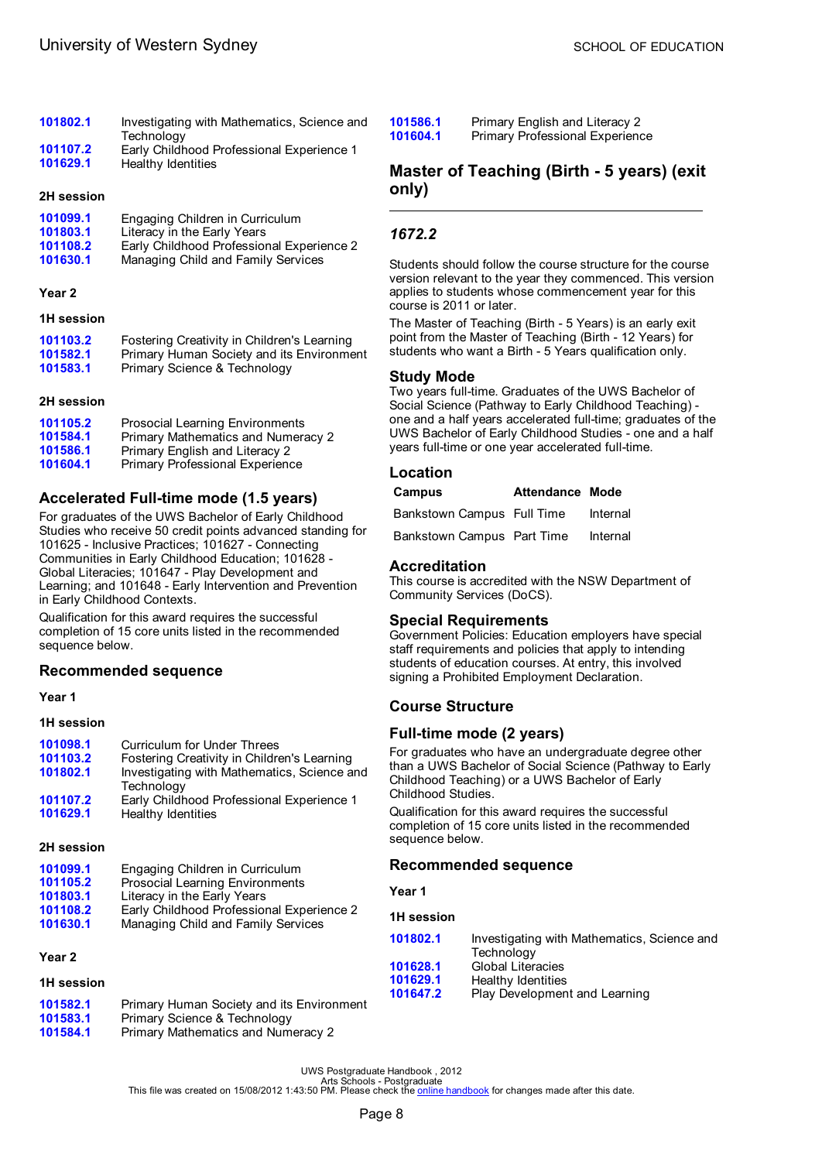<span id="page-11-0"></span>

| 101802.1 | Investigating with Mathematics, Science and |
|----------|---------------------------------------------|
|          | Technoloav                                  |
| 101107.2 | Early Childhood Professional Experience 1   |
| 101629.1 | Healthy Identities                          |

#### **2H session**

| 101099.1 | Engaging Children in Curriculum           |
|----------|-------------------------------------------|
| 101803.1 | Literacy in the Early Years               |
| 101108.2 | Early Childhood Professional Experience 2 |
| 101630.1 | Managing Child and Family Services        |

#### **Year 2**

#### **1H session**

| 101103.2 | Fostering Creativity in Children's Learning |
|----------|---------------------------------------------|
| 101582.1 | Primary Human Society and its Environment   |
| 101583.1 | Primary Science & Technology                |

#### **2H session**

| 101105.2 | Prosocial Learning Environments    |
|----------|------------------------------------|
| 101584.1 | Primary Mathematics and Numeracy 2 |
| 101586.1 | Primary English and Literacy 2     |
| 101604.1 | Primary Professional Experience    |

### **Accelerated Full-time mode (1.5 years)**

For graduates of the UWS Bachelor of Early Childhood Studies who receive 50 credit points advanced standing for 101625 - Inclusive Practices; 101627 - Connecting Communities in Early Childhood Education; 101628 - Global Literacies; 101647 - Play Development and Learning; and 101648 - Early Intervention and Prevention in Early Childhood Contexts.

Qualification for this award requires the successful completion of 15 core units listed in the recommended sequence below.

### **Recommended sequence**

#### **Year 1**

#### **1H session**

| 101098.1 | <b>Curriculum for Under Threes</b>          |
|----------|---------------------------------------------|
| 101103.2 | Fostering Creativity in Children's Learning |
| 101802.1 | Investigating with Mathematics, Science and |
|          | Technology                                  |
| 101107.2 | Early Childhood Professional Experience 1   |
| 101629.1 | Healthy Identities                          |

#### **2H session**

| 101099.1 | Engaging Children in Curriculum           |
|----------|-------------------------------------------|
| 101105.2 | <b>Prosocial Learning Environments</b>    |
| 101803.1 | Literacy in the Early Years               |
| 101108.2 | Early Childhood Professional Experience 2 |
| 101630.1 | Managing Child and Family Services        |

#### **Year 2**

**1H session**

| 101582.1 | Primary Human Society and its Environment |
|----------|-------------------------------------------|
| 101583.1 | Primary Science & Technology              |
| 101584.1 | Primary Mathematics and Numeracy 2        |

| 101586.1 | Primary English and Literacy 2         |
|----------|----------------------------------------|
| 101604.1 | <b>Primary Professional Experience</b> |

## **Master of Teaching (Birth - 5 years) (exit only)**

## *1672.2*

Students should follow the course structure for the course version relevant to the year they commenced. This version applies to students whose commencement year for this course is 2011 or later.

The Master of Teaching (Birth - 5 Years) is an early exit point from the Master of Teaching (Birth - 12 Years) for students who want a Birth - 5 Years qualification only.

#### **Study Mode**

Two years full-time. Graduates of the UWS Bachelor of Social Science (Pathway to Early Childhood Teaching) one and a half years accelerated full-time; graduates of the UWS Bachelor of Early Childhood Studies - one and a half years full-time or one year accelerated full-time.

#### **Location**

| Campus                     | <b>Attendance Mode</b> |          |
|----------------------------|------------------------|----------|
| Bankstown Campus Full Time |                        | Internal |
| Bankstown Campus Part Time |                        | Internal |

#### **Accreditation**

This course is accredited with the NSW Department of Community Services (DoCS).

#### **Special Requirements**

Government Policies: Education employers have special staff requirements and policies that apply to intending students of education courses. At entry, this involved signing a Prohibited Employment Declaration.

## **Course Structure**

## **Full-time mode (2 years)**

For graduates who have an undergraduate degree other than a UWS Bachelor of Social Science (Pathway to Early Childhood Teaching) or a UWS Bachelor of Early Childhood Studies.

Qualification for this award requires the successful completion of 15 core units listed in the recommended sequence below.

#### **Recommended sequence**

**Year 1**

**1H session**

| 101802.1 | Investigating with Mathematics, Science and |
|----------|---------------------------------------------|
|          | Technology                                  |
| 101628.1 | <b>Global Literacies</b>                    |
| 101629.1 | Healthy Identities                          |
| 101647.2 | Play Development and Learning               |
|          |                                             |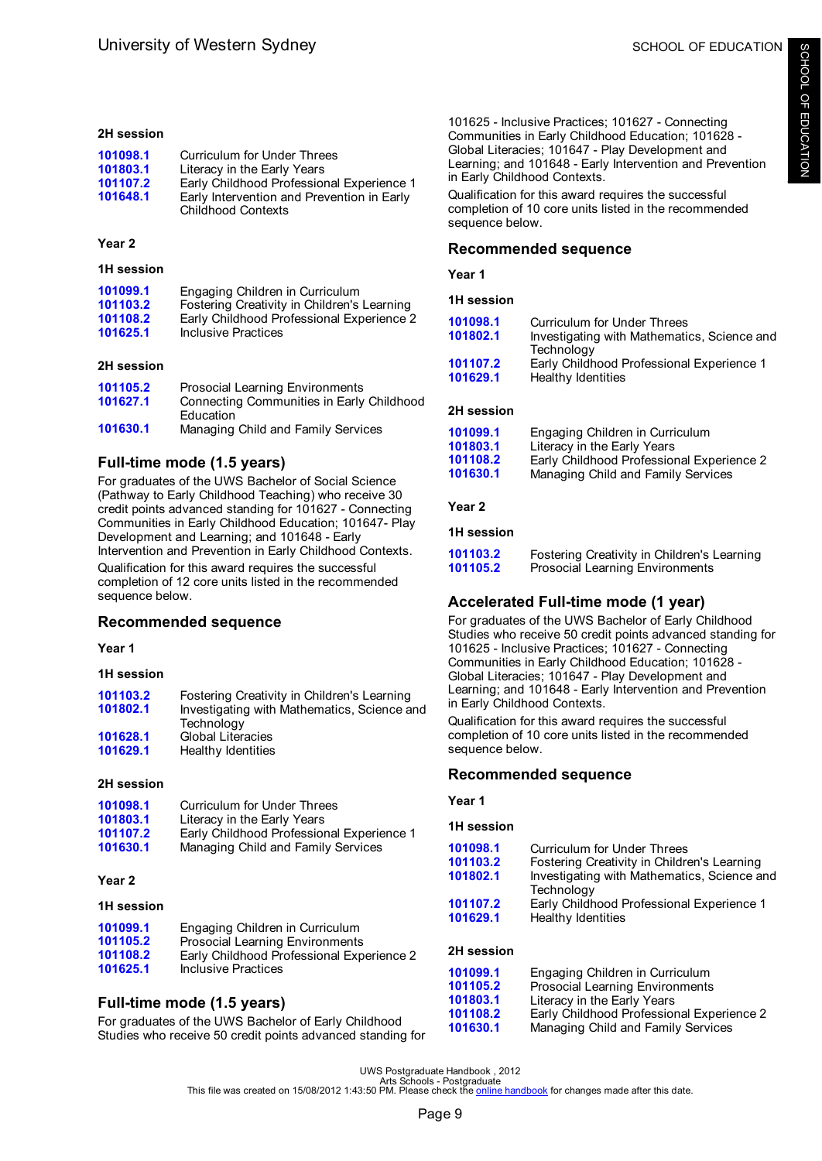#### **2H session**

| 101098.1 | Curriculum for Under Threes                |
|----------|--------------------------------------------|
| 101803.1 | Literacy in the Early Years                |
| 101107.2 | Early Childhood Professional Experience 1  |
| 101648.1 | Early Intervention and Prevention in Early |
|          | <b>Childhood Contexts</b>                  |

#### **Year 2**

#### **1H session**

| 101099.1 | Engaging Children in Curriculum             |
|----------|---------------------------------------------|
| 101103.2 | Fostering Creativity in Children's Learning |
| 101108.2 | Early Childhood Professional Experience 2   |
| 101625.1 | Inclusive Practices                         |

#### **2H session**

| 101105.2 | <b>Prosocial Learning Environments</b>    |
|----------|-------------------------------------------|
| 101627.1 | Connecting Communities in Early Childhood |
|          | Education                                 |
| 101630.1 | Managing Child and Family Services        |

## **Full-time mode (1.5 years)**

For graduates of the UWS Bachelor of Social Science (Pathway to Early Childhood Teaching) who receive 30 credit points advanced standing for 101627 - Connecting Communities in Early Childhood Education; 101647- Play Development and Learning; and 101648 - Early Intervention and Prevention in Early Childhood Contexts.

Qualification for this award requires the successful completion of 12 core units listed in the recommended sequence below.

## **Recommended sequence**

**Year 1**

#### **1H session**

| Fostering Creativity in Children's Learning |
|---------------------------------------------|
| Investigating with Mathematics, Science and |
| Technology                                  |
| <b>Global Literacies</b>                    |
| Healthy Identities                          |
|                                             |

#### **2H session**

| 101098.1 | <b>Curriculum for Under Threes</b>        |
|----------|-------------------------------------------|
| 101803.1 | Literacy in the Early Years               |
| 101107.2 | Early Childhood Professional Experience 1 |
| 101630.1 | Managing Child and Family Services        |

#### **Year 2**

#### **1H session**

| Engaging Children in Curriculum           |
|-------------------------------------------|
| <b>Prosocial Learning Environments</b>    |
| Early Childhood Professional Experience 2 |
| Inclusive Practices                       |
|                                           |

## **Full-time mode (1.5 years)**

For graduates of the UWS Bachelor of Early Childhood Studies who receive 50 credit points advanced standing for

101625 - Inclusive Practices; 101627 - Connecting Communities in Early Childhood Education; 101628 - Global Literacies; 101647 - Play Development and Learning; and 101648 - Early Intervention and Prevention in Early Childhood Contexts.

Qualification for this award requires the successful completion of 10 core units listed in the recommended sequence below.

## **Recommended sequence**

#### **Year 1**

#### **1H session**

| 101098.1<br>101802.1 | Curriculum for Under Threes<br>Investigating with Mathematics, Science and<br>Technology |
|----------------------|------------------------------------------------------------------------------------------|
| 101107.2<br>101629.1 | Early Childhood Professional Experience 1<br>Healthy Identities                          |
| <b>ALL .</b>         |                                                                                          |

#### **2H session**

| 101099.1             | Engaging Children in Curriculum                                          |
|----------------------|--------------------------------------------------------------------------|
| 101803.1<br>101108.2 | Literacy in the Early Years<br>Early Childhood Professional Experience 2 |
| 101630.1             | Managing Child and Family Services                                       |

#### **Year 2**

#### **1H session**

| 101103.2 | Fostering Creativity in Children's Learning |
|----------|---------------------------------------------|
| 101105.2 | <b>Prosocial Learning Environments</b>      |

## **Accelerated Full-time mode (1 year)**

For graduates of the UWS Bachelor of Early Childhood Studies who receive 50 credit points advanced standing for 101625 - Inclusive Practices; 101627 - Connecting Communities in Early Childhood Education; 101628 - Global Literacies; 101647 - Play Development and Learning; and 101648 - Early Intervention and Prevention in Early Childhood Contexts.

Qualification for this award requires the successful completion of 10 core units listed in the recommended sequence below.

## **Recommended sequence**

#### **Year 1**

#### **1H session**

| 101098.1 | <b>Curriculum for Under Threes</b>          |
|----------|---------------------------------------------|
| 101103.2 | Fostering Creativity in Children's Learning |
| 101802.1 | Investigating with Mathematics, Science and |
|          | Technology                                  |
| 101107.2 | Early Childhood Professional Experience 1   |
| 101629.1 | Healthy Identities                          |

#### **2H session**

| 101099.1 | Engaging Children in Curriculum           |
|----------|-------------------------------------------|
| 101105.2 | Prosocial Learning Environments           |
| 101803.1 | Literacy in the Early Years               |
| 101108.2 | Early Childhood Professional Experience 2 |
| 101630.1 | Managing Child and Family Services        |
|          |                                           |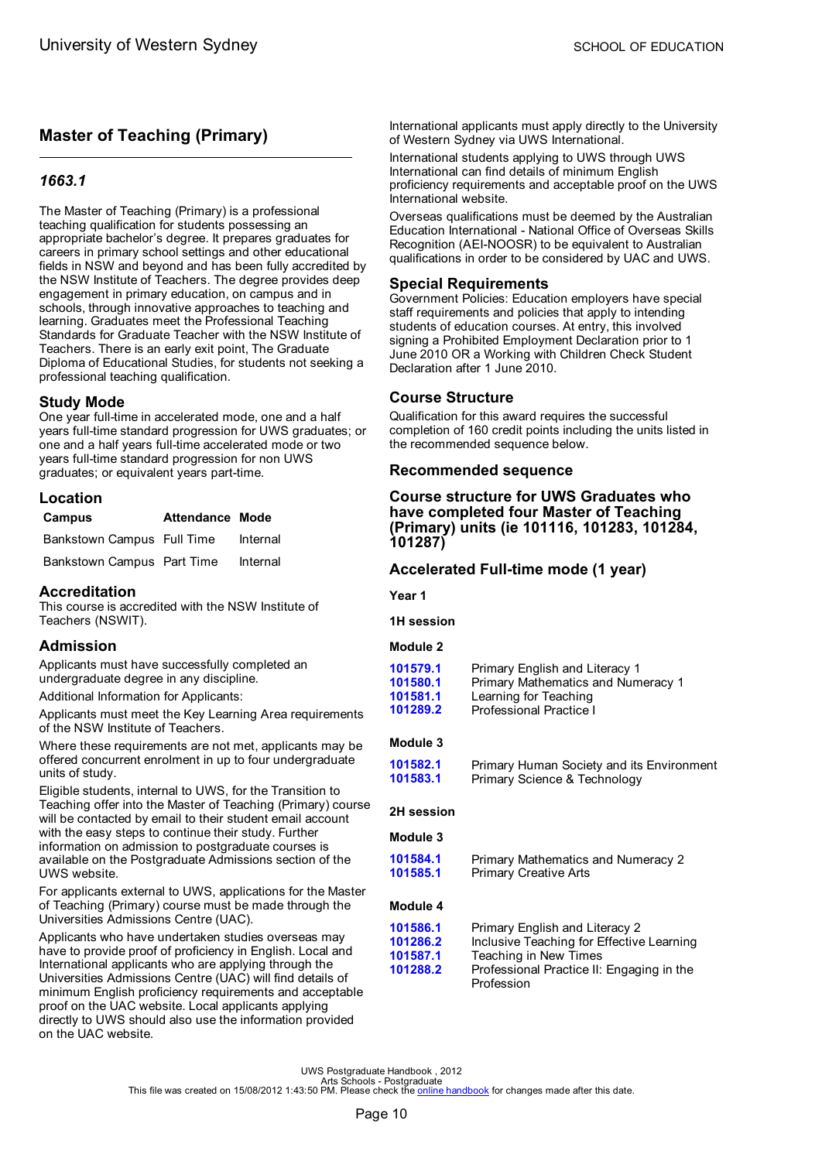## <span id="page-13-0"></span>**Master of Teaching (Primary)**

## *1663.1*

The Master of Teaching (Primary) is a professional teaching qualification for students possessing an appropriate bachelor's degree. It prepares graduates for careers in primary school settings and other educational fields in NSW and beyond and has been fully accredited by the NSW Institute of Teachers. The degree provides deep engagement in primary education, on campus and in schools, through innovative approaches to teaching and learning. Graduates meet the Professional Teaching Standards for Graduate Teacher with the NSW Institute of Teachers. There is an early exit point, The Graduate Diploma of Educational Studies, for students not seeking a professional teaching qualification.

## **Study Mode**

One year full-time in accelerated mode, one and a half years full-time standard progression for UWS graduates; or one and a half years full-time accelerated mode or two years full-time standard progression for non UWS graduates; or equivalent years part-time.

## **Location**

| <b>Campus</b>              | <b>Attendance Mode</b> |          |
|----------------------------|------------------------|----------|
| Bankstown Campus Full Time |                        | Internal |
| Bankstown Campus Part Time |                        | Internal |

## **Accreditation**

This course is accredited with the NSW Institute of Teachers (NSWIT).

## **Admission**

Applicants must have successfully completed an undergraduate degree in any discipline.

Additional Information for Applicants:

Applicants must meet the Key Learning Area requirements of the NSW Institute of Teachers.

Where these requirements are not met, applicants may be offered concurrent enrolment in up to four undergraduate units of study.

Eligible students, internal to UWS, for the Transition to Teaching offer into the Master of Teaching (Primary) course will be contacted by email to their student email account with the easy steps to continue their study. Further information on admission to postgraduate courses is available on the Postgraduate Admissions section of the UWS website.

For applicants external to UWS, applications for the Master of Teaching (Primary) course must be made through the Universities Admissions Centre (UAC).

Applicants who have undertaken studies overseas may have to provide proof of proficiency in English. Local and International applicants who are applying through the Universities Admissions Centre (UAC) will find details of minimum English proficiency requirements and acceptable proof on the UAC website. Local applicants applying directly to UWS should also use the information provided on the UAC website.

International applicants must apply directly to the University of Western Sydney via UWS International.

International students applying to UWS through UWS International can find details of minimum English proficiency requirements and acceptable proof on the UWS International website.

Overseas qualifications must be deemed by the Australian Education International - National Office of Overseas Skills Recognition (AEI-NOOSR) to be equivalent to Australian qualifications in order to be considered by UAC and UWS.

### **Special Requirements**

Government Policies: Education employers have special staff requirements and policies that apply to intending students of education courses. At entry, this involved signing a Prohibited Employment Declaration prior to 1 June 2010 OR a Working with Children Check Student Declaration after 1 June 2010.

## **Course Structure**

Qualification for this award requires the successful completion of 160 credit points including the units listed in the recommended sequence below.

## **Recommended sequence**

#### **Course structure for UWS Graduates who have completed four Master of Teaching (Primary) units (ie 101116, 101283, 101284, 101287)**

## **Accelerated Full-time mode (1 year)**

#### **Year 1**

#### **1H session**

### **Module 2**

| 101579.1             | Primary English and Literacy 1                   |
|----------------------|--------------------------------------------------|
| 101580.1<br>101581.1 | Primary Mathematics and Numeracy 1               |
| 101289.2             | Learning for Teaching<br>Professional Practice I |
|                      |                                                  |

#### **Module 3**

| 101582.1 | Primary Human Society and its Environment |
|----------|-------------------------------------------|
| 101583.1 | Primary Science & Technology              |

#### **2H session**

**Module 3**

| 101584.1 | Primary Mathematics and Numeracy 2 |
|----------|------------------------------------|
| 101585.1 | <b>Primary Creative Arts</b>       |

#### **Module 4**

| 101586.1 | Primary English and Literacy 2                          |
|----------|---------------------------------------------------------|
| 101286.2 | Inclusive Teaching for Effective Learning               |
| 101587.1 | Teaching in New Times                                   |
| 101288.2 | Professional Practice II: Engaging in the<br>Profession |
|          |                                                         |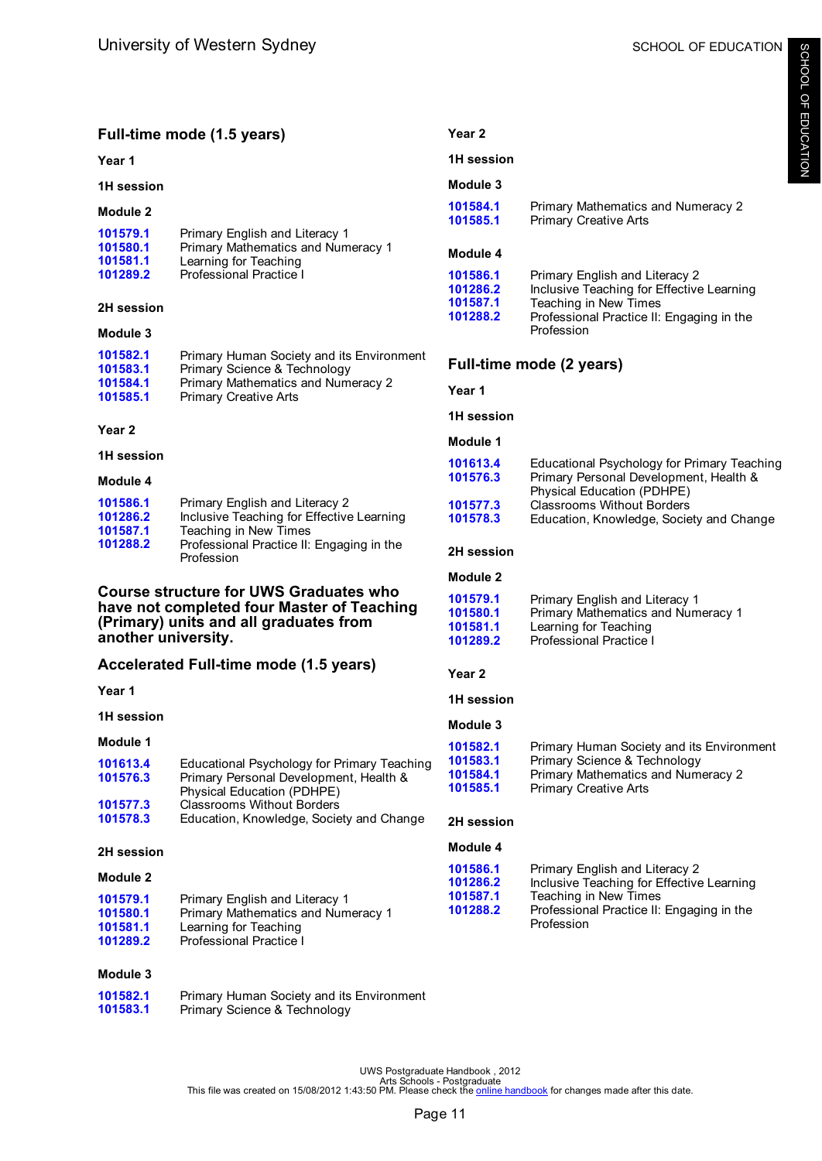|                                                                                                                                                              |                                                                                                                          | Year <sub>2</sub>                            |                                                                                                                               |
|--------------------------------------------------------------------------------------------------------------------------------------------------------------|--------------------------------------------------------------------------------------------------------------------------|----------------------------------------------|-------------------------------------------------------------------------------------------------------------------------------|
|                                                                                                                                                              | Full-time mode (1.5 years)                                                                                               |                                              |                                                                                                                               |
| Year 1                                                                                                                                                       |                                                                                                                          | 1H session                                   |                                                                                                                               |
| 1H session                                                                                                                                                   |                                                                                                                          | Module 3                                     |                                                                                                                               |
| Module 2                                                                                                                                                     |                                                                                                                          | 101584.1<br>101585.1                         | Primary Mathematics and Numeracy 2<br><b>Primary Creative Arts</b>                                                            |
| 101579.1<br>101580.1<br>101581.1<br>101289.2                                                                                                                 | Primary English and Literacy 1<br>Primary Mathematics and Numeracy 1<br>Learning for Teaching<br>Professional Practice I | Module 4<br>101586.1<br>101286.2             | Primary English and Literacy 2<br>Inclusive Teaching for Effective Learning                                                   |
| 2H session                                                                                                                                                   |                                                                                                                          | 101587.1<br>101288.2                         | Teaching in New Times<br>Professional Practice II: Engaging in the                                                            |
| Module 3                                                                                                                                                     |                                                                                                                          |                                              | Profession                                                                                                                    |
| 101582.1<br>101583.1                                                                                                                                         | Primary Human Society and its Environment<br>Primary Science & Technology                                                |                                              | Full-time mode (2 years)                                                                                                      |
| 101584.1<br>101585.1                                                                                                                                         | Primary Mathematics and Numeracy 2<br><b>Primary Creative Arts</b>                                                       | Year 1                                       |                                                                                                                               |
| Year 2                                                                                                                                                       |                                                                                                                          | 1H session                                   |                                                                                                                               |
| <b>1H session</b>                                                                                                                                            |                                                                                                                          | Module 1                                     |                                                                                                                               |
| Module 4                                                                                                                                                     |                                                                                                                          | 101613.4<br>101576.3                         | Educational Psychology for Primary Teaching<br>Primary Personal Development, Health &                                         |
| 101586.1<br>101286.2<br>101587.1                                                                                                                             | Primary English and Literacy 2<br>Inclusive Teaching for Effective Learning<br>Teaching in New Times                     | 101577.3<br>101578.3                         | Physical Education (PDHPE)<br><b>Classrooms Without Borders</b><br>Education, Knowledge, Society and Change                   |
| 101288.2                                                                                                                                                     | Professional Practice II: Engaging in the<br>Profession                                                                  | <b>2H</b> session                            |                                                                                                                               |
|                                                                                                                                                              |                                                                                                                          | Module 2                                     |                                                                                                                               |
| <b>Course structure for UWS Graduates who</b><br>have not completed four Master of Teaching<br>(Primary) units and all graduates from<br>another university. |                                                                                                                          | 101579.1<br>101580.1<br>101581.1<br>101289.2 | Primary English and Literacy 1<br>Primary Mathematics and Numeracy 1<br>Learning for Teaching<br>Professional Practice I      |
|                                                                                                                                                              | Accelerated Full-time mode (1.5 years)                                                                                   | Year <sub>2</sub>                            |                                                                                                                               |
| Year 1                                                                                                                                                       |                                                                                                                          | 1H session                                   |                                                                                                                               |
| 1H session                                                                                                                                                   |                                                                                                                          | Module 3                                     |                                                                                                                               |
| Module 1                                                                                                                                                     |                                                                                                                          | 101582.1                                     | Primary Human Society and its Environment                                                                                     |
| 101613.4<br>101576.3                                                                                                                                         | Educational Psychology for Primary Teaching<br>Primary Personal Development, Health &<br>Physical Education (PDHPE)      | 101583.1<br>101584.1<br>101585.1             | Primary Science & Technology<br>Primary Mathematics and Numeracy 2<br><b>Primary Creative Arts</b>                            |
| 101577.3<br>101578.3                                                                                                                                         | <b>Classrooms Without Borders</b><br>Education, Knowledge, Society and Change                                            | 2H session                                   |                                                                                                                               |
| 2H session                                                                                                                                                   |                                                                                                                          | Module 4                                     |                                                                                                                               |
| Module 2                                                                                                                                                     |                                                                                                                          | 101586.1                                     | Primary English and Literacy 2                                                                                                |
| 101579.1<br>101580.1<br>101581.1<br>101289.2                                                                                                                 | Primary English and Literacy 1<br>Primary Mathematics and Numeracy 1<br>Learning for Teaching<br>Professional Practice I | 101286.2<br>101587.1<br>101288.2             | Inclusive Teaching for Effective Learning<br>Teaching in New Times<br>Professional Practice II: Engaging in the<br>Profession |
| Module 3                                                                                                                                                     |                                                                                                                          |                                              |                                                                                                                               |
| 101582.1<br>101583.1                                                                                                                                         | Primary Human Society and its Environment<br>Primary Science & Technology                                                |                                              |                                                                                                                               |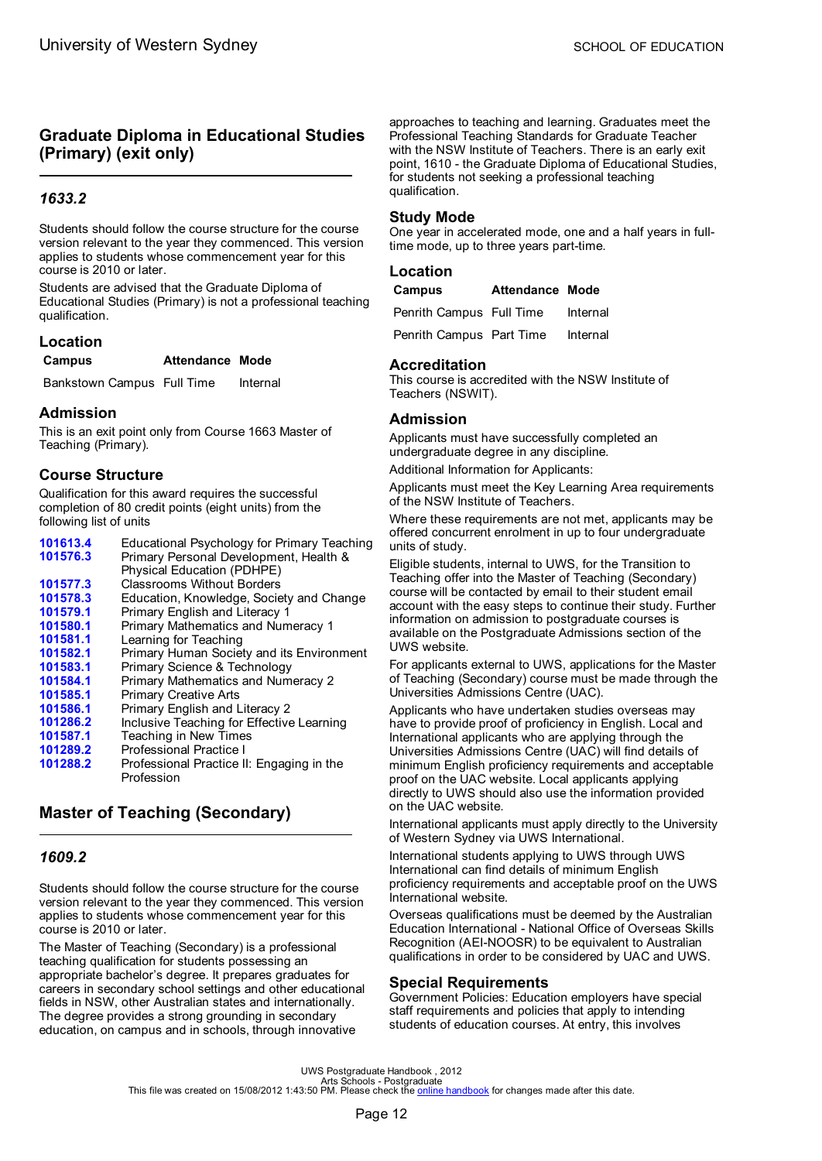## <span id="page-15-0"></span>**Graduate Diploma in Educational Studies (Primary) (exit only)**

## *1633.2*

Students should follow the course structure for the course version relevant to the year they commenced. This version applies to students whose commencement year for this course is 2010 or later.

Students are advised that the Graduate Diploma of Educational Studies (Primary) is not a professional teaching qualification.

#### **Location**

**Campus Attendance Mode**

Bankstown Campus Full Time Internal

## **Admission**

This is an exit point only from Course 1663 Master of Teaching (Primary).

## **Course Structure**

Qualification for this award requires the successful completion of 80 credit points (eight units) from the following list of units

| 101613.4 | Educational Psychology for Primary Teaching |
|----------|---------------------------------------------|
| 101576.3 | Primary Personal Development, Health &      |
|          | Physical Education (PDHPE)                  |
| 101577.3 | <b>Classrooms Without Borders</b>           |
| 101578.3 | Education, Knowledge, Society and Change    |
| 101579.1 | Primary English and Literacy 1              |
| 101580.1 | <b>Primary Mathematics and Numeracy 1</b>   |
| 101581.1 | Learning for Teaching                       |
| 101582.1 | Primary Human Society and its Environment   |
| 101583.1 | Primary Science & Technology                |
| 101584.1 | Primary Mathematics and Numeracy 2          |
| 101585.1 | <b>Primary Creative Arts</b>                |
| 101586.1 | Primary English and Literacy 2              |
| 101286.2 | Inclusive Teaching for Effective Learning   |
| 101587.1 | Teaching in New Times                       |
| 101289.2 | Professional Practice I                     |
| 101288.2 | Professional Practice II: Engaging in the   |
|          | Profession                                  |

## **Master of Teaching (Secondary)**

## *1609.2*

Students should follow the course structure for the course version relevant to the year they commenced. This version applies to students whose commencement year for this course is 2010 or later.

The Master of Teaching (Secondary) is a professional teaching qualification for students possessing an appropriate bachelor's degree. It prepares graduates for careers in secondary school settings and other educational fields in NSW, other Australian states and internationally. The degree provides a strong grounding in secondary education, on campus and in schools, through innovative

approaches to teaching and learning. Graduates meet the Professional Teaching Standards for Graduate Teacher with the NSW Institute of Teachers. There is an early exit point, 1610 - the Graduate Diploma of Educational Studies, for students not seeking a professional teaching qualification.

#### **Study Mode**

One year in accelerated mode, one and a half years in fulltime mode, up to three years part-time.

#### **Location**

| Campus                   | Attendance Mode |          |
|--------------------------|-----------------|----------|
| Penrith Campus Full Time |                 | Internal |
| Penrith Campus Part Time |                 | Internal |

### **Accreditation**

This course is accredited with the NSW Institute of Teachers (NSWIT).

## **Admission**

Applicants must have successfully completed an undergraduate degree in any discipline.

Additional Information for Applicants:

Applicants must meet the Key Learning Area requirements of the NSW Institute of Teachers.

Where these requirements are not met, applicants may be offered concurrent enrolment in up to four undergraduate units of study.

Eligible students, internal to UWS, for the Transition to Teaching offer into the Master of Teaching (Secondary) course will be contacted by email to their student email account with the easy steps to continue their study. Further information on admission to postgraduate courses is available on the Postgraduate Admissions section of the UWS website.

For applicants external to UWS, applications for the Master of Teaching (Secondary) course must be made through the Universities Admissions Centre (UAC).

Applicants who have undertaken studies overseas may have to provide proof of proficiency in English. Local and International applicants who are applying through the Universities Admissions Centre (UAC) will find details of minimum English proficiency requirements and acceptable proof on the UAC website. Local applicants applying directly to UWS should also use the information provided on the UAC website.

International applicants must apply directly to the University of Western Sydney via UWS International.

International students applying to UWS through UWS International can find details of minimum English proficiency requirements and acceptable proof on the UWS International website.

Overseas qualifications must be deemed by the Australian Education International - National Office of Overseas Skills Recognition (AEI-NOOSR) to be equivalent to Australian qualifications in order to be considered by UAC and UWS.

## **Special Requirements**

Government Policies: Education employers have special staff requirements and policies that apply to intending students of education courses. At entry, this involves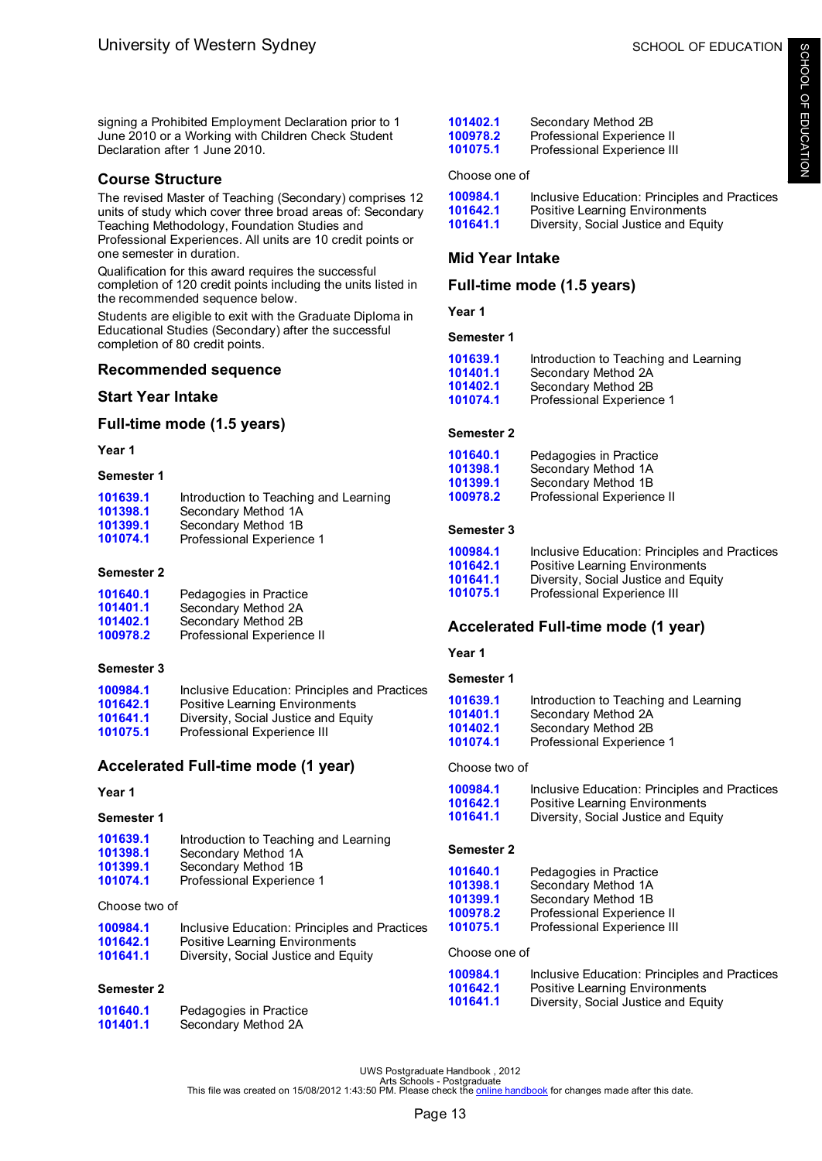signing a Prohibited Employment Declaration prior to 1 June 2010 or a Working with Children Check Student Declaration after 1 June 2010.

## **Course Structure**

The revised Master of Teaching (Secondary) comprises 12 units of study which cover three broad areas of: Secondary Teaching Methodology, Foundation Studies and Professional Experiences. All units are 10 credit points or one semester in duration.

Qualification for this award requires the successful completion of 120 credit points including the units listed in the recommended sequence below.

Students are eligible to exit with the Graduate Diploma in Educational Studies (Secondary) after the successful completion of 80 credit points.

### **Recommended sequence**

### **Start Year Intake**

### **Full-time mode (1.5 years)**

#### **Year 1**

#### **Semester 1**

| 101639.1 | Introduction to Teaching and Learning |
|----------|---------------------------------------|
| 101398.1 | Secondary Method 1A                   |
| 101399.1 | Secondary Method 1B                   |
| 101074.1 | Professional Experience 1             |

#### **Semester 2**

| 101640.1 | Pedagogies in Practice     |
|----------|----------------------------|
| 101401.1 | Secondary Method 2A        |
| 101402.1 | Secondary Method 2B        |
| 100978.2 | Professional Experience II |

#### **Semester 3**

| 100984.1 | Inclusive Education: Principles and Practices |
|----------|-----------------------------------------------|
| 101642.1 | Positive Learning Environments                |
| 101641.1 | Diversity, Social Justice and Equity          |
| 101075.1 | Professional Experience III                   |

## **Accelerated Full-time mode (1 year)**

#### **Year 1**

#### **Semester 1**

| 101639.1 | Introduction to Teaching and Learning |
|----------|---------------------------------------|
| 101398.1 | Secondary Method 1A                   |
| 101399.1 | Secondary Method 1B                   |
| 101074.1 | Professional Experience 1             |

#### Choose two of

| 100984.1 | Inclusive Education: Principles and Practices |
|----------|-----------------------------------------------|
| 101642.1 | <b>Positive Learning Environments</b>         |
| 101641.1 | Diversity, Social Justice and Equity          |

#### **Semester 2**

| 101640.1 | Pedagogies in Practice |
|----------|------------------------|
| 101401.1 | Secondary Method 2A    |

| 101402.1 | Secondary Method 2B         |
|----------|-----------------------------|
| 100978.2 | Professional Experience II  |
| 101075.1 | Professional Experience III |

#### Choose one of

| 100984.1 | Inclusive Education: Principles and Practices |
|----------|-----------------------------------------------|
| 101642.1 | Positive Learning Environments                |
| 101641.1 | Diversity, Social Justice and Equity          |

## **Mid Year Intake**

### **Full-time mode (1.5 years)**

**Year 1**

#### **Semester 1**

| 101639.1 | Introduction to Teaching and Learning |
|----------|---------------------------------------|
| 101401.1 | Secondary Method 2A                   |
| 101402.1 | Secondary Method 2B                   |
| 101074.1 | Professional Experience 1             |

#### **Semester 2**

| 101640.1 | Pedagogies in Practice     |
|----------|----------------------------|
| 101398.1 | Secondary Method 1A        |
| 101399.1 | Secondary Method 1B        |
| 100978.2 | Professional Experience II |

#### **Semester 3**

| 100984.1 | Inclusive Education: Principles and Practices |
|----------|-----------------------------------------------|
| 101642.1 | Positive Learning Environments                |
| 101641.1 | Diversity, Social Justice and Equity          |
| 101075.1 | Professional Experience III                   |

## **Accelerated Full-time mode (1 year)**

#### **Year 1**

#### **Semester 1**

| 101639.1 | Introduction to Teaching and Learning |
|----------|---------------------------------------|
| 101401.1 | Secondary Method 2A                   |
| 101402.1 | Secondary Method 2B                   |
| 101074.1 | Professional Experience 1             |
|          |                                       |

#### Choose two of

| 100984.1 | Inclusive Education: Principles and Practices |
|----------|-----------------------------------------------|
| 101642.1 | Positive Learning Environments                |
| 101641.1 | Diversity, Social Justice and Equity          |

#### **Semester 2**

| 101640.1 | Pedagogies in Practice      |
|----------|-----------------------------|
| 101398.1 | Secondary Method 1A         |
| 101399.1 | Secondary Method 1B         |
| 100978.2 | Professional Experience II  |
| 101075.1 | Professional Experience III |

#### Choose one of

| 100984.1 | Inclusive Education: Principles and Practices |
|----------|-----------------------------------------------|
| 101642.1 | Positive Learning Environments                |
| 101641.1 | Diversity, Social Justice and Equity          |

UWS Postgraduate Handbook , 2012<br>Arts Schools - Postgraduate – Parte and book and the online [handbook](http://handbook.uws.edu.au/hbook/) for changes made after this date.<br>This file was created on 15/08/2012 1:43:50 PM. Please check the <u>online handbook</u> for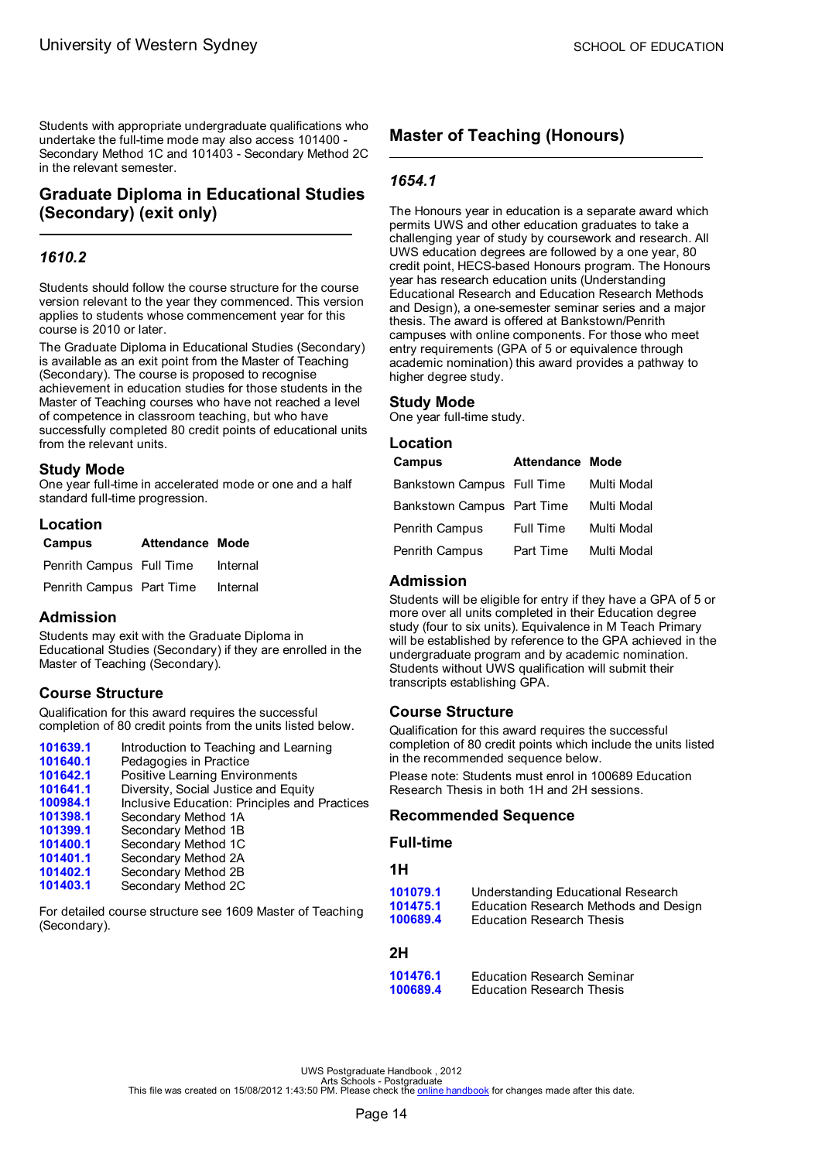<span id="page-17-0"></span>Students with appropriate undergraduate qualifications who undertake the full-time mode may also access 101400 - Secondary Method 1C and 101403 - Secondary Method 2C in the relevant semester.

## **Graduate Diploma in Educational Studies (Secondary) (exit only)**

## *1610.2*

Students should follow the course structure for the course version relevant to the year they commenced. This version applies to students whose commencement year for this course is 2010 or later.

The Graduate Diploma in Educational Studies (Secondary) is available as an exit point from the Master of Teaching (Secondary). The course is proposed to recognise achievement in education studies for those students in the Master of Teaching courses who have not reached a level of competence in classroom teaching, but who have successfully completed 80 credit points of educational units from the relevant units.

## **Study Mode**

One year full-time in accelerated mode or one and a half standard full-time progression.

| Location                 |                 |          |  |
|--------------------------|-----------------|----------|--|
| Campus                   | Attendance Mode |          |  |
| Penrith Campus Full Time |                 | Internal |  |
| Penrith Campus Part Time |                 | Internal |  |

## **Admission**

Students may exit with the Graduate Diploma in Educational Studies (Secondary) if they are enrolled in the Master of Teaching (Secondary).

## **Course Structure**

Qualification for this award requires the successful completion of 80 credit points from the units listed below.

| 101639.1 | Introduction to Teaching and Learning         |
|----------|-----------------------------------------------|
| 101640.1 | Pedagogies in Practice                        |
| 101642.1 | <b>Positive Learning Environments</b>         |
| 101641.1 | Diversity, Social Justice and Equity          |
| 100984.1 | Inclusive Education: Principles and Practices |
| 101398.1 | Secondary Method 1A                           |
| 101399.1 | Secondary Method 1B                           |
| 101400.1 | Secondary Method 1C                           |
| 101401.1 | Secondary Method 2A                           |
| 101402.1 | Secondary Method 2B                           |
| 101403.1 | Secondary Method 2C                           |

For detailed course structure see 1609 Master of Teaching (Secondary).

## **Master of Teaching (Honours)**

## *1654.1*

The Honours year in education is a separate award which permits UWS and other education graduates to take a challenging year of study by coursework and research. All UWS education degrees are followed by a one year, 80 credit point, HECS-based Honours program. The Honours year has research education units (Understanding Educational Research and Education Research Methods and Design), a one-semester seminar series and a major thesis. The award is offered at Bankstown/Penrith campuses with online components. For those who meet entry requirements (GPA of 5 or equivalence through academic nomination) this award provides a pathway to higher degree study.

## **Study Mode**

One year full-time study.

#### **Location**

| Campus                     | <b>Attendance Mode</b> |             |
|----------------------------|------------------------|-------------|
| Bankstown Campus Full Time |                        | Multi Modal |
| Bankstown Campus Part Time |                        | Multi Modal |
| Penrith Campus             | <b>Full Time</b>       | Multi Modal |
| Penrith Campus             | Part Time              | Multi Modal |

### **Admission**

Students will be eligible for entry if they have a GPA of 5 or more over all units completed in their Education degree study (four to six units). Equivalence in M Teach Primary will be established by reference to the GPA achieved in the undergraduate program and by academic nomination. Students without UWS qualification will submit their transcripts establishing GPA.

## **Course Structure**

Qualification for this award requires the successful completion of 80 credit points which include the units listed in the recommended sequence below.

Please note: Students must enrol in 100689 Education Research Thesis in both 1H and 2H sessions.

## **Recommended Sequence**

#### **Full-time**

| 4 | u |  |
|---|---|--|
|   |   |  |

| 101079.1 | Understanding Educational Research    |
|----------|---------------------------------------|
| 101475.1 | Education Research Methods and Design |
| 100689.4 | <b>Education Research Thesis</b>      |
|          |                                       |

#### **2H**

| 101476.1 | <b>Education Research Seminar</b> |
|----------|-----------------------------------|
| 100689.4 | <b>Education Research Thesis</b>  |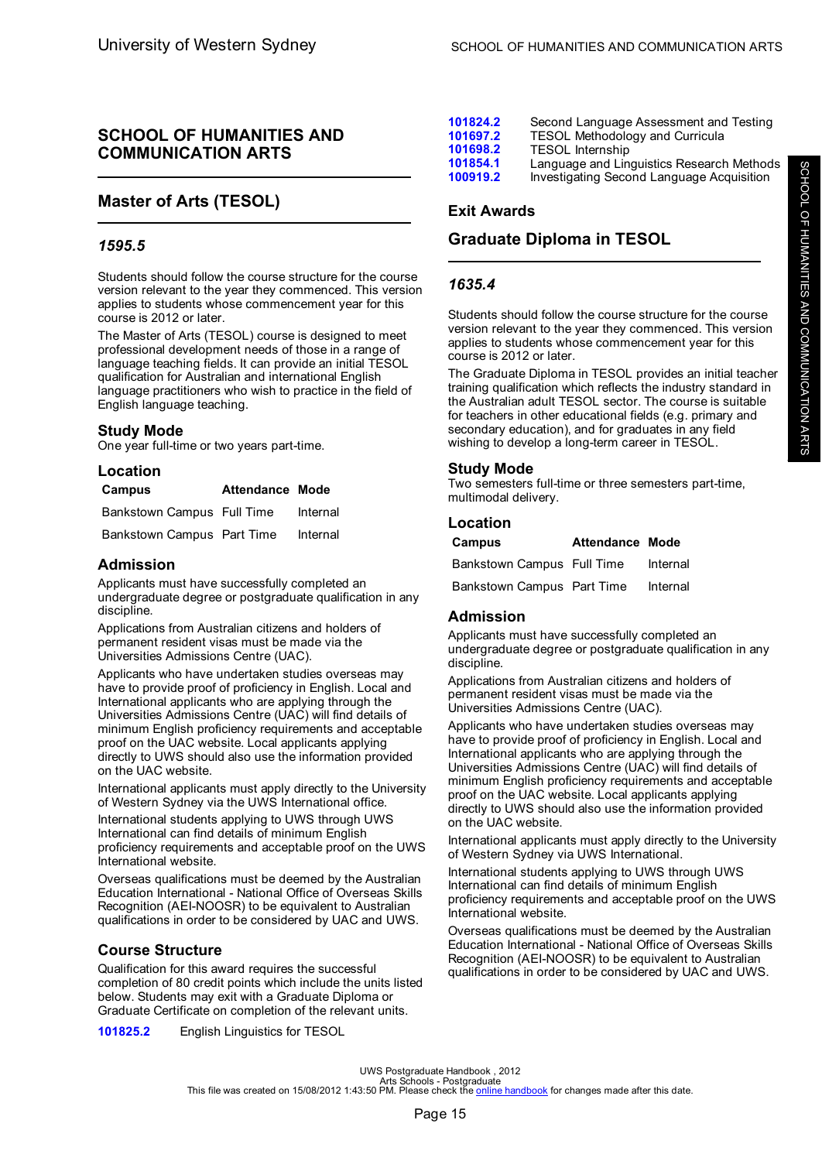## <span id="page-18-0"></span>**SCHOOL OF HUMANITIES AND COMMUNICATION ARTS**

## **Master of Arts (TESOL)**

## *1595.5*

Students should follow the course structure for the course version relevant to the year they commenced. This version applies to students whose commencement year for this course is 2012 or later.

The Master of Arts (TESOL) course is designed to meet professional development needs of those in a range of language teaching fields. It can provide an initial TESOL qualification for Australian and international English language practitioners who wish to practice in the field of English language teaching.

## **Study Mode**

One year full-time or two years part-time.

#### **Location**

| Campus                     | <b>Attendance Mode</b> |          |
|----------------------------|------------------------|----------|
| Bankstown Campus Full Time |                        | Internal |
| Bankstown Campus Part Time |                        | Internal |

### **Admission**

Applicants must have successfully completed an undergraduate degree or postgraduate qualification in any discipline.

Applications from Australian citizens and holders of permanent resident visas must be made via the Universities Admissions Centre (UAC).

Applicants who have undertaken studies overseas may have to provide proof of proficiency in English. Local and International applicants who are applying through the Universities Admissions Centre (UAC) will find details of minimum English proficiency requirements and acceptable proof on the UAC website. Local applicants applying directly to UWS should also use the information provided on the UAC website.

International applicants must apply directly to the University of Western Sydney via the UWS International office.

International students applying to UWS through UWS International can find details of minimum English proficiency requirements and acceptable proof on the UWS International website.

Overseas qualifications must be deemed by the Australian Education International - National Office of Overseas Skills Recognition (AEI-NOOSR) to be equivalent to Australian qualifications in order to be considered by UAC and UWS.

## **Course Structure**

Qualification for this award requires the successful completion of 80 credit points which include the units listed below. Students may exit with a Graduate Diploma or Graduate Certificate on completion of the relevant units.

**[101825.2](#page-53-0)** English Linguistics for TESOL

| 101824.2 | Second Language Assessment and Testing    |
|----------|-------------------------------------------|
| 101697.2 | <b>TESOL Methodology and Curricula</b>    |
| 101698.2 | <b>TESOL Internship</b>                   |
| 101854.1 | Language and Linguistics Research Methods |
| 100919.2 | Investigating Second Language Acquisition |

## **Exit Awards**

## **Graduate Diploma in TESOL**

## *1635.4*

Students should follow the course structure for the course version relevant to the year they commenced. This version applies to students whose commencement year for this course is 2012 or later.

The Graduate Diploma in TESOL provides an initial teacher training qualification which reflects the industry standard in the Australian adult TESOL sector. The course is suitable for teachers in other educational fields (e.g. primary and secondary education), and for graduates in any field wishing to develop a long-term career in TESOL.

## **Study Mode**

Two semesters full-time or three semesters part-time, multimodal delivery.

## **Location**

| Campus                     | Attendance Mode |          |
|----------------------------|-----------------|----------|
| Bankstown Campus Full Time |                 | Internal |
| Bankstown Campus Part Time |                 | Internal |

## **Admission**

Applicants must have successfully completed an undergraduate degree or postgraduate qualification in any discipline.

Applications from Australian citizens and holders of permanent resident visas must be made via the Universities Admissions Centre (UAC).

Applicants who have undertaken studies overseas may have to provide proof of proficiency in English. Local and International applicants who are applying through the Universities Admissions Centre (UAC) will find details of minimum English proficiency requirements and acceptable proof on the UAC website. Local applicants applying directly to UWS should also use the information provided on the UAC website.

International applicants must apply directly to the University of Western Sydney via UWS International.

International students applying to UWS through UWS International can find details of minimum English proficiency requirements and acceptable proof on the UWS International website.

Overseas qualifications must be deemed by the Australian Education International - National Office of Overseas Skills Recognition (AEI-NOOSR) to be equivalent to Australian qualifications in order to be considered by UAC and UWS.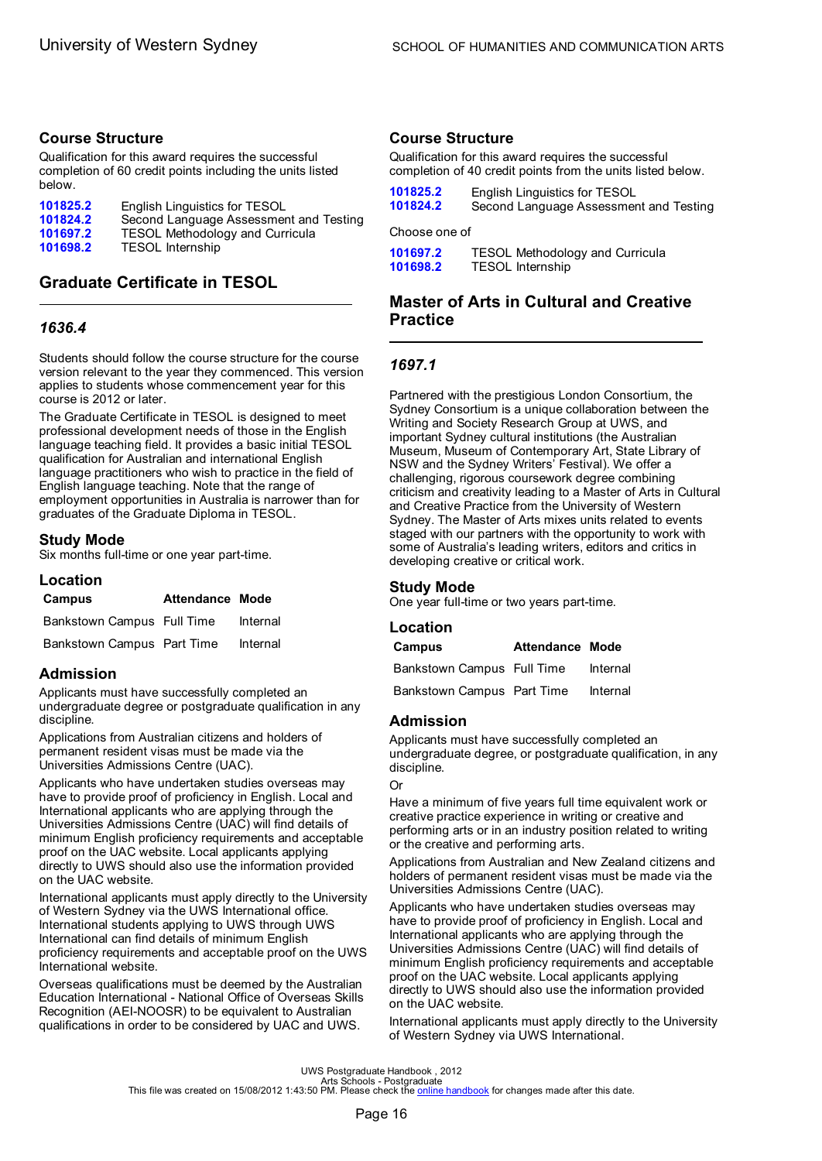## <span id="page-19-0"></span>**Course Structure**

Qualification for this award requires the successful completion of 60 credit points including the units listed below.

| 101825.2 | English Linguistics for TESOL          |
|----------|----------------------------------------|
| 101824.2 | Second Language Assessment and Testing |
| 101697.2 | <b>TESOL Methodology and Curricula</b> |
| 101698.2 | <b>TESOL Internship</b>                |
|          |                                        |

## **Graduate Certificate in TESOL**

## *1636.4*

Students should follow the course structure for the course version relevant to the year they commenced. This version applies to students whose commencement year for this course is 2012 or later.

The Graduate Certificate in TESOL is designed to meet professional development needs of those in the English language teaching field. It provides a basic initial TESOL qualification for Australian and international English language practitioners who wish to practice in the field of English language teaching. Note that the range of employment opportunities in Australia is narrower than for graduates of the Graduate Diploma in TESOL.

## **Study Mode**

Six months full-time or one year part-time.

| Location                   |                        |          |
|----------------------------|------------------------|----------|
| Campus                     | <b>Attendance Mode</b> |          |
| Bankstown Campus Full Time |                        | Internal |
| Bankstown Campus Part Time |                        | Internal |

## **Admission**

Applicants must have successfully completed an undergraduate degree or postgraduate qualification in any discipline.

Applications from Australian citizens and holders of permanent resident visas must be made via the Universities Admissions Centre (UAC).

Applicants who have undertaken studies overseas may have to provide proof of proficiency in English. Local and International applicants who are applying through the Universities Admissions Centre (UAC) will find details of minimum English proficiency requirements and acceptable proof on the UAC website. Local applicants applying directly to UWS should also use the information provided on the UAC website.

International applicants must apply directly to the University of Western Sydney via the UWS International office. International students applying to UWS through UWS International can find details of minimum English proficiency requirements and acceptable proof on the UWS International website.

Overseas qualifications must be deemed by the Australian Education International - National Office of Overseas Skills Recognition (AEI-NOOSR) to be equivalent to Australian qualifications in order to be considered by UAC and UWS.

### **Course Structure**

Qualification for this award requires the successful completion of 40 credit points from the units listed below.

| 101825.2 | English Linguistics for TESOL          |
|----------|----------------------------------------|
| 101824.2 | Second Language Assessment and Testing |

Choose one of

| 101697.2 | <b>TESOL Methodology and Curricula</b> |
|----------|----------------------------------------|
| 101698.2 | <b>TESOL Internship</b>                |

## **Master of Arts in Cultural and Creative Practice**

## *1697.1*

Partnered with the prestigious London Consortium, the Sydney Consortium is a unique collaboration between the Writing and Society Research Group at UWS, and important Sydney cultural institutions (the Australian Museum, Museum of Contemporary Art, State Library of NSW and the Sydney Writers' Festival). We offer a challenging, rigorous coursework degree combining criticism and creativity leading to a Master of Arts in Cultural and Creative Practice from the University of Western Sydney. The Master of Arts mixes units related to events staged with our partners with the opportunity to work with some of Australia's leading writers, editors and critics in developing creative or critical work.

#### **Study Mode**

One year full-time or two years part-time.

| Location                   |                        |          |
|----------------------------|------------------------|----------|
| Campus                     | <b>Attendance Mode</b> |          |
| Bankstown Campus Full Time |                        | Internal |
| Bankstown Campus Part Time |                        | Internal |

## **Admission**

Applicants must have successfully completed an undergraduate degree, or postgraduate qualification, in any discipline.

Or

Have a minimum of five years full time equivalent work or creative practice experience in writing or creative and performing arts or in an industry position related to writing or the creative and performing arts.

Applications from Australian and New Zealand citizens and holders of permanent resident visas must be made via the Universities Admissions Centre (UAC).

Applicants who have undertaken studies overseas may have to provide proof of proficiency in English. Local and International applicants who are applying through the Universities Admissions Centre (UAC) will find details of minimum English proficiency requirements and acceptable proof on the UAC website. Local applicants applying directly to UWS should also use the information provided on the UAC website.

International applicants must apply directly to the University of Western Sydney via UWS International.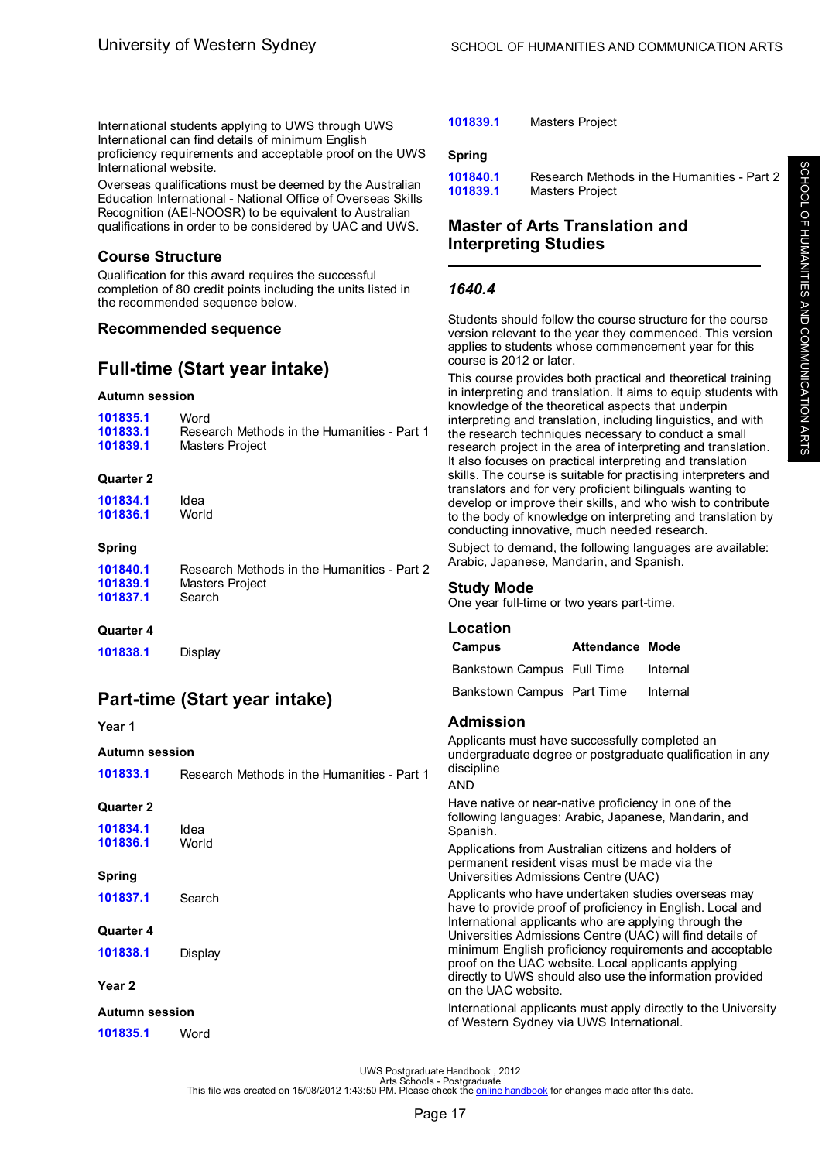<span id="page-20-0"></span>International students applying to UWS through UWS International can find details of minimum English proficiency requirements and acceptable proof on the UWS International website.

Overseas qualifications must be deemed by the Australian Education International - National Office of Overseas Skills Recognition (AEI-NOOSR) to be equivalent to Australian qualifications in order to be considered by UAC and UWS.

## **Course Structure**

Qualification for this award requires the successful completion of 80 credit points including the units listed in the recommended sequence below.

## **Recommended sequence**

## **Full-time (Start year intake)**

## **Autumn session**

| 101835.1         | Word                                        |
|------------------|---------------------------------------------|
| 101833.1         | Research Methods in the Humanities - Part 1 |
| 101839.1         | Masters Project                             |
| <b>Quarter 2</b> |                                             |
| 101834.1         | Idea                                        |
| 101836.1         | World                                       |

#### **Spring**

| 101840.1 | Research Methods in the Humanities - Part 2 |
|----------|---------------------------------------------|
| 101839.1 | Masters Project                             |
| 101837.1 | Search                                      |

#### **Quarter 4**

**[101838.1](#page-51-0)** Display

## **Part-time (Start year intake)**

#### **Year 1**

### **Autumn session**

**[101833.1](#page-70-0)** Research Methods in the Humanities - Part 1

#### **Quarter 2**

| 101834.1 | Idea  |
|----------|-------|
| 101836.1 | World |

#### **Spring**

**[101837.1](#page-70-0)** Search

## **Quarter 4**

**[101838.1](#page-51-0)** Display

#### **Year 2**

#### **Autumn session**

**[101835.1](#page-75-0)** Word

| 101839.1 | Masters Project |
|----------|-----------------|
|----------|-----------------|

### **Spring**

| 101840.1 | Research Methods in the Humanities - Part 2 |
|----------|---------------------------------------------|
| 101839.1 | Masters Project                             |
|          |                                             |

## **Master of Arts Translation and Interpreting Studies**

## *1640.4*

Students should follow the course structure for the course version relevant to the year they commenced. This version applies to students whose commencement year for this course is 2012 or later.

This course provides both practical and theoretical training in interpreting and translation. It aims to equip students with knowledge of the theoretical aspects that underpin interpreting and translation, including linguistics, and with the research techniques necessary to conduct a small research project in the area of interpreting and translation. It also focuses on practical interpreting and translation skills. The course is suitable for practising interpreters and translators and for very proficient bilinguals wanting to develop or improve their skills, and who wish to contribute to the body of knowledge on interpreting and translation by conducting innovative, much needed research.

Subject to demand, the following languages are available: Arabic, Japanese, Mandarin, and Spanish.

### **Study Mode**

One year full-time or two years part-time.

## **Location**

| Campus                     | <b>Attendance Mode</b> |          |
|----------------------------|------------------------|----------|
| Bankstown Campus Full Time |                        | Internal |
| Bankstown Campus Part Time |                        | Internal |

## **Admission**

Applicants must have successfully completed an undergraduate degree or postgraduate qualification in any discipline

AND

Have native or near-native proficiency in one of the following languages: Arabic, Japanese, Mandarin, and Spanish.

Applications from Australian citizens and holders of permanent resident visas must be made via the Universities Admissions Centre (UAC)

Applicants who have undertaken studies overseas may have to provide proof of proficiency in English. Local and International applicants who are applying through the Universities Admissions Centre (UAC) will find details of minimum English proficiency requirements and acceptable proof on the UAC website. Local applicants applying directly to UWS should also use the information provided on the UAC website.

International applicants must apply directly to the University of Western Sydney via UWS International.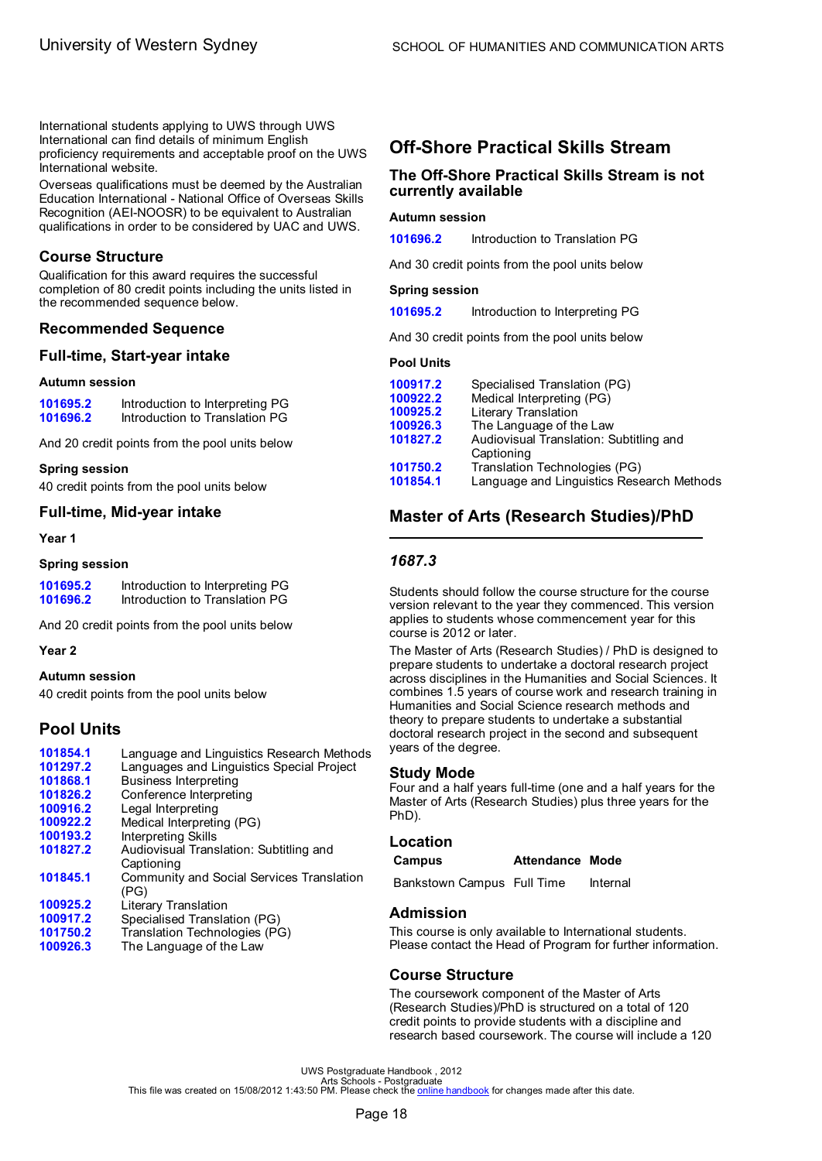<span id="page-21-0"></span>International students applying to UWS through UWS International can find details of minimum English proficiency requirements and acceptable proof on the UWS International website.

Overseas qualifications must be deemed by the Australian Education International - National Office of Overseas Skills Recognition (AEI-NOOSR) to be equivalent to Australian qualifications in order to be considered by UAC and UWS.

## **Course Structure**

Qualification for this award requires the successful completion of 80 credit points including the units listed in the recommended sequence below.

## **Recommended Sequence**

## **Full-time, Start-year intake**

#### **Autumn session**

| 101695.2 | Introduction to Interpreting PG |
|----------|---------------------------------|
| 101696.2 | Introduction to Translation PG  |

And 20 credit points from the pool units below

#### **Spring session**

40 credit points from the pool units below

### **Full-time, Mid-year intake**

#### **Year 1**

#### **Spring session**

| 101695.2 | Introduction to Interpreting PG |
|----------|---------------------------------|
| 101696.2 | Introduction to Translation PG  |

And 20 credit points from the pool units below

#### **Year 2**

#### **Autumn session**

40 credit points from the pool units below

## **Pool Units**

| 101854.1 | Language and Linguistics Research Methods             |
|----------|-------------------------------------------------------|
| 101297.2 | Languages and Linguistics Special Project             |
| 101868.1 | <b>Business Interpreting</b>                          |
| 101826.2 | Conference Interpreting                               |
| 100916.2 | Legal Interpreting                                    |
| 100922.2 | Medical Interpreting (PG)                             |
| 100193.2 | Interpreting Skills                                   |
| 101827.2 | Audiovisual Translation: Subtitling and<br>Captioning |
| 101845.1 | Community and Social Services Translation<br>(PG)     |
| 100925.2 | Literary Translation                                  |
| 100917.2 | Specialised Translation (PG)                          |
| 101750.2 | Translation Technologies (PG)                         |
| 100926.3 | The Language of the Law                               |
|          |                                                       |

## **Off-Shore Practical Skills Stream**

## **The Off-Shore Practical Skills Stream is not currently available**

#### **Autumn session**

**[101696.2](#page-58-0)** Introduction to Translation PG

And 30 credit points from the pool units below

#### **Spring session**

**[101695.2](#page-58-0)** Introduction to Interpreting PG

And 30 credit points from the pool units below

#### **Pool Units**

| 100917.2 | Specialised Translation (PG)              |
|----------|-------------------------------------------|
| 100922.2 | Medical Interpreting (PG)                 |
| 100925.2 | Literary Translation                      |
| 100926.3 | The Language of the Law                   |
| 101827.2 | Audiovisual Translation: Subtitling and   |
|          | Captioning                                |
| 101750.2 | Translation Technologies (PG)             |
| 101854.1 | Language and Linguistics Research Methods |
|          |                                           |

## **Master of Arts (Research Studies)/PhD**

### *1687.3*

Students should follow the course structure for the course version relevant to the year they commenced. This version applies to students whose commencement year for this course is 2012 or later.

The Master of Arts (Research Studies) / PhD is designed to prepare students to undertake a doctoral research project across disciplines in the Humanities and Social Sciences. It combines 1.5 years of course work and research training in Humanities and Social Science research methods and theory to prepare students to undertake a substantial doctoral research project in the second and subsequent years of the degree.

#### **Study Mode**

Four and a half years full-time (one and a half years for the Master of Arts (Research Studies) plus three years for the PhD).

## **Location**

#### **Campus Attendance Mode**

Bankstown Campus Full Time Internal

#### **Admission**

This course is only available to International students. Please contact the Head of Program for further information.

## **Course Structure**

The coursework component of the Master of Arts (Research Studies)/PhD is structured on a total of 120 credit points to provide students with a discipline and research based coursework. The course will include a 120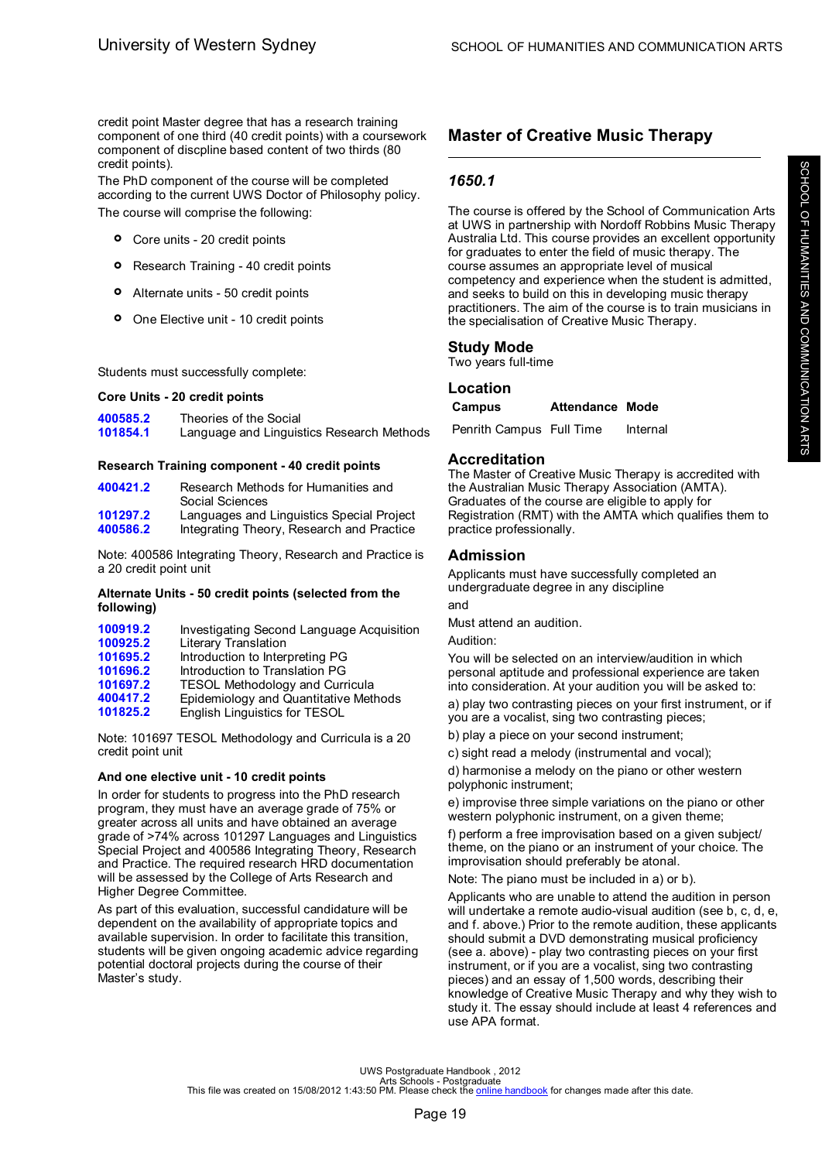<span id="page-22-0"></span>credit point Master degree that has a research training component of one third (40 credit points) with a coursework component of discpline based content of two thirds (80 credit points).

The PhD component of the course will be completed according to the current UWS Doctor of Philosophy policy. The course will comprise the following:

- **°** Core units 20 credit points
- **°** Research Training - 40 credit points
- **°** Alternate units 50 credit points
- **°** One Elective unit 10 credit points

Students must successfully complete:

## **Core Units - 20 credit points**

**[400585.2](#page-73-0)** Theories of the Social **[101854.1](#page-59-0)** Language and Linguistics Research Methods

## **Research Training component - 40 credit points**

| 400421.2 | Research Methods for Humanities and<br>Social Sciences |
|----------|--------------------------------------------------------|
| 101297.2 | Languages and Linguistics Special Project              |
| 400586.2 | Integrating Theory, Research and Practice              |

Note: 400586 Integrating Theory, Research and Practice is a 20 credit point unit

### **Alternate Units - 50 credit points (selected from the following)**

| 100919.2<br>100925.2<br>101695.2<br>101696.2<br>101697.2 | Investigating Second Language Acquisition<br>Literary Translation<br>Introduction to Interpreting PG<br>Introduction to Translation PG |
|----------------------------------------------------------|----------------------------------------------------------------------------------------------------------------------------------------|
| 400417.2<br>101825.2                                     | <b>TESOL Methodology and Curricula</b><br>Epidemiology and Quantitative Methods<br>English Linguistics for TESOL                       |

Note: 101697 TESOL Methodology and Curricula is a 20 credit point unit

## **And one elective unit - 10 credit points**

In order for students to progress into the PhD research program, they must have an average grade of 75% or greater across all units and have obtained an average grade of >74% across 101297 Languages and Linguistics Special Project and 400586 Integrating Theory, Research and Practice. The required research HRD documentation will be assessed by the College of Arts Research and Higher Degree Committee.

As part of this evaluation, successful candidature will be dependent on the availability of appropriate topics and available supervision. In order to facilitate this transition, students will be given ongoing academic advice regarding potential doctoral projects during the course of their Master's study.

## **Master of Creative Music Therapy**

## *1650.1*

The course is offered by the School of Communication Arts at UWS in partnership with Nordoff Robbins Music Therapy Australia Ltd. This course provides an excellent opportunity for graduates to enter the field of music therapy. The course assumes an appropriate level of musical competency and experience when the student is admitted, and seeks to build on this in developing music therapy practitioners. The aim of the course is to train musicians in the specialisation of Creative Music Therapy.

## **Study Mode**

Two years full-time

## **Location**

**Campus Attendance Mode**

Penrith Campus Full Time Internal

## **Accreditation**

The Master of Creative Music Therapy is accredited with the Australian Music Therapy Association (AMTA). Graduates of the course are eligible to apply for Registration (RMT) with the AMTA which qualifies them to practice professionally.

## **Admission**

Applicants must have successfully completed an undergraduate degree in any discipline

and

Must attend an audition.

Audition:

You will be selected on an interview/audition in which personal aptitude and professional experience are taken into consideration. At your audition you will be asked to: a) play two contrasting pieces on your first instrument, or if

you are a vocalist, sing two contrasting pieces; b) play a piece on your second instrument;

c) sight read a melody (instrumental and vocal);

d) harmonise a melody on the piano or other western polyphonic instrument;

e) improvise three simple variations on the piano or other western polyphonic instrument, on a given theme;

f) perform a free improvisation based on a given subject/ theme, on the piano or an instrument of your choice. The improvisation should preferably be atonal.

Note: The piano must be included in a) or b).

Applicants who are unable to attend the audition in person will undertake a remote audio-visual audition (see b, c, d, e, and f. above.) Prior to the remote audition, these applicants should submit a DVD demonstrating musical proficiency (see a. above) - play two contrasting pieces on your first instrument, or if you are a vocalist, sing two contrasting pieces) and an essay of 1,500 words, describing their knowledge of Creative Music Therapy and why they wish to study it. The essay should include at least 4 references and use APA format.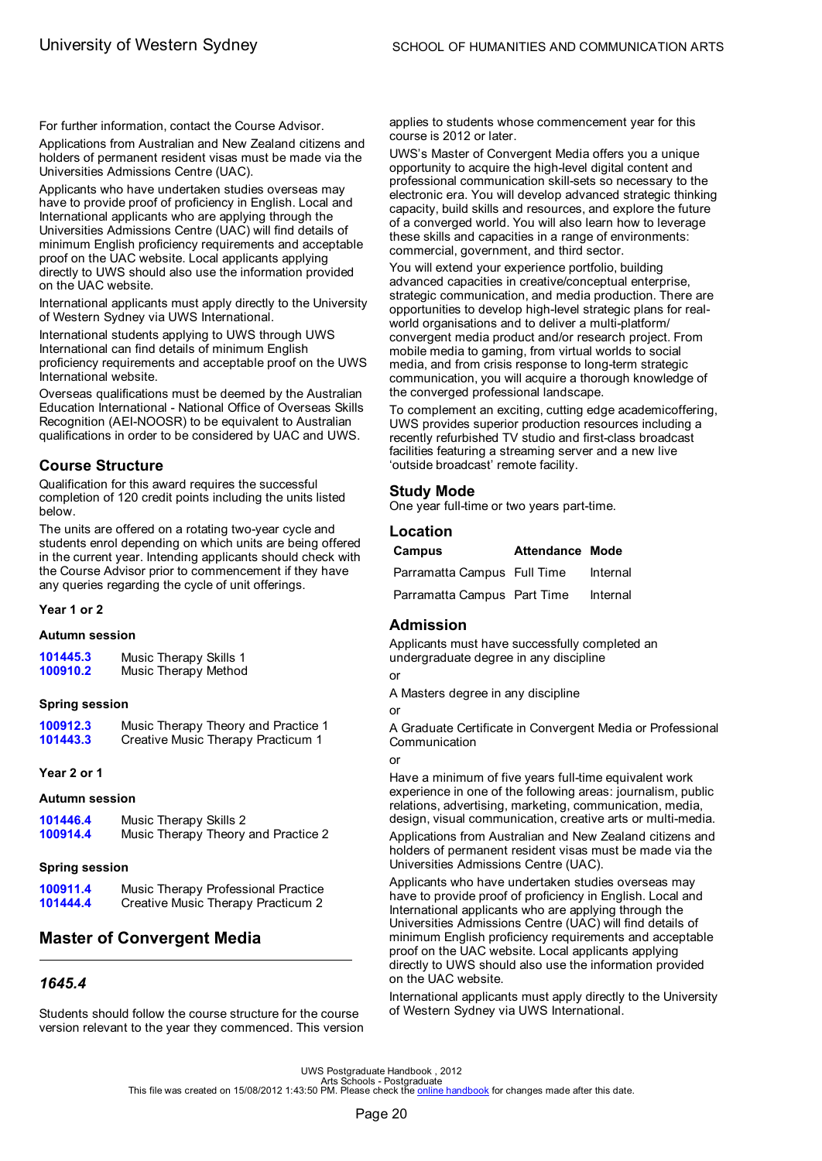<span id="page-23-0"></span>For further information, contact the Course Advisor.

Applications from Australian and New Zealand citizens and holders of permanent resident visas must be made via the Universities Admissions Centre (UAC).

Applicants who have undertaken studies overseas may have to provide proof of proficiency in English. Local and International applicants who are applying through the Universities Admissions Centre (UAC) will find details of minimum English proficiency requirements and acceptable proof on the UAC website. Local applicants applying directly to UWS should also use the information provided on the UAC website.

International applicants must apply directly to the University of Western Sydney via UWS International.

International students applying to UWS through UWS International can find details of minimum English proficiency requirements and acceptable proof on the UWS International website.

Overseas qualifications must be deemed by the Australian Education International - National Office of Overseas Skills Recognition (AEI-NOOSR) to be equivalent to Australian qualifications in order to be considered by UAC and UWS.

## **Course Structure**

Qualification for this award requires the successful completion of 120 credit points including the units listed below.

The units are offered on a rotating two-year cycle and students enrol depending on which units are being offered in the current year. Intending applicants should check with the Course Advisor prior to commencement if they have any queries regarding the cycle of unit offerings.

#### **Year 1 or 2**

#### **Autumn session**

| 101445.3 | Music Therapy Skills 1 |
|----------|------------------------|
| 100910.2 | Music Therapy Method   |

#### **Spring session**

| 100912.3 | Music Therapy Theory and Practice 1 |
|----------|-------------------------------------|
| 101443.3 | Creative Music Therapy Practicum 1  |

#### **Year 2 or 1**

#### **Autumn session**

| 101446.4 | Music Therapy Skills 2              |
|----------|-------------------------------------|
| 100914.4 | Music Therapy Theory and Practice 2 |

#### **Spring session**

| 100911.4 | Music Therapy Professional Practice |
|----------|-------------------------------------|
| 101444.4 | Creative Music Therapy Practicum 2  |

## **Master of Convergent Media**

## *1645.4*

Students should follow the course structure for the course version relevant to the year they commenced. This version applies to students whose commencement year for this course is 2012 or later.

UWS's Master of Convergent Media offers you a unique opportunity to acquire the high-level digital content and professional communication skill-sets so necessary to the electronic era. You will develop advanced strategic thinking capacity, build skills and resources, and explore the future of a converged world. You will also learn how to leverage these skills and capacities in a range of environments: commercial, government, and third sector.

You will extend your experience portfolio, building advanced capacities in creative/conceptual enterprise, strategic communication, and media production. There are opportunities to develop high-level strategic plans for realworld organisations and to deliver a multi-platform/ convergent media product and/or research project. From mobile media to gaming, from virtual worlds to social media, and from crisis response to long-term strategic communication, you will acquire a thorough knowledge of the converged professional landscape.

To complement an exciting, cutting edge academicoffering, UWS provides superior production resources including a recently refurbished TV studio and first-class broadcast facilities featuring a streaming server and a new live 'outside broadcast' remote facility.

#### **Study Mode**

One year full-time or two years part-time.

| Location                             |                        |  |
|--------------------------------------|------------------------|--|
| Campus                               | <b>Attendance Mode</b> |  |
| Parramatta Campus Full Time Internal |                        |  |
| Parramatta Campus Part Time Internal |                        |  |

## **Admission**

Applicants must have successfully completed an undergraduate degree in any discipline

**o** 

A Masters degree in any discipline

#### **OI**

A Graduate Certificate in Convergent Media or Professional **Communication** 

#### or

Have a minimum of five years full-time equivalent work experience in one of the following areas: journalism, public relations, advertising, marketing, communication, media, design, visual communication, creative arts or multi-media.

Applications from Australian and New Zealand citizens and holders of permanent resident visas must be made via the Universities Admissions Centre (UAC).

Applicants who have undertaken studies overseas may have to provide proof of proficiency in English. Local and International applicants who are applying through the Universities Admissions Centre (UAC) will find details of minimum English proficiency requirements and acceptable proof on the UAC website. Local applicants applying directly to UWS should also use the information provided on the UAC website.

International applicants must apply directly to the University of Western Sydney via UWS International.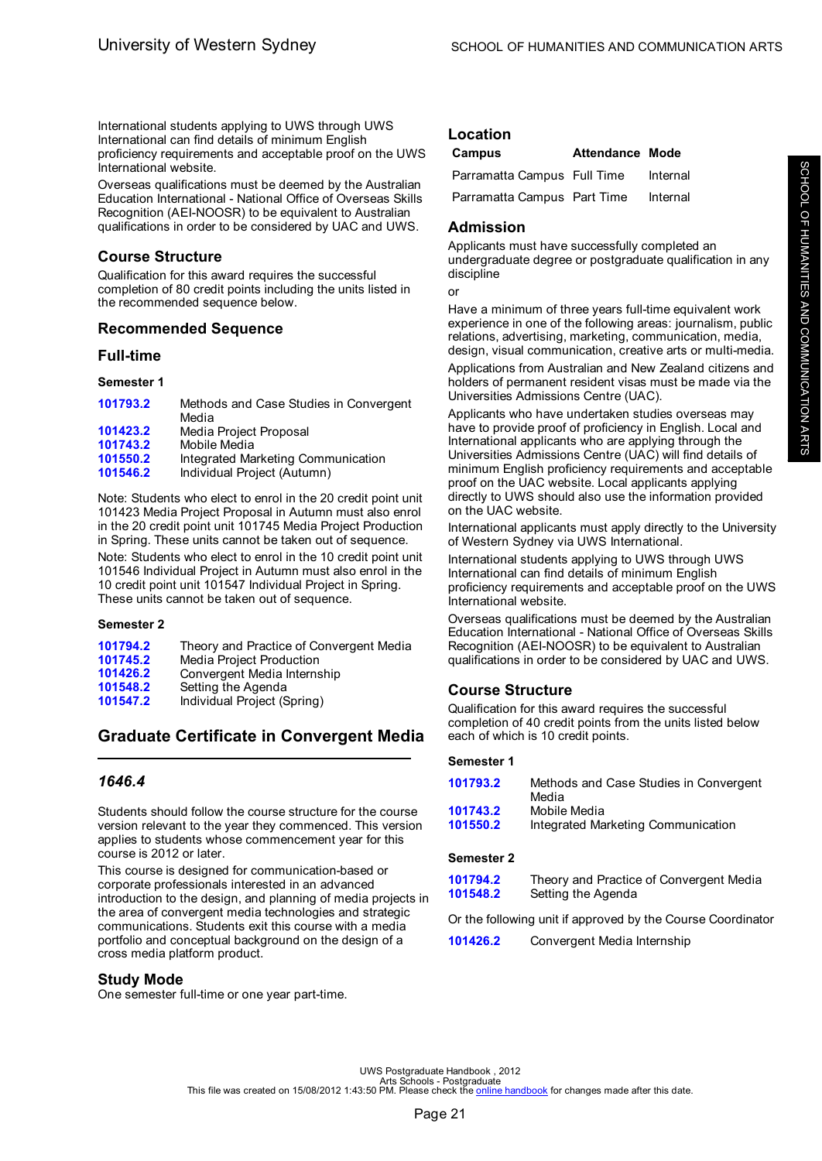<span id="page-24-0"></span>International students applying to UWS through UWS International can find details of minimum English proficiency requirements and acceptable proof on the UWS International website.

Overseas qualifications must be deemed by the Australian Education International - National Office of Overseas Skills Recognition (AEI-NOOSR) to be equivalent to Australian qualifications in order to be considered by UAC and UWS.

## **Course Structure**

Qualification for this award requires the successful completion of 80 credit points including the units listed in the recommended sequence below.

## **Recommended Sequence**

## **Full-time**

#### **Semester 1**

| 101793.2 | Methods and Case Studies in Convergent<br>Media |
|----------|-------------------------------------------------|
| 101423.2 | Media Project Proposal                          |
| 101743.2 | Mobile Media                                    |
| 101550.2 | Integrated Marketing Communication              |
| 101546.2 | Individual Project (Autumn)                     |

Note: Students who elect to enrol in the 20 credit point unit 101423 Media Project Proposal in Autumn must also enrol in the 20 credit point unit 101745 Media Project Production in Spring. These units cannot be taken out of sequence.

Note: Students who elect to enrol in the 10 credit point unit 101546 Individual Project in Autumn must also enrol in the 10 credit point unit 101547 Individual Project in Spring. These units cannot be taken out of sequence.

#### **Semester 2**

| 101794.2 | Theory and Practice of Convergent Media |
|----------|-----------------------------------------|
| 101745.2 | Media Project Production                |
| 101426.2 | Convergent Media Internship             |
| 101548.2 | Setting the Agenda                      |
| 101547.2 | Individual Project (Spring)             |
|          |                                         |

## **Graduate Certificate in Convergent Media**

## *1646.4*

Students should follow the course structure for the course version relevant to the year they commenced. This version applies to students whose commencement year for this course is 2012 or later.

This course is designed for communication-based or corporate professionals interested in an advanced introduction to the design, and planning of media projects in the area of convergent media technologies and strategic communications. Students exit this course with a media portfolio and conceptual background on the design of a cross media platform product.

## **Study Mode**

One semester full-time or one year part-time.

### **Location**

| Campus                      | <b>Attendance Mode</b> |          |
|-----------------------------|------------------------|----------|
| Parramatta Campus Full Time |                        | Internal |
| Parramatta Campus Part Time |                        | Internal |

## **Admission**

Applicants must have successfully completed an undergraduate degree or postgraduate qualification in any discipline

or

Have a minimum of three years full-time equivalent work experience in one of the following areas: journalism, public relations, advertising, marketing, communication, media, design, visual communication, creative arts or multi-media. Applications from Australian and New Zealand citizens and holders of permanent resident visas must be made via the

Universities Admissions Centre (UAC). Applicants who have undertaken studies overseas may have to provide proof of proficiency in English. Local and International applicants who are applying through the Universities Admissions Centre (UAC) will find details of minimum English proficiency requirements and acceptable proof on the UAC website. Local applicants applying directly to UWS should also use the information provided

on the UAC website. International applicants must apply directly to the University of Western Sydney via UWS International.

International students applying to UWS through UWS International can find details of minimum English proficiency requirements and acceptable proof on the UWS International website.

Overseas qualifications must be deemed by the Australian Education International - National Office of Overseas Skills Recognition (AEI-NOOSR) to be equivalent to Australian qualifications in order to be considered by UAC and UWS.

## **Course Structure**

Qualification for this award requires the successful completion of 40 credit points from the units listed below each of which is 10 credit points.

## **Semester 1**

| 101793.2 | Methods and Case Studies in Convergent<br>Media |
|----------|-------------------------------------------------|
|          |                                                 |
| 101743.2 | Mobile Media                                    |
| 101550.2 | Integrated Marketing Communication              |
|          |                                                 |

### **Semester 2**

| 101794.2 | Theory and Practice of Convergent Media |
|----------|-----------------------------------------|
| 101548.2 | Setting the Agenda                      |

Or the following unit if approved by the Course Coordinator

**[101426.2](#page-48-0)** Convergent Media Internship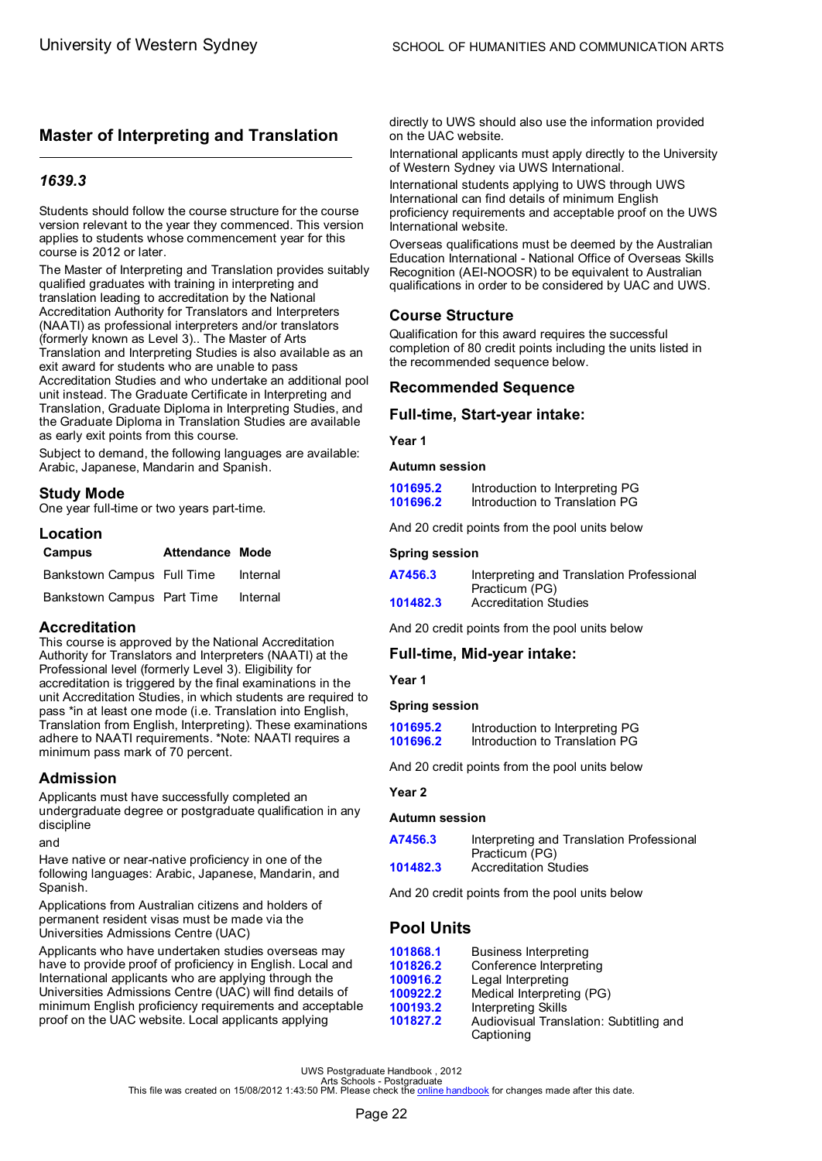## <span id="page-25-0"></span>**Master of Interpreting and Translation**

## *1639.3*

Students should follow the course structure for the course version relevant to the year they commenced. This version applies to students whose commencement year for this course is 2012 or later.

The Master of Interpreting and Translation provides suitably qualified graduates with training in interpreting and translation leading to accreditation by the National Accreditation Authority for Translators and Interpreters (NAATI) as professional interpreters and/or translators (formerly known as Level 3).. The Master of Arts Translation and Interpreting Studies is also available as an exit award for students who are unable to pass Accreditation Studies and who undertake an additional pool unit instead. The Graduate Certificate in Interpreting and Translation, Graduate Diploma in Interpreting Studies, and the Graduate Diploma in Translation Studies are available as early exit points from this course.

Subject to demand, the following languages are available: Arabic, Japanese, Mandarin and Spanish.

## **Study Mode**

One year full-time or two years part-time.

| Location                   |                        |          |
|----------------------------|------------------------|----------|
| Campus                     | <b>Attendance Mode</b> |          |
| Bankstown Campus Full Time |                        | Internal |
| Bankstown Campus Part Time |                        | Internal |

#### **Accreditation**

This course is approved by the National Accreditation Authority for Translators and Interpreters (NAATI) at the Professional level (formerly Level 3). Eligibility for accreditation is triggered by the final examinations in the unit Accreditation Studies, in which students are required to pass \*in at least one mode (i.e. Translation into English, Translation from English, Interpreting). These examinations adhere to NAATI requirements. \*Note: NAATI requires a minimum pass mark of 70 percent.

## **Admission**

Applicants must have successfully completed an undergraduate degree or postgraduate qualification in any discipline

#### and

Have native or near-native proficiency in one of the following languages: Arabic, Japanese, Mandarin, and Spanish.

Applications from Australian citizens and holders of permanent resident visas must be made via the Universities Admissions Centre (UAC)

Applicants who have undertaken studies overseas may have to provide proof of proficiency in English. Local and International applicants who are applying through the Universities Admissions Centre (UAC) will find details of minimum English proficiency requirements and acceptable proof on the UAC website. Local applicants applying

directly to UWS should also use the information provided on the UAC website.

International applicants must apply directly to the University of Western Sydney via UWS International.

International students applying to UWS through UWS International can find details of minimum English proficiency requirements and acceptable proof on the UWS International website.

Overseas qualifications must be deemed by the Australian Education International - National Office of Overseas Skills Recognition (AEI-NOOSR) to be equivalent to Australian qualifications in order to be considered by UAC and UWS.

## **Course Structure**

Qualification for this award requires the successful completion of 80 credit points including the units listed in the recommended sequence below.

### **Recommended Sequence**

### **Full-time, Start-year intake:**

**Year 1**

#### **Autumn session**

| 101695.2 | Introduction to Interpreting PG |
|----------|---------------------------------|
| 101696.2 | Introduction to Translation PG  |

And 20 credit points from the pool units below

#### **Spring session**

| A7456.3  | Interpreting and Translation Professional |
|----------|-------------------------------------------|
|          | Practicum (PG)                            |
| 101482.3 | <b>Accreditation Studies</b>              |

And 20 credit points from the pool units below

## **Full-time, Mid-year intake:**

**Year 1**

#### **Spring session**

| 101695.2 | Introduction to Interpreting PG |
|----------|---------------------------------|
| 101696.2 | Introduction to Translation PG  |

And 20 credit points from the pool units below

#### **Year 2**

#### **Autumn session**

| A7456.3  | Interpreting and Translation Professional |
|----------|-------------------------------------------|
|          | Practicum (PG)                            |
| 101482.3 | <b>Accreditation Studies</b>              |

And 20 credit points from the pool units below

## **Pool Units**

| Business Interpreting                                 |
|-------------------------------------------------------|
| Conference Interpreting                               |
| Legal Interpreting                                    |
| Medical Interpreting (PG)                             |
| Interpreting Skills                                   |
| Audiovisual Translation: Subtitling and<br>Captioning |
|                                                       |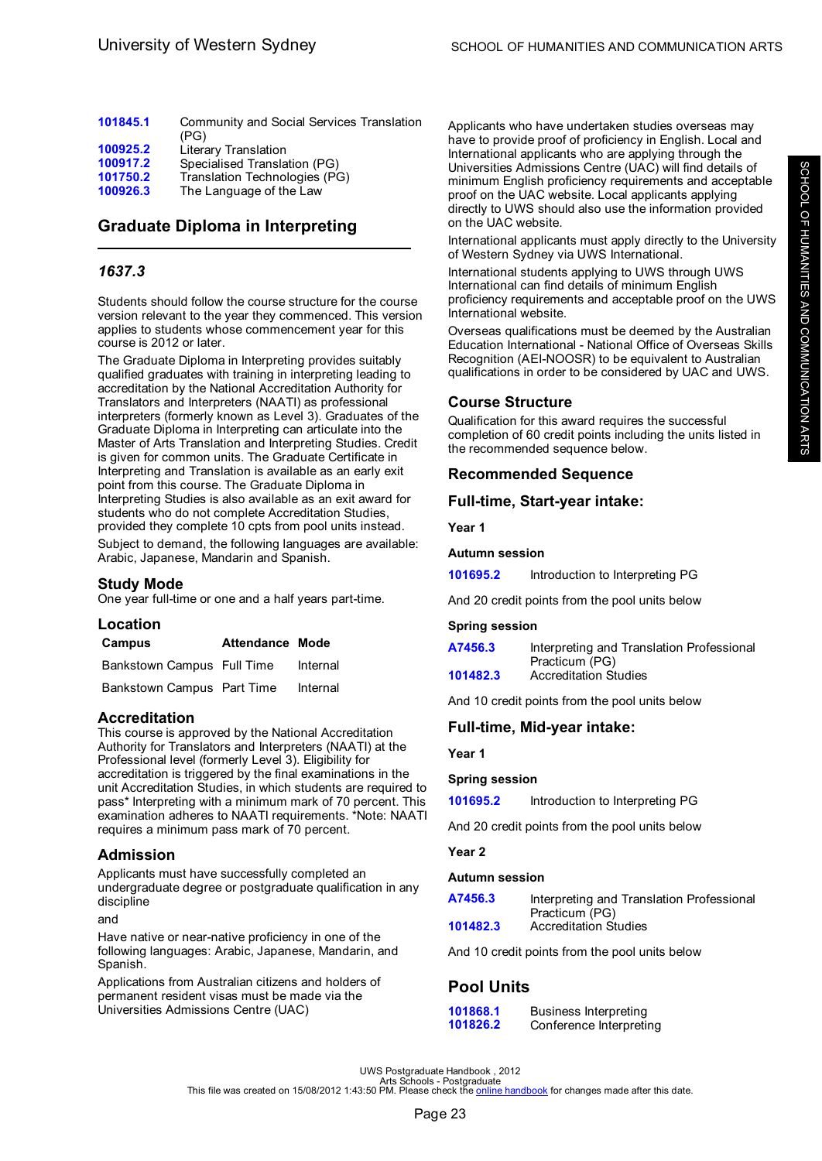<span id="page-26-0"></span>

| 101845.1 | Community and Social Services Translation<br>(PG) |
|----------|---------------------------------------------------|
| 100925.2 | Literary Translation                              |
| 100917.2 | Specialised Translation (PG)                      |
| 101750.2 | Translation Technologies (PG)                     |
| 100926.3 | The Language of the Law                           |

## **Graduate Diploma in Interpreting**

### *1637.3*

Students should follow the course structure for the course version relevant to the year they commenced. This version applies to students whose commencement year for this course is 2012 or later.

The Graduate Diploma in Interpreting provides suitably qualified graduates with training in interpreting leading to accreditation by the National Accreditation Authority for Translators and Interpreters (NAATI) as professional interpreters (formerly known as Level 3). Graduates of the Graduate Diploma in Interpreting can articulate into the Master of Arts Translation and Interpreting Studies. Credit is given for common units. The Graduate Certificate in Interpreting and Translation is available as an early exit point from this course. The Graduate Diploma in Interpreting Studies is also available as an exit award for students who do not complete Accreditation Studies, provided they complete 10 cpts from pool units instead.

Subject to demand, the following languages are available: Arabic, Japanese, Mandarin and Spanish.

#### **Study Mode**

One year full-time or one and a half years part-time.

| Location                   |                        |          |  |
|----------------------------|------------------------|----------|--|
| Campus                     | <b>Attendance Mode</b> |          |  |
| Bankstown Campus Full Time |                        | Internal |  |
| Bankstown Campus Part Time |                        | Internal |  |

## **Accreditation**

This course is approved by the National Accreditation Authority for Translators and Interpreters (NAATI) at the Professional level (formerly Level 3). Eligibility for accreditation is triggered by the final examinations in the unit Accreditation Studies, in which students are required to pass\* Interpreting with a minimum mark of 70 percent. This examination adheres to NAATI requirements. \*Note: NAATI requires a minimum pass mark of 70 percent.

## **Admission**

Applicants must have successfully completed an undergraduate degree or postgraduate qualification in any discipline

and

Have native or near-native proficiency in one of the following languages: Arabic, Japanese, Mandarin, and Spanish.

Applications from Australian citizens and holders of permanent resident visas must be made via the Universities Admissions Centre (UAC)

Applicants who have undertaken studies overseas may have to provide proof of proficiency in English. Local and International applicants who are applying through the Universities Admissions Centre (UAC) will find details of minimum English proficiency requirements and acceptable proof on the UAC website. Local applicants applying directly to UWS should also use the information provided on the UAC website.

International applicants must apply directly to the University of Western Sydney via UWS International.

International students applying to UWS through UWS International can find details of minimum English proficiency requirements and acceptable proof on the UWS International website.

Overseas qualifications must be deemed by the Australian Education International - National Office of Overseas Skills Recognition (AEI-NOOSR) to be equivalent to Australian qualifications in order to be considered by UAC and UWS.

#### **Course Structure**

Qualification for this award requires the successful completion of 60 credit points including the units listed in the recommended sequence below.

### **Recommended Sequence**

#### **Full-time, Start-year intake:**

**Year 1**

#### **Autumn session**

**[101695.2](#page-58-0)** Introduction to Interpreting PG

And 20 credit points from the pool units below

#### **Spring session**

| A7456.3  | Interpreting and Translation Professional |
|----------|-------------------------------------------|
|          | Practicum (PG)                            |
| 101482.3 | <b>Accreditation Studies</b>              |

And 10 credit points from the pool units below

## **Full-time, Mid-year intake:**

**Year 1**

#### **Spring session**

**[101695.2](#page-58-0)** Introduction to Interpreting PG

And 20 credit points from the pool units below

**Year 2**

#### **Autumn session**

| A7456.3  | Interpreting and Translation Professional |
|----------|-------------------------------------------|
|          | Practicum (PG)                            |
| 101482.3 | <b>Accreditation Studies</b>              |

And 10 credit points from the pool units below

## **Pool Units**

| 101868.1 | <b>Business Interpreting</b> |
|----------|------------------------------|
| 101826.2 | Conference Interpreting      |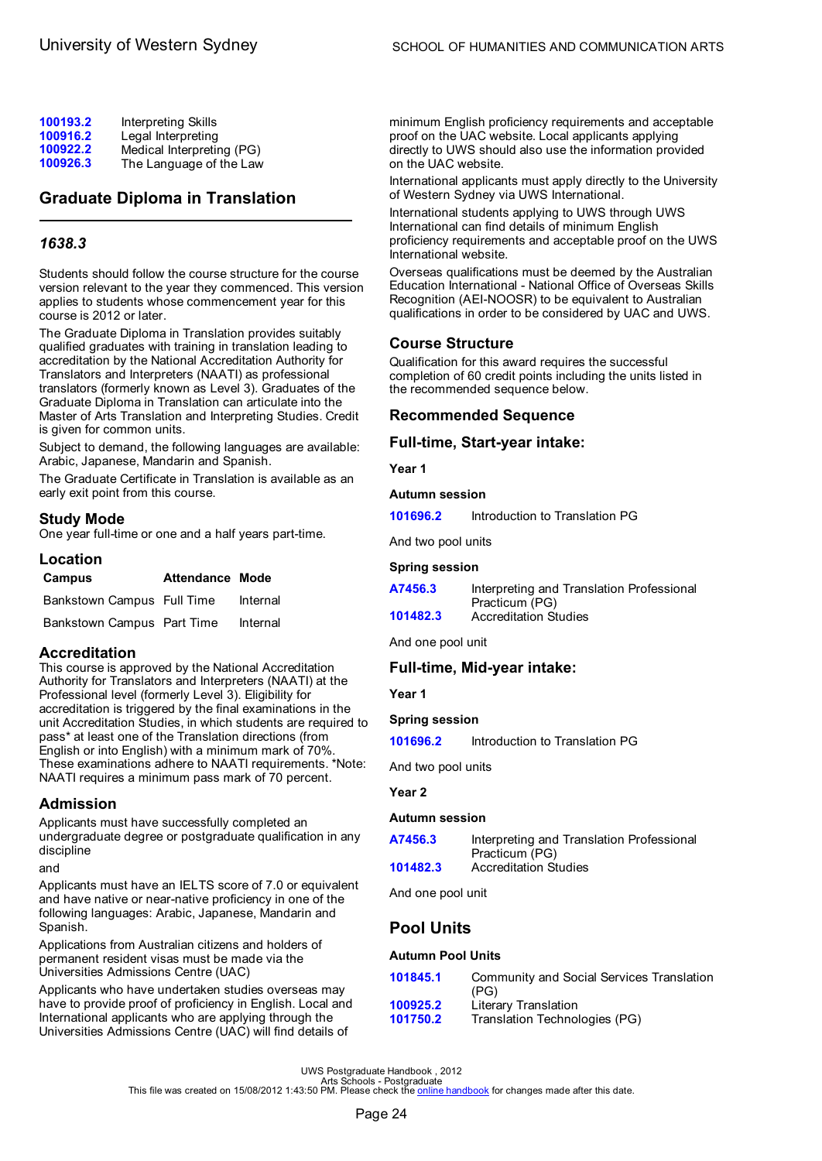<span id="page-27-0"></span>

| 100193.2 | Interpreting Skills       |
|----------|---------------------------|
| 100916.2 | Legal Interpreting        |
| 100922.2 | Medical Interpreting (PG) |
| 100926.3 | The Language of the Law   |

## **Graduate Diploma in Translation**

## *1638.3*

Students should follow the course structure for the course version relevant to the year they commenced. This version applies to students whose commencement year for this course is 2012 or later.

The Graduate Diploma in Translation provides suitably qualified graduates with training in translation leading to accreditation by the National Accreditation Authority for Translators and Interpreters (NAATI) as professional translators (formerly known as Level 3). Graduates of the Graduate Diploma in Translation can articulate into the Master of Arts Translation and Interpreting Studies. Credit is given for common units.

Subject to demand, the following languages are available: Arabic, Japanese, Mandarin and Spanish.

The Graduate Certificate in Translation is available as an early exit point from this course.

## **Study Mode**

One year full-time or one and a half years part-time.

| Location                   |                        |          |  |
|----------------------------|------------------------|----------|--|
| Campus                     | <b>Attendance Mode</b> |          |  |
| Bankstown Campus Full Time |                        | Internal |  |
| Bankstown Campus Part Time |                        | Internal |  |

## **Accreditation**

This course is approved by the National Accreditation Authority for Translators and Interpreters (NAATI) at the Professional level (formerly Level 3). Eligibility for accreditation is triggered by the final examinations in the unit Accreditation Studies, in which students are required to pass\* at least one of the Translation directions (from English or into English) with a minimum mark of 70%. These examinations adhere to NAATI requirements. \*Note: NAATI requires a minimum pass mark of 70 percent.

## **Admission**

Applicants must have successfully completed an undergraduate degree or postgraduate qualification in any discipline

and

Applicants must have an IELTS score of 7.0 or equivalent and have native or near-native proficiency in one of the following languages: Arabic, Japanese, Mandarin and Spanish.

Applications from Australian citizens and holders of permanent resident visas must be made via the Universities Admissions Centre (UAC)

Applicants who have undertaken studies overseas may have to provide proof of proficiency in English. Local and International applicants who are applying through the Universities Admissions Centre (UAC) will find details of

minimum English proficiency requirements and acceptable proof on the UAC website. Local applicants applying directly to UWS should also use the information provided on the UAC website.

International applicants must apply directly to the University of Western Sydney via UWS International.

International students applying to UWS through UWS International can find details of minimum English proficiency requirements and acceptable proof on the UWS International website.

Overseas qualifications must be deemed by the Australian Education International - National Office of Overseas Skills Recognition (AEI-NOOSR) to be equivalent to Australian qualifications in order to be considered by UAC and UWS.

## **Course Structure**

Qualification for this award requires the successful completion of 60 credit points including the units listed in the recommended sequence below.

## **Recommended Sequence**

## **Full-time, Start-year intake:**

**Year 1**

#### **Autumn session**

**[101696.2](#page-58-0)** Introduction to Translation PG

And two pool units

#### **Spring session**

| A7456.3  | Interpreting and Translation Professional |
|----------|-------------------------------------------|
|          | Practicum (PG)                            |
| 101482.3 | <b>Accreditation Studies</b>              |

And one pool unit

## **Full-time, Mid-year intake:**

**Year 1**

#### **Spring session**

**[101696.2](#page-58-0)** Introduction to Translation PG

And two pool units

**Year 2**

### **Autumn session**

| A7456.3  | Interpreting and Translation Professional |
|----------|-------------------------------------------|
|          | Practicum (PG)                            |
| 101482.3 | <b>Accreditation Studies</b>              |

And one pool unit

## **Pool Units**

#### **Autumn Pool Units**

| 101845.1 | Community and Social Services Translation<br>(PG) |
|----------|---------------------------------------------------|
| 100925.2 | Literary Translation                              |
| 101750.2 | Translation Technologies (PG)                     |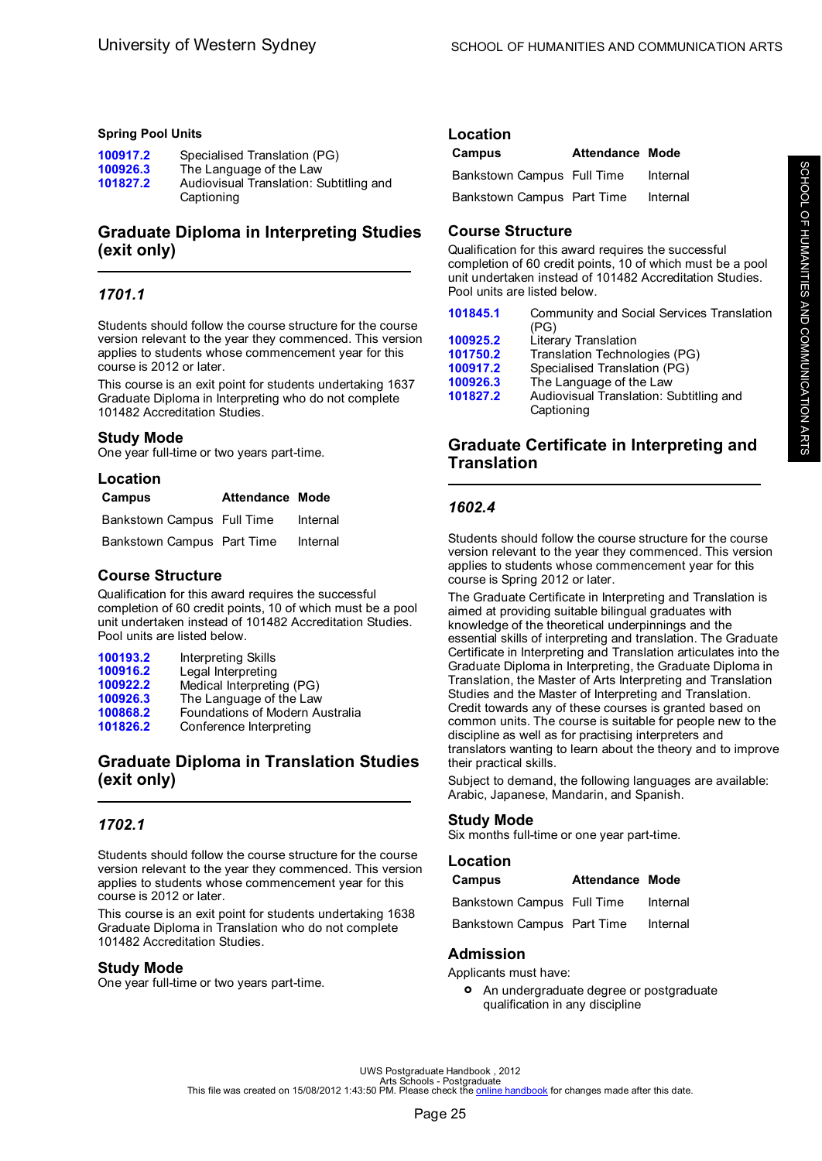#### <span id="page-28-0"></span>**Spring Pool Units**

| 100917.2 | Specialised Translation (PG)                          |
|----------|-------------------------------------------------------|
| 100926.3 | The Language of the Law                               |
| 101827.2 | Audiovisual Translation: Subtitling and<br>Captioning |

## **Graduate Diploma in Interpreting Studies (exit only)**

## *1701.1*

Students should follow the course structure for the course version relevant to the year they commenced. This version applies to students whose commencement year for this course is 2012 or later.

This course is an exit point for students undertaking 1637 Graduate Diploma in Interpreting who do not complete 101482 Accreditation Studies.

### **Study Mode**

One year full-time or two years part-time.

| Location                   |                        |          |  |
|----------------------------|------------------------|----------|--|
| Campus                     | <b>Attendance Mode</b> |          |  |
| Bankstown Campus Full Time |                        | Internal |  |
| Bankstown Campus Part Time |                        | Internal |  |

## **Course Structure**

Qualification for this award requires the successful completion of 60 credit points, 10 of which must be a pool unit undertaken instead of 101482 Accreditation Studies. Pool units are listed below.

| 100193.2 | Interpreting Skills             |
|----------|---------------------------------|
| 100916.2 | Legal Interpreting              |
| 100922.2 | Medical Interpreting (PG)       |
| 100926.3 | The Language of the Law         |
| 100868.2 | Foundations of Modern Australia |
| 101826.2 | Conference Interpreting         |

## **Graduate Diploma in Translation Studies (exit only)**

## *1702.1*

Students should follow the course structure for the course version relevant to the year they commenced. This version applies to students whose commencement year for this course is 2012 or later.

This course is an exit point for students undertaking 1638 Graduate Diploma in Translation who do not complete 101482 Accreditation Studies.

#### **Study Mode**

One year full-time or two years part-time.

## **Location**

| Campus                     | Attendance Mode |          |
|----------------------------|-----------------|----------|
| Bankstown Campus Full Time |                 | Internal |
| Bankstown Campus Part Time |                 | Internal |

## **Course Structure**

Qualification for this award requires the successful completion of 60 credit points, 10 of which must be a pool unit undertaken instead of 101482 Accreditation Studies. Pool units are listed below.

| Community and Social Services Translation<br>(PG) |
|---------------------------------------------------|
| Literary Translation                              |
| Translation Technologies (PG)                     |
| Specialised Translation (PG)                      |
| The Language of the Law                           |
| Audiovisual Translation: Subtitling and           |
| Captioning                                        |
|                                                   |

## **Graduate Certificate in Interpreting and Translation**

## *1602.4*

Students should follow the course structure for the course version relevant to the year they commenced. This version applies to students whose commencement year for this course is Spring 2012 or later.

The Graduate Certificate in Interpreting and Translation is aimed at providing suitable bilingual graduates with knowledge of the theoretical underpinnings and the essential skills of interpreting and translation. The Graduate Certificate in Interpreting and Translation articulates into the Graduate Diploma in Interpreting, the Graduate Diploma in Translation, the Master of Arts Interpreting and Translation Studies and the Master of Interpreting and Translation. Credit towards any of these courses is granted based on common units. The course is suitable for people new to the discipline as well as for practising interpreters and translators wanting to learn about the theory and to improve their practical skills.

Subject to demand, the following languages are available: Arabic, Japanese, Mandarin, and Spanish.

## **Study Mode**

Six months full-time or one year part-time.

## **Location**

| Campus                     | Attendance Mode |          |
|----------------------------|-----------------|----------|
| Bankstown Campus Full Time |                 | Internal |
| Bankstown Campus Part Time |                 | Internal |

## **Admission**

Applicants must have:

**•** An undergraduate degree or postgraduate<br>
qualification in any discipline qualification in any discipline

UWS Postgraduate Handbook , 2012<br>Arts Schools - Postgraduate – Parte and book and the online [handbook](http://handbook.uws.edu.au/hbook/) for changes made after this date.<br>This file was created on 15/08/2012 1:43:50 PM. Please check the <u>online handbook</u> for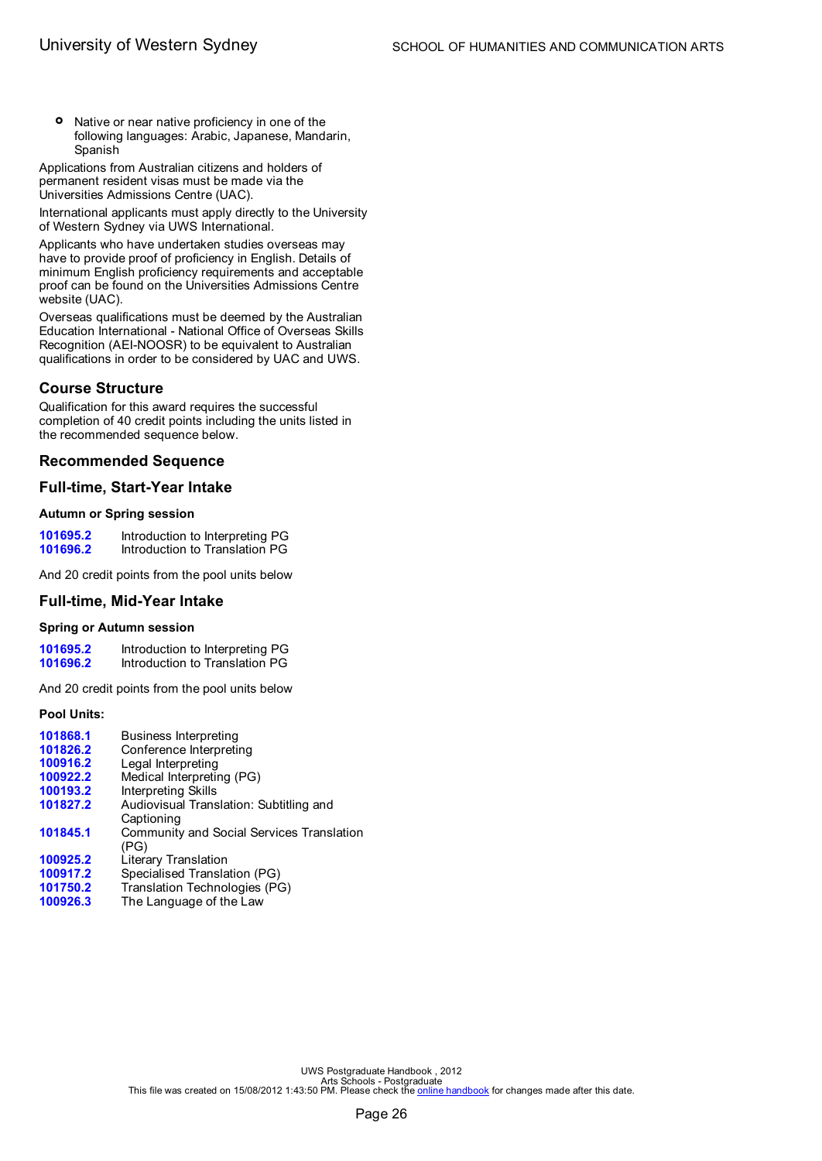**•** Native or near native proficiency in one of the following languages: Arabic Janguages Mand following languages: Arabic, Japanese, Mandarin, Spanish

Applications from Australian citizens and holders of permanent resident visas must be made via the Universities Admissions Centre (UAC).

International applicants must apply directly to the University of Western Sydney via UWS International.

Applicants who have undertaken studies overseas may have to provide proof of proficiency in English. Details of minimum English proficiency requirements and acceptable proof can be found on the Universities Admissions Centre website (UAC).

Overseas qualifications must be deemed by the Australian Education International - National Office of Overseas Skills Recognition (AEI-NOOSR) to be equivalent to Australian qualifications in order to be considered by UAC and UWS.

## **Course Structure**

Qualification for this award requires the successful completion of 40 credit points including the units listed in the recommended sequence below.

## **Recommended Sequence**

## **Full-time, Start-Year Intake**

#### **Autumn or Spring session**

**[101695.2](#page-58-0)** Introduction to Interpreting PG<br>**101696.2** Introduction to Translation PG **[101696.2](#page-58-0)** Introduction to Translation PG

And 20 credit points from the pool units below

## **Full-time, Mid-Year Intake**

#### **Spring or Autumn session**

| 101695.2 | Introduction to Interpreting PG |
|----------|---------------------------------|
| 101696.2 | Introduction to Translation PG  |

And 20 credit points from the pool units below

### **Pool Units:**

| 101868.1 | Business Interpreting                     |
|----------|-------------------------------------------|
| 101826.2 | Conference Interpreting                   |
| 100916.2 | Legal Interpreting                        |
| 100922.2 | Medical Interpreting (PG)                 |
| 100193.2 | Interpreting Skills                       |
| 101827.2 | Audiovisual Translation: Subtitling and   |
|          | Captioning                                |
| 101845.1 | Community and Social Services Translation |
|          | (PG)                                      |
| 100925.2 | Literary Translation                      |
| 100917.2 | Specialised Translation (PG)              |
| 101750.2 | Translation Technologies (PG)             |
| 100926.3 | The Language of the Law                   |
|          |                                           |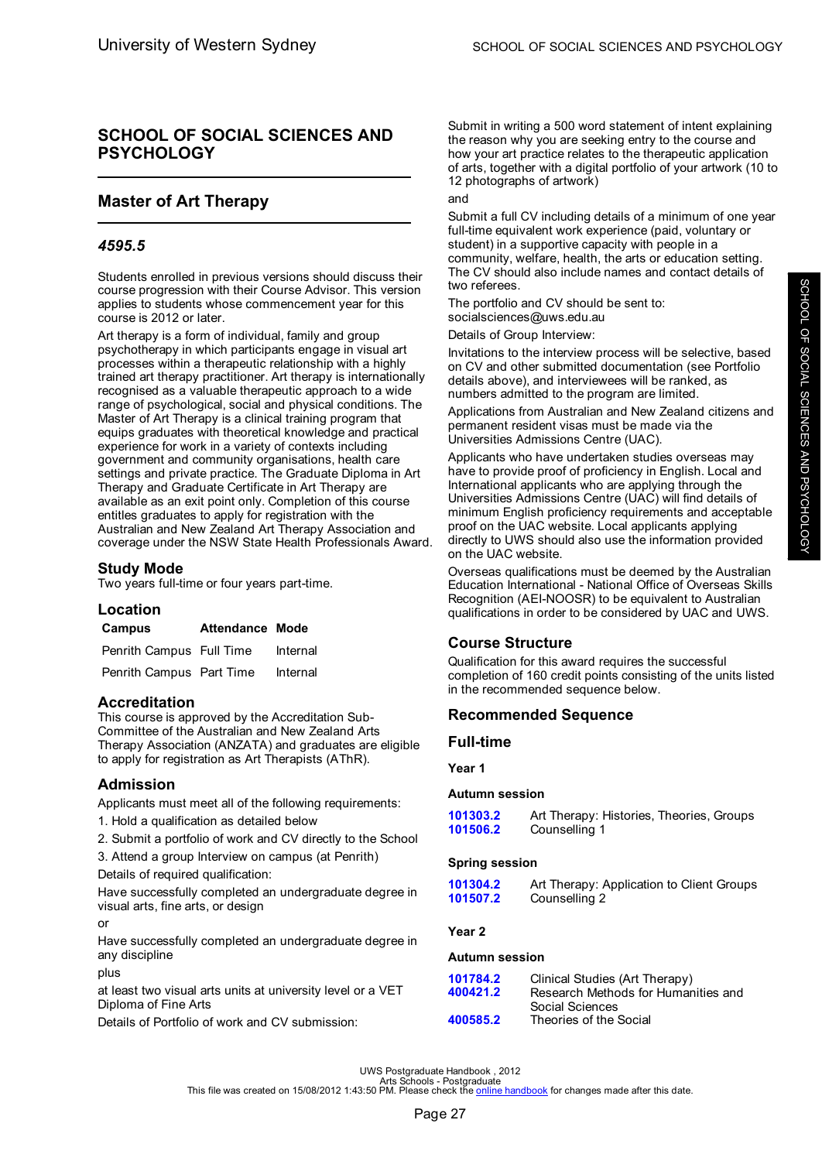## <span id="page-30-0"></span>**SCHOOL OF SOCIAL SCIENCES AND PSYCHOLOGY**

## **Master of Art Therapy**

## *4595.5*

Students enrolled in previous versions should discuss their course progression with their Course Advisor. This version applies to students whose commencement year for this course is 2012 or later.

Art therapy is a form of individual, family and group psychotherapy in which participants engage in visual art processes within a therapeutic relationship with a highly trained art therapy practitioner. Art therapy is internationally recognised as a valuable therapeutic approach to a wide range of psychological, social and physical conditions. The Master of Art Therapy is a clinical training program that equips graduates with theoretical knowledge and practical experience for work in a variety of contexts including government and community organisations, health care settings and private practice. The Graduate Diploma in Art Therapy and Graduate Certificate in Art Therapy are available as an exit point only. Completion of this course entitles graduates to apply for registration with the Australian and New Zealand Art Therapy Association and coverage under the NSW State Health Professionals Award.

## **Study Mode**

Two years full-time or four years part-time.

## **Location**

| Campus                   | Attendance Mode |          |  |
|--------------------------|-----------------|----------|--|
| Penrith Campus Full Time |                 | Internal |  |
| Penrith Campus Part Time |                 | Internal |  |

## **Accreditation**

This course is approved by the Accreditation Sub-Committee of the Australian and New Zealand Arts Therapy Association (ANZATA) and graduates are eligible to apply for registration as Art Therapists (AThR).

## **Admission**

Applicants must meet all of the following requirements:

- 1. Hold a qualification as detailed below
- 2. Submit a portfolio of work and CV directly to the School
- 3. Attend a group Interview on campus (at Penrith)
- Details of required qualification:

Have successfully completed an undergraduate degree in visual arts, fine arts, or design

or

Have successfully completed an undergraduate degree in any discipline

plus

at least two visual arts units at university level or a VET Diploma of Fine Arts

Details of Portfolio of work and CV submission:

Submit in writing a 500 word statement of intent explaining the reason why you are seeking entry to the course and how your art practice relates to the therapeutic application of arts, together with a digital portfolio of your artwork (10 to 12 photographs of artwork)

and

Submit a full CV including details of a minimum of one year full-time equivalent work experience (paid, voluntary or student) in a supportive capacity with people in a community, welfare, health, the arts or education setting. The CV should also include names and contact details of two referees.

The portfolio and CV should be sent to: socialsciences@uws.edu.au

Details of Group Interview:

Invitations to the interview process will be selective, based on CV and other submitted documentation (see Portfolio details above), and interviewees will be ranked, as numbers admitted to the program are limited.

Applications from Australian and New Zealand citizens and permanent resident visas must be made via the Universities Admissions Centre (UAC).

Applicants who have undertaken studies overseas may have to provide proof of proficiency in English. Local and International applicants who are applying through the Universities Admissions Centre (UAC) will find details of minimum English proficiency requirements and acceptable proof on the UAC website. Local applicants applying directly to UWS should also use the information provided on the UAC website.

Overseas qualifications must be deemed by the Australian Education International - National Office of Overseas Skills Recognition (AEI-NOOSR) to be equivalent to Australian qualifications in order to be considered by UAC and UWS.

## **Course Structure**

Qualification for this award requires the successful completion of 160 credit points consisting of the units listed in the recommended sequence below.

## **Recommended Sequence**

#### **Full-time**

**Year 1**

#### **Autumn session**

| 101303.2 | Art Therapy: Histories, Theories, Groups |
|----------|------------------------------------------|
| 101506.2 | Counselling 1                            |

#### **Spring session**

| 101304.2 | Art Therapy: Application to Client Groups |
|----------|-------------------------------------------|
| 101507.2 | Counselling 2                             |

**Year 2**

#### **Autumn session**

| 101784.2 | Clinical Studies (Art Therapy)      |
|----------|-------------------------------------|
| 400421.2 | Research Methods for Humanities and |
|          | Social Sciences                     |
| 400585.2 | Theories of the Social              |

UWS Postgraduate Handbook , 2012<br>Arts Schools - Postgraduate – Parte and book and the online [handbook](http://handbook.uws.edu.au/hbook/) for changes made after this date.<br>This file was created on 15/08/2012 1:43:50 PM. Please check the <u>online handbook</u> for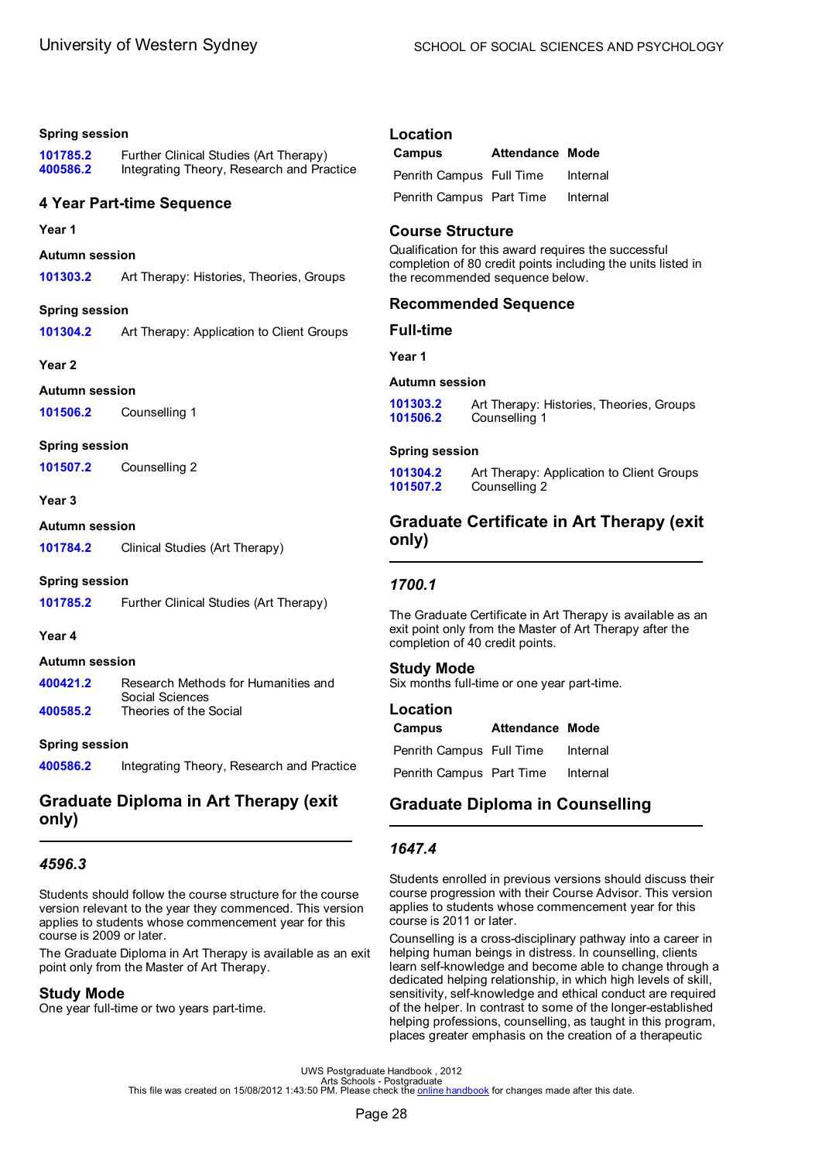<span id="page-31-0"></span>

| <b>Spring session</b>                                                                                       |                                                        | Location                                                                                        |                        |                                                           |
|-------------------------------------------------------------------------------------------------------------|--------------------------------------------------------|-------------------------------------------------------------------------------------------------|------------------------|-----------------------------------------------------------|
| Further Clinical Studies (Art Therapy)<br>101785.2<br>400586.2<br>Integrating Theory, Research and Practice |                                                        | Campus                                                                                          | <b>Attendance Mode</b> |                                                           |
|                                                                                                             |                                                        | Penrith Campus Full Time                                                                        |                        | Internal                                                  |
|                                                                                                             | 4 Year Part-time Sequence                              | Penrith Campus Part Time                                                                        |                        | Internal                                                  |
| Year 1                                                                                                      |                                                        | <b>Course Structure</b>                                                                         |                        |                                                           |
| Autumn session                                                                                              |                                                        |                                                                                                 |                        | Qualification for this award requires the successful      |
| 101303.2                                                                                                    | Art Therapy: Histories, Theories, Groups               | completion of 80 credit points including the units listed ir<br>the recommended sequence below. |                        |                                                           |
| <b>Spring session</b>                                                                                       |                                                        | <b>Recommended Sequence</b>                                                                     |                        |                                                           |
| 101304.2                                                                                                    | Art Therapy: Application to Client Groups              | <b>Full-time</b>                                                                                |                        |                                                           |
| Year 2                                                                                                      |                                                        | Year 1                                                                                          |                        |                                                           |
| Autumn session                                                                                              |                                                        | Autumn session                                                                                  |                        |                                                           |
| 101506.2                                                                                                    | Counselling 1                                          | 101303.2<br>101506.2                                                                            | Counselling 1          | Art Therapy: Histories, Theories, Groups                  |
| <b>Spring session</b>                                                                                       |                                                        | <b>Spring session</b>                                                                           |                        |                                                           |
| 101507.2                                                                                                    | Counselling 2                                          | 101304.2<br>101507.2                                                                            | Counselling 2          | Art Therapy: Application to Client Groups                 |
| Year 3                                                                                                      |                                                        |                                                                                                 |                        |                                                           |
| Autumn session                                                                                              |                                                        |                                                                                                 |                        | <b>Graduate Certificate in Art Therapy (exi</b>           |
| 101784.2                                                                                                    | Clinical Studies (Art Therapy)                         | only)                                                                                           |                        |                                                           |
| <b>Spring session</b>                                                                                       |                                                        | 1700.1                                                                                          |                        |                                                           |
| 101785.2                                                                                                    | Further Clinical Studies (Art Therapy)                 |                                                                                                 |                        | The Graduate Certificate in Art Therapy is available as a |
| Year 4                                                                                                      |                                                        | completion of 40 credit points.                                                                 |                        | exit point only from the Master of Art Therapy after the  |
| <b>Autumn session</b>                                                                                       |                                                        | <b>Study Mode</b>                                                                               |                        |                                                           |
| 400421.2                                                                                                    | Research Methods for Humanities and<br>Social Sciences | Six months full-time or one year part-time.                                                     |                        |                                                           |
| 400585.2                                                                                                    | Theories of the Social                                 | <b>Location</b><br><b>Campus</b>                                                                | <b>Attendance Mode</b> |                                                           |
| Ownie o Annaton                                                                                             |                                                        |                                                                                                 |                        |                                                           |

#### **Spring session**

| 400586.2 |  |  |  | Integrating Theory, Research and Practice |
|----------|--|--|--|-------------------------------------------|
|----------|--|--|--|-------------------------------------------|

## **Graduate Diploma in Art Therapy (exit only)**

## *4596.3*

Students should follow the course structure for the course version relevant to the year they commenced. This version applies to students whose commencement year for this course is 2009 or later.

The Graduate Diploma in Art Therapy is available as an exit point only from the Master of Art Therapy.

## **Study Mode**

One year full-time or two years part-time.

| 01303.2 | Art Therapy: Histories, Theories, Groups |
|---------|------------------------------------------|
| 01506.2 | Counselling 1                            |

# **Graduate Certificate in Art Therapy (exit**

| Campus                   | <b>Attendance Mode</b> |          |
|--------------------------|------------------------|----------|
| Penrith Campus Full Time |                        | Internal |
| Penrith Campus Part Time |                        | Internal |

## **Graduate Diploma in Counselling**

## *1647.4*

Students enrolled in previous versions should discuss their course progression with their Course Advisor. This version applies to students whose commencement year for this course is 2011 or later.

Counselling is a cross-disciplinary pathway into a career in helping human beings in distress. In counselling, clients learn self-knowledge and become able to change through a dedicated helping relationship, in which high levels of skill, sensitivity, self-knowledge and ethical conduct are required of the helper. In contrast to some of the longer-established helping professions, counselling, as taught in this program, places greater emphasis on the creation of a therapeutic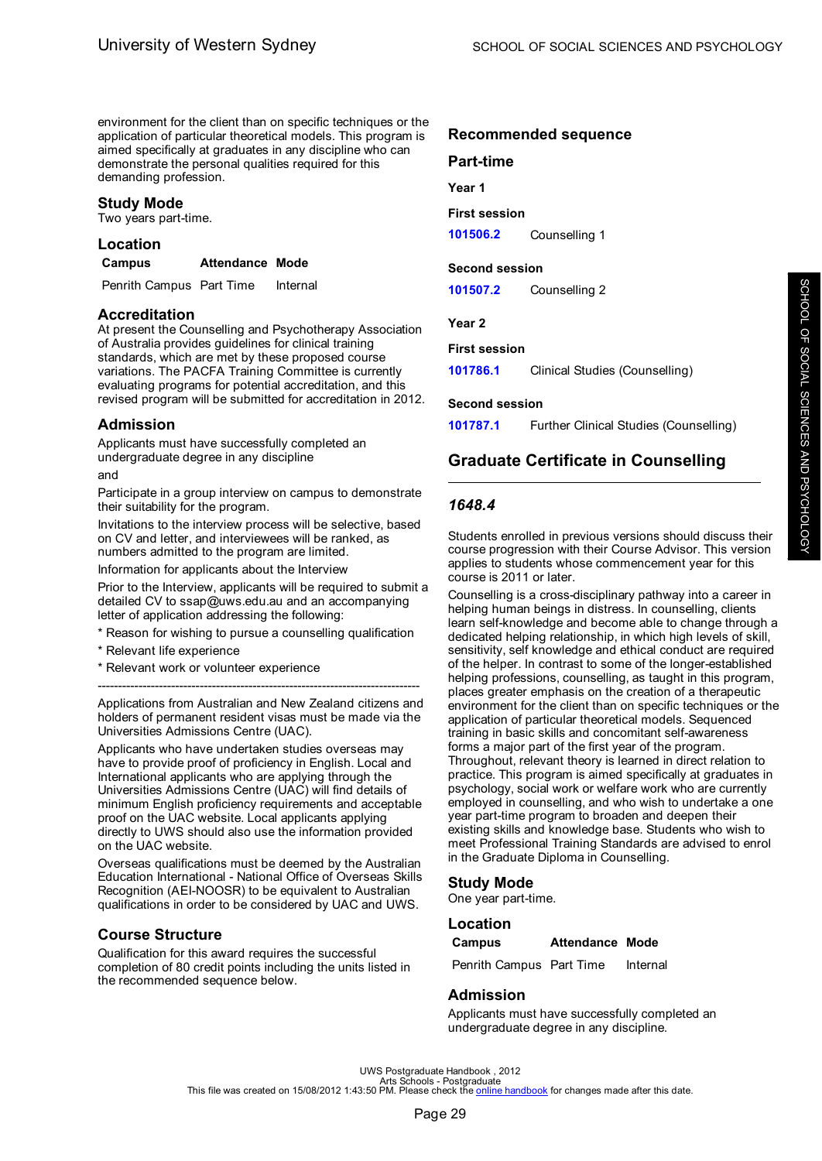<span id="page-32-0"></span>environment for the client than on specific techniques or the application of particular theoretical models. This program is aimed specifically at graduates in any discipline who can demonstrate the personal qualities required for this demanding profession.

## **Study Mode**

Two years part-time.

## **Location**

| <b>Campus</b>            | Attendance Mode |          |
|--------------------------|-----------------|----------|
| Penrith Campus Part Time |                 | Internal |

## **Accreditation**

At present the Counselling and Psychotherapy Association of Australia provides guidelines for clinical training standards, which are met by these proposed course variations. The PACFA Training Committee is currently evaluating programs for potential accreditation, and this revised program will be submitted for accreditation in 2012.

### **Admission**

Applicants must have successfully completed an undergraduate degree in any discipline

and

Participate in a group interview on campus to demonstrate their suitability for the program.

Invitations to the interview process will be selective, based on CV and letter, and interviewees will be ranked, as numbers admitted to the program are limited.

Information for applicants about the Interview

Prior to the Interview, applicants will be required to submit a detailed CV to ssap@uws.edu.au and an accompanying letter of application addressing the following:

- \* Reason for wishing to pursue a counselling qualification
- \* Relevant life experience
- \* Relevant work or volunteer experience

Applications from Australian and New Zealand citizens and holders of permanent resident visas must be made via the Universities Admissions Centre (UAC).

-------------------------------------------------------------------------------

Applicants who have undertaken studies overseas may have to provide proof of proficiency in English. Local and International applicants who are applying through the Universities Admissions Centre (UAC) will find details of minimum English proficiency requirements and acceptable proof on the UAC website. Local applicants applying directly to UWS should also use the information provided on the UAC website.

Overseas qualifications must be deemed by the Australian Education International - National Office of Overseas Skills Recognition (AEI-NOOSR) to be equivalent to Australian qualifications in order to be considered by UAC and UWS.

## **Course Structure**

Qualification for this award requires the successful completion of 80 credit points including the units listed in the recommended sequence below.

### **Recommended sequence**

#### **Part-time**

**Year 1**

**First session**

**[101506.2](#page-49-0)** Counselling 1

#### **Second session**

**[101507.2](#page-49-0)** Counselling 2

#### **Year 2**

#### **First session**

#### **Second session**

**[101787.1](#page-55-0)** Further Clinical Studies (Counselling)

## **Graduate Certificate in Counselling**

### *1648.4*

Students enrolled in previous versions should discuss their course progression with their Course Advisor. This version applies to students whose commencement year for this course is 2011 or later.

Counselling is a cross-disciplinary pathway into a career in helping human beings in distress. In counselling, clients learn self-knowledge and become able to change through a dedicated helping relationship, in which high levels of skill, sensitivity, self knowledge and ethical conduct are required of the helper. In contrast to some of the longer-established helping professions, counselling, as taught in this program, places greater emphasis on the creation of a therapeutic environment for the client than on specific techniques or the application of particular theoretical models. Sequenced training in basic skills and concomitant self-awareness forms a major part of the first year of the program. Throughout, relevant theory is learned in direct relation to practice. This program is aimed specifically at graduates in psychology, social work or welfare work who are currently employed in counselling, and who wish to undertake a one year part-time program to broaden and deepen their existing skills and knowledge base. Students who wish to meet Professional Training Standards are advised to enrol in the Graduate Diploma in Counselling.

#### **Study Mode**

One year part-time.

#### **Location**

| Campus | <b>Attendance Mode</b> |  |
|--------|------------------------|--|
|        |                        |  |

Penrith Campus Part Time Internal

#### **Admission**

Applicants must have successfully completed an undergraduate degree in any discipline.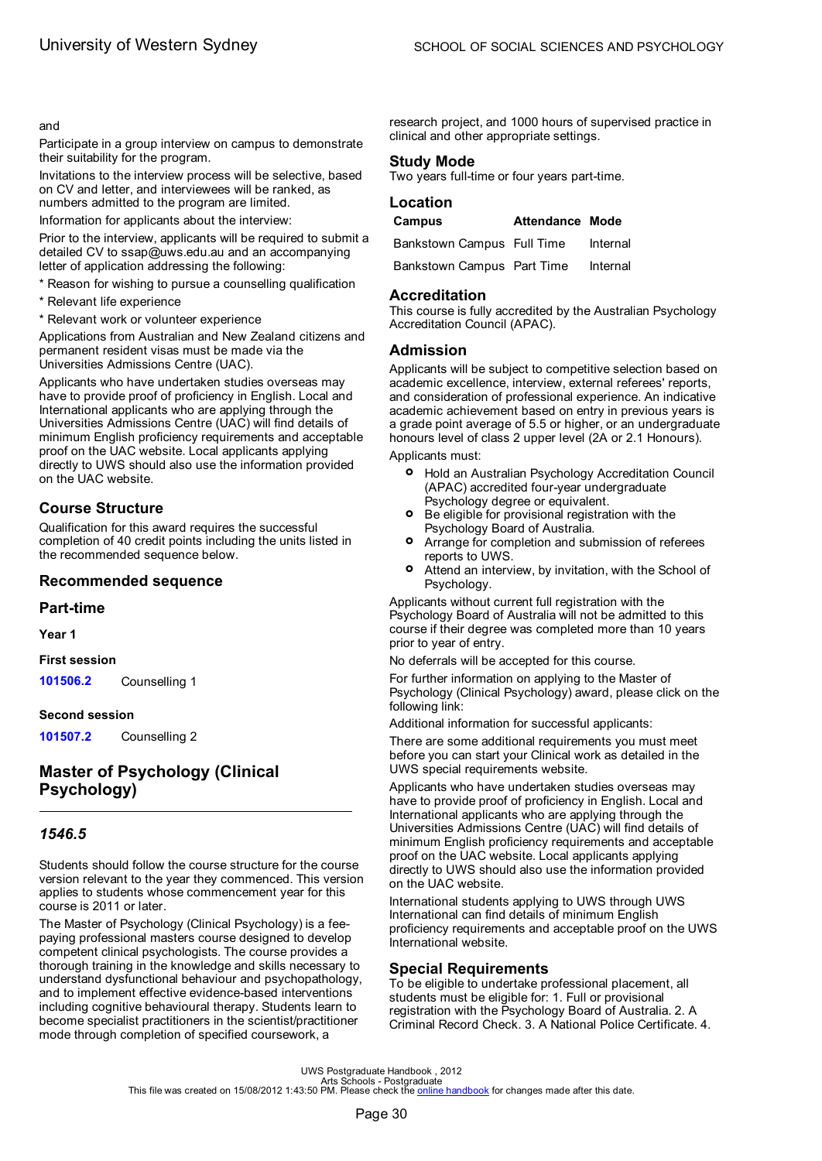#### <span id="page-33-0"></span>and

Participate in a group interview on campus to demonstrate their suitability for the program.

Invitations to the interview process will be selective, based on CV and letter, and interviewees will be ranked, as numbers admitted to the program are limited.

Information for applicants about the interview:

Prior to the interview, applicants will be required to submit a detailed CV to ssap@uws.edu.au and an accompanying letter of application addressing the following:

\* Reason for wishing to pursue a counselling qualification

- \* Relevant life experience
- \* Relevant work or volunteer experience

Applications from Australian and New Zealand citizens and permanent resident visas must be made via the Universities Admissions Centre (UAC).

Applicants who have undertaken studies overseas may have to provide proof of proficiency in English. Local and International applicants who are applying through the Universities Admissions Centre (UAC) will find details of minimum English proficiency requirements and acceptable proof on the UAC website. Local applicants applying directly to UWS should also use the information provided on the UAC website.

## **Course Structure**

Qualification for this award requires the successful completion of 40 credit points including the units listed in the recommended sequence below.

### **Recommended sequence**

#### **Part-time**

**Year 1**

**First session**

**[101506.2](#page-49-0)** Counselling 1

#### **Second session**

**[101507.2](#page-49-0)** Counselling 2

## **Master of Psychology (Clinical Psychology)**

## *1546.5*

Students should follow the course structure for the course version relevant to the year they commenced. This version applies to students whose commencement year for this course is 2011 or later.

The Master of Psychology (Clinical Psychology) is a feepaying professional masters course designed to develop competent clinical psychologists. The course provides a thorough training in the knowledge and skills necessary to understand dysfunctional behaviour and psychopathology, and to implement effective evidence-based interventions including cognitive behavioural therapy. Students learn to become specialist practitioners in the scientist/practitioner mode through completion of specified coursework, a

research project, and 1000 hours of supervised practice in clinical and other appropriate settings.

### **Study Mode**

Two years full-time or four years part-time.

## **Location**

| Campus                     | <b>Attendance Mode</b> |          |
|----------------------------|------------------------|----------|
| Bankstown Campus Full Time |                        | Internal |
| Bankstown Campus Part Time |                        | Internal |

#### **Accreditation**

This course is fully accredited by the Australian Psychology Accreditation Council (APAC).

### **Admission**

Applicants will be subject to competitive selection based on academic excellence, interview, external referees' reports, and consideration of professional experience. An indicative academic achievement based on entry in previous years is a grade point average of 5.5 or higher, or an undergraduate honours level of class 2 upper level (2A or 2.1 Honours). Applicants must:

- **°** Hold an Australian Psychology Accreditation Council (APAC) accredited four-year undergraduate Psychology degree or equivalent.
- **•** Be eligible for provisional registration with the Psychology Board of Australia Psychology Board of Australia.
- **•** Arrange for completion and submission of referees reports to LIMS reports to UWS.
- **°** Attend an interview, by invitation, with the School of Psychology.

Applicants without current full registration with the Psychology Board of Australia will not be admitted to this course if their degree was completed more than 10 years prior to year of entry.

No deferrals will be accepted for this course.

For further information on applying to the Master of Psychology (Clinical Psychology) award, please click on the following link:

Additional information for successful applicants:

There are some additional requirements you must meet before you can start your Clinical work as detailed in the UWS special requirements website.

Applicants who have undertaken studies overseas may have to provide proof of proficiency in English. Local and International applicants who are applying through the Universities Admissions Centre (UAC) will find details of minimum English proficiency requirements and acceptable proof on the UAC website. Local applicants applying directly to UWS should also use the information provided on the UAC website.

International students applying to UWS through UWS International can find details of minimum English proficiency requirements and acceptable proof on the UWS International website.

#### **Special Requirements**

To be eligible to undertake professional placement, all students must be eligible for: 1. Full or provisional registration with the Psychology Board of Australia. 2. A Criminal Record Check. 3. A National Police Certificate. 4.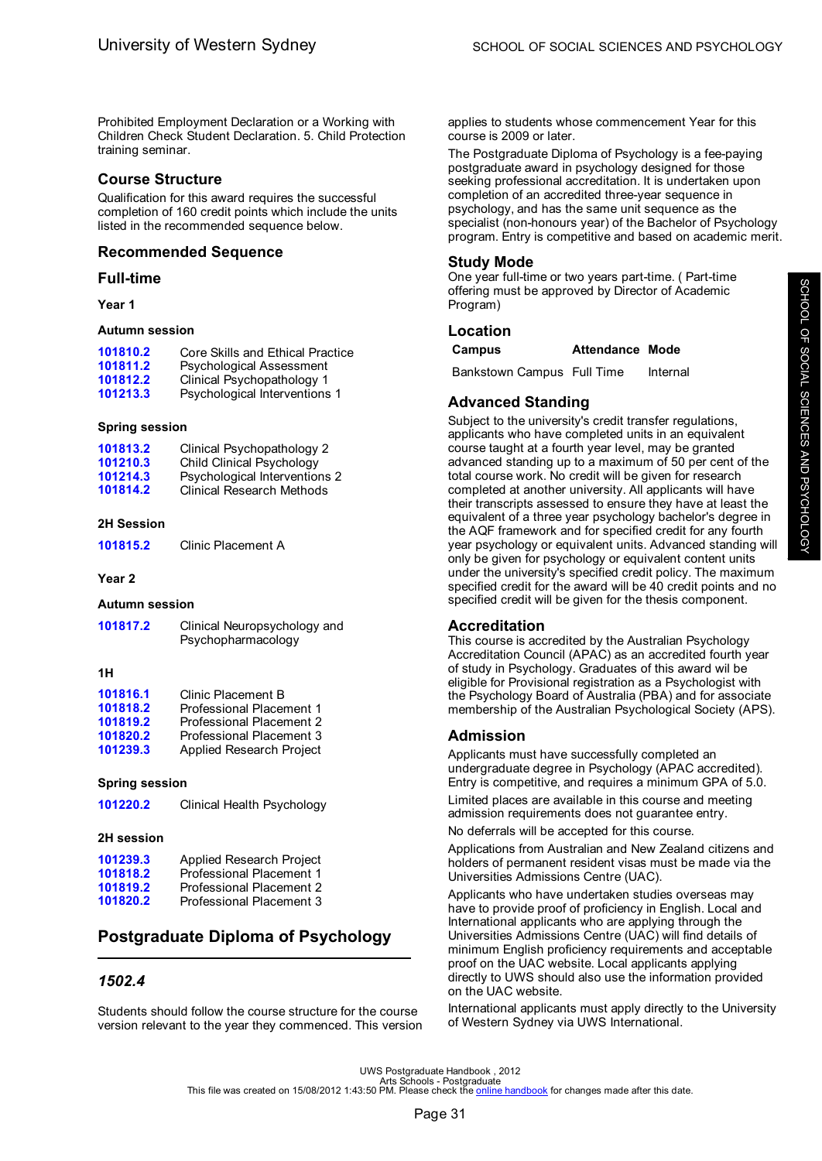<span id="page-34-0"></span>Prohibited Employment Declaration or a Working with Children Check Student Declaration. 5. Child Protection training seminar.

## **Course Structure**

Qualification for this award requires the successful completion of 160 credit points which include the units listed in the recommended sequence below.

## **Recommended Sequence**

## **Full-time**

#### **Year 1**

#### **Autumn session**

| 101810.2 | Core Skills and Ethical Practice |
|----------|----------------------------------|
| 101811.2 | <b>Psychological Assessment</b>  |
| 101812.2 | Clinical Psychopathology 1       |
| 101213.3 | Psychological Interventions 1    |

#### **Spring session**

| 101813.2 | Clinical Psychopathology 2       |
|----------|----------------------------------|
| 101210.3 | <b>Child Clinical Psychology</b> |
| 101214.3 | Psychological Interventions 2    |
| 101814.2 | <b>Clinical Research Methods</b> |

#### **2H Session**

**[101815.2](#page-45-0)** Clinic Placement A

#### **Year 2**

#### **Autumn session**

| 101817.2 | Clinical Neuropsychology and<br>Psychopharmacology |
|----------|----------------------------------------------------|
|          |                                                    |

### **1H**

| 101816.1 | Clinic Placement B              |
|----------|---------------------------------|
| 101818.2 | Professional Placement 1        |
| 101819.2 | Professional Placement 2        |
| 101820.2 | Professional Placement 3        |
| 101239.3 | <b>Applied Research Project</b> |

#### **Spring session**

| 101220.2 | Clinical Health Psychology |  |
|----------|----------------------------|--|
|----------|----------------------------|--|

#### **2H session**

| 101239.3 | Applied Research Project |
|----------|--------------------------|
| 101818.2 | Professional Placement 1 |
| 101819.2 | Professional Placement 2 |
| 101820.2 | Professional Placement 3 |

## **Postgraduate Diploma of Psychology**

#### *1502.4*

Students should follow the course structure for the course version relevant to the year they commenced. This version

applies to students whose commencement Year for this course is 2009 or later.

The Postgraduate Diploma of Psychology is a fee-paying postgraduate award in psychology designed for those seeking professional accreditation. It is undertaken upon completion of an accredited three-year sequence in psychology, and has the same unit sequence as the specialist (non-honours year) of the Bachelor of Psychology program. Entry is competitive and based on academic merit.

## **Study Mode**

One year full-time or two years part-time. ( Part-time offering must be approved by Director of Academic Program)

#### **Location**  $Campus$

|  |  | Attendance Mode |  |
|--|--|-----------------|--|

Bankstown Campus Full Time Internal

## **Advanced Standing**

Subject to the university's credit transfer regulations, applicants who have completed units in an equivalent course taught at a fourth year level, may be granted advanced standing up to a maximum of 50 per cent of the total course work. No credit will be given for research completed at another university. All applicants will have their transcripts assessed to ensure they have at least the equivalent of a three year psychology bachelor's degree in the AQF framework and for specified credit for any fourth year psychology or equivalent units. Advanced standing will only be given for psychology or equivalent content units under the university's specified credit policy. The maximum specified credit for the award will be 40 credit points and no specified credit will be given for the thesis component.

#### **Accreditation**

This course is accredited by the Australian Psychology Accreditation Council (APAC) as an accredited fourth year of study in Psychology. Graduates of this award wil be eligible for Provisional registration as a Psychologist with the Psychology Board of Australia (PBA) and for associate membership of the Australian Psychological Society (APS).

## **Admission**

Applicants must have successfully completed an undergraduate degree in Psychology (APAC accredited). Entry is competitive, and requires a minimum GPA of 5.0.

Limited places are available in this course and meeting admission requirements does not guarantee entry.

No deferrals will be accepted for this course.

Applications from Australian and New Zealand citizens and holders of permanent resident visas must be made via the Universities Admissions Centre (UAC).

Applicants who have undertaken studies overseas may have to provide proof of proficiency in English. Local and International applicants who are applying through the Universities Admissions Centre (UAC) will find details of minimum English proficiency requirements and acceptable proof on the UAC website. Local applicants applying directly to UWS should also use the information provided on the UAC website.

International applicants must apply directly to the University of Western Sydney via UWS International.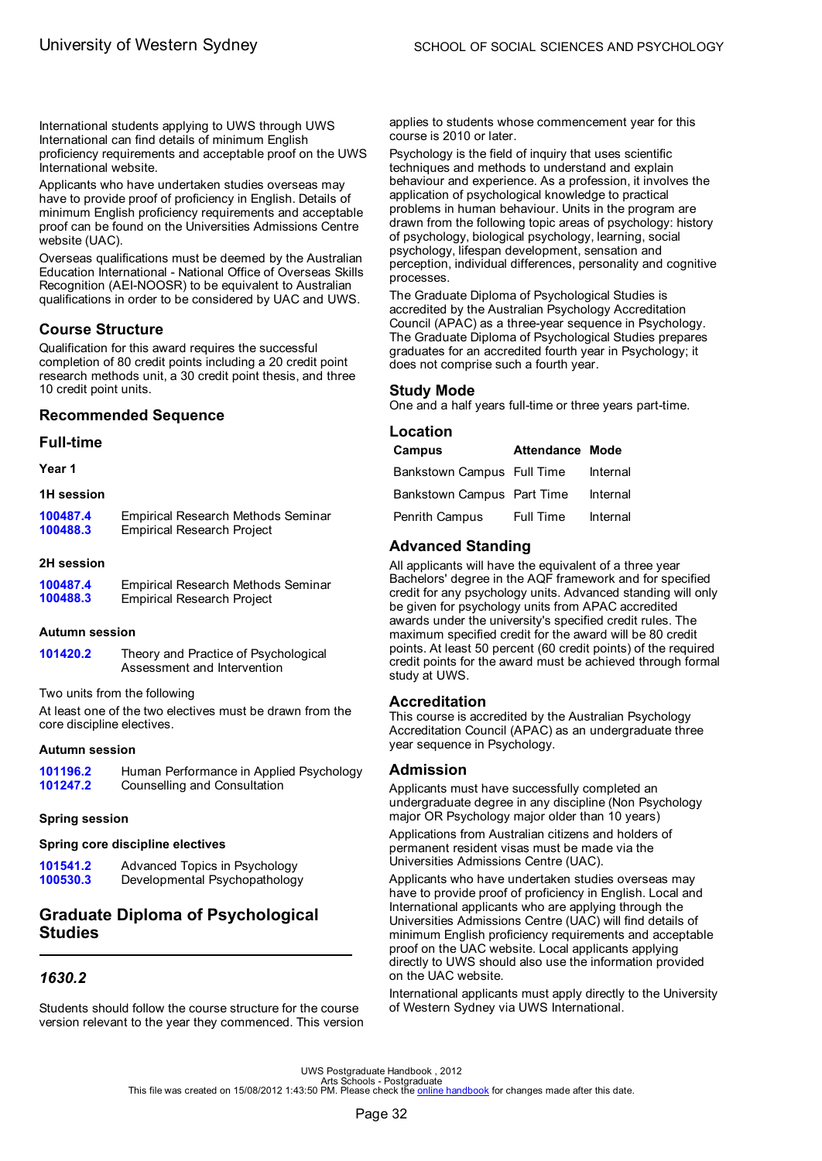<span id="page-35-0"></span>International students applying to UWS through UWS International can find details of minimum English proficiency requirements and acceptable proof on the UWS International website.

Applicants who have undertaken studies overseas may have to provide proof of proficiency in English. Details of minimum English proficiency requirements and acceptable proof can be found on the Universities Admissions Centre website (UAC).

Overseas qualifications must be deemed by the Australian Education International - National Office of Overseas Skills Recognition (AEI-NOOSR) to be equivalent to Australian qualifications in order to be considered by UAC and UWS.

## **Course Structure**

Qualification for this award requires the successful completion of 80 credit points including a 20 credit point research methods unit, a 30 credit point thesis, and three 10 credit point units.

## **Recommended Sequence**

#### **Full-time**

#### **Year 1**

#### **1H session**

#### **2H session**

| 100487.4 | Empirical Research Methods Seminar |
|----------|------------------------------------|
| 100488.3 | <b>Empirical Research Project</b>  |

#### **Autumn session**

| 101420.2 | Theory and Practice of Psychological |
|----------|--------------------------------------|
|          | Assessment and Intervention          |

Two units from the following

At least one of the two electives must be drawn from the core discipline electives.

#### **Autumn session**

**[101196.2](#page-55-0)** Human Performance in Applied Psychology **[101247.2](#page-49-0)** Counselling and Consultation

#### **Spring session**

## **Spring core discipline electives**

**[101541.2](#page-43-0)** Advanced Topics in Psychology<br>**100530.3** Developmental Psychopatholog **[100530.3](#page-50-0)** Developmental Psychopathology

## **Graduate Diploma of Psychological Studies**

## *1630.2*

Students should follow the course structure for the course version relevant to the year they commenced. This version applies to students whose commencement year for this course is 2010 or later.

Psychology is the field of inquiry that uses scientific techniques and methods to understand and explain behaviour and experience. As a profession, it involves the application of psychological knowledge to practical problems in human behaviour. Units in the program are drawn from the following topic areas of psychology: history of psychology, biological psychology, learning, social psychology, lifespan development, sensation and perception, individual differences, personality and cognitive processes.

The Graduate Diploma of Psychological Studies is accredited by the Australian Psychology Accreditation Council (APAC) as a three-year sequence in Psychology. The Graduate Diploma of Psychological Studies prepares graduates for an accredited fourth year in Psychology; it does not comprise such a fourth year.

## **Study Mode**

One and a half years full-time or three years part-time.

| Location                   |                        |          |  |  |  |  |
|----------------------------|------------------------|----------|--|--|--|--|
| Campus                     | <b>Attendance Mode</b> |          |  |  |  |  |
| Bankstown Campus Full Time |                        | Internal |  |  |  |  |
| Bankstown Campus Part Time |                        | Internal |  |  |  |  |
| Penrith Campus             | <b>Full Time</b>       | Internal |  |  |  |  |

## **Advanced Standing**

All applicants will have the equivalent of a three year Bachelors' degree in the AQF framework and for specified credit for any psychology units. Advanced standing will only be given for psychology units from APAC accredited awards under the university's specified credit rules. The maximum specified credit for the award will be 80 credit points. At least 50 percent (60 credit points) of the required credit points for the award must be achieved through formal study at UWS.

#### **Accreditation**

This course is accredited by the Australian Psychology Accreditation Council (APAC) as an undergraduate three year sequence in Psychology.

## **Admission**

Applicants must have successfully completed an undergraduate degree in any discipline (Non Psychology major OR Psychology major older than 10 years)

Applications from Australian citizens and holders of permanent resident visas must be made via the Universities Admissions Centre (UAC).

Applicants who have undertaken studies overseas may have to provide proof of proficiency in English. Local and International applicants who are applying through the Universities Admissions Centre (UAC) will find details of minimum English proficiency requirements and acceptable proof on the UAC website. Local applicants applying directly to UWS should also use the information provided on the UAC website.

International applicants must apply directly to the University of Western Sydney via UWS International.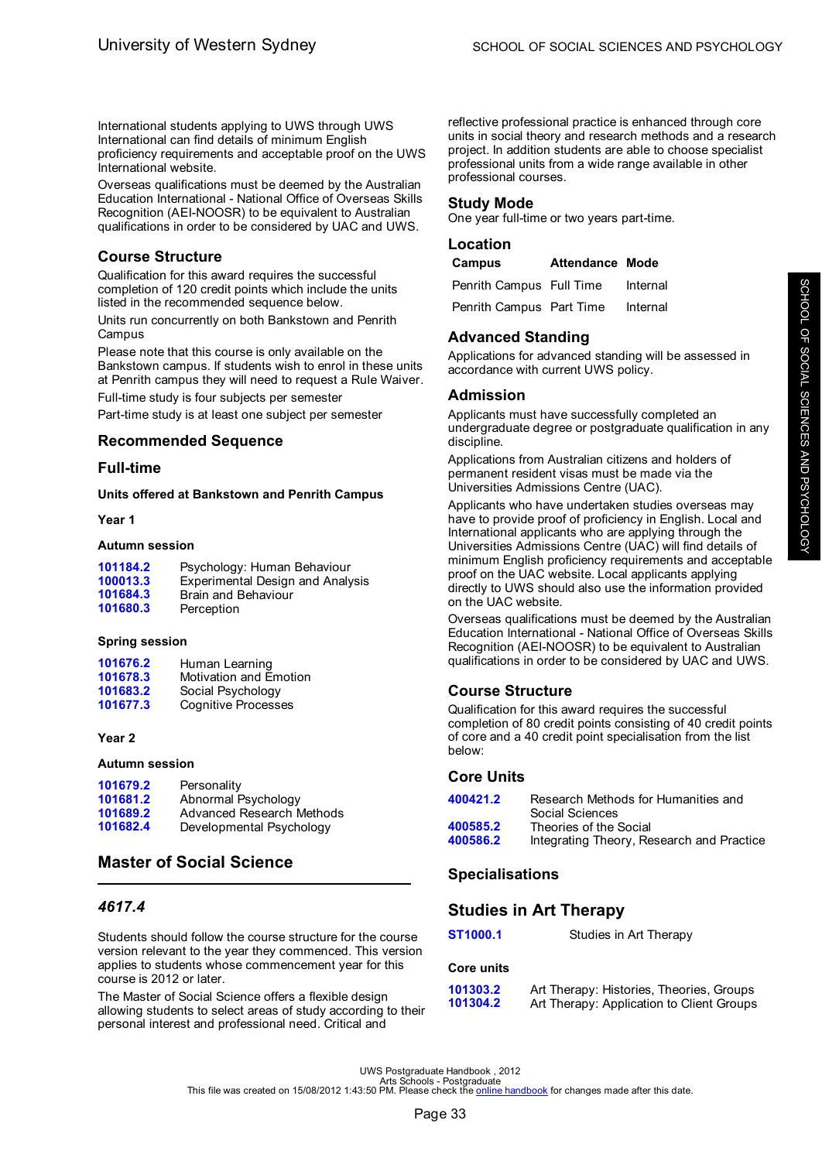International students applying to UWS through UWS International can find details of minimum English proficiency requirements and acceptable proof on the UWS International website.

Overseas qualifications must be deemed by the Australian Education International - National Office of Overseas Skills Recognition (AEI-NOOSR) to be equivalent to Australian qualifications in order to be considered by UAC and UWS.

# **Course Structure**

Qualification for this award requires the successful completion of 120 credit points which include the units listed in the recommended sequence below.

Units run concurrently on both Bankstown and Penrith Campus

Please note that this course is only available on the Bankstown campus. If students wish to enrol in these units at Penrith campus they will need to request a Rule Waiver.

Full-time study is four subjects per semester

Part-time study is at least one subject per semester

# **Recommended Sequence**

# **Full-time**

### **Units offered at Bankstown and Penrith Campus**

### **Year 1**

### **Autumn session**

| 101184.2 | Psychology: Human Behaviour             |
|----------|-----------------------------------------|
| 100013.3 | <b>Experimental Design and Analysis</b> |
| 101684.3 | Brain and Behaviour                     |
| 101680.3 | Perception                              |

### **Spring session**

| 101676.2 | Human Learning                |
|----------|-------------------------------|
| 101678.3 | <b>Motivation and Emotion</b> |
| 101683.2 | Social Psychology             |
| 101677.3 | Cognitive Processes           |

### **Year 2**

### **Autumn session**

| 101679.2 | Personality                      |
|----------|----------------------------------|
| 101681.2 | Abnormal Psychology              |
| 101689.2 | <b>Advanced Research Methods</b> |
| 101682.4 | Developmental Psychology         |

# **Master of Social Science**

### *4617.4*

Students should follow the course structure for the course version relevant to the year they commenced. This version applies to students whose commencement year for this course is 2012 or later.

The Master of Social Science offers a flexible design allowing students to select areas of study according to their personal interest and professional need. Critical and

reflective professional practice is enhanced through core units in social theory and research methods and a research project. In addition students are able to choose specialist professional units from a wide range available in other professional courses.

## **Study Mode**

One year full-time or two years part-time.

## **Location**

| Campus                   | <b>Attendance Mode</b> |          |
|--------------------------|------------------------|----------|
| Penrith Campus Full Time |                        | Internal |
| Penrith Campus Part Time |                        | Internal |

# **Advanced Standing**

Applications for advanced standing will be assessed in accordance with current UWS policy.

# **Admission**

Applicants must have successfully completed an undergraduate degree or postgraduate qualification in any discipline.

Applications from Australian citizens and holders of permanent resident visas must be made via the Universities Admissions Centre (UAC).

Applicants who have undertaken studies overseas may have to provide proof of proficiency in English. Local and International applicants who are applying through the Universities Admissions Centre (UAC) will find details of minimum English proficiency requirements and acceptable proof on the UAC website. Local applicants applying directly to UWS should also use the information provided on the UAC website.

Overseas qualifications must be deemed by the Australian Education International - National Office of Overseas Skills Recognition (AEI-NOOSR) to be equivalent to Australian qualifications in order to be considered by UAC and UWS.

# **Course Structure**

Qualification for this award requires the successful completion of 80 credit points consisting of 40 credit points of core and a 40 credit point specialisation from the list below:

# **Core Units**

| 400421.2 | Research Methods for Humanities and<br>Social Sciences |
|----------|--------------------------------------------------------|
| 400585.2 | Theories of the Social                                 |
| 400586.2 | Integrating Theory, Research and Practice              |

# **Specialisations**

# **Studies in Art Therapy**

| Studies in Art Therapy |
|------------------------|
|                        |

### **Core units**

| 101303.2 | Art Therapy: Histories, Theories, Groups  |
|----------|-------------------------------------------|
| 101304.2 | Art Therapy: Application to Client Groups |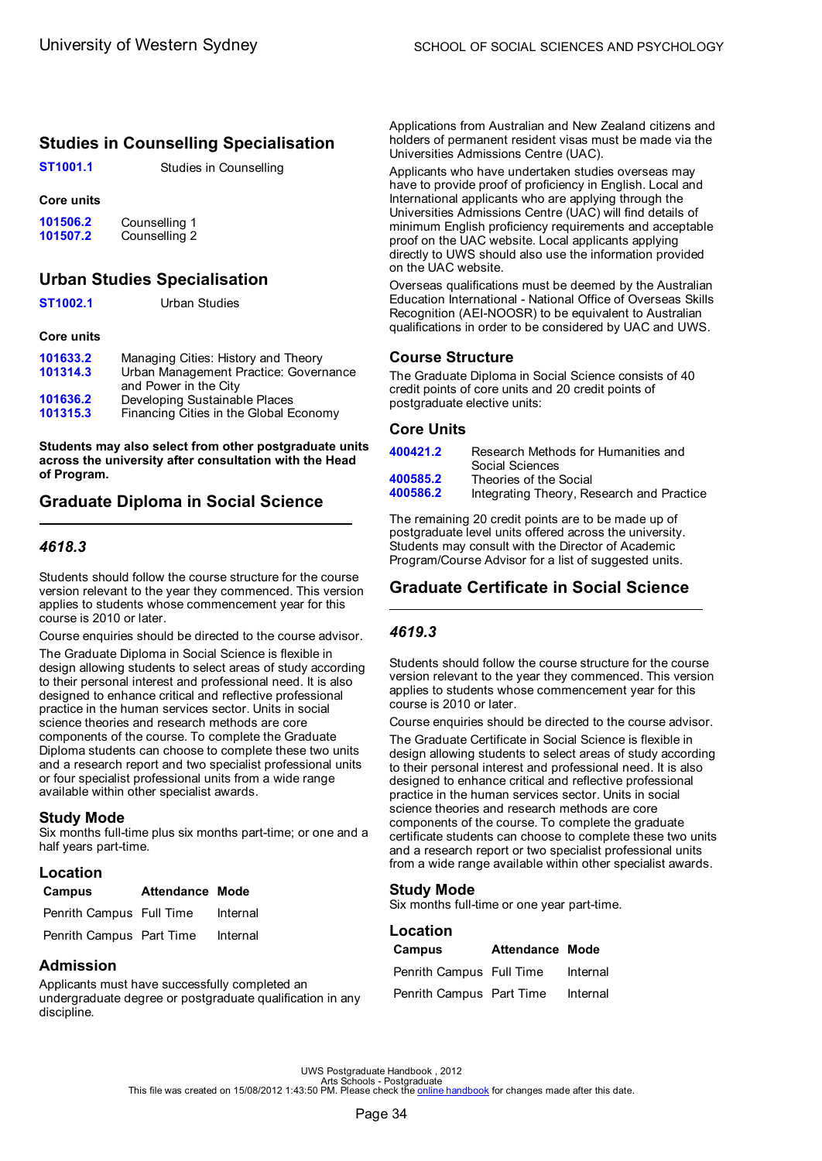# **Studies in Counselling Specialisation**

| ST <sub>1001.1</sub> |                        |
|----------------------|------------------------|
|                      | Studies in Counselling |

### **Core units**

| 101506.2 | Counselling 1 |
|----------|---------------|
| 101507.2 | Counselling 2 |

# **Urban Studies Specialisation**

| ST1002.1 | Urban Studies |
|----------|---------------|
|          |               |

### **Core units**

| 101633.2 | Managing Cities: History and Theory    |
|----------|----------------------------------------|
| 101314.3 | Urban Management Practice: Governance  |
|          | and Power in the City                  |
| 101636.2 | Developing Sustainable Places          |
| 101315.3 | Financing Cities in the Global Economy |
|          |                                        |

**Students may also select from other postgraduate units across the university after consultation with the Head of Program.**

# **Graduate Diploma in Social Science**

# *4618.3*

Students should follow the course structure for the course version relevant to the year they commenced. This version applies to students whose commencement year for this course is 2010 or later.

Course enquiries should be directed to the course advisor.

The Graduate Diploma in Social Science is flexible in design allowing students to select areas of study according to their personal interest and professional need. It is also designed to enhance critical and reflective professional practice in the human services sector. Units in social science theories and research methods are core components of the course. To complete the Graduate Diploma students can choose to complete these two units and a research report and two specialist professional units or four specialist professional units from a wide range available within other specialist awards.

# **Study Mode**

Six months full-time plus six months part-time; or one and a half years part-time.

# **Location**

| Campus                   | <b>Attendance Mode</b> |          |
|--------------------------|------------------------|----------|
| Penrith Campus Full Time |                        | Internal |
| Penrith Campus Part Time |                        | Internal |

# **Admission**

Applicants must have successfully completed an undergraduate degree or postgraduate qualification in any discipline.

Applications from Australian and New Zealand citizens and holders of permanent resident visas must be made via the Universities Admissions Centre (UAC).

Applicants who have undertaken studies overseas may have to provide proof of proficiency in English. Local and International applicants who are applying through the Universities Admissions Centre (UAC) will find details of minimum English proficiency requirements and acceptable proof on the UAC website. Local applicants applying directly to UWS should also use the information provided on the UAC website.

Overseas qualifications must be deemed by the Australian Education International - National Office of Overseas Skills Recognition (AEI-NOOSR) to be equivalent to Australian qualifications in order to be considered by UAC and UWS.

# **Course Structure**

The Graduate Diploma in Social Science consists of 40 credit points of core units and 20 credit points of postgraduate elective units:

### **Core Units**

| 400421.2 | Research Methods for Humanities and<br>Social Sciences |
|----------|--------------------------------------------------------|
| 400585.2 | Theories of the Social                                 |
| 400586.2 | Integrating Theory, Research and Practice              |

The remaining 20 credit points are to be made up of postgraduate level units offered across the university. Students may consult with the Director of Academic Program/Course Advisor for a list of suggested units.

# **Graduate Certificate in Social Science**

# *4619.3*

Students should follow the course structure for the course version relevant to the year they commenced. This version applies to students whose commencement year for this course is 2010 or later.

Course enquiries should be directed to the course advisor. The Graduate Certificate in Social Science is flexible in design allowing students to select areas of study according to their personal interest and professional need. It is also designed to enhance critical and reflective professional practice in the human services sector. Units in social science theories and research methods are core components of the course. To complete the graduate certificate students can choose to complete these two units and a research report or two specialist professional units from a wide range available within other specialist awards.

# **Study Mode**

Six months full-time or one year part-time.

### **Location**

| <b>Campus</b>            | <b>Attendance Mode</b> |          |
|--------------------------|------------------------|----------|
| Penrith Campus Full Time |                        | Internal |
| Penrith Campus Part Time |                        | Internal |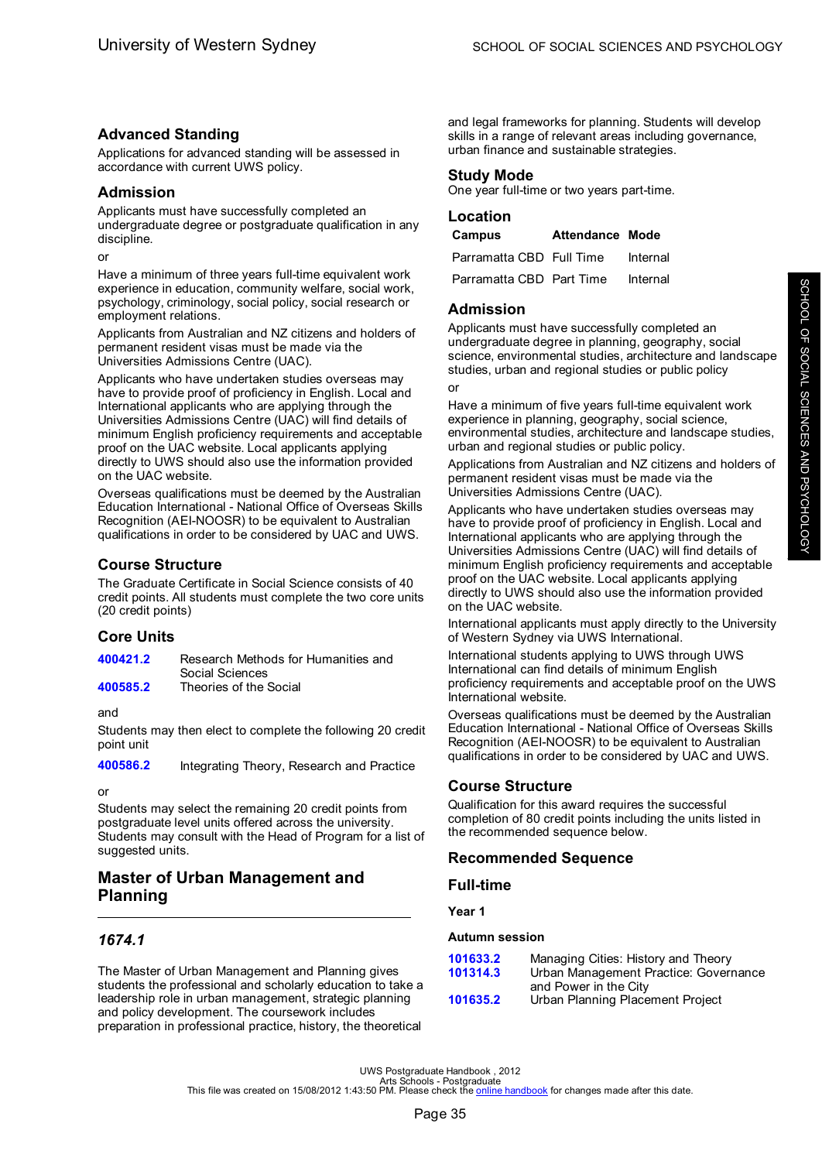# **Advanced Standing**

Applications for advanced standing will be assessed in accordance with current UWS policy.

## **Admission**

Applicants must have successfully completed an undergraduate degree or postgraduate qualification in any discipline.

or

Have a minimum of three years full-time equivalent work experience in education, community welfare, social work, psychology, criminology, social policy, social research or employment relations.

Applicants from Australian and NZ citizens and holders of permanent resident visas must be made via the Universities Admissions Centre (UAC).

Applicants who have undertaken studies overseas may have to provide proof of proficiency in English. Local and International applicants who are applying through the Universities Admissions Centre (UAC) will find details of minimum English proficiency requirements and acceptable proof on the UAC website. Local applicants applying directly to UWS should also use the information provided on the UAC website.

Overseas qualifications must be deemed by the Australian Education International - National Office of Overseas Skills Recognition (AEI-NOOSR) to be equivalent to Australian qualifications in order to be considered by UAC and UWS.

# **Course Structure**

The Graduate Certificate in Social Science consists of 40 credit points. All students must complete the two core units (20 credit points)

# **Core Units**

| 400421.2 | Research Methods for Humanities and |
|----------|-------------------------------------|
|          | Social Sciences                     |
| 400585.2 | Theories of the Social              |

and

Students may then elect to complete the following 20 credit point unit

**[400586.2](#page-57-0)** Integrating Theory, Research and Practice

or

Students may select the remaining 20 credit points from postgraduate level units offered across the university. Students may consult with the Head of Program for a list of suggested units.

# **Master of Urban Management and Planning**

# *1674.1*

The Master of Urban Management and Planning gives students the professional and scholarly education to take a leadership role in urban management, strategic planning and policy development. The coursework includes preparation in professional practice, history, the theoretical

and legal frameworks for planning. Students will develop skills in a range of relevant areas including governance, urban finance and sustainable strategies.

# **Study Mode**

One year full-time or two years part-time.

# **Location**

| Campus                   | Attendance Mode |          |
|--------------------------|-----------------|----------|
| Parramatta CBD Full Time |                 | Internal |
| Parramatta CBD Part Time |                 | Internal |

# **Admission**

Applicants must have successfully completed an undergraduate degree in planning, geography, social science, environmental studies, architecture and landscape studies, urban and regional studies or public policy or

Have a minimum of five years full-time equivalent work experience in planning, geography, social science, environmental studies, architecture and landscape studies, urban and regional studies or public policy.

Applications from Australian and NZ citizens and holders of permanent resident visas must be made via the Universities Admissions Centre (UAC).

Applicants who have undertaken studies overseas may have to provide proof of proficiency in English. Local and International applicants who are applying through the Universities Admissions Centre (UAC) will find details of minimum English proficiency requirements and acceptable proof on the UAC website. Local applicants applying directly to UWS should also use the information provided on the UAC website.

International applicants must apply directly to the University of Western Sydney via UWS International.

International students applying to UWS through UWS International can find details of minimum English proficiency requirements and acceptable proof on the UWS International website.

Overseas qualifications must be deemed by the Australian Education International - National Office of Overseas Skills Recognition (AEI-NOOSR) to be equivalent to Australian qualifications in order to be considered by UAC and UWS.

# **Course Structure**

Qualification for this award requires the successful completion of 80 credit points including the units listed in the recommended sequence below.

# **Recommended Sequence**

**Full-time**

**Year 1**

### **Autumn session**

| 101633.2 | Managing Cities: History and Theory   |
|----------|---------------------------------------|
| 101314.3 | Urban Management Practice: Governance |
|          | and Power in the City                 |
| 101635.2 | Urban Planning Placement Project      |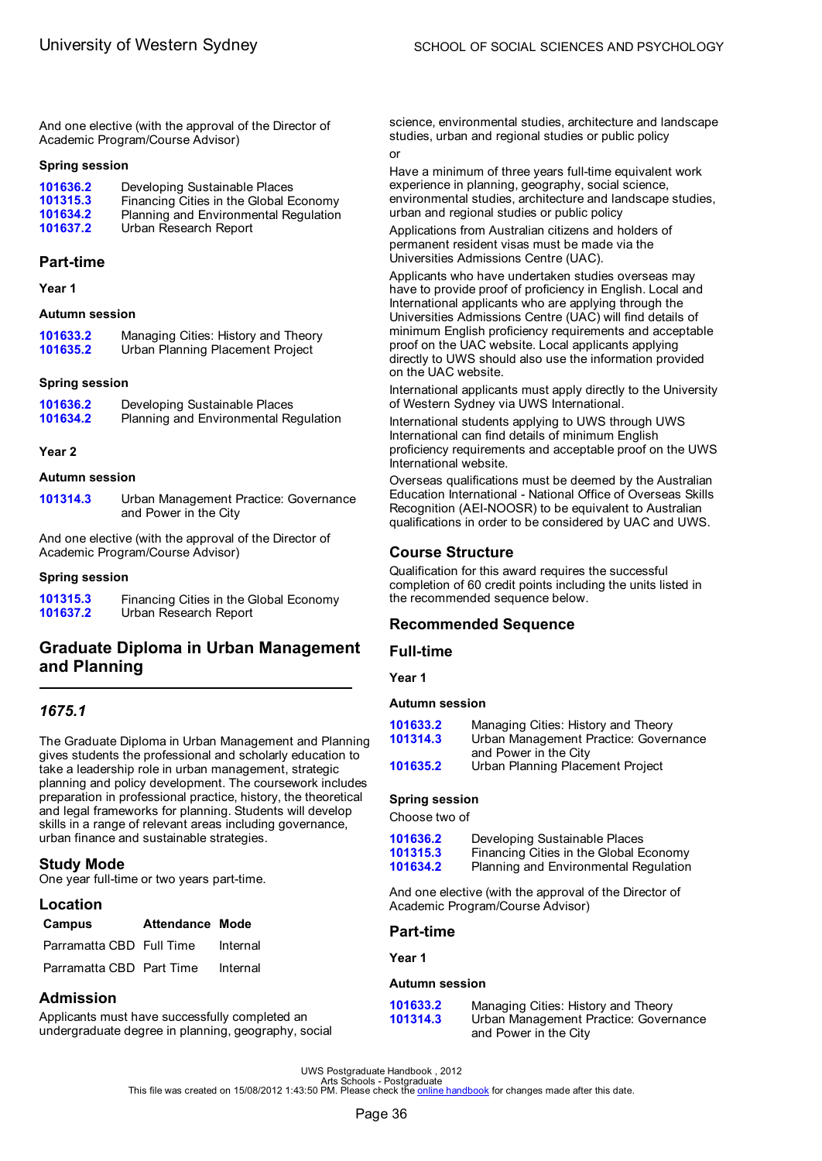And one elective (with the approval of the Director of Academic Program/Course Advisor)

### **Spring session**

| 101636.2 | Developing Sustainable Places          |
|----------|----------------------------------------|
| 101315.3 | Financing Cities in the Global Economy |
| 101634.2 | Planning and Environmental Regulation  |
| 101637.2 | Urban Research Report                  |

### **Part-time**

**Year 1**

### **Autumn session**

| 101633.2 | Managing Cities: History and Theory |
|----------|-------------------------------------|
| 101635.2 | Urban Planning Placement Project    |

### **Spring session**

| 101636.2 | Developing Sustainable Places         |
|----------|---------------------------------------|
| 101634.2 | Planning and Environmental Regulation |

### **Year 2**

### **Autumn session**

| 101314.3 | Urban Management Practice: Governance |
|----------|---------------------------------------|
|          | and Power in the City                 |

And one elective (with the approval of the Director of Academic Program/Course Advisor)

### **Spring session**

| 101315.3 | Financing Cities in the Global Economy |
|----------|----------------------------------------|
| 101637.2 | Urban Research Report                  |

# **Graduate Diploma in Urban Management and Planning**

# *1675.1*

The Graduate Diploma in Urban Management and Planning gives students the professional and scholarly education to take a leadership role in urban management, strategic planning and policy development. The coursework includes preparation in professional practice, history, the theoretical and legal frameworks for planning. Students will develop skills in a range of relevant areas including governance, urban finance and sustainable strategies.

# **Study Mode**

One year full-time or two years part-time.

# **Location**

| Campus                   | Attendance Mode |          |
|--------------------------|-----------------|----------|
| Parramatta CBD Full Time |                 | Internal |
| Parramatta CBD Part Time |                 | Internal |

# **Admission**

Applicants must have successfully completed an undergraduate degree in planning, geography, social science, environmental studies, architecture and landscape studies, urban and regional studies or public policy or

#### Have a minimum of three years full-time equivalent work experience in planning, geography, social science, environmental studies, architecture and landscape studies, urban and regional studies or public policy

Applications from Australian citizens and holders of permanent resident visas must be made via the Universities Admissions Centre (UAC).

Applicants who have undertaken studies overseas may have to provide proof of proficiency in English. Local and International applicants who are applying through the Universities Admissions Centre (UAC) will find details of minimum English proficiency requirements and acceptable proof on the UAC website. Local applicants applying directly to UWS should also use the information provided on the UAC website.

International applicants must apply directly to the University of Western Sydney via UWS International.

International students applying to UWS through UWS International can find details of minimum English proficiency requirements and acceptable proof on the UWS International website.

Overseas qualifications must be deemed by the Australian Education International - National Office of Overseas Skills Recognition (AEI-NOOSR) to be equivalent to Australian qualifications in order to be considered by UAC and UWS.

# **Course Structure**

Qualification for this award requires the successful completion of 60 credit points including the units listed in the recommended sequence below.

# **Recommended Sequence**

### **Full-time**

**Year 1**

### **Autumn session**

| 101633.2 | Managing Cities: History and Theory   |
|----------|---------------------------------------|
| 101314.3 | Urban Management Practice: Governance |
|          | and Power in the City                 |
| 101635.2 | Urban Planning Placement Project      |

### **Spring session**

Choose two of

| 101636.2 | Developing Sustainable Places          |
|----------|----------------------------------------|
| 101315.3 | Financing Cities in the Global Economy |
| 101634.2 | Planning and Environmental Regulation  |

And one elective (with the approval of the Director of Academic Program/Course Advisor)

# **Part-time**

**Year 1**

### **Autumn session**

| 101633.2 | Managing Cities: History and Theory   |
|----------|---------------------------------------|
| 101314.3 | Urban Management Practice: Governance |
|          | and Power in the City                 |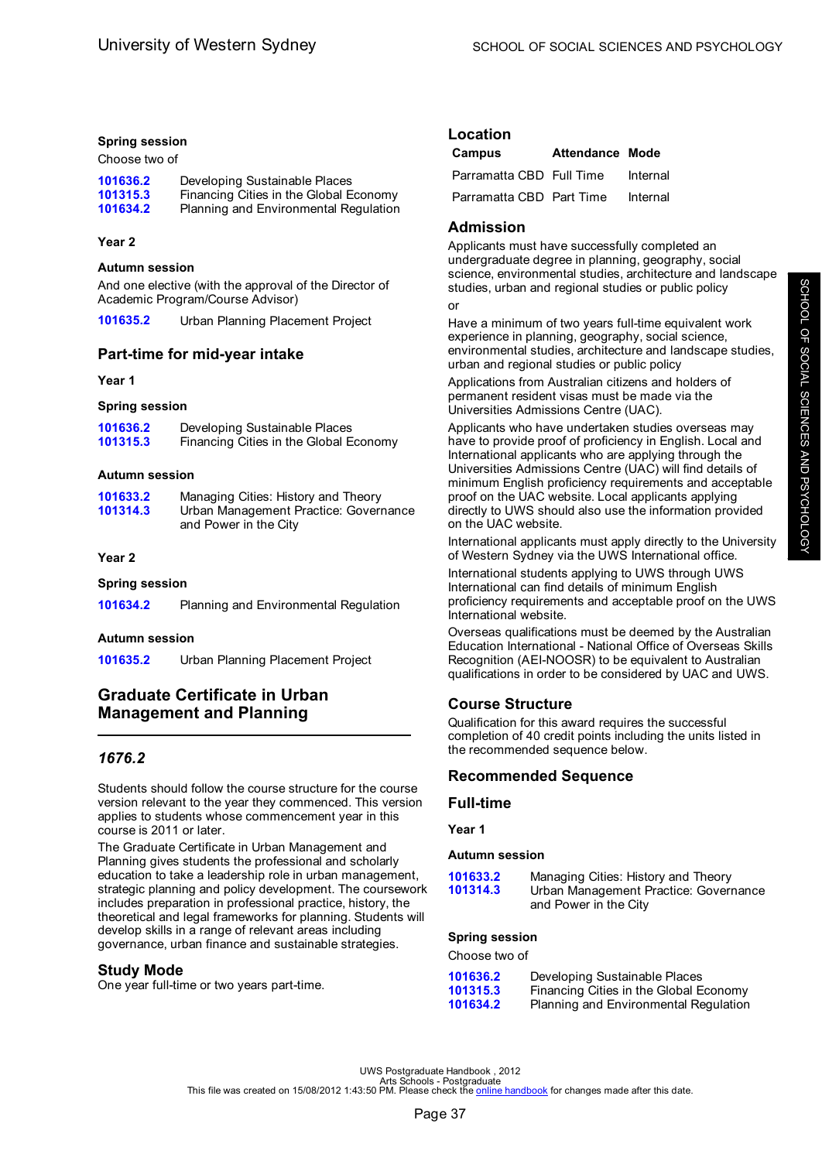### **Spring session**

### Choose two of

| 101636.2 | Developing Sustainable Places          |
|----------|----------------------------------------|
| 101315.3 | Financing Cities in the Global Economy |
| 101634.2 | Planning and Environmental Regulation  |

### **Year 2**

### **Autumn session**

And one elective (with the approval of the Director of Academic Program/Course Advisor)

**[101635.2](#page-75-0)** Urban Planning Placement Project

# **Part-time for mid-year intake**

**Year 1**

### **Spring session**

| 101636.2 | Developing Sustainable Places          |
|----------|----------------------------------------|
| 101315.3 | Financing Cities in the Global Economy |

### **Autumn session**

| 101633.2 | Managing Cities: History and Theory   |
|----------|---------------------------------------|
| 101314.3 | Urban Management Practice: Governance |
|          | and Power in the City                 |

### **Year 2**

### **Spring session**

**[101634.2](#page-64-0)** Planning and Environmental Regulation

### **Autumn session**

**[101635.2](#page-75-0)** Urban Planning Placement Project

# **Graduate Certificate in Urban Management and Planning**

# *1676.2*

Students should follow the course structure for the course version relevant to the year they commenced. This version applies to students whose commencement year in this course is 2011 or later.

The Graduate Certificate in Urban Management and Planning gives students the professional and scholarly education to take a leadership role in urban management, strategic planning and policy development. The coursework includes preparation in professional practice, history, the theoretical and legal frameworks for planning. Students will develop skills in a range of relevant areas including governance, urban finance and sustainable strategies.

### **Study Mode**

One year full-time or two years part-time.

## **Location**

| Campus                   | Attendance Mode |          |
|--------------------------|-----------------|----------|
| Parramatta CBD Full Time |                 | Internal |
| Parramatta CBD Part Time |                 | Internal |

# **Admission**

Applicants must have successfully completed an undergraduate degree in planning, geography, social science, environmental studies, architecture and landscape studies, urban and regional studies or public policy or

Have a minimum of two years full-time equivalent work experience in planning, geography, social science, environmental studies, architecture and landscape studies, urban and regional studies or public policy

Applications from Australian citizens and holders of permanent resident visas must be made via the Universities Admissions Centre (UAC).

Applicants who have undertaken studies overseas may have to provide proof of proficiency in English. Local and International applicants who are applying through the Universities Admissions Centre (UAC) will find details of minimum English proficiency requirements and acceptable proof on the UAC website. Local applicants applying directly to UWS should also use the information provided on the UAC website.

International applicants must apply directly to the University of Western Sydney via the UWS International office.

International students applying to UWS through UWS International can find details of minimum English proficiency requirements and acceptable proof on the UWS International website.

Overseas qualifications must be deemed by the Australian Education International - National Office of Overseas Skills Recognition (AEI-NOOSR) to be equivalent to Australian qualifications in order to be considered by UAC and UWS.

# **Course Structure**

Qualification for this award requires the successful completion of 40 credit points including the units listed in the recommended sequence below.

# **Recommended Sequence**

### **Full-time**

**Year 1**

### **Autumn session**

**[101633.2](#page-60-0)** Managing Cities: History and Theory **[101314.3](#page-74-0)** Urban Management Practice: Governance and Power in the City

### **Spring session**

Choose two of

| 101636.2 | Developing Sustainable Places          |
|----------|----------------------------------------|
| 101315.3 | Financing Cities in the Global Economy |
| 101634.2 | Planning and Environmental Regulation  |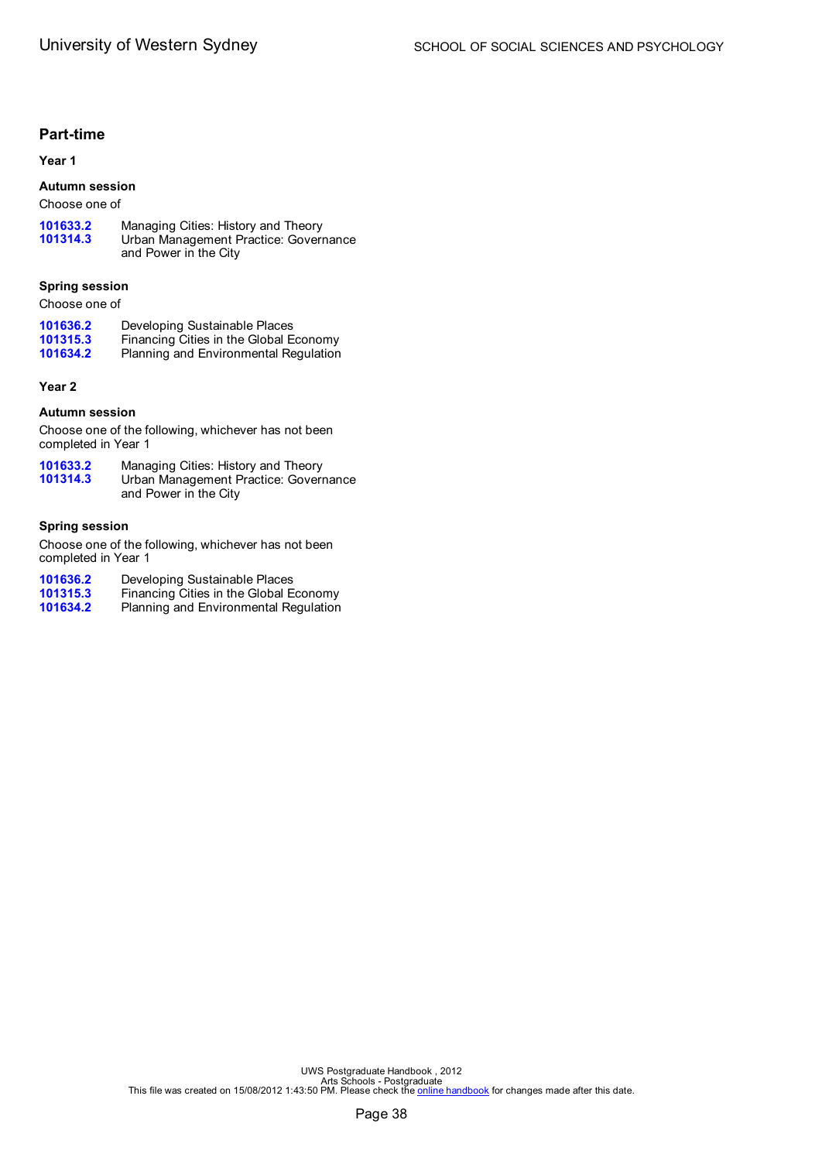# **Part-time**

**Year 1**

### **Autumn session**

Choose one of

| 101633.2 | Managing Cities: History and Theory   |
|----------|---------------------------------------|
| 101314.3 | Urban Management Practice: Governance |
|          | and Power in the City                 |

### **Spring session**

Choose one of

| 101636.2 | Developing Sustainable Places          |
|----------|----------------------------------------|
| 101315.3 | Financing Cities in the Global Economy |
| 101634.2 | Planning and Environmental Regulation  |

### **Year 2**

### **Autumn session**

Choose one of the following, whichever has not been completed in Year 1

| 101633.2 | Managing Cities: History and Theory   |
|----------|---------------------------------------|
| 101314.3 | Urban Management Practice: Governance |
|          | and Power in the City                 |

### **Spring session**

Choose one of the following, whichever has not been completed in Year 1

| 101636.2 | Developing Sustainable Places          |
|----------|----------------------------------------|
| 101315.3 | Financing Cities in the Global Economy |
| 101634.2 | Planning and Environmental Regulation  |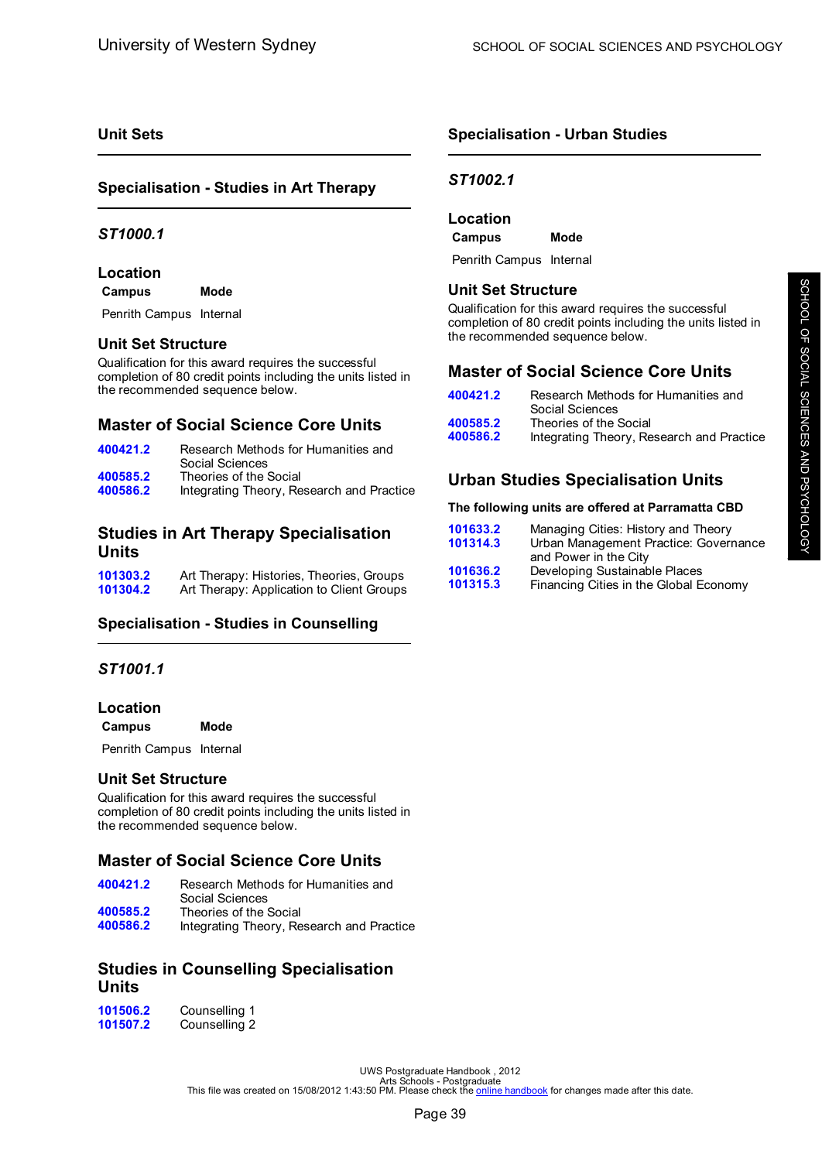# <span id="page-42-0"></span>**Unit Sets**

# **Specialisation - Studies in Art Therapy**

## *ST1000.1*

## **Location**

**Campus Mode**

Penrith Campus Internal

# **Unit Set Structure**

Qualification for this award requires the successful completion of 80 credit points including the units listed in the recommended sequence below.

# **Master of Social Science Core Units**

| 400421.2 | Research Methods for Humanities and<br>Social Sciences |
|----------|--------------------------------------------------------|
| 400585.2 | Theories of the Social                                 |
| 400586.2 | Integrating Theory, Research and Practice              |

# **Studies in Art Therapy Specialisation Units**

**[101303.2](#page-44-0)** Art Therapy: Histories, Theories, Groups Art Therapy: Application to Client Groups

# **Specialisation - Studies in Counselling**

# *ST1001.1*

### **Location**

| Campus | Mode |
|--------|------|
|        |      |

Penrith Campus Internal

# **Unit Set Structure**

Qualification for this award requires the successful completion of 80 credit points including the units listed in the recommended sequence below.

# **Master of Social Science Core Units**

| 400421.2 | Research Methods for Humanities and       |
|----------|-------------------------------------------|
|          | Social Sciences                           |
| 400585.2 | Theories of the Social                    |
| 400586.2 | Integrating Theory, Research and Practice |

# **Studies in Counselling Specialisation Units**

**[101506.2](#page-49-0)** Counselling 1 **[101507.2](#page-49-0)** Counselling 2

# **Specialisation - Urban Studies**

# *ST1002.1*

# **Location**

**Campus Mode**

Penrith Campus Internal

## **Unit Set Structure**

Qualification for this award requires the successful completion of 80 credit points including the units listed in the recommended sequence below.

# **Master of Social Science Core Units**

| 400421.2 | Research Methods for Humanities and       |
|----------|-------------------------------------------|
|          | Social Sciences                           |
| 400585.2 | Theories of the Social                    |
| 400586.2 | Integrating Theory, Research and Practice |

# **Urban Studies Specialisation Units**

### **The following units are offered at Parramatta CBD**

| 101633.2 | Managing Cities: History and Theory    |
|----------|----------------------------------------|
| 101314.3 | Urban Management Practice: Governance  |
|          | and Power in the City                  |
| 101636.2 | Developing Sustainable Places          |
| 101315.3 | Financing Cities in the Global Economy |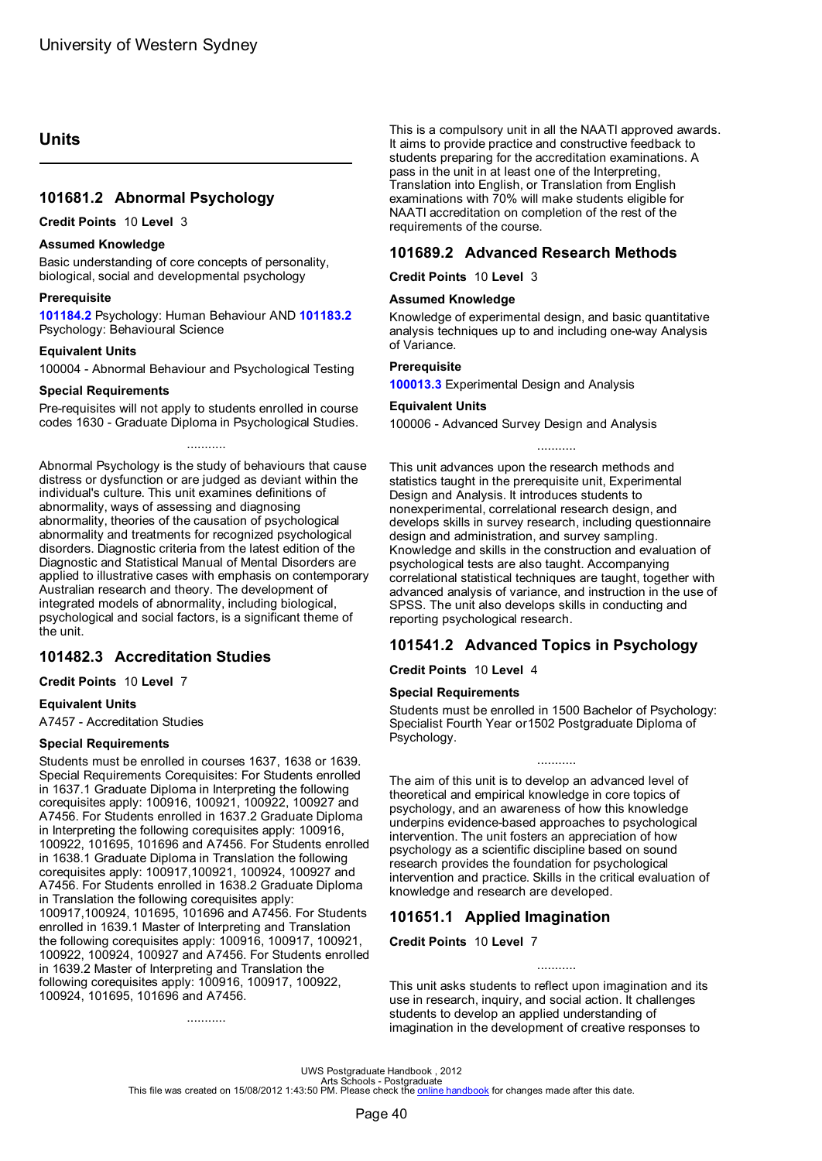# <span id="page-43-0"></span>**Units**

# **101681.2 Abnormal Psychology**

### **Credit Points** 10 **Level** 3

### **Assumed Knowledge**

Basic understanding of core concepts of personality, biological, social and developmental psychology

### **Prerequisite**

**[101184.2](#page-70-0)** Psychology: Human Behaviour AND **101183.2** Psychology: Behavioural Science

### **Equivalent Units**

100004 - Abnormal Behaviour and Psychological Testing

### **Special Requirements**

Pre-requisites will not apply to students enrolled in course codes 1630 - Graduate Diploma in Psychological Studies.

...........

Abnormal Psychology is the study of behaviours that cause distress or dysfunction or are judged as deviant within the individual's culture. This unit examines definitions of abnormality, ways of assessing and diagnosing abnormality, theories of the causation of psychological abnormality and treatments for recognized psychological disorders. Diagnostic criteria from the latest edition of the Diagnostic and Statistical Manual of Mental Disorders are applied to illustrative cases with emphasis on contemporary Australian research and theory. The development of integrated models of abnormality, including biological, psychological and social factors, is a significant theme of the unit.

# **101482.3 Accreditation Studies**

### **Credit Points** 10 **Level** 7

### **Equivalent Units**

A7457 - Accreditation Studies

### **Special Requirements**

Students must be enrolled in courses 1637, 1638 or 1639. Special Requirements Corequisites: For Students enrolled in 1637.1 Graduate Diploma in Interpreting the following corequisites apply: 100916, 100921, 100922, 100927 and A7456. For Students enrolled in 1637.2 Graduate Diploma in Interpreting the following corequisites apply: 100916, 100922, 101695, 101696 and A7456. For Students enrolled in 1638.1 Graduate Diploma in Translation the following corequisites apply: 100917,100921, 100924, 100927 and A7456. For Students enrolled in 1638.2 Graduate Diploma in Translation the following corequisites apply: 100917,100924, 101695, 101696 and A7456. For Students enrolled in 1639.1 Master of Interpreting and Translation the following corequisites apply: 100916, 100917, 100921, 100922, 100924, 100927 and A7456. For Students enrolled in 1639.2 Master of Interpreting and Translation the following corequisites apply: 100916, 100917, 100922, 100924, 101695, 101696 and A7456.

...........

This is a compulsory unit in all the NAATI approved awards. It aims to provide practice and constructive feedback to students preparing for the accreditation examinations. A pass in the unit in at least one of the Interpreting, Translation into English, or Translation from English examinations with 70% will make students eligible for NAATI accreditation on completion of the rest of the requirements of the course.

# **101689.2 Advanced Research Methods**

### **Credit Points** 10 **Level** 3

### **Assumed Knowledge**

Knowledge of experimental design, and basic quantitative analysis techniques up to and including one-way Analysis of Variance.

### **Prerequisite**

**[100013.3](#page-54-0)** Experimental Design and Analysis

### **Equivalent Units**

100006 - Advanced Survey Design and Analysis

This unit advances upon the research methods and statistics taught in the prerequisite unit, Experimental Design and Analysis. It introduces students to nonexperimental, correlational research design, and develops skills in survey research, including questionnaire design and administration, and survey sampling. Knowledge and skills in the construction and evaluation of psychological tests are also taught. Accompanying correlational statistical techniques are taught, together with advanced analysis of variance, and instruction in the use of SPSS. The unit also develops skills in conducting and reporting psychological research.

...........

# **101541.2 Advanced Topics in Psychology**

**Credit Points** 10 **Level** 4

### **Special Requirements**

Students must be enrolled in 1500 Bachelor of Psychology: Specialist Fourth Year or1502 Postgraduate Diploma of Psychology.

...........

The aim of this unit is to develop an advanced level of theoretical and empirical knowledge in core topics of psychology, and an awareness of how this knowledge underpins evidence-based approaches to psychological intervention. The unit fosters an appreciation of how psychology as a scientific discipline based on sound research provides the foundation for psychological intervention and practice. Skills in the critical evaluation of knowledge and research are developed.

# **101651.1 Applied Imagination**

**Credit Points** 10 **Level** 7

This unit asks students to reflect upon imagination and its use in research, inquiry, and social action. It challenges students to develop an applied understanding of imagination in the development of creative responses to

...........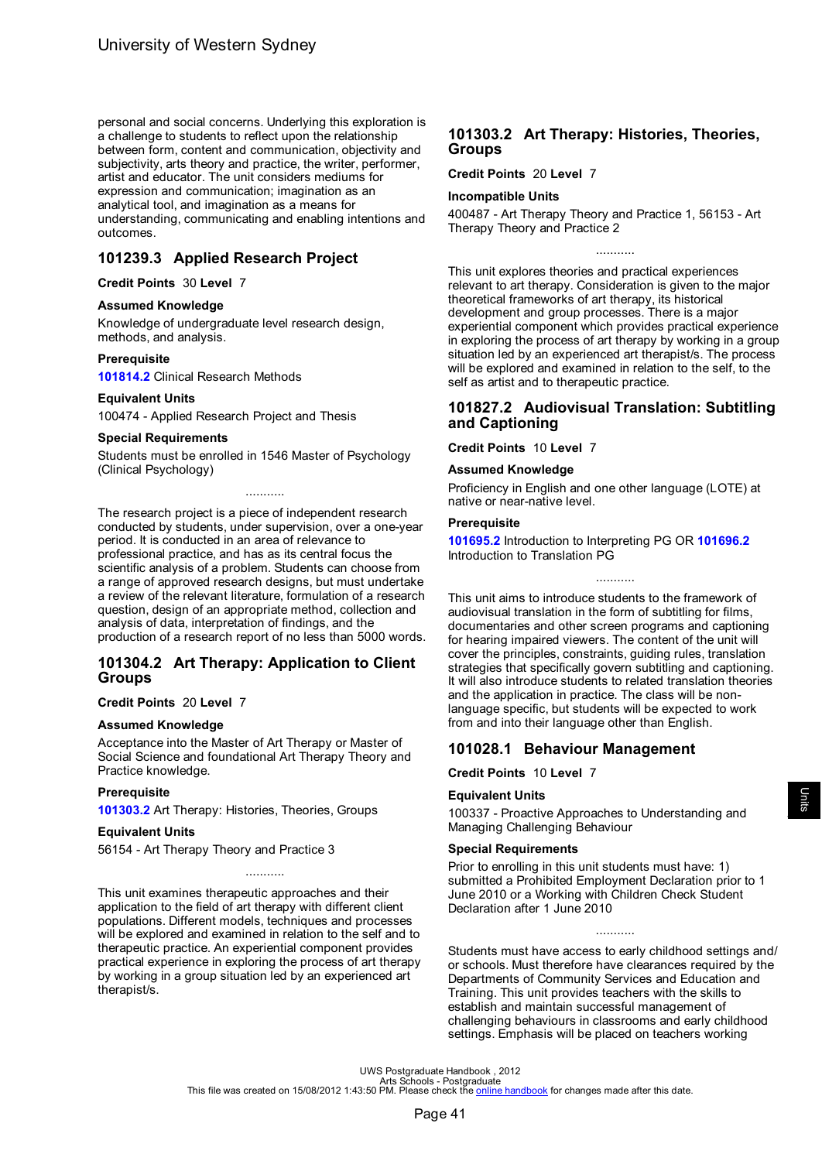<span id="page-44-0"></span>personal and social concerns. Underlying this exploration is a challenge to students to reflect upon the relationship between form, content and communication, objectivity and subjectivity, arts theory and practice, the writer, performer, artist and educator. The unit considers mediums for expression and communication; imagination as an analytical tool, and imagination as a means for understanding, communicating and enabling intentions and outcomes.

# **101239.3 Applied Research Project**

**Credit Points** 30 **Level** 7

### **Assumed Knowledge**

Knowledge of undergraduate level research design, methods, and analysis.

### **Prerequisite**

**[101814.2](#page-47-0)** Clinical Research Methods

### **Equivalent Units**

100474 - Applied Research Project and Thesis

### **Special Requirements**

Students must be enrolled in 1546 Master of Psychology (Clinical Psychology)

...........

The research project is a piece of independent research conducted by students, under supervision, over a one-year period. It is conducted in an area of relevance to professional practice, and has as its central focus the scientific analysis of a problem. Students can choose from a range of approved research designs, but must undertake a review of the relevant literature, formulation of a research question, design of an appropriate method, collection and analysis of data, interpretation of findings, and the production of a research report of no less than 5000 words.

# **101304.2 Art Therapy: Application to Client Groups**

### **Credit Points** 20 **Level** 7

### **Assumed Knowledge**

Acceptance into the Master of Art Therapy or Master of Social Science and foundational Art Therapy Theory and Practice knowledge.

### **Prerequisite**

**101303.2** Art Therapy: Histories, Theories, Groups

### **Equivalent Units**

56154 - Art Therapy Theory and Practice 3

This unit examines therapeutic approaches and their application to the field of art therapy with different client populations. Different models, techniques and processes will be explored and examined in relation to the self and to therapeutic practice. An experiential component provides practical experience in exploring the process of art therapy by working in a group situation led by an experienced art therapist/s.

...........

# **101303.2 Art Therapy: Histories, Theories, Groups**

**Credit Points** 20 **Level** 7

### **Incompatible Units**

400487 - Art Therapy Theory and Practice 1, 56153 - Art Therapy Theory and Practice 2

...........

This unit explores theories and practical experiences relevant to art therapy. Consideration is given to the major theoretical frameworks of art therapy, its historical development and group processes. There is a major experiential component which provides practical experience in exploring the process of art therapy by working in a group situation led by an experienced art therapist/s. The process will be explored and examined in relation to the self, to the self as artist and to therapeutic practice.

### **101827.2 Audiovisual Translation: Subtitling and Captioning**

**Credit Points** 10 **Level** 7

### **Assumed Knowledge**

Proficiency in English and one other language (LOTE) at native or near-native level.

#### **Prerequisite**

**[101695.2](#page-58-0)** Introduction to Interpreting PG OR **[101696.2](#page-58-0)** Introduction to Translation PG

This unit aims to introduce students to the framework of audiovisual translation in the form of subtitling for films, documentaries and other screen programs and captioning for hearing impaired viewers. The content of the unit will cover the principles, constraints, guiding rules, translation strategies that specifically govern subtitling and captioning. It will also introduce students to related translation theories and the application in practice. The class will be nonlanguage specific, but students will be expected to work from and into their language other than English.

...........

# **101028.1 Behaviour Management**

### **Credit Points** 10 **Level** 7

### **Equivalent Units**

100337 - Proactive Approaches to Understanding and Managing Challenging Behaviour

### **Special Requirements**

Prior to enrolling in this unit students must have: 1) submitted a Prohibited Employment Declaration prior to 1 June 2010 or a Working with Children Check Student Declaration after 1 June 2010

Students must have access to early childhood settings and/ or schools. Must therefore have clearances required by the Departments of Community Services and Education and Training. This unit provides teachers with the skills to establish and maintain successful management of challenging behaviours in classrooms and early childhood settings. Emphasis will be placed on teachers working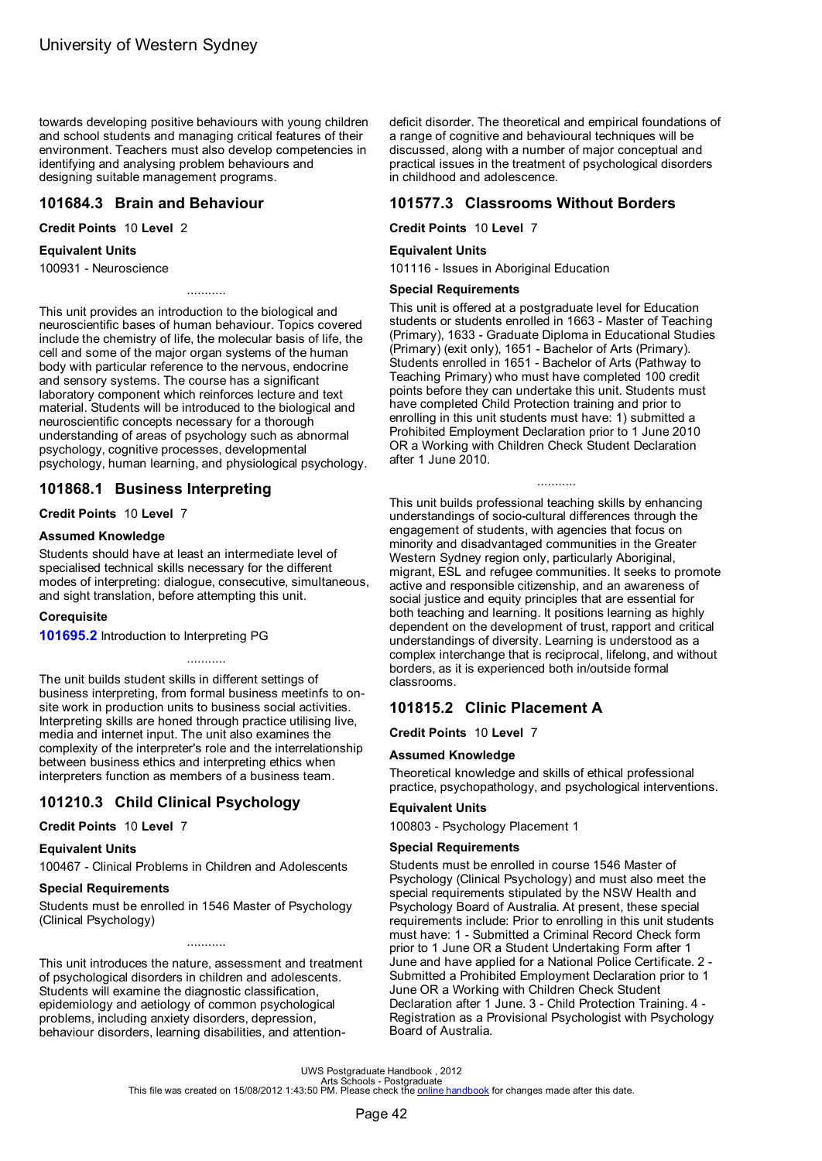<span id="page-45-0"></span>towards developing positive behaviours with young children and school students and managing critical features of their environment. Teachers must also develop competencies in identifying and analysing problem behaviours and designing suitable management programs.

## **101684.3 Brain and Behaviour**

#### **Credit Points** 10 **Level** 2

#### **Equivalent Units**

100931 - Neuroscience

This unit provides an introduction to the biological and neuroscientific bases of human behaviour. Topics covered include the chemistry of life, the molecular basis of life, the cell and some of the major organ systems of the human body with particular reference to the nervous, endocrine and sensory systems. The course has a significant laboratory component which reinforces lecture and text material. Students will be introduced to the biological and neuroscientific concepts necessary for a thorough understanding of areas of psychology such as abnormal psychology, cognitive processes, developmental psychology, human learning, and physiological psychology.

...........

# **101868.1 Business Interpreting**

**Credit Points** 10 **Level** 7

### **Assumed Knowledge**

Students should have at least an intermediate level of specialised technical skills necessary for the different modes of interpreting: dialogue, consecutive, simultaneous, and sight translation, before attempting this unit.

### **Corequisite**

**[101695.2](#page-58-0)** Introduction to Interpreting PG

The unit builds student skills in different settings of business interpreting, from formal business meetinfs to onsite work in production units to business social activities. Interpreting skills are honed through practice utilising live, media and internet input. The unit also examines the complexity of the interpreter's role and the interrelationship between business ethics and interpreting ethics when interpreters function as members of a business team.

...........

# **101210.3 Child Clinical Psychology**

**Credit Points** 10 **Level** 7

### **Equivalent Units**

100467 - Clinical Problems in Children and Adolescents

### **Special Requirements**

Students must be enrolled in 1546 Master of Psychology (Clinical Psychology)

...........

This unit introduces the nature, assessment and treatment of psychological disorders in children and adolescents. Students will examine the diagnostic classification, epidemiology and aetiology of common psychological problems, including anxiety disorders, depression, behaviour disorders, learning disabilities, and attentiondeficit disorder. The theoretical and empirical foundations of a range of cognitive and behavioural techniques will be discussed, along with a number of major conceptual and practical issues in the treatment of psychological disorders in childhood and adolescence.

### **101577.3 Classrooms Without Borders**

**Credit Points** 10 **Level** 7

#### **Equivalent Units**

101116 - Issues in Aboriginal Education

#### **Special Requirements**

This unit is offered at a postgraduate level for Education students or students enrolled in 1663 - Master of Teaching (Primary), 1633 - Graduate Diploma in Educational Studies (Primary) (exit only), 1651 - Bachelor of Arts (Primary). Students enrolled in 1651 - Bachelor of Arts (Pathway to Teaching Primary) who must have completed 100 credit points before they can undertake this unit. Students must have completed Child Protection training and prior to enrolling in this unit students must have: 1) submitted a Prohibited Employment Declaration prior to 1 June 2010 OR a Working with Children Check Student Declaration after 1 June 2010.

This unit builds professional teaching skills by enhancing understandings of socio-cultural differences through the engagement of students, with agencies that focus on minority and disadvantaged communities in the Greater Western Sydney region only, particularly Aboriginal, migrant, ESL and refugee communities. It seeks to promote active and responsible citizenship, and an awareness of social justice and equity principles that are essential for both teaching and learning. It positions learning as highly dependent on the development of trust, rapport and critical understandings of diversity. Learning is understood as a complex interchange that is reciprocal, lifelong, and without borders, as it is experienced both in/outside formal classrooms.

# **101815.2 Clinic Placement A**

**Credit Points** 10 **Level** 7

### **Assumed Knowledge**

Theoretical knowledge and skills of ethical professional practice, psychopathology, and psychological interventions.

### **Equivalent Units**

100803 - Psychology Placement 1

### **Special Requirements**

Students must be enrolled in course 1546 Master of Psychology (Clinical Psychology) and must also meet the special requirements stipulated by the NSW Health and Psychology Board of Australia. At present, these special requirements include: Prior to enrolling in this unit students must have: 1 - Submitted a Criminal Record Check form prior to 1 June OR a Student Undertaking Form after 1 June and have applied for a National Police Certificate. 2 - Submitted a Prohibited Employment Declaration prior to 1 June OR a Working with Children Check Student Declaration after 1 June. 3 - Child Protection Training. 4 - Registration as a Provisional Psychologist with Psychology Board of Australia.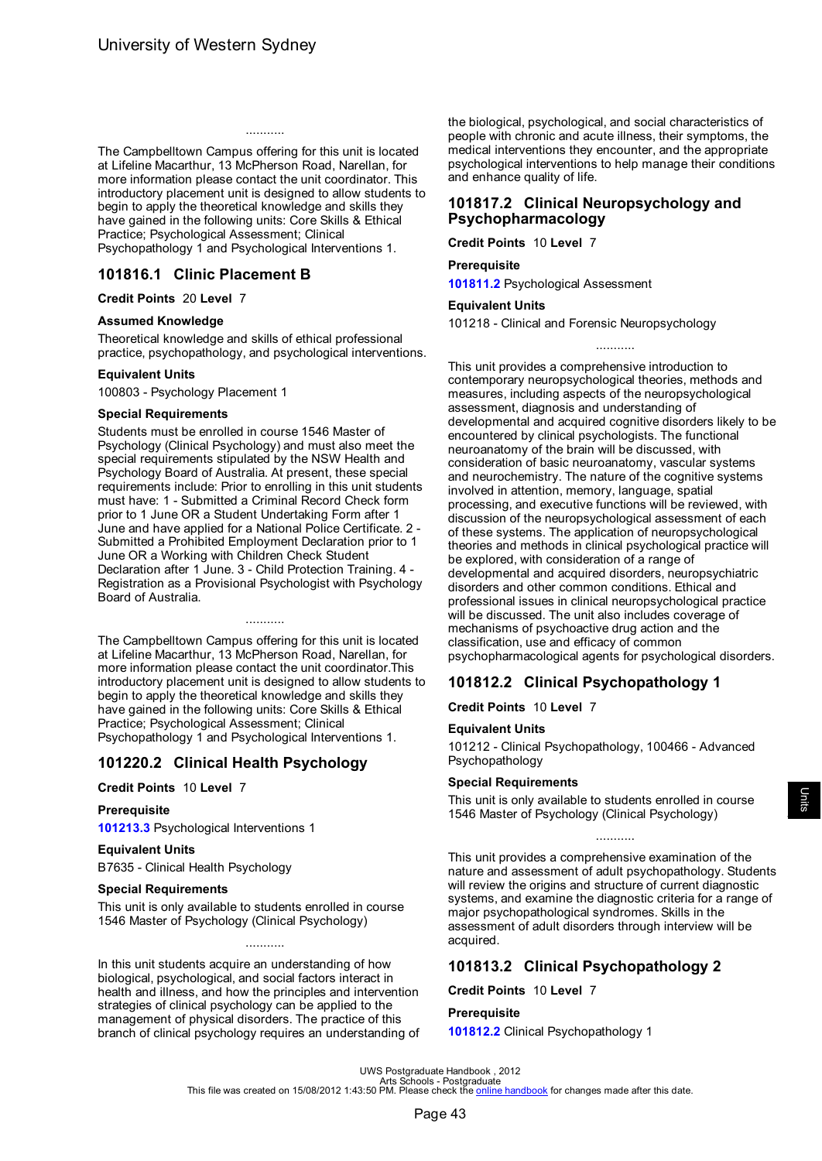<span id="page-46-0"></span>The Campbelltown Campus offering for this unit is located at Lifeline Macarthur, 13 McPherson Road, Narellan, for more information please contact the unit coordinator. This introductory placement unit is designed to allow students to begin to apply the theoretical knowledge and skills they have gained in the following units: Core Skills & Ethical Practice; Psychological Assessment; Clinical Psychopathology 1 and Psychological Interventions 1.

...........

# **101816.1 Clinic Placement B**

**Credit Points** 20 **Level** 7

### **Assumed Knowledge**

Theoretical knowledge and skills of ethical professional practice, psychopathology, and psychological interventions.

### **Equivalent Units**

100803 - Psychology Placement 1

### **Special Requirements**

Students must be enrolled in course 1546 Master of Psychology (Clinical Psychology) and must also meet the special requirements stipulated by the NSW Health and Psychology Board of Australia. At present, these special requirements include: Prior to enrolling in this unit students must have: 1 - Submitted a Criminal Record Check form prior to 1 June OR a Student Undertaking Form after 1 June and have applied for a National Police Certificate. 2 - Submitted a Prohibited Employment Declaration prior to 1 June OR a Working with Children Check Student Declaration after 1 June. 3 - Child Protection Training. 4 - Registration as a Provisional Psychologist with Psychology Board of Australia.

The Campbelltown Campus offering for this unit is located at Lifeline Macarthur, 13 McPherson Road, Narellan, for more information please contact the unit coordinator.This introductory placement unit is designed to allow students to begin to apply the theoretical knowledge and skills they have gained in the following units: Core Skills & Ethical Practice; Psychological Assessment; Clinical Psychopathology 1 and Psychological Interventions 1.

...........

# **101220.2 Clinical Health Psychology**

**Credit Points** 10 **Level** 7

### **Prerequisite**

**[101213.3](#page-69-0)** Psychological Interventions 1

### **Equivalent Units**

B7635 - Clinical Health Psychology

### **Special Requirements**

This unit is only available to students enrolled in course 1546 Master of Psychology (Clinical Psychology)

In this unit students acquire an understanding of how biological, psychological, and social factors interact in health and illness, and how the principles and intervention strategies of clinical psychology can be applied to the management of physical disorders. The practice of this branch of clinical psychology requires an understanding of

...........

the biological, psychological, and social characteristics of people with chronic and acute illness, their symptoms, the medical interventions they encounter, and the appropriate psychological interventions to help manage their conditions and enhance quality of life.

### **101817.2 Clinical Neuropsychology and Psychopharmacology**

**Credit Points** 10 **Level** 7

**Prerequisite**

**[101811.2](#page-69-0)** Psychological Assessment

### **Equivalent Units**

101218 - Clinical and Forensic Neuropsychology

...........

This unit provides a comprehensive introduction to contemporary neuropsychological theories, methods and measures, including aspects of the neuropsychological assessment, diagnosis and understanding of developmental and acquired cognitive disorders likely to be encountered by clinical psychologists. The functional neuroanatomy of the brain will be discussed, with consideration of basic neuroanatomy, vascular systems and neurochemistry. The nature of the cognitive systems involved in attention, memory, language, spatial processing, and executive functions will be reviewed, with discussion of the neuropsychological assessment of each of these systems. The application of neuropsychological theories and methods in clinical psychological practice will be explored, with consideration of a range of developmental and acquired disorders, neuropsychiatric disorders and other common conditions. Ethical and professional issues in clinical neuropsychological practice will be discussed. The unit also includes coverage of mechanisms of psychoactive drug action and the classification, use and efficacy of common psychopharmacological agents for psychological disorders.

# **101812.2 Clinical Psychopathology 1**

### **Credit Points** 10 **Level** 7

### **Equivalent Units**

101212 - Clinical Psychopathology, 100466 - Advanced Psychopathology

### **Special Requirements**

This unit is only available to students enrolled in course 1546 Master of Psychology (Clinical Psychology)

This unit provides a comprehensive examination of the nature and assessment of adult psychopathology. Students will review the origins and structure of current diagnostic systems, and examine the diagnostic criteria for a range of major psychopathological syndromes. Skills in the assessment of adult disorders through interview will be acquired.

...........

# **101813.2 Clinical Psychopathology 2**

**Credit Points** 10 **Level** 7

**Prerequisite**

**101812.2** Clinical Psychopathology 1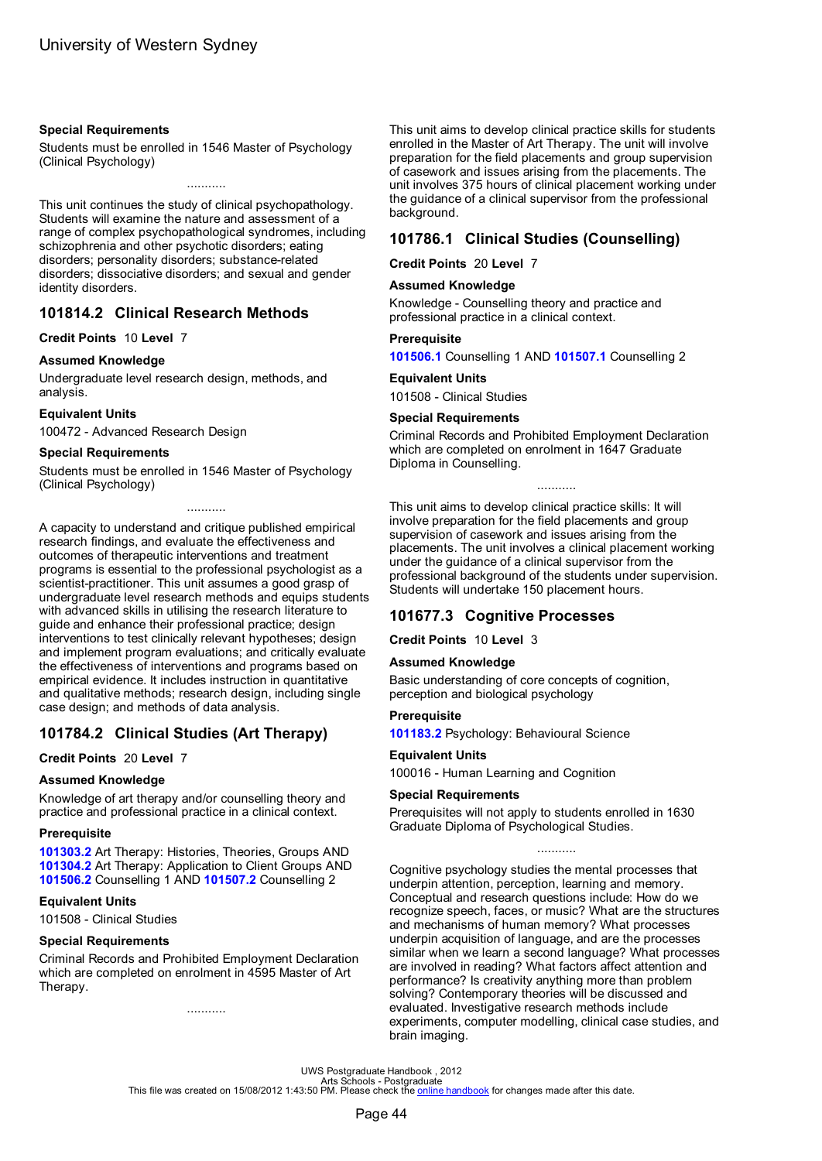### <span id="page-47-0"></span>**Special Requirements**

Students must be enrolled in 1546 Master of Psychology (Clinical Psychology)

This unit continues the study of clinical psychopathology. Students will examine the nature and assessment of a range of complex psychopathological syndromes, including schizophrenia and other psychotic disorders; eating disorders; personality disorders; substance-related disorders; dissociative disorders; and sexual and gender identity disorders.

...........

# **101814.2 Clinical Research Methods**

**Credit Points** 10 **Level** 7

### **Assumed Knowledge**

Undergraduate level research design, methods, and analysis.

### **Equivalent Units**

100472 - Advanced Research Design

### **Special Requirements**

Students must be enrolled in 1546 Master of Psychology (Clinical Psychology)

...........

A capacity to understand and critique published empirical research findings, and evaluate the effectiveness and outcomes of therapeutic interventions and treatment programs is essential to the professional psychologist as a scientist-practitioner. This unit assumes a good grasp of undergraduate level research methods and equips students with advanced skills in utilising the research literature to guide and enhance their professional practice; design interventions to test clinically relevant hypotheses; design and implement program evaluations; and critically evaluate the effectiveness of interventions and programs based on empirical evidence. It includes instruction in quantitative and qualitative methods; research design, including single case design; and methods of data analysis.

# **101784.2 Clinical Studies (Art Therapy)**

### **Credit Points** 20 **Level** 7

### **Assumed Knowledge**

Knowledge of art therapy and/or counselling theory and practice and professional practice in a clinical context.

### **Prerequisite**

**[101303.2](#page-44-0)** Art Therapy: Histories, Theories, Groups AND **[101304.2](#page-44-0)** Art Therapy: Application to Client Groups AND **[101506.2](#page-49-0)** Counselling 1 AND **[101507.2](#page-49-0)** Counselling 2

### **Equivalent Units**

101508 - Clinical Studies

### **Special Requirements**

Criminal Records and Prohibited Employment Declaration which are completed on enrolment in 4595 Master of Art Therapy.

...........

This unit aims to develop clinical practice skills for students enrolled in the Master of Art Therapy. The unit will involve preparation for the field placements and group supervision of casework and issues arising from the placements. The unit involves 375 hours of clinical placement working under the guidance of a clinical supervisor from the professional background.

# **101786.1 Clinical Studies (Counselling)**

**Credit Points** 20 **Level** 7

# **Assumed Knowledge**

Knowledge - Counselling theory and practice and professional practice in a clinical context.

### **Prerequisite**

**101506.1** Counselling 1 AND **101507.1** Counselling 2

### **Equivalent Units**

101508 - Clinical Studies

### **Special Requirements**

Criminal Records and Prohibited Employment Declaration which are completed on enrolment in 1647 Graduate Diploma in Counselling.

...........

This unit aims to develop clinical practice skills: It will involve preparation for the field placements and group supervision of casework and issues arising from the placements. The unit involves a clinical placement working under the guidance of a clinical supervisor from the professional background of the students under supervision. Students will undertake 150 placement hours.

# **101677.3 Cognitive Processes**

**Credit Points** 10 **Level** 3

### **Assumed Knowledge**

Basic understanding of core concepts of cognition, perception and biological psychology

### **Prerequisite**

**101183.2** Psychology: Behavioural Science

### **Equivalent Units**

100016 - Human Learning and Cognition

### **Special Requirements**

Prerequisites will not apply to students enrolled in 1630 Graduate Diploma of Psychological Studies.

...........

Cognitive psychology studies the mental processes that underpin attention, perception, learning and memory. Conceptual and research questions include: How do we recognize speech, faces, or music? What are the structures and mechanisms of human memory? What processes underpin acquisition of language, and are the processes similar when we learn a second language? What processes are involved in reading? What factors affect attention and performance? Is creativity anything more than problem solving? Contemporary theories will be discussed and evaluated. Investigative research methods include experiments, computer modelling, clinical case studies, and brain imaging.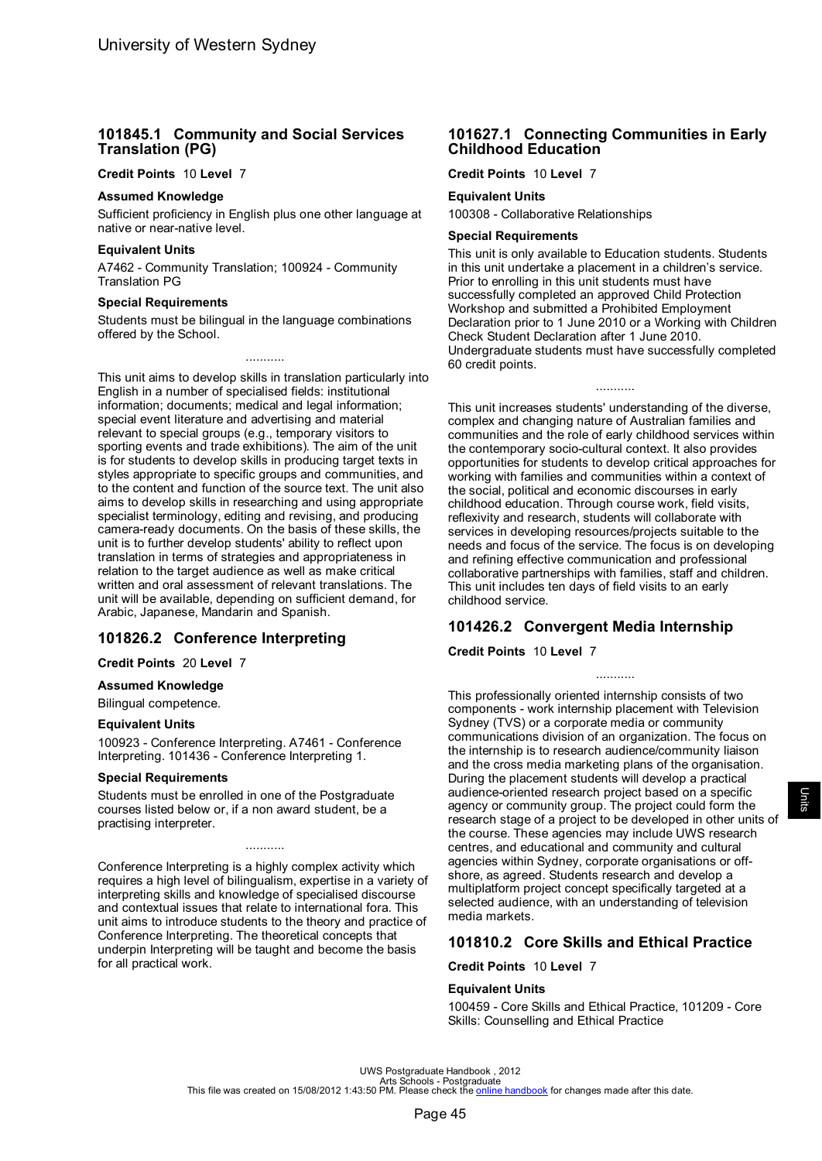# **101845.1 Community and Social Services Translation (PG)**

### **Credit Points** 10 **Level** 7

### **Assumed Knowledge**

Sufficient proficiency in English plus one other language at native or near-native level.

### **Equivalent Units**

A7462 - Community Translation; 100924 - Community Translation PG

### **Special Requirements**

Students must be bilingual in the language combinations offered by the School.

...........

This unit aims to develop skills in translation particularly into English in a number of specialised fields: institutional information; documents; medical and legal information; special event literature and advertising and material relevant to special groups (e.g., temporary visitors to sporting events and trade exhibitions). The aim of the unit is for students to develop skills in producing target texts in styles appropriate to specific groups and communities, and to the content and function of the source text. The unit also aims to develop skills in researching and using appropriate specialist terminology, editing and revising, and producing camera-ready documents. On the basis of these skills, the unit is to further develop students' ability to reflect upon translation in terms of strategies and appropriateness in relation to the target audience as well as make critical written and oral assessment of relevant translations. The unit will be available, depending on sufficient demand, for Arabic, Japanese, Mandarin and Spanish.

# **101826.2 Conference Interpreting**

### **Credit Points** 20 **Level** 7

### **Assumed Knowledge**

Bilingual competence.

### **Equivalent Units**

100923 - Conference Interpreting. A7461 - Conference Interpreting. 101436 - Conference Interpreting 1.

### **Special Requirements**

Students must be enrolled in one of the Postgraduate courses listed below or, if a non award student, be a practising interpreter.

Conference Interpreting is a highly complex activity which requires a high level of bilingualism, expertise in a variety of interpreting skills and knowledge of specialised discourse and contextual issues that relate to international fora. This unit aims to introduce students to the theory and practice of Conference Interpreting. The theoretical concepts that underpin Interpreting will be taught and become the basis for all practical work.

...........

# **101627.1 Connecting Communities in Early Childhood Education**

**Credit Points** 10 **Level** 7

### **Equivalent Units**

100308 - Collaborative Relationships

### **Special Requirements**

This unit is only available to Education students. Students in this unit undertake a placement in a children's service. Prior to enrolling in this unit students must have successfully completed an approved Child Protection Workshop and submitted a Prohibited Employment Declaration prior to 1 June 2010 or a Working with Children Check Student Declaration after 1 June 2010. Undergraduate students must have successfully completed 60 credit points.

...........

This unit increases students' understanding of the diverse, complex and changing nature of Australian families and communities and the role of early childhood services within the contemporary socio-cultural context. It also provides opportunities for students to develop critical approaches for working with families and communities within a context of the social, political and economic discourses in early childhood education. Through course work, field visits, reflexivity and research, students will collaborate with services in developing resources/projects suitable to the needs and focus of the service. The focus is on developing and refining effective communication and professional collaborative partnerships with families, staff and children. This unit includes ten days of field visits to an early childhood service.

# **101426.2 Convergent Media Internship**

### **Credit Points** 10 **Level** 7

This professionally oriented internship consists of two components - work internship placement with Television Sydney (TVS) or a corporate media or community communications division of an organization. The focus on the internship is to research audience/community liaison and the cross media marketing plans of the organisation. During the placement students will develop a practical audience-oriented research project based on a specific agency or community group. The project could form the research stage of a project to be developed in other units of the course. These agencies may include UWS research centres, and educational and community and cultural agencies within Sydney, corporate organisations or offshore, as agreed. Students research and develop a multiplatform project concept specifically targeted at a selected audience, with an understanding of television media markets.

...........

# **101810.2 Core Skills and Ethical Practice**

### **Credit Points** 10 **Level** 7

### **Equivalent Units**

100459 - Core Skills and Ethical Practice, 101209 - Core Skills: Counselling and Ethical Practice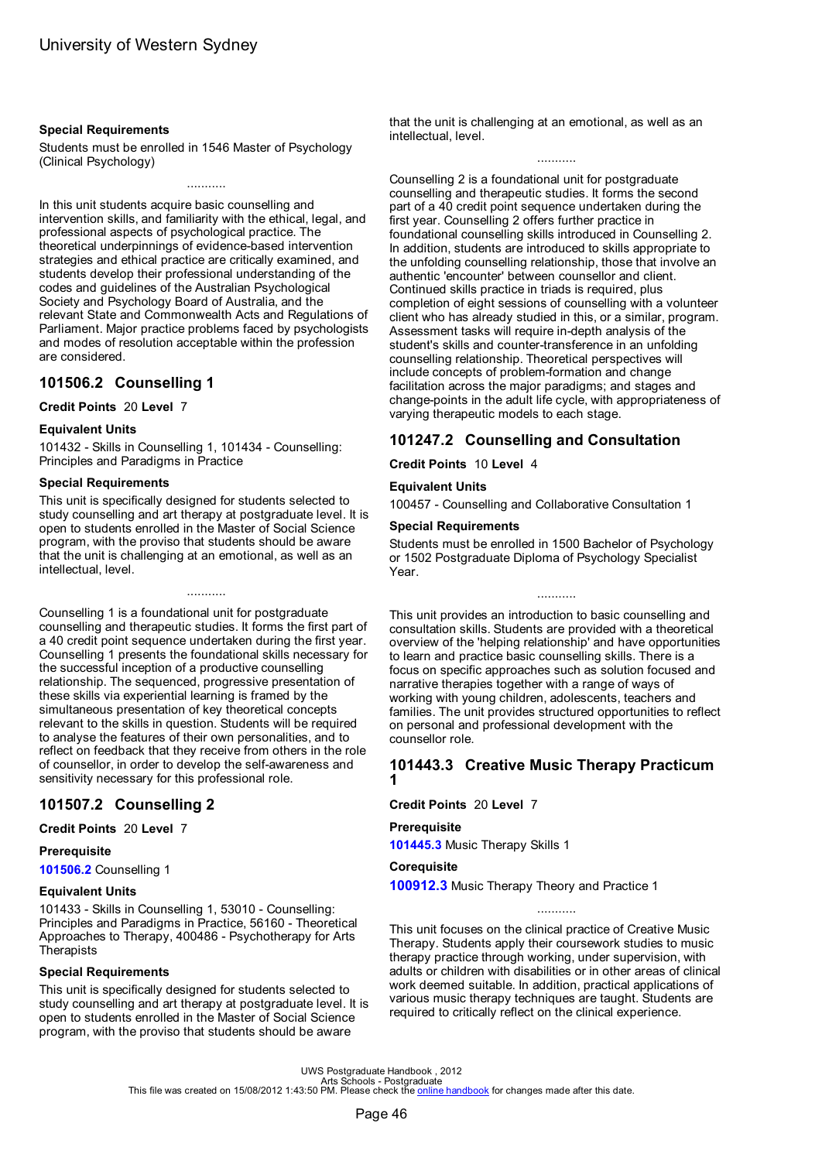### <span id="page-49-0"></span>**Special Requirements**

Students must be enrolled in 1546 Master of Psychology (Clinical Psychology)

...........

In this unit students acquire basic counselling and intervention skills, and familiarity with the ethical, legal, and professional aspects of psychological practice. The theoretical underpinnings of evidence-based intervention strategies and ethical practice are critically examined, and students develop their professional understanding of the codes and guidelines of the Australian Psychological Society and Psychology Board of Australia, and the relevant State and Commonwealth Acts and Regulations of Parliament. Major practice problems faced by psychologists and modes of resolution acceptable within the profession are considered.

# **101506.2 Counselling 1**

**Credit Points** 20 **Level** 7

#### **Equivalent Units**

101432 - Skills in Counselling 1, 101434 - Counselling: Principles and Paradigms in Practice

#### **Special Requirements**

This unit is specifically designed for students selected to study counselling and art therapy at postgraduate level. It is open to students enrolled in the Master of Social Science program, with the proviso that students should be aware that the unit is challenging at an emotional, as well as an intellectual, level.

Counselling 1 is a foundational unit for postgraduate counselling and therapeutic studies. It forms the first part of a 40 credit point sequence undertaken during the first year. Counselling 1 presents the foundational skills necessary for the successful inception of a productive counselling relationship. The sequenced, progressive presentation of these skills via experiential learning is framed by the simultaneous presentation of key theoretical concepts relevant to the skills in question. Students will be required to analyse the features of their own personalities, and to reflect on feedback that they receive from others in the role of counsellor, in order to develop the self-awareness and sensitivity necessary for this professional role.

# **101507.2 Counselling 2**

**Credit Points** 20 **Level** 7

### **Prerequisite**

**101506.2** Counselling 1

### **Equivalent Units**

101433 - Skills in Counselling 1, 53010 - Counselling: Principles and Paradigms in Practice, 56160 - Theoretical Approaches to Therapy, 400486 - Psychotherapy for Arts **Therapists** 

#### **Special Requirements**

This unit is specifically designed for students selected to study counselling and art therapy at postgraduate level. It is open to students enrolled in the Master of Social Science program, with the proviso that students should be aware

that the unit is challenging at an emotional, as well as an intellectual, level.

#### ...........

Counselling 2 is a foundational unit for postgraduate counselling and therapeutic studies. It forms the second part of a 40 credit point sequence undertaken during the first year. Counselling 2 offers further practice in foundational counselling skills introduced in Counselling 2. In addition, students are introduced to skills appropriate to the unfolding counselling relationship, those that involve an authentic 'encounter' between counsellor and client. Continued skills practice in triads is required, plus completion of eight sessions of counselling with a volunteer client who has already studied in this, or a similar, program. Assessment tasks will require in-depth analysis of the student's skills and counter-transference in an unfolding counselling relationship. Theoretical perspectives will include concepts of problem-formation and change facilitation across the major paradigms; and stages and change-points in the adult life cycle, with appropriateness of varying therapeutic models to each stage.

### **101247.2 Counselling and Consultation**

**Credit Points** 10 **Level** 4

#### **Equivalent Units**

100457 - Counselling and Collaborative Consultation 1

#### **Special Requirements**

Students must be enrolled in 1500 Bachelor of Psychology or 1502 Postgraduate Diploma of Psychology Specialist Year.

...........

This unit provides an introduction to basic counselling and consultation skills. Students are provided with a theoretical overview of the 'helping relationship' and have opportunities to learn and practice basic counselling skills. There is a focus on specific approaches such as solution focused and narrative therapies together with a range of ways of working with young children, adolescents, teachers and families. The unit provides structured opportunities to reflect on personal and professional development with the counsellor role.

### **101443.3 Creative Music Therapy Practicum 1**

**Credit Points** 20 **Level** 7

#### **Prerequisite**

**[101445.3](#page-62-0)** Music Therapy Skills 1

### **Corequisite**

**[100912.3](#page-63-0)** Music Therapy Theory and Practice 1

This unit focuses on the clinical practice of Creative Music Therapy. Students apply their coursework studies to music therapy practice through working, under supervision, with adults or children with disabilities or in other areas of clinical work deemed suitable. In addition, practical applications of various music therapy techniques are taught. Students are required to critically reflect on the clinical experience.

...........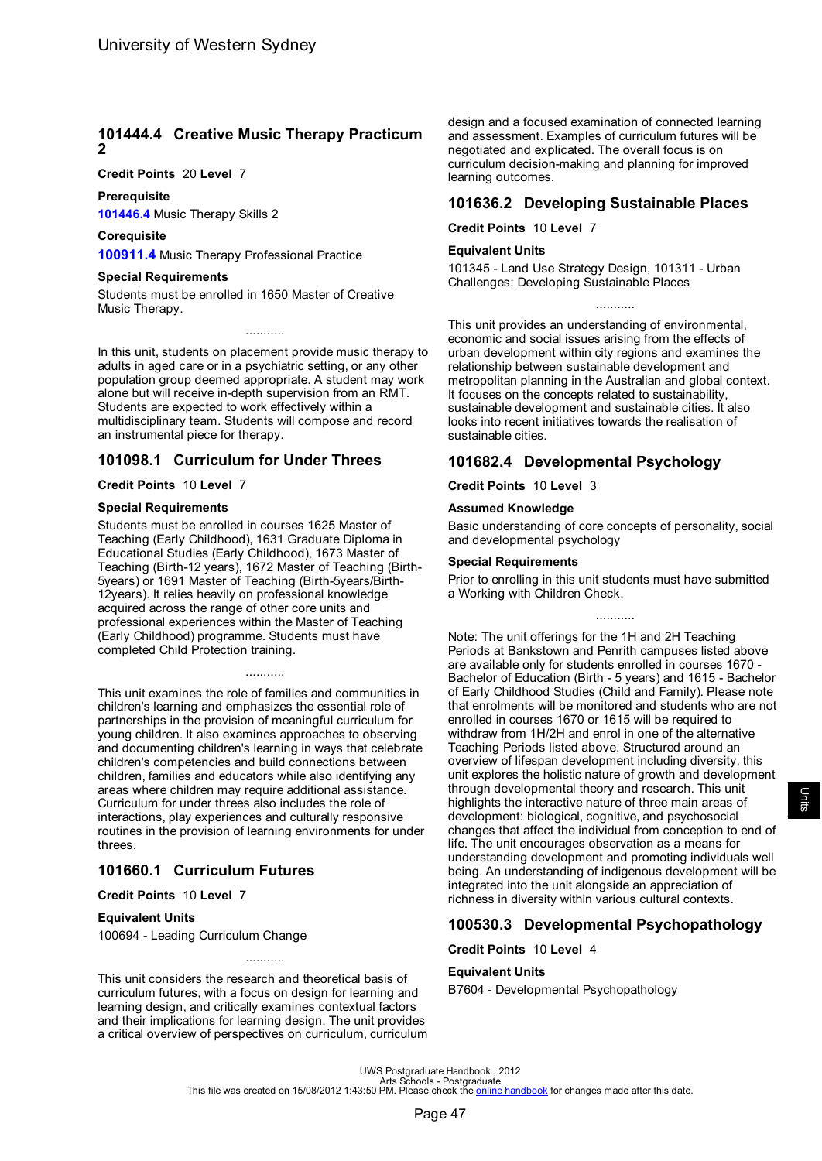## <span id="page-50-0"></span>**101444.4 Creative Music Therapy Practicum 2**

### **Credit Points** 20 **Level** 7

### **Prerequisite**

**[101446.4](#page-63-0)** Music Therapy Skills 2

### **Corequisite**

**[100911.4](#page-62-0)** Music Therapy Professional Practice

### **Special Requirements**

Students must be enrolled in 1650 Master of Creative Music Therapy.

In this unit, students on placement provide music therapy to adults in aged care or in a psychiatric setting, or any other population group deemed appropriate. A student may work alone but will receive in-depth supervision from an RMT. Students are expected to work effectively within a multidisciplinary team. Students will compose and record an instrumental piece for therapy.

...........

# **101098.1 Curriculum for Under Threes**

### **Credit Points** 10 **Level** 7

### **Special Requirements**

Students must be enrolled in courses 1625 Master of Teaching (Early Childhood), 1631 Graduate Diploma in Educational Studies (Early Childhood), 1673 Master of Teaching (Birth-12 years), 1672 Master of Teaching (Birth-5years) or 1691 Master of Teaching (Birth-5years/Birth-12years). It relies heavily on professional knowledge acquired across the range of other core units and professional experiences within the Master of Teaching (Early Childhood) programme. Students must have completed Child Protection training.

...........

This unit examines the role of families and communities in children's learning and emphasizes the essential role of partnerships in the provision of meaningful curriculum for young children. It also examines approaches to observing and documenting children's learning in ways that celebrate children's competencies and build connections between children, families and educators while also identifying any areas where children may require additional assistance. Curriculum for under threes also includes the role of interactions, play experiences and culturally responsive routines in the provision of learning environments for under threes.

# **101660.1 Curriculum Futures**

### **Credit Points** 10 **Level** 7

### **Equivalent Units**

100694 - Leading Curriculum Change

This unit considers the research and theoretical basis of curriculum futures, with a focus on design for learning and learning design, and critically examines contextual factors and their implications for learning design. The unit provides a critical overview of perspectives on curriculum, curriculum

...........

design and a focused examination of connected learning and assessment. Examples of curriculum futures will be negotiated and explicated. The overall focus is on curriculum decision-making and planning for improved learning outcomes.

## **101636.2 Developing Sustainable Places**

### **Credit Points** 10 **Level** 7

### **Equivalent Units**

101345 - Land Use Strategy Design, 101311 - Urban Challenges: Developing Sustainable Places

This unit provides an understanding of environmental, economic and social issues arising from the effects of urban development within city regions and examines the relationship between sustainable development and metropolitan planning in the Australian and global context. It focuses on the concepts related to sustainability, sustainable development and sustainable cities. It also looks into recent initiatives towards the realisation of sustainable cities.

...........

# **101682.4 Developmental Psychology**

**Credit Points** 10 **Level** 3

### **Assumed Knowledge**

Basic understanding of core concepts of personality, social and developmental psychology

### **Special Requirements**

Prior to enrolling in this unit students must have submitted a Working with Children Check.

...........

Note: The unit offerings for the 1H and 2H Teaching Periods at Bankstown and Penrith campuses listed above are available only for students enrolled in courses 1670 - Bachelor of Education (Birth - 5 years) and 1615 - Bachelor of Early Childhood Studies (Child and Family). Please note that enrolments will be monitored and students who are not enrolled in courses 1670 or 1615 will be required to withdraw from 1H/2H and enrol in one of the alternative Teaching Periods listed above. Structured around an overview of lifespan development including diversity, this unit explores the holistic nature of growth and development through developmental theory and research. This unit highlights the interactive nature of three main areas of development: biological, cognitive, and psychosocial changes that affect the individual from conception to end of life. The unit encourages observation as a means for understanding development and promoting individuals well being. An understanding of indigenous development will be integrated into the unit alongside an appreciation of richness in diversity within various cultural contexts.

# **100530.3 Developmental Psychopathology**

**Credit Points** 10 **Level** 4

### **Equivalent Units**

B7604 - Developmental Psychopathology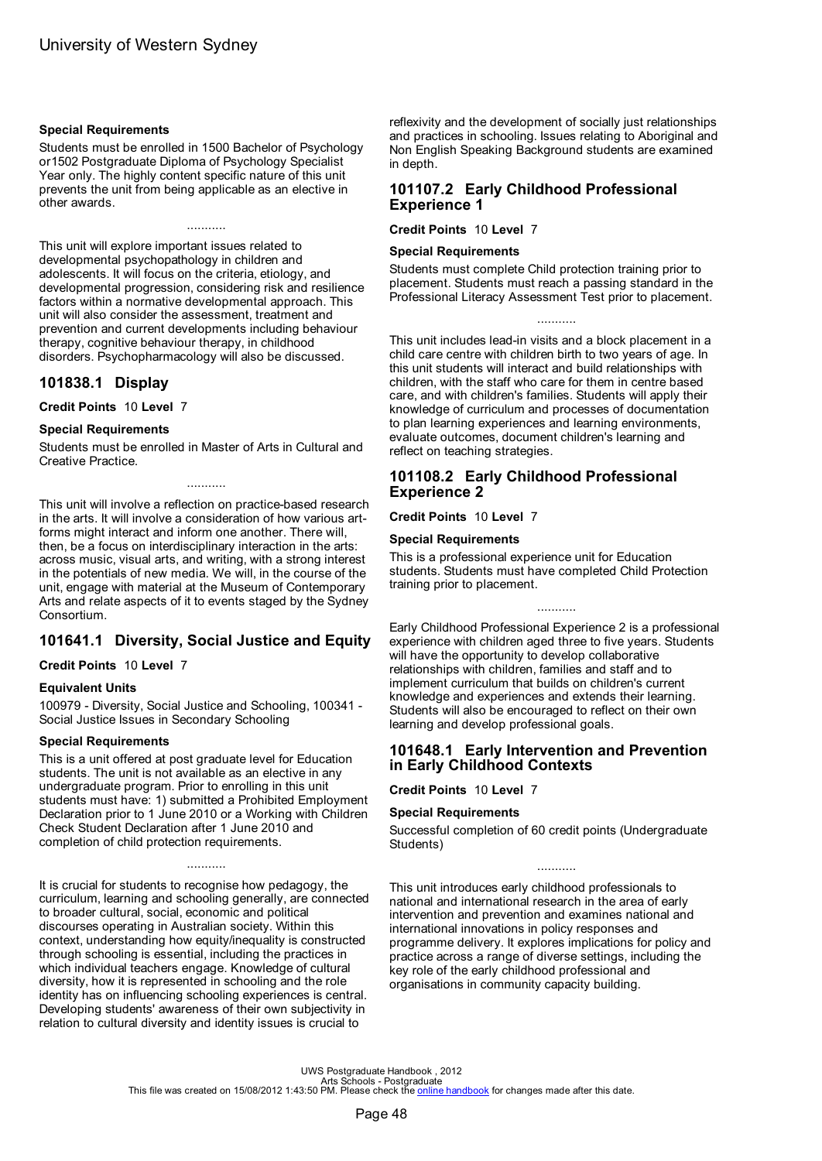### **Special Requirements**

Students must be enrolled in 1500 Bachelor of Psychology or1502 Postgraduate Diploma of Psychology Specialist Year only. The highly content specific nature of this unit prevents the unit from being applicable as an elective in other awards.

...........

This unit will explore important issues related to developmental psychopathology in children and adolescents. It will focus on the criteria, etiology, and developmental progression, considering risk and resilience factors within a normative developmental approach. This unit will also consider the assessment, treatment and prevention and current developments including behaviour therapy, cognitive behaviour therapy, in childhood disorders. Psychopharmacology will also be discussed.

# **101838.1 Display**

**Credit Points** 10 **Level** 7

### **Special Requirements**

Students must be enrolled in Master of Arts in Cultural and Creative Practice.

...........

This unit will involve a reflection on practice-based research in the arts. It will involve a consideration of how various artforms might interact and inform one another. There will, then, be a focus on interdisciplinary interaction in the arts: across music, visual arts, and writing, with a strong interest in the potentials of new media. We will, in the course of the unit, engage with material at the Museum of Contemporary Arts and relate aspects of it to events staged by the Sydney Consortium.

# **101641.1 Diversity, Social Justice and Equity**

**Credit Points** 10 **Level** 7

### **Equivalent Units**

100979 - Diversity, Social Justice and Schooling, 100341 - Social Justice Issues in Secondary Schooling

### **Special Requirements**

This is a unit offered at post graduate level for Education students. The unit is not available as an elective in any undergraduate program. Prior to enrolling in this unit students must have: 1) submitted a Prohibited Employment Declaration prior to 1 June 2010 or a Working with Children Check Student Declaration after 1 June 2010 and completion of child protection requirements.

...........

It is crucial for students to recognise how pedagogy, the curriculum, learning and schooling generally, are connected to broader cultural, social, economic and political discourses operating in Australian society. Within this context, understanding how equity/inequality is constructed through schooling is essential, including the practices in which individual teachers engage. Knowledge of cultural diversity, how it is represented in schooling and the role identity has on influencing schooling experiences is central. Developing students' awareness of their own subjectivity in relation to cultural diversity and identity issues is crucial to

reflexivity and the development of socially just relationships and practices in schooling. Issues relating to Aboriginal and Non English Speaking Background students are examined in depth.

## **101107.2 Early Childhood Professional Experience 1**

### **Credit Points** 10 **Level** 7

#### **Special Requirements**

Students must complete Child protection training prior to placement. Students must reach a passing standard in the Professional Literacy Assessment Test prior to placement.

...........

This unit includes lead-in visits and a block placement in a child care centre with children birth to two years of age. In this unit students will interact and build relationships with children, with the staff who care for them in centre based care, and with children's families. Students will apply their knowledge of curriculum and processes of documentation to plan learning experiences and learning environments, evaluate outcomes, document children's learning and reflect on teaching strategies.

# **101108.2 Early Childhood Professional Experience 2**

### **Credit Points** 10 **Level** 7

### **Special Requirements**

This is a professional experience unit for Education students. Students must have completed Child Protection training prior to placement.

...........

Early Childhood Professional Experience 2 is a professional experience with children aged three to five years. Students will have the opportunity to develop collaborative relationships with children, families and staff and to implement curriculum that builds on children's current knowledge and experiences and extends their learning. Students will also be encouraged to reflect on their own learning and develop professional goals.

### **101648.1 Early Intervention and Prevention in Early Childhood Contexts**

**Credit Points** 10 **Level** 7

### **Special Requirements**

Successful completion of 60 credit points (Undergraduate Students)

...........

This unit introduces early childhood professionals to national and international research in the area of early intervention and prevention and examines national and international innovations in policy responses and programme delivery. It explores implications for policy and practice across a range of diverse settings, including the key role of the early childhood professional and organisations in community capacity building.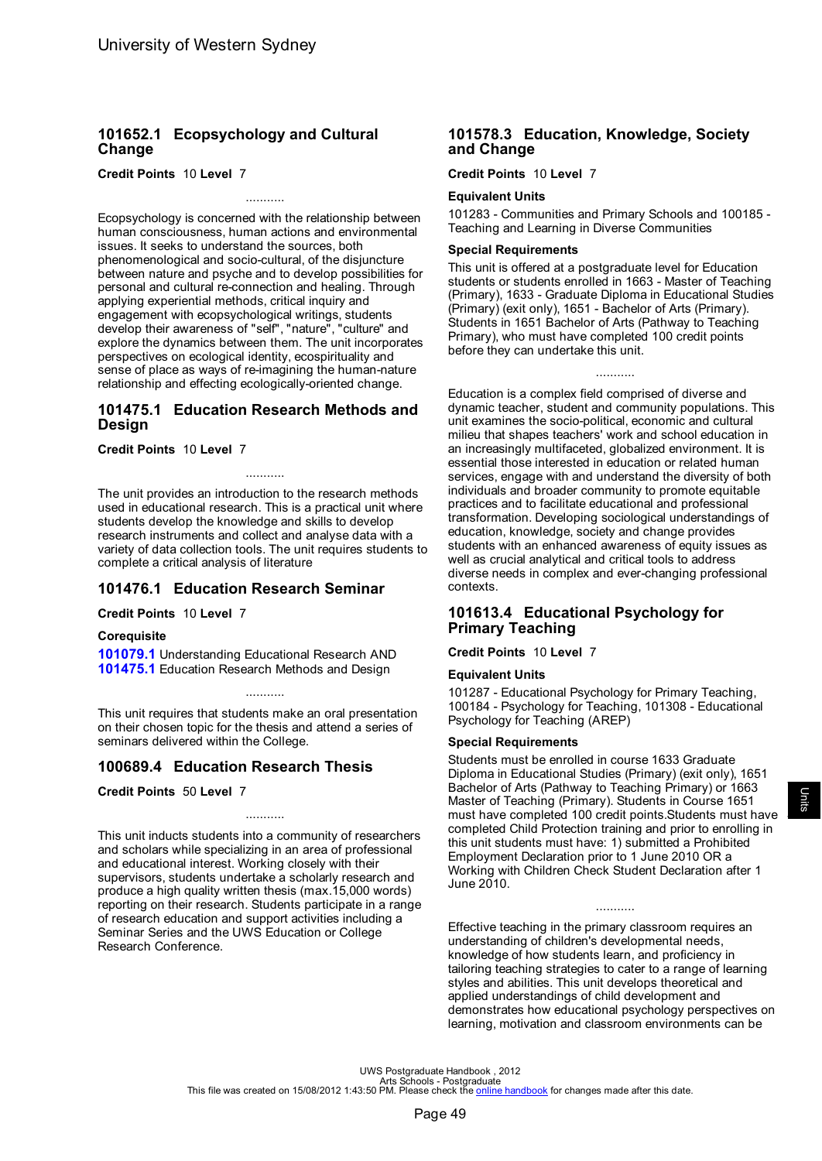# **101652.1 Ecopsychology and Cultural Change**

### **Credit Points** 10 **Level** 7

Ecopsychology is concerned with the relationship between human consciousness, human actions and environmental issues. It seeks to understand the sources, both phenomenological and socio-cultural, of the disjuncture between nature and psyche and to develop possibilities for personal and cultural re-connection and healing. Through applying experiential methods, critical inquiry and engagement with ecopsychological writings, students develop their awareness of "self", "nature", "culture" and explore the dynamics between them. The unit incorporates perspectives on ecological identity, ecospirituality and sense of place as ways of re-imagining the human-nature relationship and effecting ecologically-oriented change.

# **101475.1 Education Research Methods and Design**

**Credit Points** 10 **Level** 7

The unit provides an introduction to the research methods used in educational research. This is a practical unit where students develop the knowledge and skills to develop research instruments and collect and analyse data with a variety of data collection tools. The unit requires students to complete a critical analysis of literature

...........

# **101476.1 Education Research Seminar**

**Credit Points** 10 **Level** 7

### **Corequisite**

**[101079.1](#page-74-0)** Understanding Educational Research AND **101475.1** Education Research Methods and Design

This unit requires that students make an oral presentation on their chosen topic for the thesis and attend a series of seminars delivered within the College.

...........

# **100689.4 Education Research Thesis**

**Credit Points** 50 **Level** 7

This unit inducts students into a community of researchers and scholars while specializing in an area of professional and educational interest. Working closely with their supervisors, students undertake a scholarly research and produce a high quality written thesis (max.15,000 words) reporting on their research. Students participate in a range of research education and support activities including a Seminar Series and the UWS Education or College Research Conference.

...........

# **101578.3 Education, Knowledge, Society and Change**

**Credit Points** 10 **Level** 7

### **Equivalent Units**

101283 - Communities and Primary Schools and 100185 - Teaching and Learning in Diverse Communities

### **Special Requirements**

This unit is offered at a postgraduate level for Education students or students enrolled in 1663 - Master of Teaching (Primary), 1633 - Graduate Diploma in Educational Studies (Primary) (exit only), 1651 - Bachelor of Arts (Primary). Students in 1651 Bachelor of Arts (Pathway to Teaching Primary), who must have completed 100 credit points before they can undertake this unit.

...........

Education is a complex field comprised of diverse and dynamic teacher, student and community populations. This unit examines the socio-political, economic and cultural milieu that shapes teachers' work and school education in an increasingly multifaceted, globalized environment. It is essential those interested in education or related human services, engage with and understand the diversity of both individuals and broader community to promote equitable practices and to facilitate educational and professional transformation. Developing sociological understandings of education, knowledge, society and change provides students with an enhanced awareness of equity issues as well as crucial analytical and critical tools to address diverse needs in complex and ever-changing professional contexts.

# **101613.4 Educational Psychology for Primary Teaching**

### **Credit Points** 10 **Level** 7

### **Equivalent Units**

101287 - Educational Psychology for Primary Teaching, 100184 - Psychology for Teaching, 101308 - Educational Psychology for Teaching (AREP)

### **Special Requirements**

Students must be enrolled in course 1633 Graduate Diploma in Educational Studies (Primary) (exit only), 1651 Bachelor of Arts (Pathway to Teaching Primary) or 1663 Master of Teaching (Primary). Students in Course 1651 must have completed 100 credit points.Students must have completed Child Protection training and prior to enrolling in this unit students must have: 1) submitted a Prohibited Employment Declaration prior to 1 June 2010 OR a Working with Children Check Student Declaration after 1 June 2010.

Effective teaching in the primary classroom requires an understanding of children's developmental needs, knowledge of how students learn, and proficiency in tailoring teaching strategies to cater to a range of learning styles and abilities. This unit develops theoretical and applied understandings of child development and demonstrates how educational psychology perspectives on learning, motivation and classroom environments can be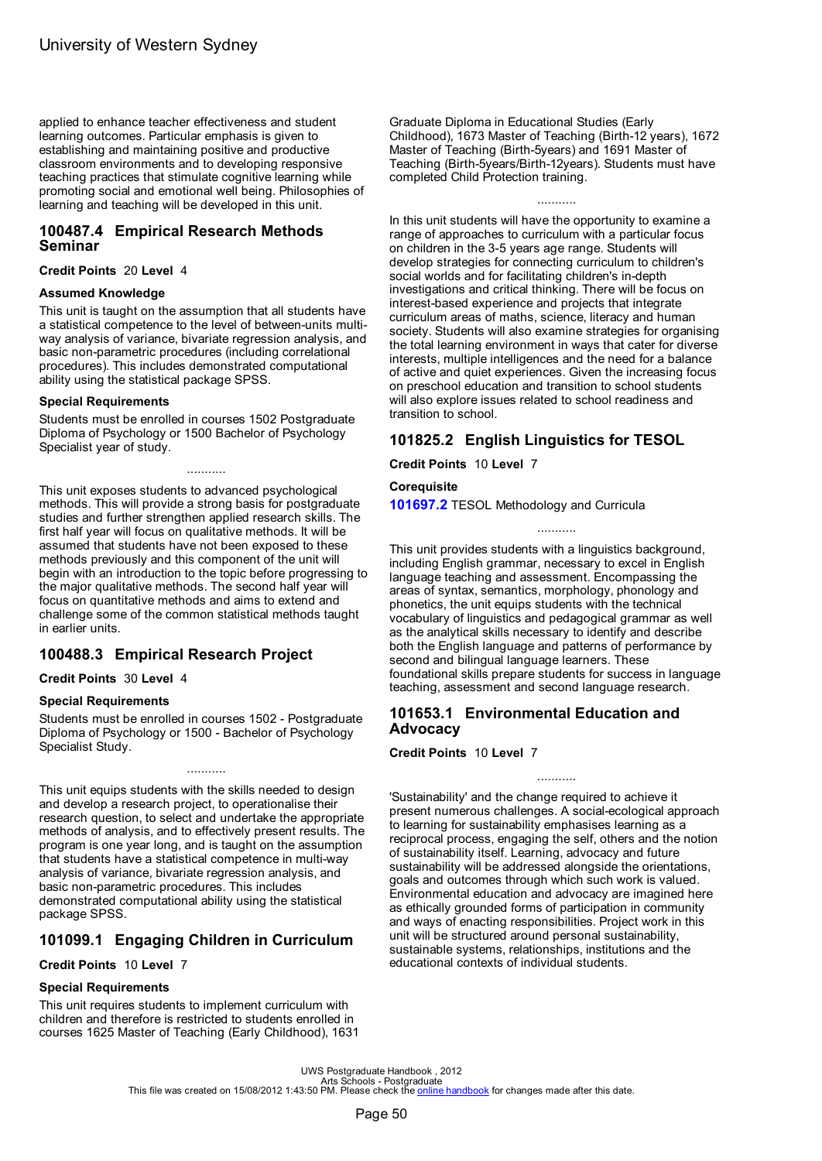<span id="page-53-0"></span>applied to enhance teacher effectiveness and student learning outcomes. Particular emphasis is given to establishing and maintaining positive and productive classroom environments and to developing responsive teaching practices that stimulate cognitive learning while promoting social and emotional well being. Philosophies of learning and teaching will be developed in this unit.

## **100487.4 Empirical Research Methods Seminar**

#### **Credit Points** 20 **Level** 4

### **Assumed Knowledge**

This unit is taught on the assumption that all students have a statistical competence to the level of between-units multiway analysis of variance, bivariate regression analysis, and basic non-parametric procedures (including correlational procedures). This includes demonstrated computational ability using the statistical package SPSS.

### **Special Requirements**

Students must be enrolled in courses 1502 Postgraduate Diploma of Psychology or 1500 Bachelor of Psychology Specialist year of study.

...........

This unit exposes students to advanced psychological methods. This will provide a strong basis for postgraduate studies and further strengthen applied research skills. The first half year will focus on qualitative methods. It will be assumed that students have not been exposed to these methods previously and this component of the unit will begin with an introduction to the topic before progressing to the major qualitative methods. The second half year will focus on quantitative methods and aims to extend and challenge some of the common statistical methods taught in earlier units.

# **100488.3 Empirical Research Project**

### **Credit Points** 30 **Level** 4

### **Special Requirements**

Students must be enrolled in courses 1502 - Postgraduate Diploma of Psychology or 1500 - Bachelor of Psychology Specialist Study.

...........

This unit equips students with the skills needed to design and develop a research project, to operationalise their research question, to select and undertake the appropriate methods of analysis, and to effectively present results. The program is one year long, and is taught on the assumption that students have a statistical competence in multi-way analysis of variance, bivariate regression analysis, and basic non-parametric procedures. This includes demonstrated computational ability using the statistical package SPSS.

# **101099.1 Engaging Children in Curriculum**

### **Credit Points** 10 **Level** 7

### **Special Requirements**

This unit requires students to implement curriculum with children and therefore is restricted to students enrolled in courses 1625 Master of Teaching (Early Childhood), 1631 Graduate Diploma in Educational Studies (Early Childhood), 1673 Master of Teaching (Birth-12 years), 1672 Master of Teaching (Birth-5years) and 1691 Master of Teaching (Birth-5years/Birth-12years). Students must have completed Child Protection training.

...........

In this unit students will have the opportunity to examine a range of approaches to curriculum with a particular focus on children in the 3-5 years age range. Students will develop strategies for connecting curriculum to children's social worlds and for facilitating children's in-depth investigations and critical thinking. There will be focus on interest-based experience and projects that integrate curriculum areas of maths, science, literacy and human society. Students will also examine strategies for organising the total learning environment in ways that cater for diverse interests, multiple intelligences and the need for a balance of active and quiet experiences. Given the increasing focus on preschool education and transition to school students will also explore issues related to school readiness and transition to school.

# **101825.2 English Linguistics for TESOL**

**Credit Points** 10 **Level** 7

### **Corequisite**

**[101697.2](#page-73-0)** TESOL Methodology and Curricula

This unit provides students with a linguistics background, including English grammar, necessary to excel in English language teaching and assessment. Encompassing the areas of syntax, semantics, morphology, phonology and phonetics, the unit equips students with the technical vocabulary of linguistics and pedagogical grammar as well as the analytical skills necessary to identify and describe both the English language and patterns of performance by second and bilingual language learners. These foundational skills prepare students for success in language teaching, assessment and second language research.

...........

# **101653.1 Environmental Education and Advocacy**

**Credit Points** 10 **Level** 7

'Sustainability' and the change required to achieve it present numerous challenges. A social-ecological approach to learning for sustainability emphasises learning as a reciprocal process, engaging the self, others and the notion of sustainability itself. Learning, advocacy and future sustainability will be addressed alongside the orientations, goals and outcomes through which such work is valued. Environmental education and advocacy are imagined here as ethically grounded forms of participation in community and ways of enacting responsibilities. Project work in this unit will be structured around personal sustainability, sustainable systems, relationships, institutions and the educational contexts of individual students.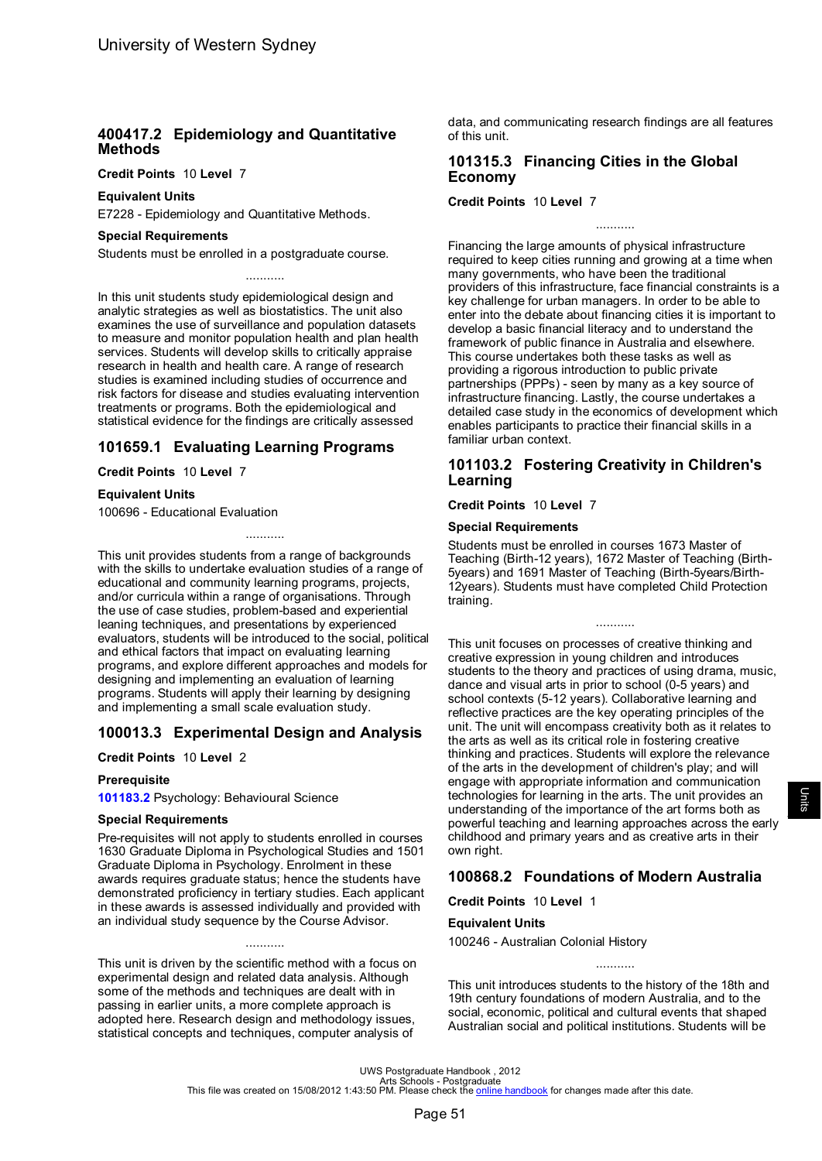# <span id="page-54-0"></span>**400417.2 Epidemiology and Quantitative Methods**

### **Credit Points** 10 **Level** 7

### **Equivalent Units**

E7228 - Epidemiology and Quantitative Methods.

#### **Special Requirements**

Students must be enrolled in a postgraduate course.

In this unit students study epidemiological design and analytic strategies as well as biostatistics. The unit also examines the use of surveillance and population datasets to measure and monitor population health and plan health services. Students will develop skills to critically appraise research in health and health care. A range of research studies is examined including studies of occurrence and risk factors for disease and studies evaluating intervention treatments or programs. Both the epidemiological and statistical evidence for the findings are critically assessed

...........

# **101659.1 Evaluating Learning Programs**

### **Credit Points** 10 **Level** 7

### **Equivalent Units**

100696 - Educational Evaluation

This unit provides students from a range of backgrounds with the skills to undertake evaluation studies of a range of educational and community learning programs, projects, and/or curricula within a range of organisations. Through the use of case studies, problem-based and experiential leaning techniques, and presentations by experienced evaluators, students will be introduced to the social, political and ethical factors that impact on evaluating learning programs, and explore different approaches and models for designing and implementing an evaluation of learning programs. Students will apply their learning by designing and implementing a small scale evaluation study.

...........

# **100013.3 Experimental Design and Analysis**

### **Credit Points** 10 **Level** 2

### **Prerequisite**

**101183.2** Psychology: Behavioural Science

### **Special Requirements**

Pre-requisites will not apply to students enrolled in courses 1630 Graduate Diploma in Psychological Studies and 1501 Graduate Diploma in Psychology. Enrolment in these awards requires graduate status; hence the students have demonstrated proficiency in tertiary studies. Each applicant in these awards is assessed individually and provided with an individual study sequence by the Course Advisor.

...........

This unit is driven by the scientific method with a focus on experimental design and related data analysis. Although some of the methods and techniques are dealt with in passing in earlier units, a more complete approach is adopted here. Research design and methodology issues, statistical concepts and techniques, computer analysis of

data, and communicating research findings are all features of this unit.

## **101315.3 Financing Cities in the Global Economy**

**Credit Points** 10 **Level** 7

Financing the large amounts of physical infrastructure required to keep cities running and growing at a time when many governments, who have been the traditional providers of this infrastructure, face financial constraints is a key challenge for urban managers. In order to be able to enter into the debate about financing cities it is important to develop a basic financial literacy and to understand the framework of public finance in Australia and elsewhere. This course undertakes both these tasks as well as providing a rigorous introduction to public private partnerships (PPPs) - seen by many as a key source of infrastructure financing. Lastly, the course undertakes a detailed case study in the economics of development which enables participants to practice their financial skills in a familiar urban context.

### **101103.2 Fostering Creativity in Children's Learning**

**Credit Points** 10 **Level** 7

### **Special Requirements**

Students must be enrolled in courses 1673 Master of Teaching (Birth-12 years), 1672 Master of Teaching (Birth-5years) and 1691 Master of Teaching (Birth-5years/Birth-12years). Students must have completed Child Protection training.

...........

This unit focuses on processes of creative thinking and creative expression in young children and introduces students to the theory and practices of using drama, music, dance and visual arts in prior to school (0-5 years) and school contexts (5-12 years). Collaborative learning and reflective practices are the key operating principles of the unit. The unit will encompass creativity both as it relates to the arts as well as its critical role in fostering creative thinking and practices. Students will explore the relevance of the arts in the development of children's play; and will engage with appropriate information and communication technologies for learning in the arts. The unit provides an understanding of the importance of the art forms both as powerful teaching and learning approaches across the early childhood and primary years and as creative arts in their own right.

# **100868.2 Foundations of Modern Australia**

**Credit Points** 10 **Level** 1

### **Equivalent Units**

100246 - Australian Colonial History

This unit introduces students to the history of the 18th and 19th century foundations of modern Australia, and to the social, economic, political and cultural events that shaped Australian social and political institutions. Students will be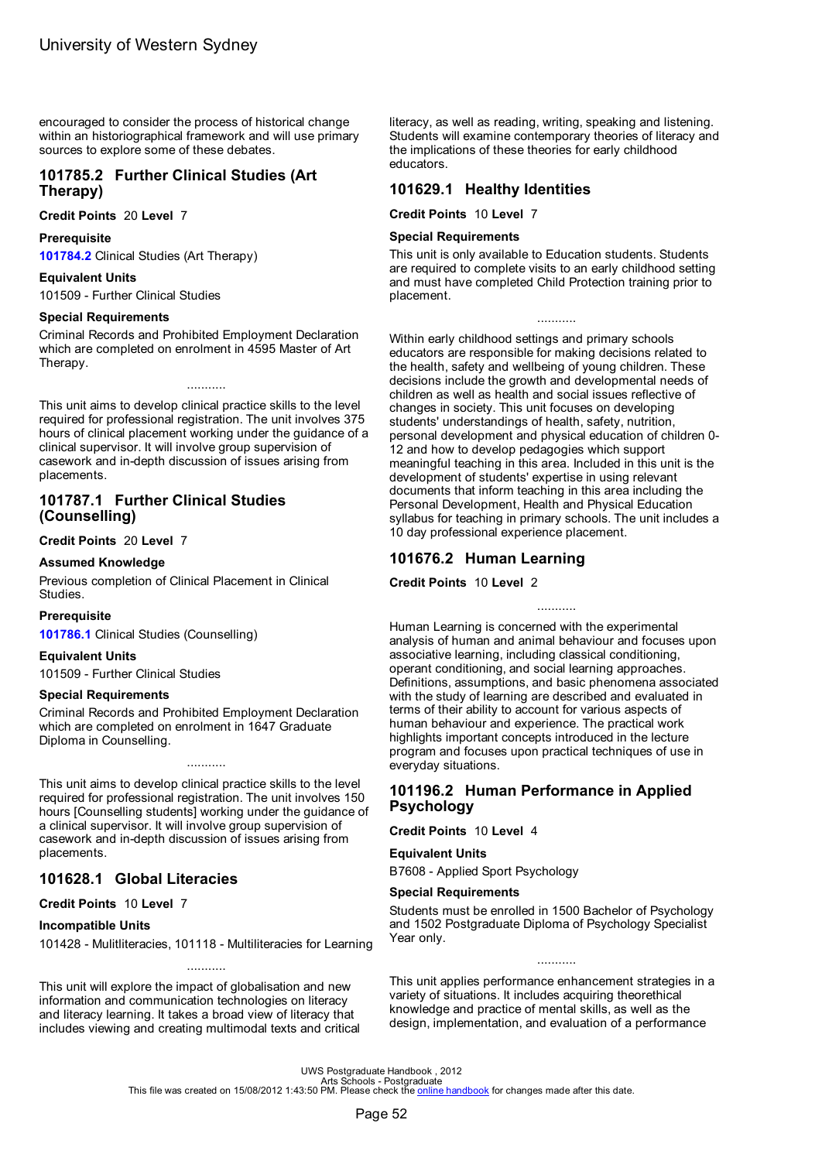<span id="page-55-0"></span>encouraged to consider the process of historical change within an historiographical framework and will use primary sources to explore some of these debates.

## **101785.2 Further Clinical Studies (Art Therapy)**

#### **Credit Points** 20 **Level** 7

### **Prerequisite**

**[101784.2](#page-47-0)** Clinical Studies (Art Therapy)

#### **Equivalent Units**

101509 - Further Clinical Studies

### **Special Requirements**

Criminal Records and Prohibited Employment Declaration which are completed on enrolment in 4595 Master of Art Therapy.

This unit aims to develop clinical practice skills to the level required for professional registration. The unit involves 375 hours of clinical placement working under the guidance of a clinical supervisor. It will involve group supervision of casework and in-depth discussion of issues arising from placements.

...........

# **101787.1 Further Clinical Studies (Counselling)**

**Credit Points** 20 **Level** 7

### **Assumed Knowledge**

Previous completion of Clinical Placement in Clinical Studies.

### **Prerequisite**

**[101786.1](#page-47-0)** Clinical Studies (Counselling)

### **Equivalent Units**

101509 - Further Clinical Studies

### **Special Requirements**

Criminal Records and Prohibited Employment Declaration which are completed on enrolment in 1647 Graduate Diploma in Counselling.

This unit aims to develop clinical practice skills to the level required for professional registration. The unit involves 150 hours [Counselling students] working under the guidance of a clinical supervisor. It will involve group supervision of casework and in-depth discussion of issues arising from placements.

...........

# **101628.1 Global Literacies**

**Credit Points** 10 **Level** 7

### **Incompatible Units**

101428 - Mulitliteracies, 101118 - Multiliteracies for Learning ...........

This unit will explore the impact of globalisation and new information and communication technologies on literacy and literacy learning. It takes a broad view of literacy that includes viewing and creating multimodal texts and critical literacy, as well as reading, writing, speaking and listening. Students will examine contemporary theories of literacy and the implications of these theories for early childhood educators.

# **101629.1 Healthy Identities**

**Credit Points** 10 **Level** 7

#### **Special Requirements**

This unit is only available to Education students. Students are required to complete visits to an early childhood setting and must have completed Child Protection training prior to placement.

...........

Within early childhood settings and primary schools educators are responsible for making decisions related to the health, safety and wellbeing of young children. These decisions include the growth and developmental needs of children as well as health and social issues reflective of changes in society. This unit focuses on developing students' understandings of health, safety, nutrition, personal development and physical education of children 0- 12 and how to develop pedagogies which support meaningful teaching in this area. Included in this unit is the development of students' expertise in using relevant documents that inform teaching in this area including the Personal Development, Health and Physical Education syllabus for teaching in primary schools. The unit includes a 10 day professional experience placement.

### **101676.2 Human Learning**

**Credit Points** 10 **Level** 2

Human Learning is concerned with the experimental analysis of human and animal behaviour and focuses upon associative learning, including classical conditioning, operant conditioning, and social learning approaches. Definitions, assumptions, and basic phenomena associated with the study of learning are described and evaluated in terms of their ability to account for various aspects of human behaviour and experience. The practical work highlights important concepts introduced in the lecture program and focuses upon practical techniques of use in everyday situations.

...........

### **101196.2 Human Performance in Applied Psychology**

**Credit Points** 10 **Level** 4

### **Equivalent Units**

B7608 - Applied Sport Psychology

### **Special Requirements**

Students must be enrolled in 1500 Bachelor of Psychology and 1502 Postgraduate Diploma of Psychology Specialist Year only.

...........

This unit applies performance enhancement strategies in a variety of situations. It includes acquiring theorethical knowledge and practice of mental skills, as well as the design, implementation, and evaluation of a performance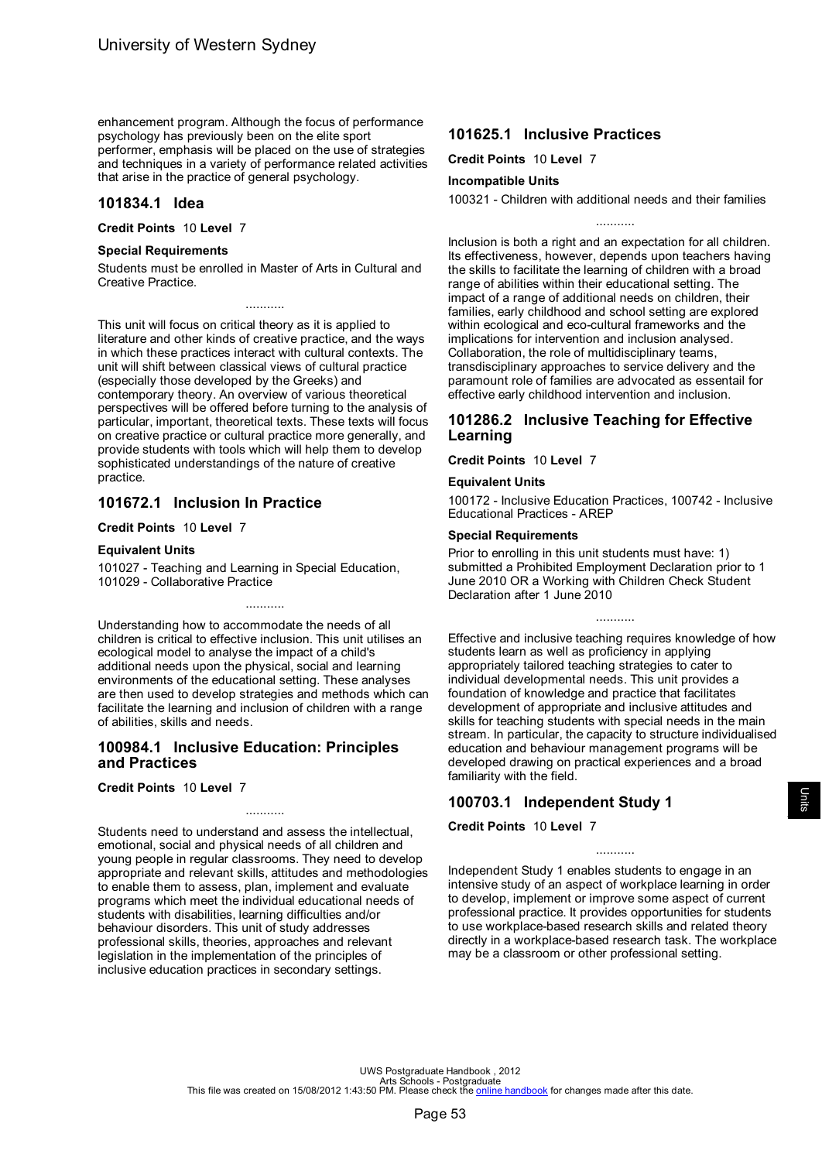enhancement program. Although the focus of performance psychology has previously been on the elite sport performer, emphasis will be placed on the use of strategies and techniques in a variety of performance related activities that arise in the practice of general psychology.

### **101834.1 Idea**

**Credit Points** 10 **Level** 7

### **Special Requirements**

Students must be enrolled in Master of Arts in Cultural and Creative Practice.

...........

This unit will focus on critical theory as it is applied to literature and other kinds of creative practice, and the ways in which these practices interact with cultural contexts. The unit will shift between classical views of cultural practice (especially those developed by the Greeks) and contemporary theory. An overview of various theoretical perspectives will be offered before turning to the analysis of particular, important, theoretical texts. These texts will focus on creative practice or cultural practice more generally, and provide students with tools which will help them to develop sophisticated understandings of the nature of creative practice.

# **101672.1 Inclusion In Practice**

### **Credit Points** 10 **Level** 7

### **Equivalent Units**

101027 - Teaching and Learning in Special Education, 101029 - Collaborative Practice

Understanding how to accommodate the needs of all children is critical to effective inclusion. This unit utilises an ecological model to analyse the impact of a child's additional needs upon the physical, social and learning environments of the educational setting. These analyses are then used to develop strategies and methods which can facilitate the learning and inclusion of children with a range of abilities, skills and needs.

...........

### **100984.1 Inclusive Education: Principles and Practices**

**Credit Points** 10 **Level** 7

Students need to understand and assess the intellectual, emotional, social and physical needs of all children and young people in regular classrooms. They need to develop appropriate and relevant skills, attitudes and methodologies to enable them to assess, plan, implement and evaluate programs which meet the individual educational needs of students with disabilities, learning difficulties and/or behaviour disorders. This unit of study addresses professional skills, theories, approaches and relevant legislation in the implementation of the principles of inclusive education practices in secondary settings.

...........

# **101625.1 Inclusive Practices**

**Credit Points** 10 **Level** 7

### **Incompatible Units**

100321 - Children with additional needs and their families

Inclusion is both a right and an expectation for all children. Its effectiveness, however, depends upon teachers having the skills to facilitate the learning of children with a broad range of abilities within their educational setting. The impact of a range of additional needs on children, their families, early childhood and school setting are explored within ecological and eco-cultural frameworks and the implications for intervention and inclusion analysed. Collaboration, the role of multidisciplinary teams, transdisciplinary approaches to service delivery and the paramount role of families are advocated as essentail for effective early childhood intervention and inclusion.

# **101286.2 Inclusive Teaching for Effective Learning**

### **Credit Points** 10 **Level** 7

### **Equivalent Units**

100172 - Inclusive Education Practices, 100742 - Inclusive Educational Practices - AREP

### **Special Requirements**

Prior to enrolling in this unit students must have: 1) submitted a Prohibited Employment Declaration prior to 1 June 2010 OR a Working with Children Check Student Declaration after 1 June 2010

...........

Effective and inclusive teaching requires knowledge of how students learn as well as proficiency in applying appropriately tailored teaching strategies to cater to individual developmental needs. This unit provides a foundation of knowledge and practice that facilitates development of appropriate and inclusive attitudes and skills for teaching students with special needs in the main stream. In particular, the capacity to structure individualised education and behaviour management programs will be developed drawing on practical experiences and a broad familiarity with the field.

# **100703.1 Independent Study 1**

**Credit Points** 10 **Level** 7

Independent Study 1 enables students to engage in an intensive study of an aspect of workplace learning in order to develop, implement or improve some aspect of current professional practice. It provides opportunities for students to use workplace-based research skills and related theory directly in a workplace-based research task. The workplace may be a classroom or other professional setting.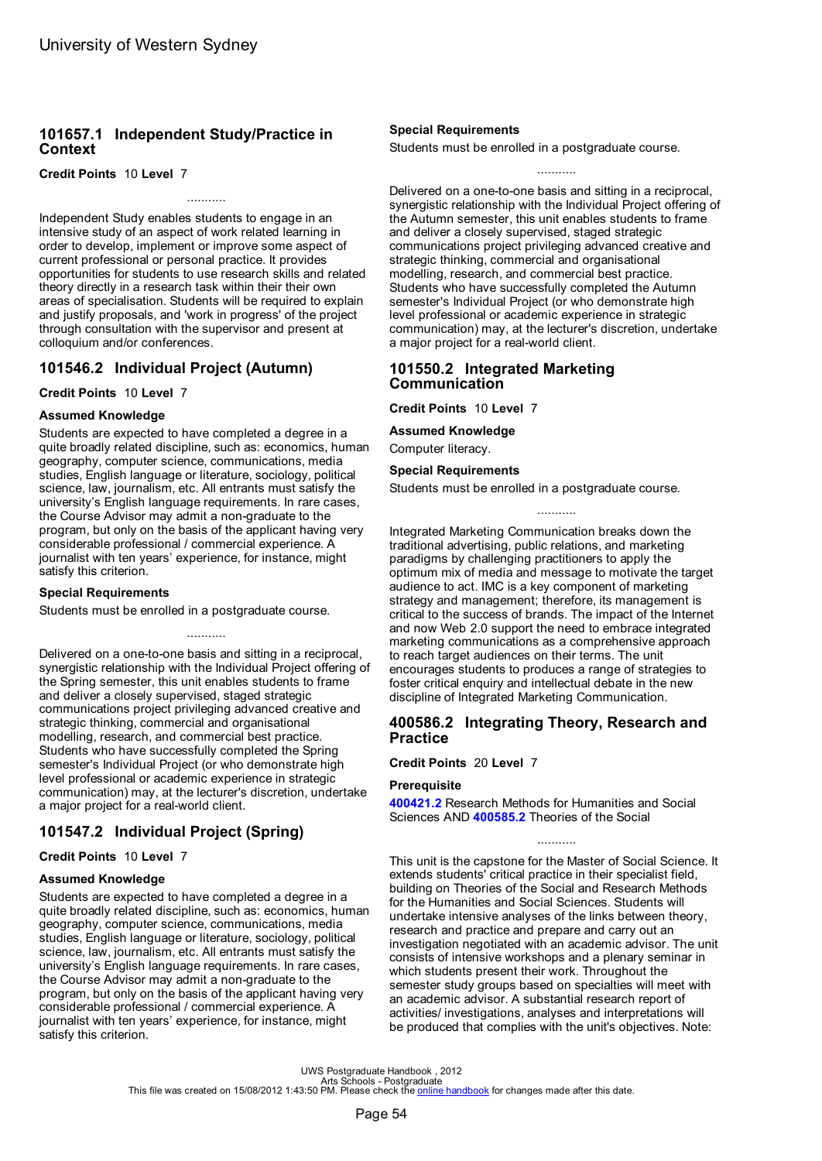## <span id="page-57-0"></span>**101657.1 Independent Study/Practice in Context**

### **Credit Points** 10 **Level** 7

Independent Study enables students to engage in an intensive study of an aspect of work related learning in order to develop, implement or improve some aspect of current professional or personal practice. It provides opportunities for students to use research skills and related theory directly in a research task within their their own areas of specialisation. Students will be required to explain and justify proposals, and 'work in progress' of the project through consultation with the supervisor and present at colloquium and/or conferences.

# **101546.2 Individual Project (Autumn)**

### **Credit Points** 10 **Level** 7

### **Assumed Knowledge**

Students are expected to have completed a degree in a quite broadly related discipline, such as: economics, human geography, computer science, communications, media studies, English language or literature, sociology, political science, law, journalism, etc. All entrants must satisfy the university's English language requirements. In rare cases, the Course Advisor may admit a non-graduate to the program, but only on the basis of the applicant having very considerable professional / commercial experience. A journalist with ten years' experience, for instance, might satisfy this criterion.

### **Special Requirements**

Students must be enrolled in a postgraduate course.

Delivered on a one-to-one basis and sitting in a reciprocal, synergistic relationship with the Individual Project offering of the Spring semester, this unit enables students to frame and deliver a closely supervised, staged strategic communications project privileging advanced creative and strategic thinking, commercial and organisational modelling, research, and commercial best practice. Students who have successfully completed the Spring semester's Individual Project (or who demonstrate high level professional or academic experience in strategic communication) may, at the lecturer's discretion, undertake a major project for a real-world client.

...........

# **101547.2 Individual Project (Spring)**

### **Credit Points** 10 **Level** 7

### **Assumed Knowledge**

Students are expected to have completed a degree in a quite broadly related discipline, such as: economics, human geography, computer science, communications, media studies, English language or literature, sociology, political science, law, journalism, etc. All entrants must satisfy the university's English language requirements. In rare cases, the Course Advisor may admit a non-graduate to the program, but only on the basis of the applicant having very considerable professional / commercial experience. A journalist with ten years' experience, for instance, might satisfy this criterion.

### **Special Requirements**

Students must be enrolled in a postgraduate course.

Delivered on a one-to-one basis and sitting in a reciprocal, synergistic relationship with the Individual Project offering of the Autumn semester, this unit enables students to frame and deliver a closely supervised, staged strategic communications project privileging advanced creative and strategic thinking, commercial and organisational modelling, research, and commercial best practice. Students who have successfully completed the Autumn semester's Individual Project (or who demonstrate high level professional or academic experience in strategic communication) may, at the lecturer's discretion, undertake a major project for a real-world client.

...........

## **101550.2 Integrated Marketing Communication**

**Credit Points** 10 **Level** 7

**Assumed Knowledge**

Computer literacy.

### **Special Requirements**

Students must be enrolled in a postgraduate course.

...........

Integrated Marketing Communication breaks down the traditional advertising, public relations, and marketing paradigms by challenging practitioners to apply the optimum mix of media and message to motivate the target audience to act. IMC is a key component of marketing strategy and management; therefore, its management is critical to the success of brands. The impact of the Internet and now Web 2.0 support the need to embrace integrated marketing communications as a comprehensive approach to reach target audiences on their terms. The unit encourages students to produces a range of strategies to foster critical enquiry and intellectual debate in the new discipline of Integrated Marketing Communication.

### **400586.2 Integrating Theory, Research and Practice**

**Credit Points** 20 **Level** 7

### **Prerequisite**

**[400421.2](#page-70-0)** Research Methods for Humanities and Social Sciences AND **[400585.2](#page-73-0)** Theories of the Social

This unit is the capstone for the Master of Social Science. It extends students' critical practice in their specialist field, building on Theories of the Social and Research Methods for the Humanities and Social Sciences. Students will undertake intensive analyses of the links between theory, research and practice and prepare and carry out an investigation negotiated with an academic advisor. The unit consists of intensive workshops and a plenary seminar in which students present their work. Throughout the semester study groups based on specialties will meet with an academic advisor. A substantial research report of activities/ investigations, analyses and interpretations will be produced that complies with the unit's objectives. Note: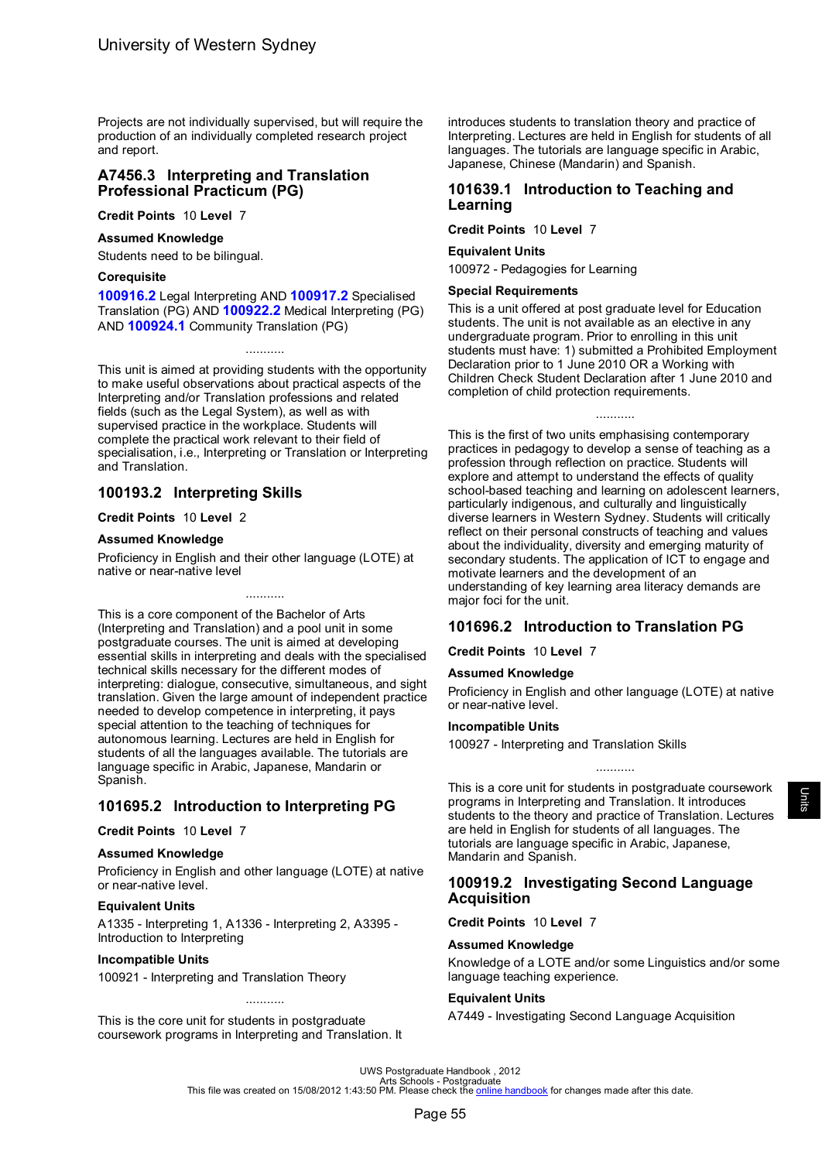<span id="page-58-0"></span>Projects are not individually supervised, but will require the production of an individually completed research project and report.

### **A7456.3 Interpreting and Translation Professional Practicum (PG)**

**Credit Points** 10 **Level** 7

# **Assumed Knowledge**

Students need to be bilingual.

### **Corequisite**

**[100916.2](#page-60-0)** Legal Interpreting AND **[100917.2](#page-73-0)** Specialised Translation (PG) AND **[100922.2](#page-61-0)** Medical Interpreting (PG) AND **100924.1** Community Translation (PG)

This unit is aimed at providing students with the opportunity to make useful observations about practical aspects of the Interpreting and/or Translation professions and related fields (such as the Legal System), as well as with supervised practice in the workplace. Students will complete the practical work relevant to their field of specialisation, i.e., Interpreting or Translation or Interpreting and Translation.

# **100193.2 Interpreting Skills**

### **Credit Points** 10 **Level** 2

### **Assumed Knowledge**

Proficiency in English and their other language (LOTE) at native or near-native level

...........

This is a core component of the Bachelor of Arts (Interpreting and Translation) and a pool unit in some postgraduate courses. The unit is aimed at developing essential skills in interpreting and deals with the specialised technical skills necessary for the different modes of

interpreting: dialogue, consecutive, simultaneous, and sight translation. Given the large amount of independent practice needed to develop competence in interpreting, it pays special attention to the teaching of techniques for autonomous learning. Lectures are held in English for students of all the languages available. The tutorials are language specific in Arabic, Japanese, Mandarin or Spanish.

# **101695.2 Introduction to Interpreting PG**

### **Credit Points** 10 **Level** 7

### **Assumed Knowledge**

Proficiency in English and other language (LOTE) at native or near-native level.

### **Equivalent Units**

A1335 - Interpreting 1, A1336 - Interpreting 2, A3395 - Introduction to Interpreting

### **Incompatible Units**

100921 - Interpreting and Translation Theory

This is the core unit for students in postgraduate coursework programs in Interpreting and Translation. It

...........

introduces students to translation theory and practice of Interpreting. Lectures are held in English for students of all languages. The tutorials are language specific in Arabic, Japanese, Chinese (Mandarin) and Spanish.

### **101639.1 Introduction to Teaching and Learning**

**Credit Points** 10 **Level** 7

#### **Equivalent Units**

100972 - Pedagogies for Learning

#### **Special Requirements**

This is a unit offered at post graduate level for Education students. The unit is not available as an elective in any undergraduate program. Prior to enrolling in this unit students must have: 1) submitted a Prohibited Employment Declaration prior to 1 June 2010 OR a Working with Children Check Student Declaration after 1 June 2010 and completion of child protection requirements.

...........

This is the first of two units emphasising contemporary practices in pedagogy to develop a sense of teaching as a profession through reflection on practice. Students will explore and attempt to understand the effects of quality school-based teaching and learning on adolescent learners, particularly indigenous, and culturally and linguistically diverse learners in Western Sydney. Students will critically reflect on their personal constructs of teaching and values about the individuality, diversity and emerging maturity of secondary students. The application of ICT to engage and motivate learners and the development of an understanding of key learning area literacy demands are major foci for the unit.

# **101696.2 Introduction to Translation PG**

### **Credit Points** 10 **Level** 7

### **Assumed Knowledge**

Proficiency in English and other language (LOTE) at native or near-native level.

### **Incompatible Units**

100927 - Interpreting and Translation Skills

This is a core unit for students in postgraduate coursework programs in Interpreting and Translation. It introduces students to the theory and practice of Translation. Lectures are held in English for students of all languages. The tutorials are language specific in Arabic, Japanese, Mandarin and Spanish.

...........

### **100919.2 Investigating Second Language Acquisition**

**Credit Points** 10 **Level** 7

### **Assumed Knowledge**

Knowledge of a LOTE and/or some Linguistics and/or some language teaching experience.

### **Equivalent Units**

A7449 - Investigating Second Language Acquisition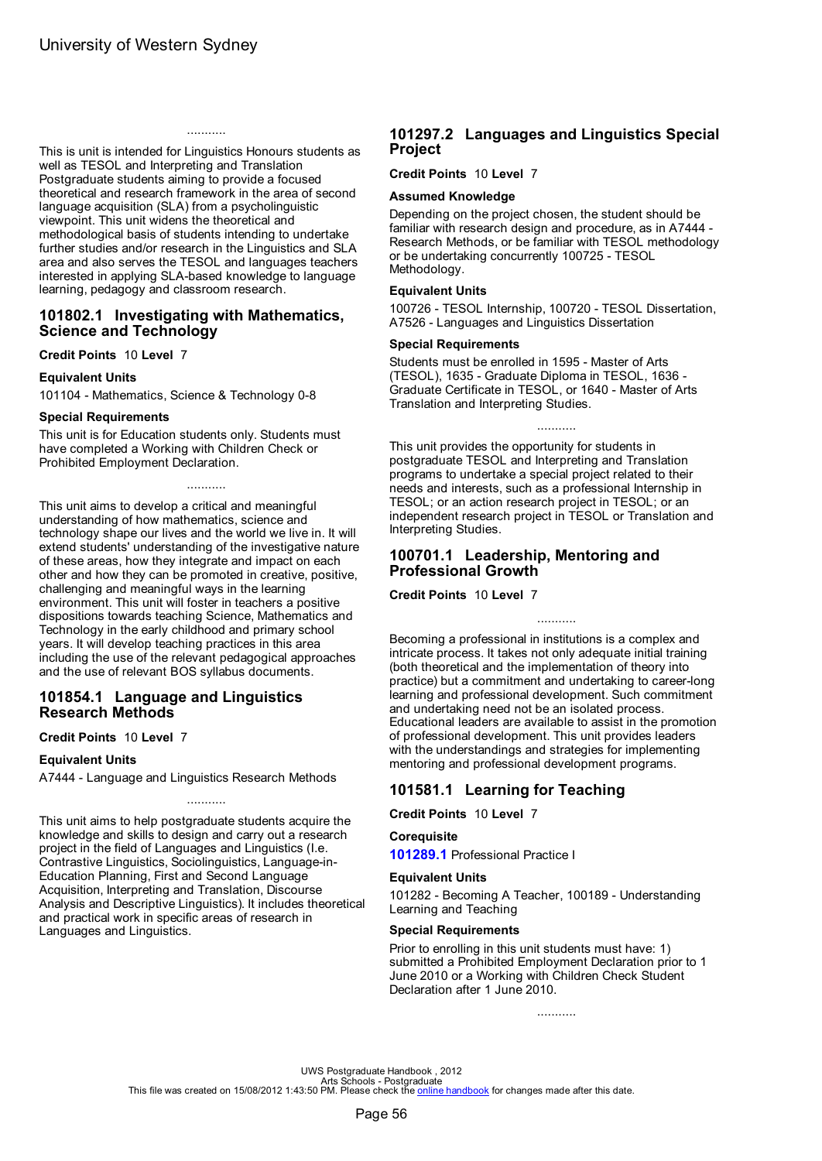<span id="page-59-0"></span>This is unit is intended for Linguistics Honours students as well as TESOL and Interpreting and Translation Postgraduate students aiming to provide a focused theoretical and research framework in the area of second language acquisition (SLA) from a psycholinguistic viewpoint. This unit widens the theoretical and methodological basis of students intending to undertake further studies and/or research in the Linguistics and SLA area and also serves the TESOL and languages teachers interested in applying SLA-based knowledge to language learning, pedagogy and classroom research.

...........

### **101802.1 Investigating with Mathematics, Science and Technology**

**Credit Points** 10 **Level** 7

### **Equivalent Units**

101104 - Mathematics, Science & Technology 0-8

### **Special Requirements**

This unit is for Education students only. Students must have completed a Working with Children Check or Prohibited Employment Declaration.

...........

This unit aims to develop a critical and meaningful understanding of how mathematics, science and technology shape our lives and the world we live in. It will extend students' understanding of the investigative nature of these areas, how they integrate and impact on each other and how they can be promoted in creative, positive, challenging and meaningful ways in the learning environment. This unit will foster in teachers a positive dispositions towards teaching Science, Mathematics and Technology in the early childhood and primary school years. It will develop teaching practices in this area including the use of the relevant pedagogical approaches and the use of relevant BOS syllabus documents.

### **101854.1 Language and Linguistics Research Methods**

**Credit Points** 10 **Level** 7

### **Equivalent Units**

A7444 - Language and Linguistics Research Methods

This unit aims to help postgraduate students acquire the knowledge and skills to design and carry out a research project in the field of Languages and Linguistics (I.e. Contrastive Linguistics, Sociolinguistics, Language-in-Education Planning, First and Second Language Acquisition, Interpreting and Translation, Discourse Analysis and Descriptive Linguistics). It includes theoretical and practical work in specific areas of research in Languages and Linguistics.

...........

# **101297.2 Languages and Linguistics Special Project**

**Credit Points** 10 **Level** 7

#### **Assumed Knowledge**

Depending on the project chosen, the student should be familiar with research design and procedure, as in A7444 -Research Methods, or be familiar with TESOL methodology or be undertaking concurrently 100725 - TESOL Methodology.

#### **Equivalent Units**

100726 - TESOL Internship, 100720 - TESOL Dissertation, A7526 - Languages and Linguistics Dissertation

### **Special Requirements**

Students must be enrolled in 1595 - Master of Arts (TESOL), 1635 - Graduate Diploma in TESOL, 1636 - Graduate Certificate in TESOL, or 1640 - Master of Arts Translation and Interpreting Studies.

This unit provides the opportunity for students in postgraduate TESOL and Interpreting and Translation programs to undertake a special project related to their needs and interests, such as a professional Internship in TESOL; or an action research project in TESOL; or an independent research project in TESOL or Translation and Interpreting Studies.

...........

## **100701.1 Leadership, Mentoring and Professional Growth**

### **Credit Points** 10 **Level** 7

Becoming a professional in institutions is a complex and intricate process. It takes not only adequate initial training (both theoretical and the implementation of theory into practice) but a commitment and undertaking to career-long learning and professional development. Such commitment and undertaking need not be an isolated process. Educational leaders are available to assist in the promotion of professional development. This unit provides leaders with the understandings and strategies for implementing mentoring and professional development programs.

...........

### **101581.1 Learning for Teaching**

**Credit Points** 10 **Level** 7

### **Corequisite**

**101289.1** Professional Practice I

### **Equivalent Units**

101282 - Becoming A Teacher, 100189 - Understanding Learning and Teaching

### **Special Requirements**

Prior to enrolling in this unit students must have: 1) submitted a Prohibited Employment Declaration prior to 1 June 2010 or a Working with Children Check Student Declaration after 1 June 2010.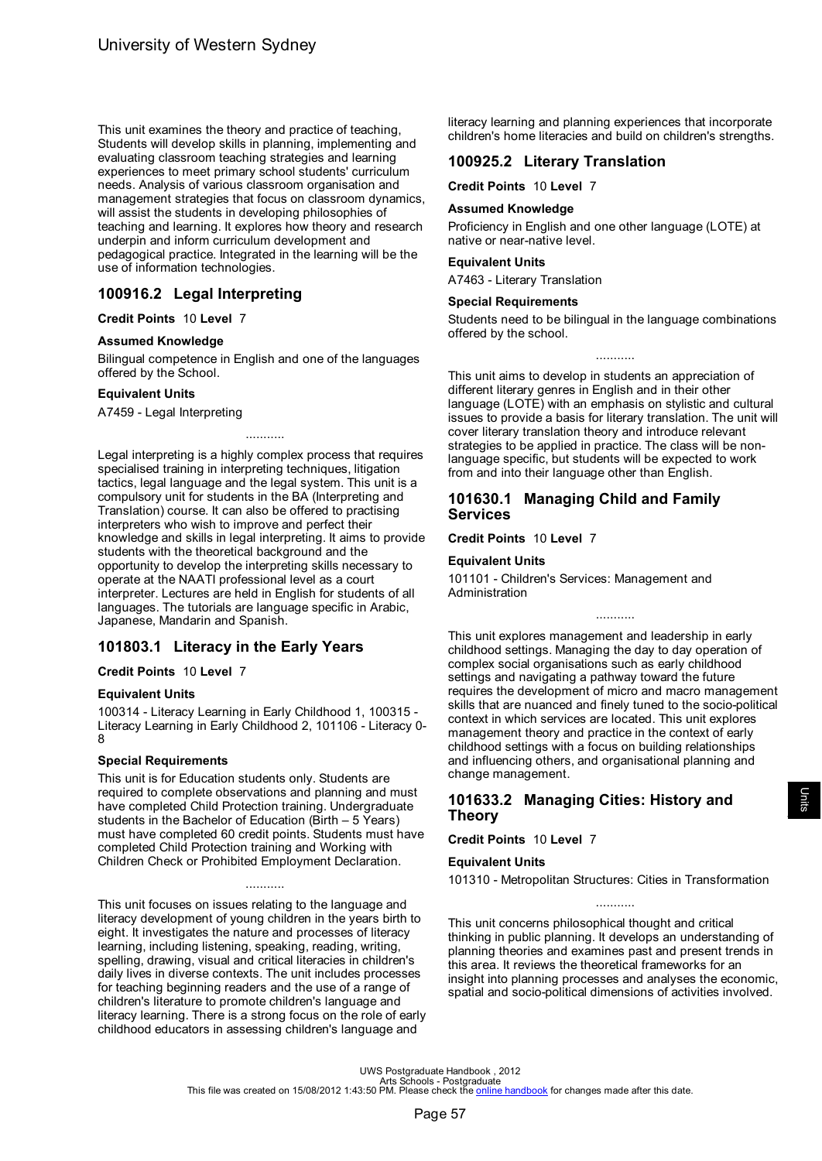<span id="page-60-0"></span>This unit examines the theory and practice of teaching, Students will develop skills in planning, implementing and evaluating classroom teaching strategies and learning experiences to meet primary school students' curriculum needs. Analysis of various classroom organisation and management strategies that focus on classroom dynamics, will assist the students in developing philosophies of teaching and learning. It explores how theory and research underpin and inform curriculum development and pedagogical practice. Integrated in the learning will be the use of information technologies.

# **100916.2 Legal Interpreting**

### **Credit Points** 10 **Level** 7

### **Assumed Knowledge**

Bilingual competence in English and one of the languages offered by the School.

...........

### **Equivalent Units**

A7459 - Legal Interpreting

Legal interpreting is a highly complex process that requires specialised training in interpreting techniques, litigation tactics, legal language and the legal system. This unit is a compulsory unit for students in the BA (Interpreting and Translation) course. It can also be offered to practising interpreters who wish to improve and perfect their knowledge and skills in legal interpreting. It aims to provide students with the theoretical background and the opportunity to develop the interpreting skills necessary to operate at the NAATI professional level as a court interpreter. Lectures are held in English for students of all languages. The tutorials are language specific in Arabic, Japanese, Mandarin and Spanish.

# **101803.1 Literacy in the Early Years**

### **Credit Points** 10 **Level** 7

### **Equivalent Units**

100314 - Literacy Learning in Early Childhood 1, 100315 - Literacy Learning in Early Childhood 2, 101106 - Literacy 0- 8

### **Special Requirements**

This unit is for Education students only. Students are required to complete observations and planning and must have completed Child Protection training. Undergraduate students in the Bachelor of Education (Birth – 5 Years) must have completed 60 credit points. Students must have completed Child Protection training and Working with Children Check or Prohibited Employment Declaration.

...........

This unit focuses on issues relating to the language and literacy development of young children in the years birth to eight. It investigates the nature and processes of literacy learning, including listening, speaking, reading, writing, spelling, drawing, visual and critical literacies in children's daily lives in diverse contexts. The unit includes processes for teaching beginning readers and the use of a range of children's literature to promote children's language and literacy learning. There is a strong focus on the role of early childhood educators in assessing children's language and

literacy learning and planning experiences that incorporate children's home literacies and build on children's strengths.

### **100925.2 Literary Translation**

**Credit Points** 10 **Level** 7

### **Assumed Knowledge**

Proficiency in English and one other language (LOTE) at native or near-native level.

### **Equivalent Units**

A7463 - Literary Translation

### **Special Requirements**

Students need to be bilingual in the language combinations offered by the school.

...........

This unit aims to develop in students an appreciation of different literary genres in English and in their other language (LOTE) with an emphasis on stylistic and cultural issues to provide a basis for literary translation. The unit will cover literary translation theory and introduce relevant strategies to be applied in practice. The class will be nonlanguage specific, but students will be expected to work from and into their language other than English.

### **101630.1 Managing Child and Family Services**

**Credit Points** 10 **Level** 7

### **Equivalent Units**

101101 - Children's Services: Management and **Administration** 

This unit explores management and leadership in early childhood settings. Managing the day to day operation of complex social organisations such as early childhood settings and navigating a pathway toward the future requires the development of micro and macro management skills that are nuanced and finely tuned to the socio-political context in which services are located. This unit explores management theory and practice in the context of early childhood settings with a focus on building relationships and influencing others, and organisational planning and change management.

...........

### **101633.2 Managing Cities: History and Theory**

**Credit Points** 10 **Level** 7

### **Equivalent Units**

101310 - Metropolitan Structures: Cities in Transformation ...........

This unit concerns philosophical thought and critical thinking in public planning. It develops an understanding of planning theories and examines past and present trends in this area. It reviews the theoretical frameworks for an insight into planning processes and analyses the economic, spatial and socio-political dimensions of activities involved.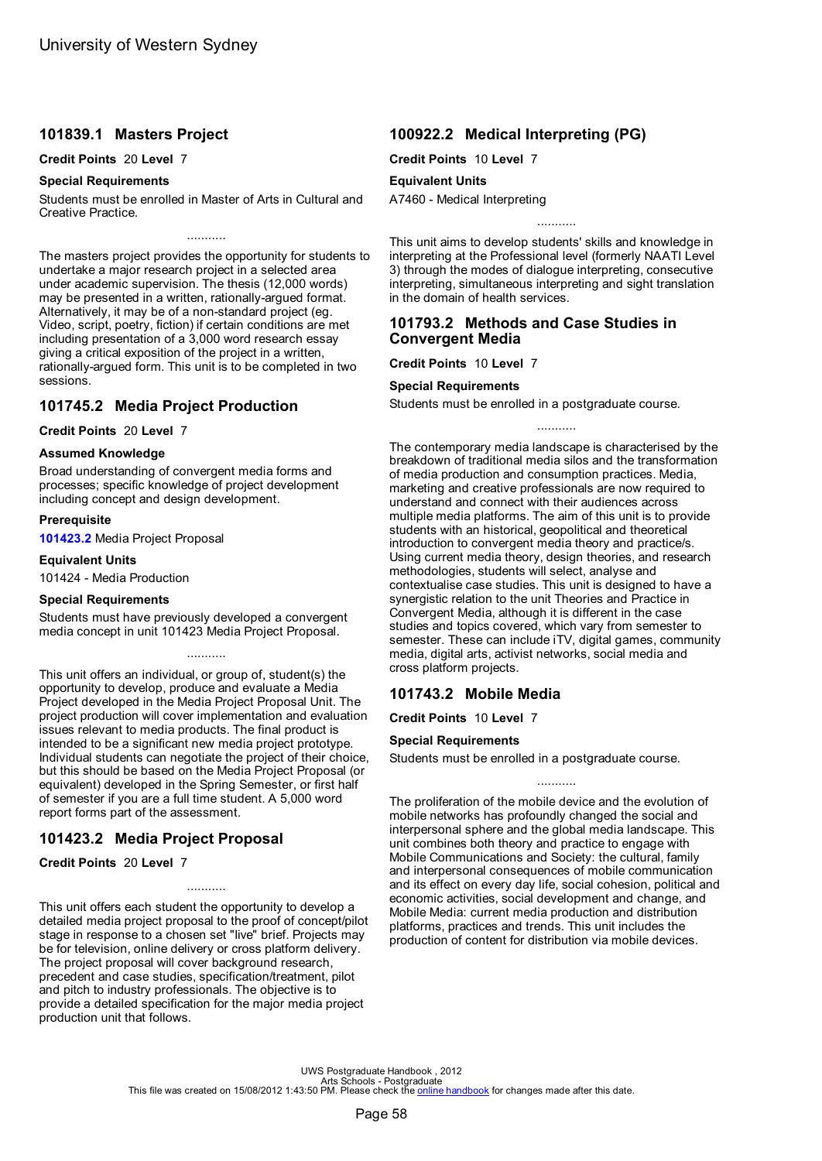## <span id="page-61-0"></span>**101839.1 Masters Project**

**Credit Points** 20 **Level** 7

#### **Special Requirements**

Students must be enrolled in Master of Arts in Cultural and Creative Practice.

...........

The masters project provides the opportunity for students to undertake a major research project in a selected area under academic supervision. The thesis (12,000 words) may be presented in a written, rationally-argued format. Alternatively, it may be of a non-standard project (eg. Video, script, poetry, fiction) if certain conditions are met including presentation of a 3,000 word research essay giving a critical exposition of the project in a written, rationally-argued form. This unit is to be completed in two sessions.

# **101745.2 Media Project Production**

**Credit Points** 20 **Level** 7

### **Assumed Knowledge**

Broad understanding of convergent media forms and processes; specific knowledge of project development including concept and design development.

### **Prerequisite**

**101423.2** Media Project Proposal

**Equivalent Units**

101424 - Media Production

### **Special Requirements**

Students must have previously developed a convergent media concept in unit 101423 Media Project Proposal.

This unit offers an individual, or group of, student(s) the opportunity to develop, produce and evaluate a Media Project developed in the Media Project Proposal Unit. The project production will cover implementation and evaluation issues relevant to media products. The final product is intended to be a significant new media project prototype. Individual students can negotiate the project of their choice, but this should be based on the Media Project Proposal (or equivalent) developed in the Spring Semester, or first half of semester if you are a full time student. A 5,000 word report forms part of the assessment.

...........

# **101423.2 Media Project Proposal**

### **Credit Points** 20 **Level** 7

This unit offers each student the opportunity to develop a detailed media project proposal to the proof of concept/pilot stage in response to a chosen set "live" brief. Projects may be for television, online delivery or cross platform delivery. The project proposal will cover background research, precedent and case studies, specification/treatment, pilot and pitch to industry professionals. The objective is to provide a detailed specification for the major media project production unit that follows.

...........

# **100922.2 Medical Interpreting (PG)**

**Credit Points** 10 **Level** 7

### **Equivalent Units**

A7460 - Medical Interpreting

This unit aims to develop students' skills and knowledge in interpreting at the Professional level (formerly NAATI Level 3) through the modes of dialogue interpreting, consecutive interpreting, simultaneous interpreting and sight translation in the domain of health services.

### **101793.2 Methods and Case Studies in Convergent Media**

**Credit Points** 10 **Level** 7

### **Special Requirements**

Students must be enrolled in a postgraduate course.

...........

The contemporary media landscape is characterised by the breakdown of traditional media silos and the transformation of media production and consumption practices. Media, marketing and creative professionals are now required to understand and connect with their audiences across multiple media platforms. The aim of this unit is to provide students with an historical, geopolitical and theoretical introduction to convergent media theory and practice/s. Using current media theory, design theories, and research methodologies, students will select, analyse and contextualise case studies. This unit is designed to have a synergistic relation to the unit Theories and Practice in Convergent Media, although it is different in the case studies and topics covered, which vary from semester to semester. These can include iTV, digital games, community media, digital arts, activist networks, social media and cross platform projects.

### **101743.2 Mobile Media**

**Credit Points** 10 **Level** 7

### **Special Requirements**

Students must be enrolled in a postgraduate course.

The proliferation of the mobile device and the evolution of mobile networks has profoundly changed the social and interpersonal sphere and the global media landscape. This unit combines both theory and practice to engage with Mobile Communications and Society: the cultural, family and interpersonal consequences of mobile communication and its effect on every day life, social cohesion, political and economic activities, social development and change, and Mobile Media: current media production and distribution platforms, practices and trends. This unit includes the production of content for distribution via mobile devices.

...........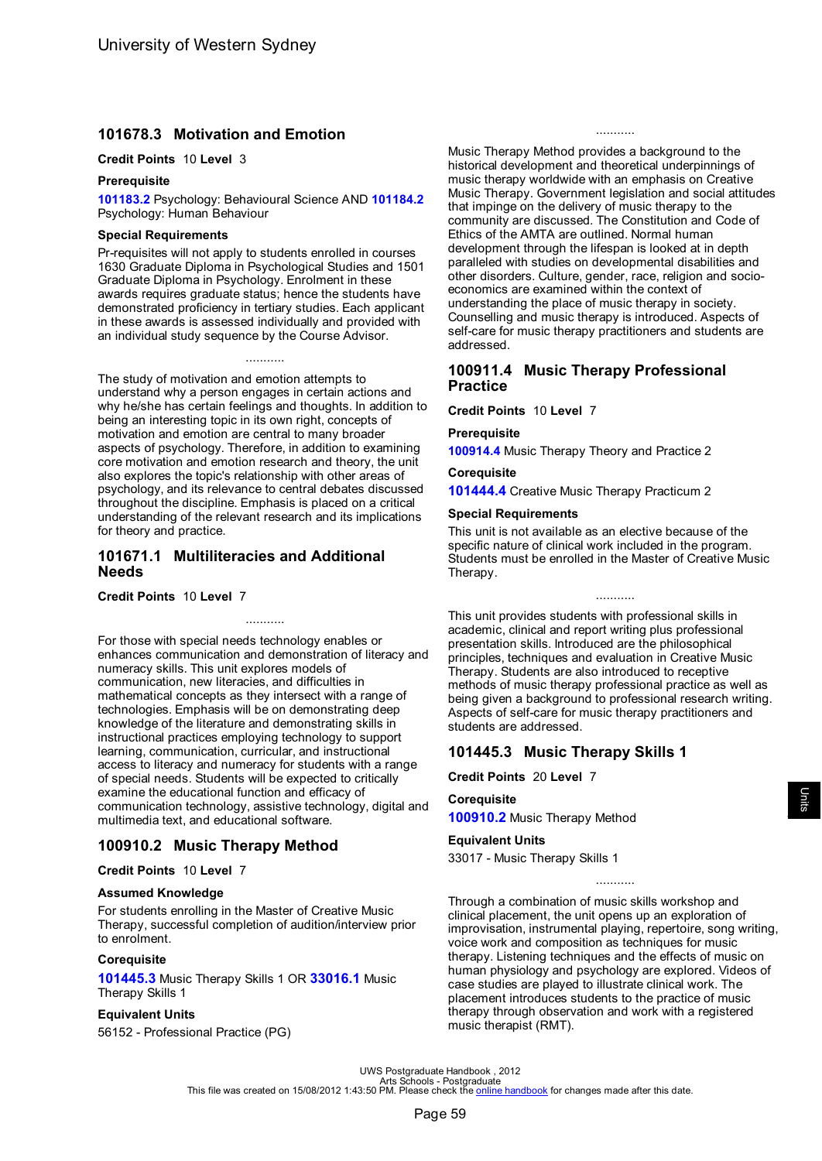# <span id="page-62-0"></span>**101678.3 Motivation and Emotion**

### **Credit Points** 10 **Level** 3

#### **Prerequisite**

**101183.2** Psychology: Behavioural Science AND **[101184.2](#page-70-0)** Psychology: Human Behaviour

#### **Special Requirements**

Pr-requisites will not apply to students enrolled in courses 1630 Graduate Diploma in Psychological Studies and 1501 Graduate Diploma in Psychology. Enrolment in these awards requires graduate status; hence the students have demonstrated proficiency in tertiary studies. Each applicant in these awards is assessed individually and provided with an individual study sequence by the Course Advisor.

...........

The study of motivation and emotion attempts to understand why a person engages in certain actions and why he/she has certain feelings and thoughts. In addition to being an interesting topic in its own right, concepts of motivation and emotion are central to many broader aspects of psychology. Therefore, in addition to examining core motivation and emotion research and theory, the unit also explores the topic's relationship with other areas of psychology, and its relevance to central debates discussed throughout the discipline. Emphasis is placed on a critical understanding of the relevant research and its implications for theory and practice.

### **101671.1 Multiliteracies and Additional Needs**

**Credit Points** 10 **Level** 7

For those with special needs technology enables or enhances communication and demonstration of literacy and numeracy skills. This unit explores models of communication, new literacies, and difficulties in mathematical concepts as they intersect with a range of technologies. Emphasis will be on demonstrating deep knowledge of the literature and demonstrating skills in instructional practices employing technology to support learning, communication, curricular, and instructional access to literacy and numeracy for students with a range of special needs. Students will be expected to critically examine the educational function and efficacy of communication technology, assistive technology, digital and multimedia text, and educational software.

...........

# **100910.2 Music Therapy Method**

#### **Credit Points** 10 **Level** 7

#### **Assumed Knowledge**

For students enrolling in the Master of Creative Music Therapy, successful completion of audition/interview prior to enrolment.

### **Corequisite**

**101445.3** Music Therapy Skills 1 OR **33016.1** Music Therapy Skills 1

### **Equivalent Units**

56152 - Professional Practice (PG)

Music Therapy Method provides a background to the historical development and theoretical underpinnings of music therapy worldwide with an emphasis on Creative Music Therapy. Government legislation and social attitudes that impinge on the delivery of music therapy to the community are discussed. The Constitution and Code of Ethics of the AMTA are outlined. Normal human development through the lifespan is looked at in depth paralleled with studies on developmental disabilities and other disorders. Culture, gender, race, religion and socioeconomics are examined within the context of understanding the place of music therapy in society. Counselling and music therapy is introduced. Aspects of self-care for music therapy practitioners and students are addressed.

...........

### **100911.4 Music Therapy Professional Practice**

**Credit Points** 10 **Level** 7

#### **Prerequisite**

**[100914.4](#page-63-0)** Music Therapy Theory and Practice 2

#### **Corequisite**

**[101444.4](#page-50-0)** Creative Music Therapy Practicum 2

#### **Special Requirements**

This unit is not available as an elective because of the specific nature of clinical work included in the program. Students must be enrolled in the Master of Creative Music Therapy.

...........

This unit provides students with professional skills in academic, clinical and report writing plus professional presentation skills. Introduced are the philosophical principles, techniques and evaluation in Creative Music Therapy. Students are also introduced to receptive methods of music therapy professional practice as well as being given a background to professional research writing. Aspects of self-care for music therapy practitioners and students are addressed.

### **101445.3 Music Therapy Skills 1**

**Credit Points** 20 **Level** 7

### **Corequisite**

**100910.2** Music Therapy Method

### **Equivalent Units**

33017 - Music Therapy Skills 1

Through a combination of music skills workshop and clinical placement, the unit opens up an exploration of improvisation, instrumental playing, repertoire, song writing, voice work and composition as techniques for music therapy. Listening techniques and the effects of music on human physiology and psychology are explored. Videos of case studies are played to illustrate clinical work. The placement introduces students to the practice of music therapy through observation and work with a registered music therapist (RMT).

...........

UWS Postgraduate Handbook , 2012<br>Arts Schools - Postgraduate – Parte and book and the online [handbook](http://handbook.uws.edu.au/hbook/) for changes made after this date.<br>This file was created on 15/08/2012 1:43:50 PM. Please check the <u>online handbook</u> for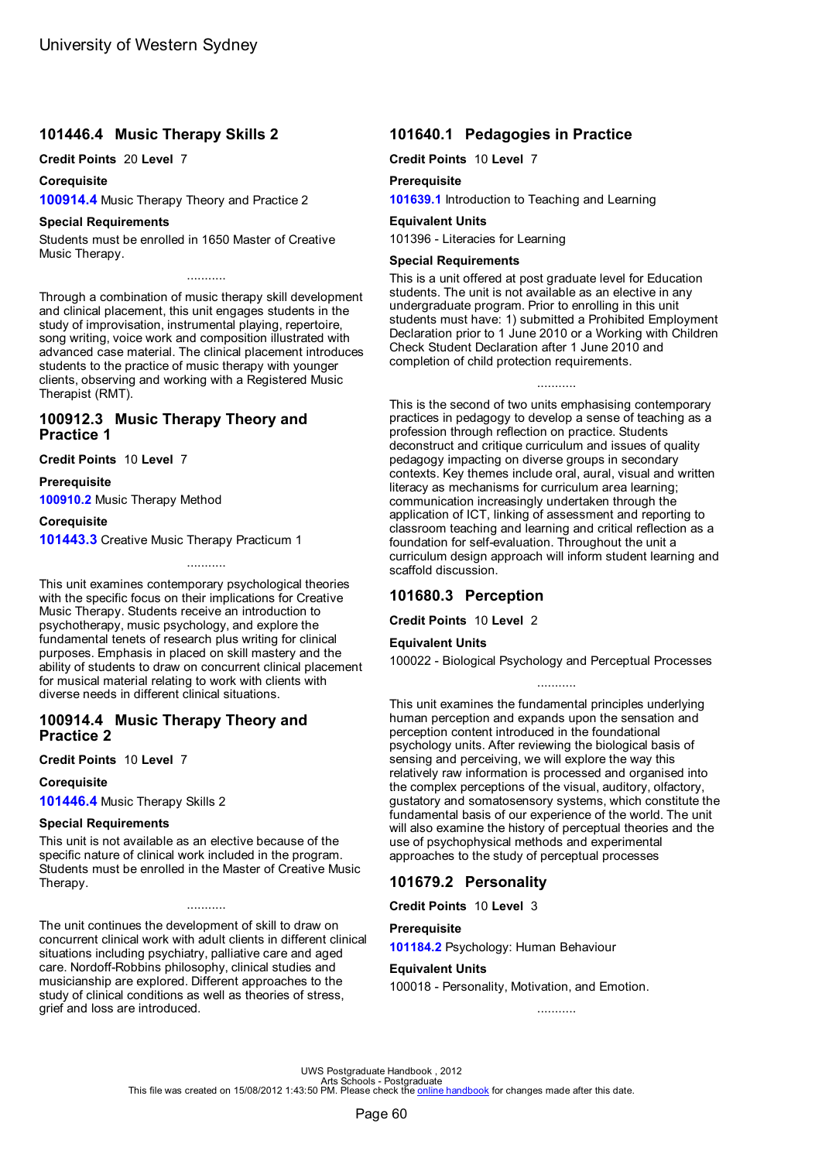# <span id="page-63-0"></span>**101446.4 Music Therapy Skills 2**

**Credit Points** 20 **Level** 7

### **Corequisite**

**100914.4** Music Therapy Theory and Practice 2

### **Special Requirements**

Students must be enrolled in 1650 Master of Creative Music Therapy.

Through a combination of music therapy skill development and clinical placement, this unit engages students in the study of improvisation, instrumental playing, repertoire, song writing, voice work and composition illustrated with advanced case material. The clinical placement introduces students to the practice of music therapy with younger clients, observing and working with a Registered Music Therapist (RMT).

...........

## **100912.3 Music Therapy Theory and Practice 1**

**Credit Points** 10 **Level** 7

**Prerequisite**

**[100910.2](#page-62-0)** Music Therapy Method

### **Corequisite**

**[101443.3](#page-49-0)** Creative Music Therapy Practicum 1

This unit examines contemporary psychological theories with the specific focus on their implications for Creative Music Therapy. Students receive an introduction to psychotherapy, music psychology, and explore the fundamental tenets of research plus writing for clinical purposes. Emphasis in placed on skill mastery and the ability of students to draw on concurrent clinical placement for musical material relating to work with clients with diverse needs in different clinical situations.

...........

### **100914.4 Music Therapy Theory and Practice 2**

**Credit Points** 10 **Level** 7

### **Corequisite**

**101446.4** Music Therapy Skills 2

### **Special Requirements**

This unit is not available as an elective because of the specific nature of clinical work included in the program. Students must be enrolled in the Master of Creative Music Therapy.

...........

The unit continues the development of skill to draw on concurrent clinical work with adult clients in different clinical situations including psychiatry, palliative care and aged care. Nordoff-Robbins philosophy, clinical studies and musicianship are explored. Different approaches to the study of clinical conditions as well as theories of stress, grief and loss are introduced.

# **101640.1 Pedagogies in Practice**

**Credit Points** 10 **Level** 7

### **Prerequisite**

**[101639.1](#page-58-0)** Introduction to Teaching and Learning

### **Equivalent Units**

101396 - Literacies for Learning

### **Special Requirements**

This is a unit offered at post graduate level for Education students. The unit is not available as an elective in any undergraduate program. Prior to enrolling in this unit students must have: 1) submitted a Prohibited Employment Declaration prior to 1 June 2010 or a Working with Children Check Student Declaration after 1 June 2010 and completion of child protection requirements.

...........

This is the second of two units emphasising contemporary practices in pedagogy to develop a sense of teaching as a profession through reflection on practice. Students deconstruct and critique curriculum and issues of quality pedagogy impacting on diverse groups in secondary contexts. Key themes include oral, aural, visual and written literacy as mechanisms for curriculum area learning; communication increasingly undertaken through the application of ICT, linking of assessment and reporting to classroom teaching and learning and critical reflection as a foundation for self-evaluation. Throughout the unit a curriculum design approach will inform student learning and scaffold discussion.

# **101680.3 Perception**

**Credit Points** 10 **Level** 2

### **Equivalent Units**

100022 - Biological Psychology and Perceptual Processes ...........

This unit examines the fundamental principles underlying human perception and expands upon the sensation and perception content introduced in the foundational psychology units. After reviewing the biological basis of sensing and perceiving, we will explore the way this relatively raw information is processed and organised into the complex perceptions of the visual, auditory, olfactory, gustatory and somatosensory systems, which constitute the fundamental basis of our experience of the world. The unit will also examine the history of perceptual theories and the use of psychophysical methods and experimental approaches to the study of perceptual processes

# **101679.2 Personality**

**Credit Points** 10 **Level** 3

### **Prerequisite**

**[101184.2](#page-70-0)** Psychology: Human Behaviour

### **Equivalent Units**

100018 - Personality, Motivation, and Emotion.

...........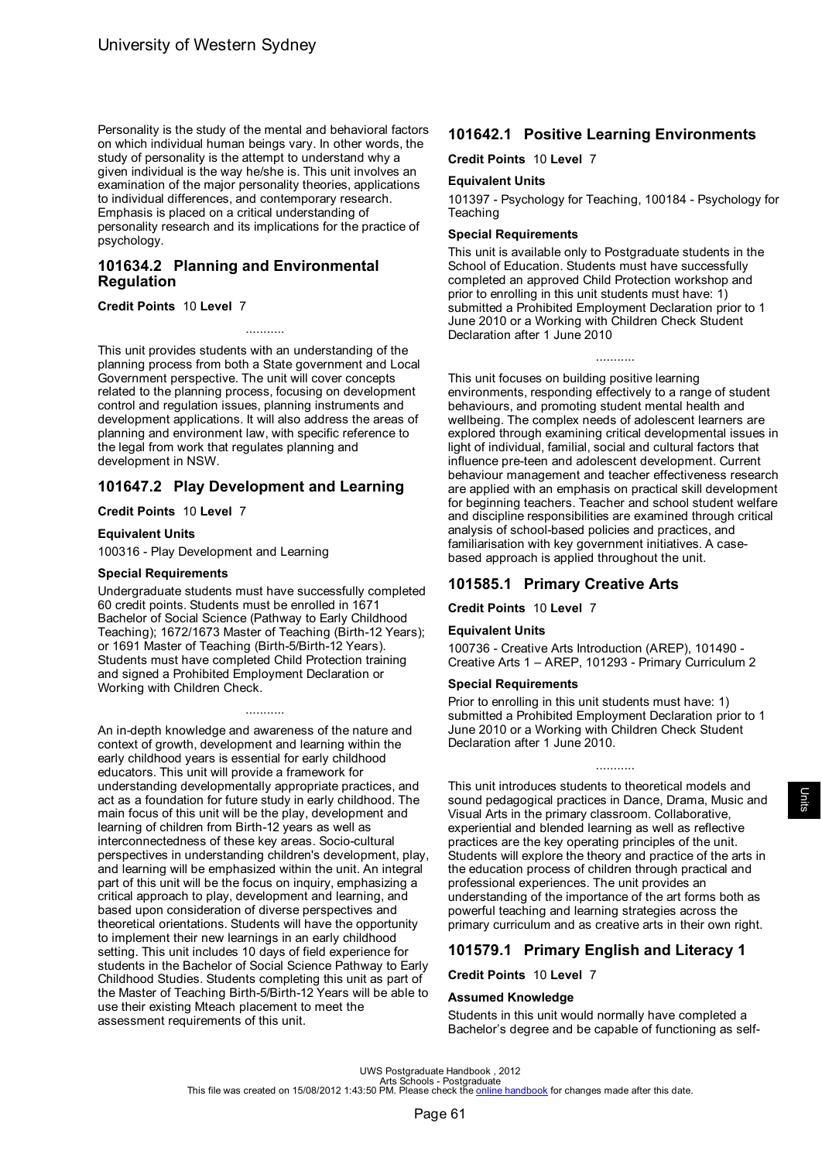<span id="page-64-0"></span>Personality is the study of the mental and behavioral factors on which individual human beings vary. In other words, the study of personality is the attempt to understand why a given individual is the way he/she is. This unit involves an examination of the major personality theories, applications to individual differences, and contemporary research. Emphasis is placed on a critical understanding of personality research and its implications for the practice of psychology.

# **101634.2 Planning and Environmental Regulation**

### **Credit Points** 10 **Level** 7

This unit provides students with an understanding of the planning process from both a State government and Local Government perspective. The unit will cover concepts related to the planning process, focusing on development control and regulation issues, planning instruments and development applications. It will also address the areas of planning and environment law, with specific reference to the legal from work that regulates planning and development in NSW.

...........

# **101647.2 Play Development and Learning**

### **Credit Points** 10 **Level** 7

### **Equivalent Units**

100316 - Play Development and Learning

### **Special Requirements**

Undergraduate students must have successfully completed 60 credit points. Students must be enrolled in 1671 Bachelor of Social Science (Pathway to Early Childhood Teaching); 1672/1673 Master of Teaching (Birth-12 Years); or 1691 Master of Teaching (Birth-5/Birth-12 Years). Students must have completed Child Protection training and signed a Prohibited Employment Declaration or Working with Children Check.

...........

An in-depth knowledge and awareness of the nature and context of growth, development and learning within the early childhood years is essential for early childhood educators. This unit will provide a framework for understanding developmentally appropriate practices, and act as a foundation for future study in early childhood. The main focus of this unit will be the play, development and learning of children from Birth-12 years as well as interconnectedness of these key areas. Socio-cultural perspectives in understanding children's development, play, and learning will be emphasized within the unit. An integral part of this unit will be the focus on inquiry, emphasizing a critical approach to play, development and learning, and based upon consideration of diverse perspectives and theoretical orientations. Students will have the opportunity to implement their new learnings in an early childhood setting. This unit includes 10 days of field experience for students in the Bachelor of Social Science Pathway to Early Childhood Studies. Students completing this unit as part of the Master of Teaching Birth-5/Birth-12 Years will be able to use their existing Mteach placement to meet the assessment requirements of this unit.

# **101642.1 Positive Learning Environments**

**Credit Points** 10 **Level** 7

### **Equivalent Units**

101397 - Psychology for Teaching, 100184 - Psychology for **Teaching** 

### **Special Requirements**

This unit is available only to Postgraduate students in the School of Education. Students must have successfully completed an approved Child Protection workshop and prior to enrolling in this unit students must have: 1) submitted a Prohibited Employment Declaration prior to 1 June 2010 or a Working with Children Check Student Declaration after 1 June 2010

...........

This unit focuses on building positive learning environments, responding effectively to a range of student behaviours, and promoting student mental health and wellbeing. The complex needs of adolescent learners are explored through examining critical developmental issues in light of individual, familial, social and cultural factors that influence pre-teen and adolescent development. Current behaviour management and teacher effectiveness research are applied with an emphasis on practical skill development for beginning teachers. Teacher and school student welfare and discipline responsibilities are examined through critical analysis of school-based policies and practices, and familiarisation with key government initiatives. A casebased approach is applied throughout the unit.

### **101585.1 Primary Creative Arts**

### **Credit Points** 10 **Level** 7

### **Equivalent Units**

100736 - Creative Arts Introduction (AREP), 101490 - Creative Arts 1 – AREP, 101293 - Primary Curriculum 2

### **Special Requirements**

Prior to enrolling in this unit students must have: 1) submitted a Prohibited Employment Declaration prior to 1 June 2010 or a Working with Children Check Student Declaration after 1 June 2010.

...........

This unit introduces students to theoretical models and sound pedagogical practices in Dance, Drama, Music and Visual Arts in the primary classroom. Collaborative, experiential and blended learning as well as reflective practices are the key operating principles of the unit. Students will explore the theory and practice of the arts in the education process of children through practical and professional experiences. The unit provides an understanding of the importance of the art forms both as powerful teaching and learning strategies across the primary curriculum and as creative arts in their own right.

# **101579.1 Primary English and Literacy 1**

**Credit Points** 10 **Level** 7

### **Assumed Knowledge**

Students in this unit would normally have completed a Bachelor's degree and be capable of functioning as self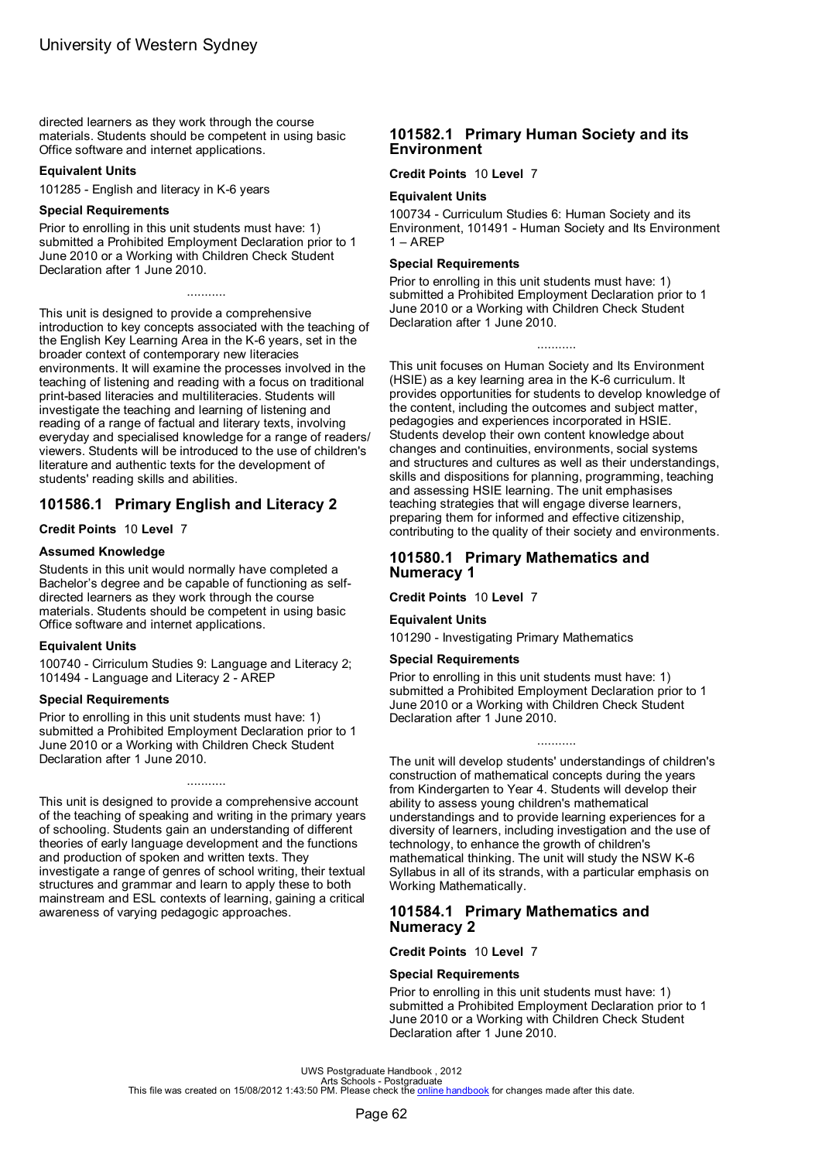directed learners as they work through the course materials. Students should be competent in using basic Office software and internet applications.

### **Equivalent Units**

101285 - English and literacy in K-6 years

### **Special Requirements**

Prior to enrolling in this unit students must have: 1) submitted a Prohibited Employment Declaration prior to 1 June 2010 or a Working with Children Check Student Declaration after 1 June 2010.

...........

This unit is designed to provide a comprehensive introduction to key concepts associated with the teaching of the English Key Learning Area in the K-6 years, set in the broader context of contemporary new literacies environments. It will examine the processes involved in the teaching of listening and reading with a focus on traditional print-based literacies and multiliteracies. Students will investigate the teaching and learning of listening and reading of a range of factual and literary texts, involving everyday and specialised knowledge for a range of readers/ viewers. Students will be introduced to the use of children's literature and authentic texts for the development of students' reading skills and abilities.

# **101586.1 Primary English and Literacy 2**

**Credit Points** 10 **Level** 7

### **Assumed Knowledge**

Students in this unit would normally have completed a Bachelor's degree and be capable of functioning as selfdirected learners as they work through the course materials. Students should be competent in using basic Office software and internet applications.

### **Equivalent Units**

100740 - Cirriculum Studies 9: Language and Literacy 2; 101494 - Language and Literacy 2 - AREP

### **Special Requirements**

Prior to enrolling in this unit students must have: 1) submitted a Prohibited Employment Declaration prior to 1 June 2010 or a Working with Children Check Student Declaration after 1 June 2010.

...........

This unit is designed to provide a comprehensive account of the teaching of speaking and writing in the primary years of schooling. Students gain an understanding of different theories of early language development and the functions and production of spoken and written texts. They investigate a range of genres of school writing, their textual structures and grammar and learn to apply these to both mainstream and ESL contexts of learning, gaining a critical awareness of varying pedagogic approaches.

# **101582.1 Primary Human Society and its Environment**

**Credit Points** 10 **Level** 7

### **Equivalent Units**

100734 - Curriculum Studies 6: Human Society and its Environment, 101491 - Human Society and Its Environment 1 – AREP

### **Special Requirements**

Prior to enrolling in this unit students must have: 1) submitted a Prohibited Employment Declaration prior to 1 June 2010 or a Working with Children Check Student Declaration after 1 June 2010.

...........

This unit focuses on Human Society and Its Environment (HSIE) as a key learning area in the K-6 curriculum. It provides opportunities for students to develop knowledge of the content, including the outcomes and subject matter, pedagogies and experiences incorporated in HSIE. Students develop their own content knowledge about changes and continuities, environments, social systems and structures and cultures as well as their understandings, skills and dispositions for planning, programming, teaching and assessing HSIE learning. The unit emphasises teaching strategies that will engage diverse learners, preparing them for informed and effective citizenship, contributing to the quality of their society and environments.

### **101580.1 Primary Mathematics and Numeracy 1**

**Credit Points** 10 **Level** 7

### **Equivalent Units**

101290 - Investigating Primary Mathematics

### **Special Requirements**

Prior to enrolling in this unit students must have: 1) submitted a Prohibited Employment Declaration prior to 1 June 2010 or a Working with Children Check Student Declaration after 1 June 2010.

...........

The unit will develop students' understandings of children's construction of mathematical concepts during the years from Kindergarten to Year 4. Students will develop their ability to assess young children's mathematical understandings and to provide learning experiences for a diversity of learners, including investigation and the use of technology, to enhance the growth of children's mathematical thinking. The unit will study the NSW K-6 Syllabus in all of its strands, with a particular emphasis on Working Mathematically.

# **101584.1 Primary Mathematics and Numeracy 2**

**Credit Points** 10 **Level** 7

### **Special Requirements**

Prior to enrolling in this unit students must have: 1) submitted a Prohibited Employment Declaration prior to 1 June 2010 or a Working with Children Check Student Declaration after 1 June 2010.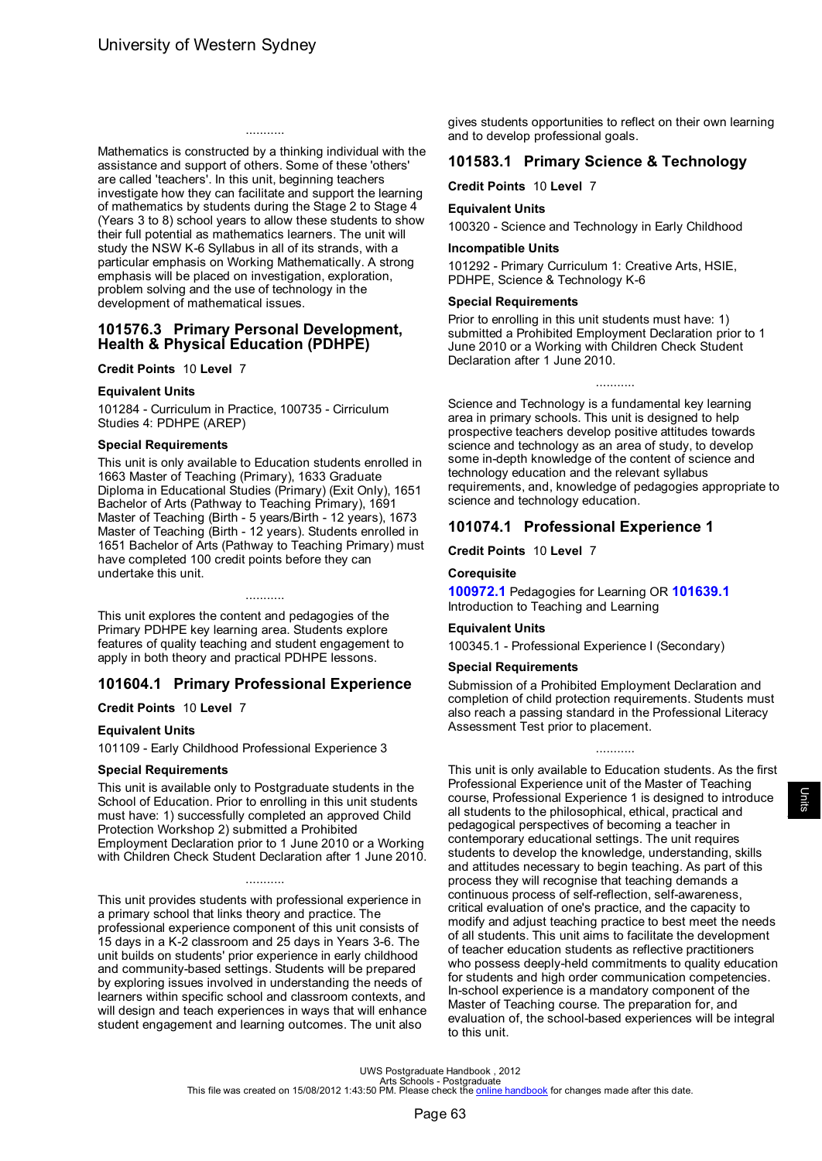<span id="page-66-0"></span>Mathematics is constructed by a thinking individual with the assistance and support of others. Some of these 'others' are called 'teachers'. In this unit, beginning teachers investigate how they can facilitate and support the learning of mathematics by students during the Stage 2 to Stage 4 (Years 3 to 8) school years to allow these students to show their full potential as mathematics learners. The unit will study the NSW K-6 Syllabus in all of its strands, with a particular emphasis on Working Mathematically. A strong emphasis will be placed on investigation, exploration, problem solving and the use of technology in the development of mathematical issues.

...........

## **101576.3 Primary Personal Development, Health & Physical Education (PDHPE)**

### **Credit Points** 10 **Level** 7

### **Equivalent Units**

101284 - Curriculum in Practice, 100735 - Cirriculum Studies 4: PDHPE (AREP)

### **Special Requirements**

This unit is only available to Education students enrolled in 1663 Master of Teaching (Primary), 1633 Graduate Diploma in Educational Studies (Primary) (Exit Only), 1651 Bachelor of Arts (Pathway to Teaching Primary), 1691 Master of Teaching (Birth - 5 years/Birth - 12 years), 1673 Master of Teaching (Birth - 12 years). Students enrolled in 1651 Bachelor of Arts (Pathway to Teaching Primary) must have completed 100 credit points before they can undertake this unit.

...........

This unit explores the content and pedagogies of the Primary PDHPE key learning area. Students explore features of quality teaching and student engagement to apply in both theory and practical PDHPE lessons.

# **101604.1 Primary Professional Experience**

### **Credit Points** 10 **Level** 7

### **Equivalent Units**

101109 - Early Childhood Professional Experience 3

### **Special Requirements**

This unit is available only to Postgraduate students in the School of Education. Prior to enrolling in this unit students must have: 1) successfully completed an approved Child Protection Workshop 2) submitted a Prohibited Employment Declaration prior to 1 June 2010 or a Working with Children Check Student Declaration after 1 June 2010.

...........

This unit provides students with professional experience in a primary school that links theory and practice. The professional experience component of this unit consists of 15 days in a K-2 classroom and 25 days in Years 3-6. The unit builds on students' prior experience in early childhood and community-based settings. Students will be prepared by exploring issues involved in understanding the needs of learners within specific school and classroom contexts, and will design and teach experiences in ways that will enhance student engagement and learning outcomes. The unit also

gives students opportunities to reflect on their own learning and to develop professional goals.

# **101583.1 Primary Science & Technology**

**Credit Points** 10 **Level** 7

### **Equivalent Units**

100320 - Science and Technology in Early Childhood

### **Incompatible Units**

101292 - Primary Curriculum 1: Creative Arts, HSIE, PDHPE, Science & Technology K-6

### **Special Requirements**

Prior to enrolling in this unit students must have: 1) submitted a Prohibited Employment Declaration prior to 1 June 2010 or a Working with Children Check Student Declaration after 1 June 2010.

...........

Science and Technology is a fundamental key learning area in primary schools. This unit is designed to help prospective teachers develop positive attitudes towards science and technology as an area of study, to develop some in-depth knowledge of the content of science and technology education and the relevant syllabus requirements, and, knowledge of pedagogies appropriate to science and technology education.

# **101074.1 Professional Experience 1**

### **Credit Points** 10 **Level** 7

### **Corequisite**

**100972.1** Pedagogies for Learning OR **[101639.1](#page-58-0)** Introduction to Teaching and Learning

### **Equivalent Units**

100345.1 - Professional Experience I (Secondary)

### **Special Requirements**

Submission of a Prohibited Employment Declaration and completion of child protection requirements. Students must also reach a passing standard in the Professional Literacy Assessment Test prior to placement.

...........

This unit is only available to Education students. As the first Professional Experience unit of the Master of Teaching course, Professional Experience 1 is designed to introduce all students to the philosophical, ethical, practical and pedagogical perspectives of becoming a teacher in contemporary educational settings. The unit requires students to develop the knowledge, understanding, skills and attitudes necessary to begin teaching. As part of this process they will recognise that teaching demands a continuous process of self-reflection, self-awareness, critical evaluation of one's practice, and the capacity to modify and adjust teaching practice to best meet the needs of all students. This unit aims to facilitate the development of teacher education students as reflective practitioners who possess deeply-held commitments to quality education for students and high order communication competencies. In-school experience is a mandatory component of the Master of Teaching course. The preparation for, and evaluation of, the school-based experiences will be integral to this unit.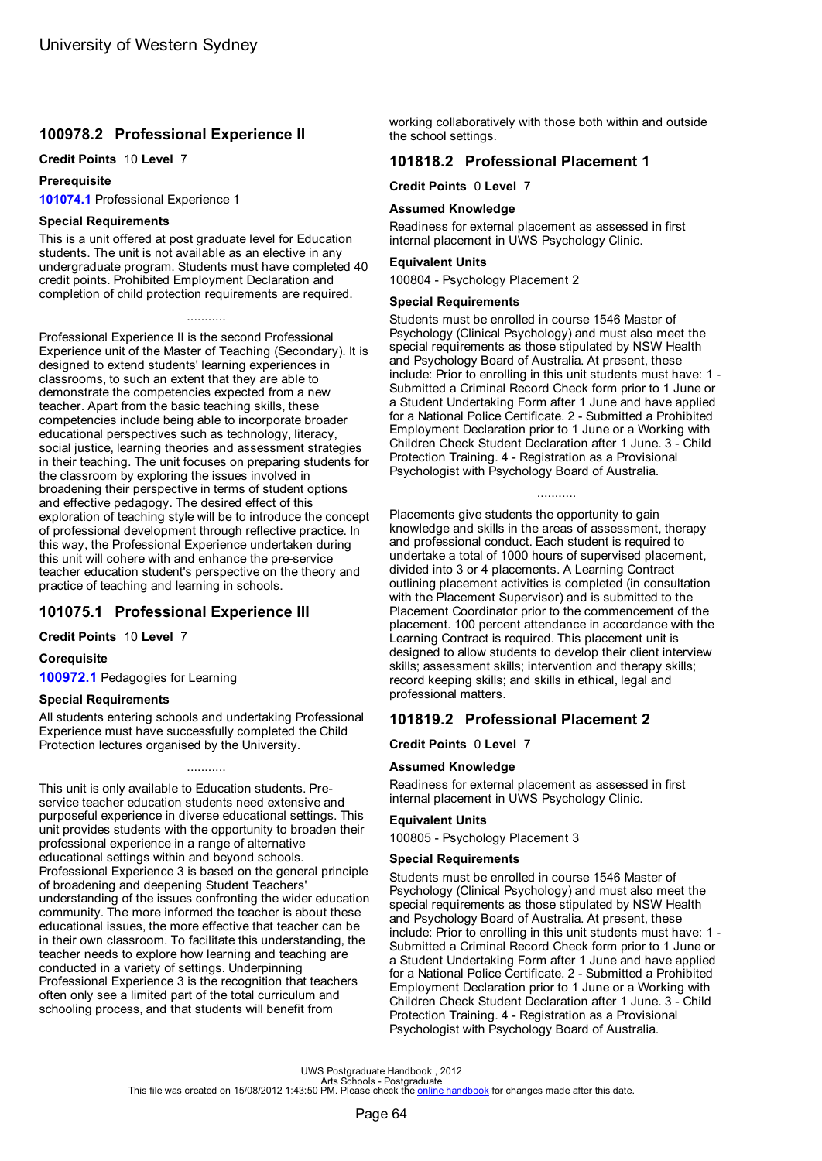# **100978.2 Professional Experience II**

### **Credit Points** 10 **Level** 7

### **Prerequisite**

**[101074.1](#page-66-0)** Professional Experience 1

### **Special Requirements**

This is a unit offered at post graduate level for Education students. The unit is not available as an elective in any undergraduate program. Students must have completed 40 credit points. Prohibited Employment Declaration and completion of child protection requirements are required.

...........

Professional Experience II is the second Professional Experience unit of the Master of Teaching (Secondary). It is designed to extend students' learning experiences in classrooms, to such an extent that they are able to demonstrate the competencies expected from a new teacher. Apart from the basic teaching skills, these competencies include being able to incorporate broader educational perspectives such as technology, literacy, social justice, learning theories and assessment strategies in their teaching. The unit focuses on preparing students for the classroom by exploring the issues involved in broadening their perspective in terms of student options and effective pedagogy. The desired effect of this exploration of teaching style will be to introduce the concept of professional development through reflective practice. In this way, the Professional Experience undertaken during this unit will cohere with and enhance the pre-service teacher education student's perspective on the theory and practice of teaching and learning in schools.

# **101075.1 Professional Experience III**

**Credit Points** 10 **Level** 7

### **Corequisite**

**100972.1** Pedagogies for Learning

### **Special Requirements**

All students entering schools and undertaking Professional Experience must have successfully completed the Child Protection lectures organised by the University.

...........

This unit is only available to Education students. Preservice teacher education students need extensive and purposeful experience in diverse educational settings. This unit provides students with the opportunity to broaden their professional experience in a range of alternative educational settings within and beyond schools. Professional Experience 3 is based on the general principle of broadening and deepening Student Teachers' understanding of the issues confronting the wider education community. The more informed the teacher is about these educational issues, the more effective that teacher can be in their own classroom. To facilitate this understanding, the teacher needs to explore how learning and teaching are conducted in a variety of settings. Underpinning Professional Experience 3 is the recognition that teachers often only see a limited part of the total curriculum and schooling process, and that students will benefit from

working collaboratively with those both within and outside the school settings.

# **101818.2 Professional Placement 1**

### **Credit Points** 0 **Level** 7

### **Assumed Knowledge**

Readiness for external placement as assessed in first internal placement in UWS Psychology Clinic.

### **Equivalent Units**

100804 - Psychology Placement 2

### **Special Requirements**

Students must be enrolled in course 1546 Master of Psychology (Clinical Psychology) and must also meet the special requirements as those stipulated by NSW Health and Psychology Board of Australia. At present, these include: Prior to enrolling in this unit students must have: 1 - Submitted a Criminal Record Check form prior to 1 June or a Student Undertaking Form after 1 June and have applied for a National Police Certificate. 2 - Submitted a Prohibited Employment Declaration prior to 1 June or a Working with Children Check Student Declaration after 1 June. 3 - Child Protection Training. 4 - Registration as a Provisional Psychologist with Psychology Board of Australia.

...........

Placements give students the opportunity to gain knowledge and skills in the areas of assessment, therapy and professional conduct. Each student is required to undertake a total of 1000 hours of supervised placement, divided into 3 or 4 placements. A Learning Contract outlining placement activities is completed (in consultation with the Placement Supervisor) and is submitted to the Placement Coordinator prior to the commencement of the placement. 100 percent attendance in accordance with the Learning Contract is required. This placement unit is designed to allow students to develop their client interview skills; assessment skills; intervention and therapy skills; record keeping skills; and skills in ethical, legal and professional matters.

# **101819.2 Professional Placement 2**

**Credit Points** 0 **Level** 7

### **Assumed Knowledge**

Readiness for external placement as assessed in first internal placement in UWS Psychology Clinic.

### **Equivalent Units**

100805 - Psychology Placement 3

### **Special Requirements**

Students must be enrolled in course 1546 Master of Psychology (Clinical Psychology) and must also meet the special requirements as those stipulated by NSW Health and Psychology Board of Australia. At present, these include: Prior to enrolling in this unit students must have: 1 - Submitted a Criminal Record Check form prior to 1 June or a Student Undertaking Form after 1 June and have applied for a National Police Certificate. 2 - Submitted a Prohibited Employment Declaration prior to 1 June or a Working with Children Check Student Declaration after 1 June. 3 - Child Protection Training. 4 - Registration as a Provisional Psychologist with Psychology Board of Australia.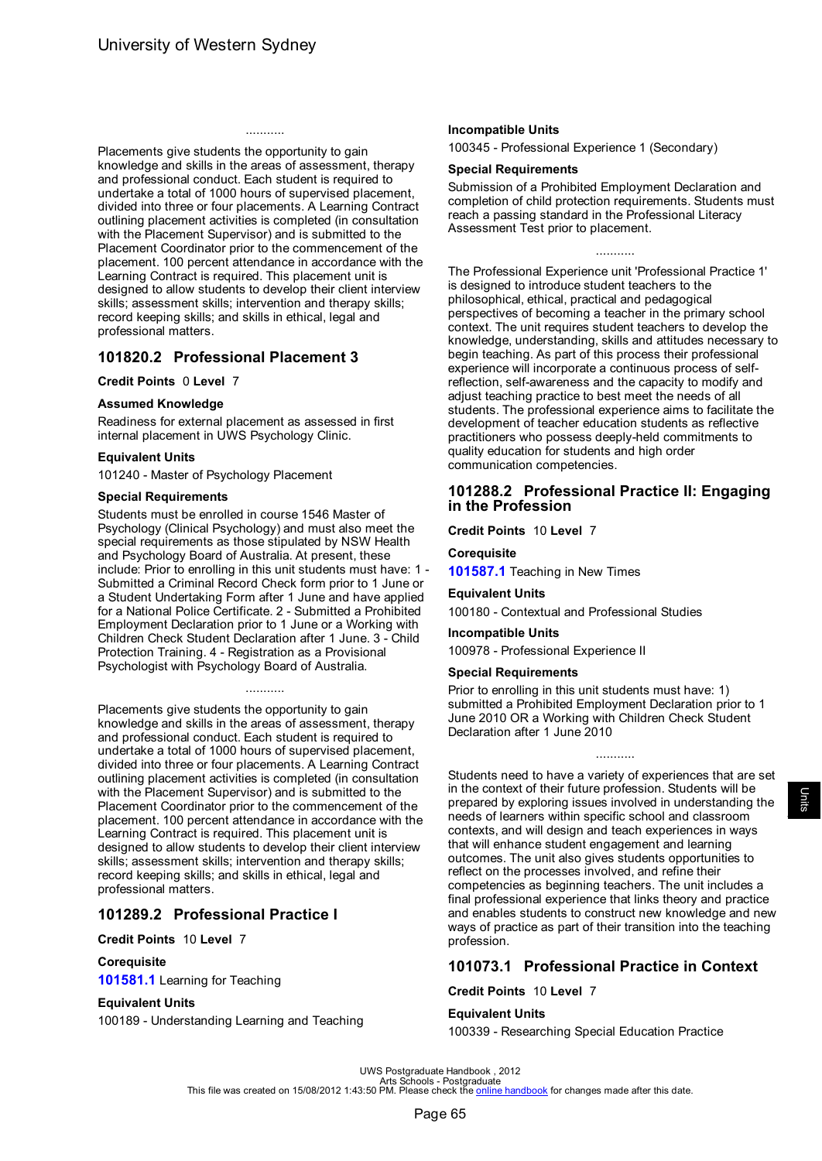Placements give students the opportunity to gain knowledge and skills in the areas of assessment, therapy and professional conduct. Each student is required to undertake a total of 1000 hours of supervised placement, divided into three or four placements. A Learning Contract outlining placement activities is completed (in consultation with the Placement Supervisor) and is submitted to the Placement Coordinator prior to the commencement of the placement. 100 percent attendance in accordance with the Learning Contract is required. This placement unit is designed to allow students to develop their client interview skills; assessment skills; intervention and therapy skills; record keeping skills; and skills in ethical, legal and professional matters.

...........

# **101820.2 Professional Placement 3**

**Credit Points** 0 **Level** 7

### **Assumed Knowledge**

Readiness for external placement as assessed in first internal placement in UWS Psychology Clinic.

### **Equivalent Units**

101240 - Master of Psychology Placement

### **Special Requirements**

Students must be enrolled in course 1546 Master of Psychology (Clinical Psychology) and must also meet the special requirements as those stipulated by NSW Health and Psychology Board of Australia. At present, these include: Prior to enrolling in this unit students must have: 1 - Submitted a Criminal Record Check form prior to 1 June or a Student Undertaking Form after 1 June and have applied for a National Police Certificate. 2 - Submitted a Prohibited Employment Declaration prior to 1 June or a Working with Children Check Student Declaration after 1 June. 3 - Child Protection Training. 4 - Registration as a Provisional Psychologist with Psychology Board of Australia.

...........

Placements give students the opportunity to gain knowledge and skills in the areas of assessment, therapy and professional conduct. Each student is required to undertake a total of 1000 hours of supervised placement, divided into three or four placements. A Learning Contract outlining placement activities is completed (in consultation with the Placement Supervisor) and is submitted to the Placement Coordinator prior to the commencement of the placement. 100 percent attendance in accordance with the Learning Contract is required. This placement unit is designed to allow students to develop their client interview skills; assessment skills; intervention and therapy skills; record keeping skills; and skills in ethical, legal and professional matters.

# **101289.2 Professional Practice I**

**Credit Points** 10 **Level** 7

### **Corequisite**

**[101581.1](#page-59-0)** Learning for Teaching

### **Equivalent Units**

100189 - Understanding Learning and Teaching

### **Incompatible Units**

100345 - Professional Experience 1 (Secondary)

### **Special Requirements**

Submission of a Prohibited Employment Declaration and completion of child protection requirements. Students must reach a passing standard in the Professional Literacy Assessment Test prior to placement.

...........

The Professional Experience unit 'Professional Practice 1' is designed to introduce student teachers to the philosophical, ethical, practical and pedagogical perspectives of becoming a teacher in the primary school context. The unit requires student teachers to develop the knowledge, understanding, skills and attitudes necessary to begin teaching. As part of this process their professional experience will incorporate a continuous process of selfreflection, self-awareness and the capacity to modify and adjust teaching practice to best meet the needs of all students. The professional experience aims to facilitate the development of teacher education students as reflective practitioners who possess deeply-held commitments to quality education for students and high order communication competencies.

### **101288.2 Professional Practice II: Engaging in the Profession**

### **Credit Points** 10 **Level** 7

#### **Corequisite**

**[101587.1](#page-73-0)** Teaching in New Times

### **Equivalent Units**

100180 - Contextual and Professional Studies

#### **Incompatible Units**

100978 - Professional Experience II

#### **Special Requirements**

Prior to enrolling in this unit students must have: 1) submitted a Prohibited Employment Declaration prior to 1 June 2010 OR a Working with Children Check Student Declaration after 1 June 2010

...........

Students need to have a variety of experiences that are set in the context of their future profession. Students will be prepared by exploring issues involved in understanding the needs of learners within specific school and classroom contexts, and will design and teach experiences in ways that will enhance student engagement and learning outcomes. The unit also gives students opportunities to reflect on the processes involved, and refine their competencies as beginning teachers. The unit includes a final professional experience that links theory and practice and enables students to construct new knowledge and new ways of practice as part of their transition into the teaching profession.

# **101073.1 Professional Practice in Context**

**Credit Points** 10 **Level** 7

**Equivalent Units**

100339 - Researching Special Education Practice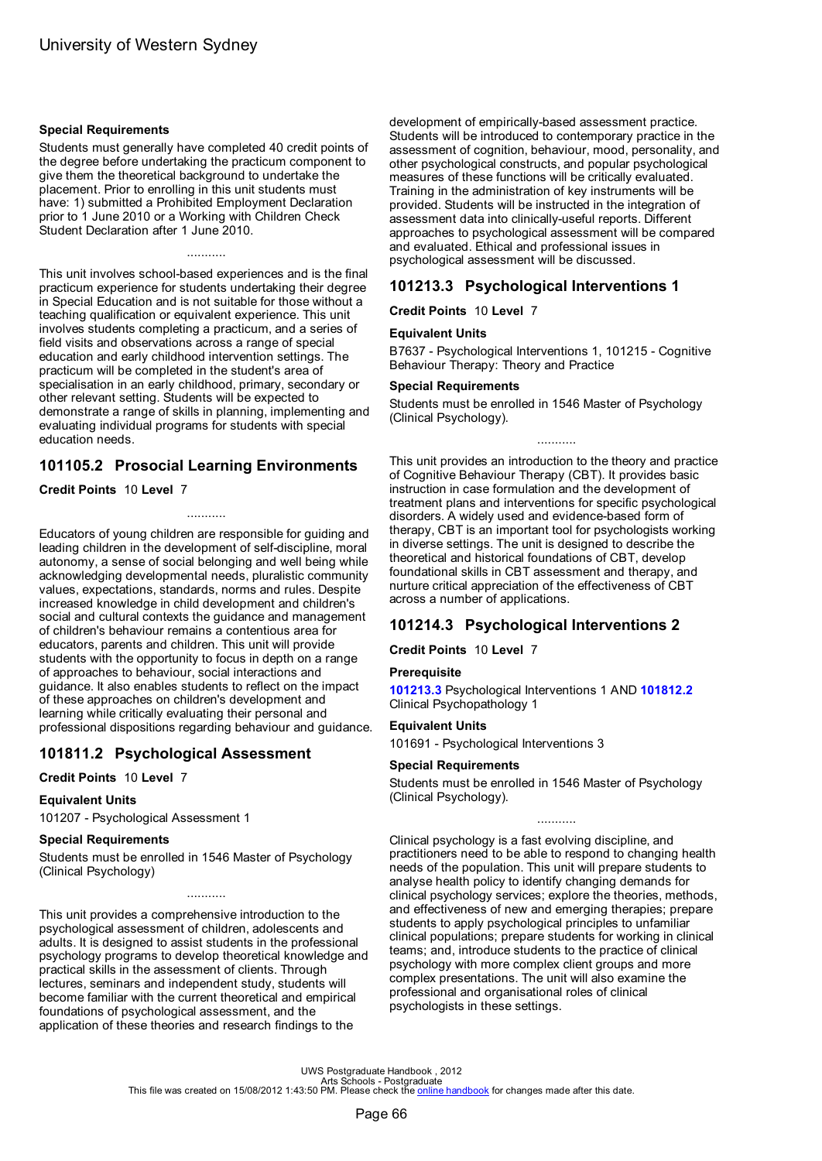### <span id="page-69-0"></span>**Special Requirements**

Students must generally have completed 40 credit points of the degree before undertaking the practicum component to give them the theoretical background to undertake the placement. Prior to enrolling in this unit students must have: 1) submitted a Prohibited Employment Declaration prior to 1 June 2010 or a Working with Children Check Student Declaration after 1 June 2010.

...........

This unit involves school-based experiences and is the final practicum experience for students undertaking their degree in Special Education and is not suitable for those without a teaching qualification or equivalent experience. This unit involves students completing a practicum, and a series of field visits and observations across a range of special education and early childhood intervention settings. The practicum will be completed in the student's area of specialisation in an early childhood, primary, secondary or other relevant setting. Students will be expected to demonstrate a range of skills in planning, implementing and evaluating individual programs for students with special education needs.

# **101105.2 Prosocial Learning Environments**

...........

### **Credit Points** 10 **Level** 7

Educators of young children are responsible for guiding and leading children in the development of self-discipline, moral autonomy, a sense of social belonging and well being while acknowledging developmental needs, pluralistic community values, expectations, standards, norms and rules. Despite increased knowledge in child development and children's social and cultural contexts the guidance and management of children's behaviour remains a contentious area for educators, parents and children. This unit will provide students with the opportunity to focus in depth on a range of approaches to behaviour, social interactions and guidance. It also enables students to reflect on the impact of these approaches on children's development and learning while critically evaluating their personal and professional dispositions regarding behaviour and guidance.

# **101811.2 Psychological Assessment**

**Credit Points** 10 **Level** 7

### **Equivalent Units**

101207 - Psychological Assessment 1

### **Special Requirements**

Students must be enrolled in 1546 Master of Psychology (Clinical Psychology)

...........

This unit provides a comprehensive introduction to the psychological assessment of children, adolescents and adults. It is designed to assist students in the professional psychology programs to develop theoretical knowledge and practical skills in the assessment of clients. Through lectures, seminars and independent study, students will become familiar with the current theoretical and empirical foundations of psychological assessment, and the application of these theories and research findings to the

development of empirically-based assessment practice. Students will be introduced to contemporary practice in the assessment of cognition, behaviour, mood, personality, and other psychological constructs, and popular psychological measures of these functions will be critically evaluated. Training in the administration of key instruments will be provided. Students will be instructed in the integration of assessment data into clinically-useful reports. Different approaches to psychological assessment will be compared and evaluated. Ethical and professional issues in psychological assessment will be discussed.

# **101213.3 Psychological Interventions 1**

**Credit Points** 10 **Level** 7

### **Equivalent Units**

B7637 - Psychological Interventions 1, 101215 - Cognitive Behaviour Therapy: Theory and Practice

### **Special Requirements**

Students must be enrolled in 1546 Master of Psychology (Clinical Psychology).

...........

This unit provides an introduction to the theory and practice of Cognitive Behaviour Therapy (CBT). It provides basic instruction in case formulation and the development of treatment plans and interventions for specific psychological disorders. A widely used and evidence-based form of therapy, CBT is an important tool for psychologists working in diverse settings. The unit is designed to describe the theoretical and historical foundations of CBT, develop foundational skills in CBT assessment and therapy, and nurture critical appreciation of the effectiveness of CBT across a number of applications.

# **101214.3 Psychological Interventions 2**

### **Credit Points** 10 **Level** 7

### **Prerequisite**

**101213.3** Psychological Interventions 1 AND **[101812.2](#page-46-0)** Clinical Psychopathology 1

### **Equivalent Units**

101691 - Psychological Interventions 3

### **Special Requirements**

Students must be enrolled in 1546 Master of Psychology (Clinical Psychology).

...........

Clinical psychology is a fast evolving discipline, and practitioners need to be able to respond to changing health needs of the population. This unit will prepare students to analyse health policy to identify changing demands for clinical psychology services; explore the theories, methods, and effectiveness of new and emerging therapies; prepare students to apply psychological principles to unfamiliar clinical populations; prepare students for working in clinical teams; and, introduce students to the practice of clinical psychology with more complex client groups and more complex presentations. The unit will also examine the professional and organisational roles of clinical psychologists in these settings.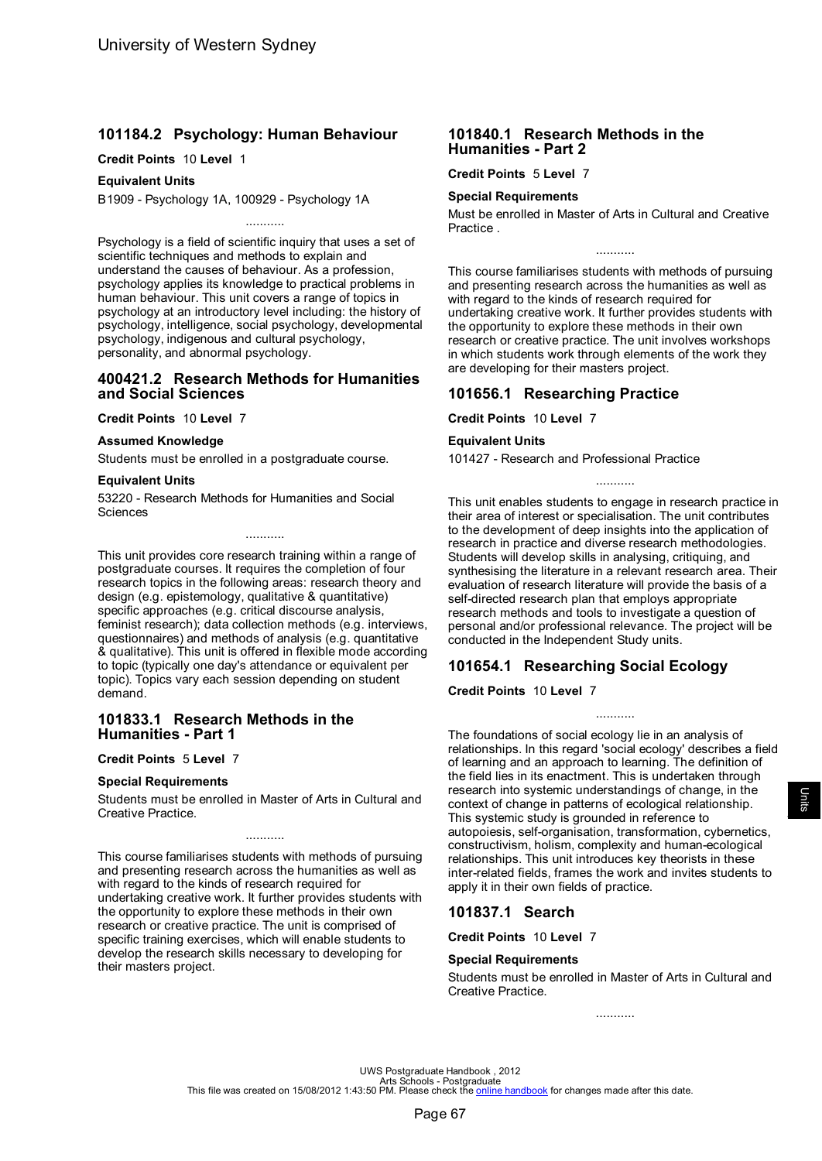# <span id="page-70-0"></span>**101184.2 Psychology: Human Behaviour**

**Credit Points** 10 **Level** 1

### **Equivalent Units**

B1909 - Psychology 1A, 100929 - Psychology 1A

Psychology is a field of scientific inquiry that uses a set of scientific techniques and methods to explain and understand the causes of behaviour. As a profession, psychology applies its knowledge to practical problems in human behaviour. This unit covers a range of topics in psychology at an introductory level including: the history of psychology, intelligence, social psychology, developmental psychology, indigenous and cultural psychology, personality, and abnormal psychology.

...........

### **400421.2 Research Methods for Humanities and Social Sciences**

**Credit Points** 10 **Level** 7

#### **Assumed Knowledge**

Students must be enrolled in a postgraduate course.

#### **Equivalent Units**

53220 - Research Methods for Humanities and Social Sciences

This unit provides core research training within a range of postgraduate courses. It requires the completion of four research topics in the following areas: research theory and design (e.g. epistemology, qualitative & quantitative) specific approaches (e.g. critical discourse analysis, feminist research); data collection methods (e.g. interviews, questionnaires) and methods of analysis (e.g. quantitative & qualitative). This unit is offered in flexible mode according to topic (typically one day's attendance or equivalent per topic). Topics vary each session depending on student demand.

...........

### **101833.1 Research Methods in the Humanities - Part 1**

#### **Credit Points** 5 **Level** 7

#### **Special Requirements**

Students must be enrolled in Master of Arts in Cultural and Creative Practice.

...........

This course familiarises students with methods of pursuing and presenting research across the humanities as well as with regard to the kinds of research required for undertaking creative work. It further provides students with the opportunity to explore these methods in their own research or creative practice. The unit is comprised of specific training exercises, which will enable students to develop the research skills necessary to developing for their masters project.

### **101840.1 Research Methods in the Humanities - Part 2**

**Credit Points** 5 **Level** 7

#### **Special Requirements**

Must be enrolled in Master of Arts in Cultural and Creative Practice .

...........

This course familiarises students with methods of pursuing and presenting research across the humanities as well as with regard to the kinds of research required for undertaking creative work. It further provides students with the opportunity to explore these methods in their own research or creative practice. The unit involves workshops in which students work through elements of the work they are developing for their masters project.

### **101656.1 Researching Practice**

**Credit Points** 10 **Level** 7

### **Equivalent Units**

101427 - Research and Professional Practice

This unit enables students to engage in research practice in their area of interest or specialisation. The unit contributes to the development of deep insights into the application of research in practice and diverse research methodologies. Students will develop skills in analysing, critiquing, and synthesising the literature in a relevant research area. Their evaluation of research literature will provide the basis of a self-directed research plan that employs appropriate research methods and tools to investigate a question of personal and/or professional relevance. The project will be conducted in the Independent Study units.

...........

# **101654.1 Researching Social Ecology**

**Credit Points** 10 **Level** 7

The foundations of social ecology lie in an analysis of relationships. In this regard 'social ecology' describes a field of learning and an approach to learning. The definition of the field lies in its enactment. This is undertaken through research into systemic understandings of change, in the context of change in patterns of ecological relationship. This systemic study is grounded in reference to autopoiesis, self-organisation, transformation, cybernetics, constructivism, holism, complexity and human-ecological relationships. This unit introduces key theorists in these inter-related fields, frames the work and invites students to apply it in their own fields of practice.

...........

# **101837.1 Search**

**Credit Points** 10 **Level** 7

### **Special Requirements**

Students must be enrolled in Master of Arts in Cultural and Creative Practice.

...........

UWS Postgraduate Handbook , 2012<br>Arts Schools - Postgraduate – Parte and book and the online [handbook](http://handbook.uws.edu.au/hbook/) for changes made after this date.<br>This file was created on 15/08/2012 1:43:50 PM. Please check the <u>online handbook</u> for

Units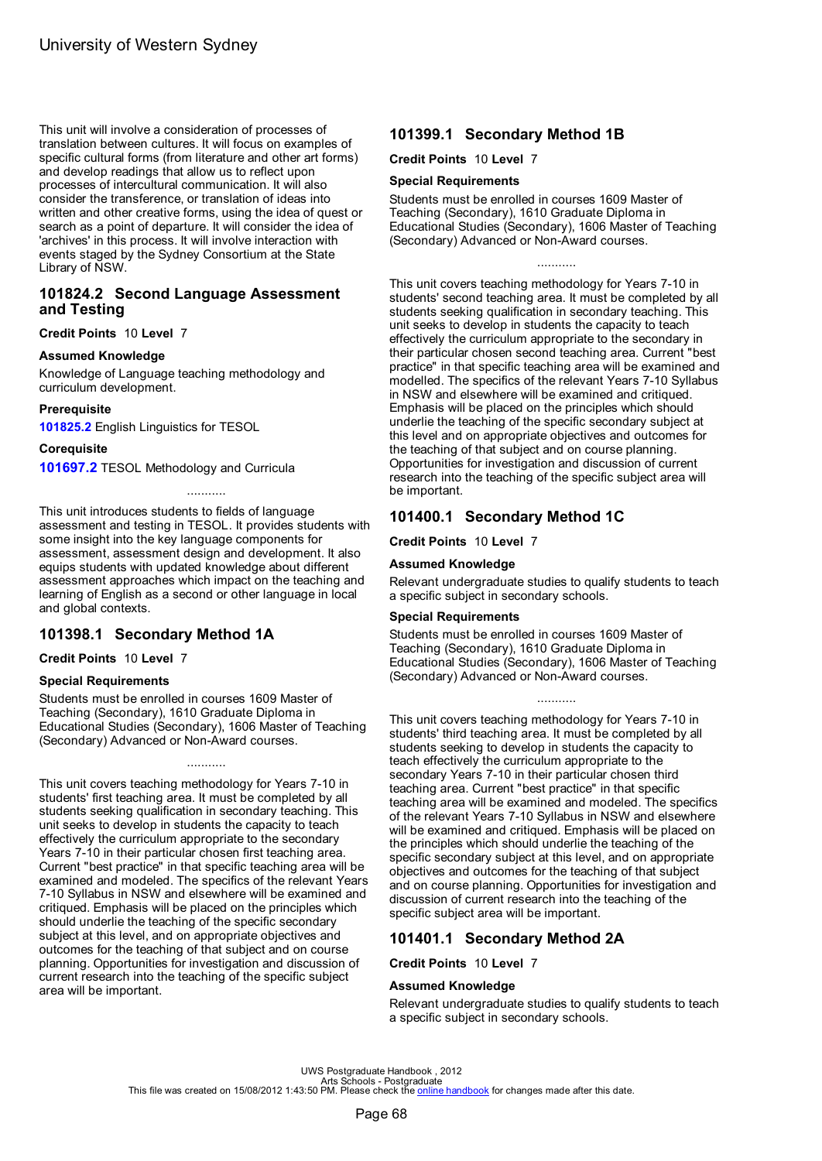This unit will involve a consideration of processes of translation between cultures. It will focus on examples of specific cultural forms (from literature and other art forms) and develop readings that allow us to reflect upon processes of intercultural communication. It will also consider the transference, or translation of ideas into written and other creative forms, using the idea of quest or search as a point of departure. It will consider the idea of 'archives' in this process. It will involve interaction with events staged by the Sydney Consortium at the State Library of NSW.

## **101824.2 Second Language Assessment and Testing**

**Credit Points** 10 **Level** 7

### **Assumed Knowledge**

Knowledge of Language teaching methodology and curriculum development.

### **Prerequisite**

**[101825.2](#page-53-0)** English Linguistics for TESOL

### **Corequisite**

**[101697.2](#page-73-0)** TESOL Methodology and Curricula

This unit introduces students to fields of language assessment and testing in TESOL. It provides students with some insight into the key language components for assessment, assessment design and development. It also equips students with updated knowledge about different assessment approaches which impact on the teaching and learning of English as a second or other language in local and global contexts.

...........

# **101398.1 Secondary Method 1A**

**Credit Points** 10 **Level** 7

### **Special Requirements**

Students must be enrolled in courses 1609 Master of Teaching (Secondary), 1610 Graduate Diploma in Educational Studies (Secondary), 1606 Master of Teaching (Secondary) Advanced or Non-Award courses.

...........

This unit covers teaching methodology for Years 7-10 in students' first teaching area. It must be completed by all students seeking qualification in secondary teaching. This unit seeks to develop in students the capacity to teach effectively the curriculum appropriate to the secondary Years 7-10 in their particular chosen first teaching area. Current "best practice" in that specific teaching area will be examined and modeled. The specifics of the relevant Years 7-10 Syllabus in NSW and elsewhere will be examined and critiqued. Emphasis will be placed on the principles which should underlie the teaching of the specific secondary subject at this level, and on appropriate objectives and outcomes for the teaching of that subject and on course planning. Opportunities for investigation and discussion of current research into the teaching of the specific subject area will be important.

# **101399.1 Secondary Method 1B**

**Credit Points** 10 **Level** 7

### **Special Requirements**

Students must be enrolled in courses 1609 Master of Teaching (Secondary), 1610 Graduate Diploma in Educational Studies (Secondary), 1606 Master of Teaching (Secondary) Advanced or Non-Award courses.

...........

This unit covers teaching methodology for Years 7-10 in students' second teaching area. It must be completed by all students seeking qualification in secondary teaching. This unit seeks to develop in students the capacity to teach effectively the curriculum appropriate to the secondary in their particular chosen second teaching area. Current "best practice" in that specific teaching area will be examined and modelled. The specifics of the relevant Years 7-10 Syllabus in NSW and elsewhere will be examined and critiqued. Emphasis will be placed on the principles which should underlie the teaching of the specific secondary subject at this level and on appropriate objectives and outcomes for the teaching of that subject and on course planning. Opportunities for investigation and discussion of current research into the teaching of the specific subject area will be important.

# **101400.1 Secondary Method 1C**

**Credit Points** 10 **Level** 7

### **Assumed Knowledge**

Relevant undergraduate studies to qualify students to teach a specific subject in secondary schools.

### **Special Requirements**

Students must be enrolled in courses 1609 Master of Teaching (Secondary), 1610 Graduate Diploma in Educational Studies (Secondary), 1606 Master of Teaching (Secondary) Advanced or Non-Award courses.

...........

This unit covers teaching methodology for Years 7-10 in students' third teaching area. It must be completed by all students seeking to develop in students the capacity to teach effectively the curriculum appropriate to the secondary Years 7-10 in their particular chosen third teaching area. Current "best practice" in that specific teaching area will be examined and modeled. The specifics of the relevant Years 7-10 Syllabus in NSW and elsewhere will be examined and critiqued. Emphasis will be placed on the principles which should underlie the teaching of the specific secondary subject at this level, and on appropriate objectives and outcomes for the teaching of that subject and on course planning. Opportunities for investigation and discussion of current research into the teaching of the specific subject area will be important.

# **101401.1 Secondary Method 2A**

**Credit Points** 10 **Level** 7

### **Assumed Knowledge**

Relevant undergraduate studies to qualify students to teach a specific subject in secondary schools.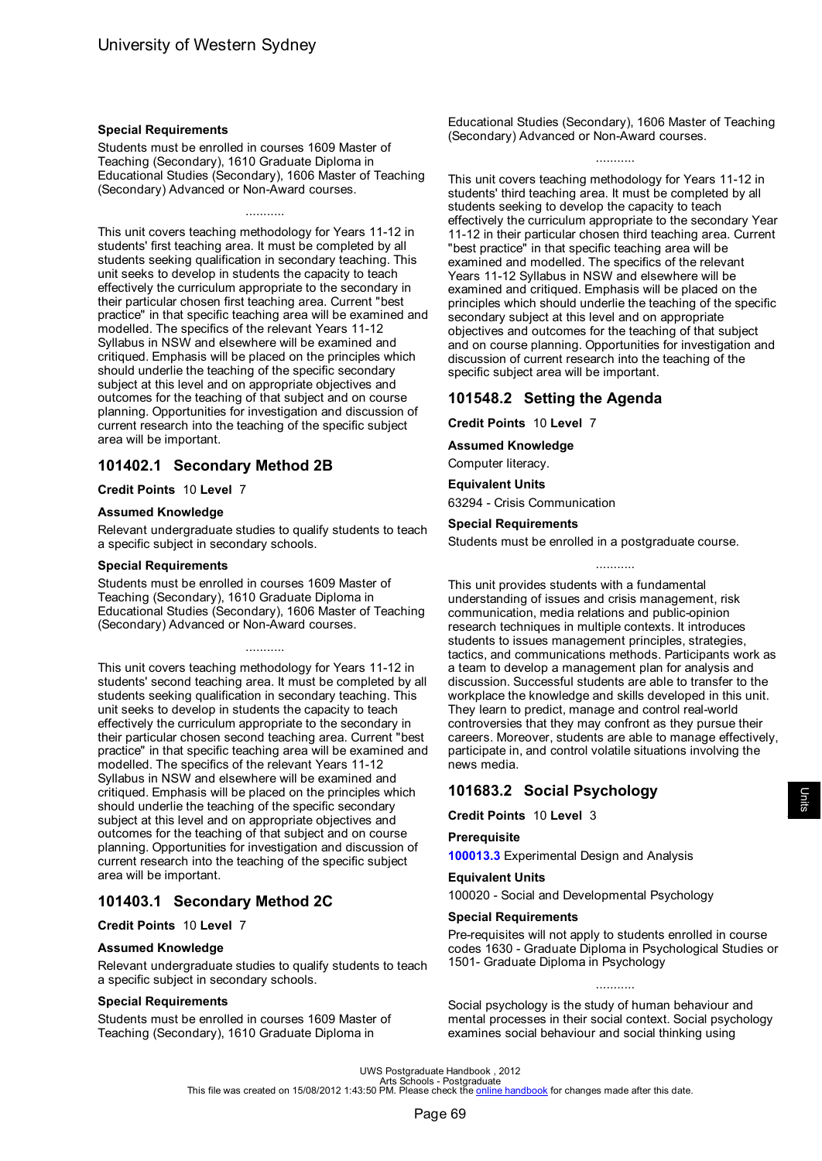#### <span id="page-72-0"></span>**Special Requirements**

Students must be enrolled in courses 1609 Master of Teaching (Secondary), 1610 Graduate Diploma in Educational Studies (Secondary), 1606 Master of Teaching (Secondary) Advanced or Non-Award courses.

### ...........

This unit covers teaching methodology for Years 11-12 in students' first teaching area. It must be completed by all students seeking qualification in secondary teaching. This unit seeks to develop in students the capacity to teach effectively the curriculum appropriate to the secondary in their particular chosen first teaching area. Current "best practice" in that specific teaching area will be examined and modelled. The specifics of the relevant Years 11-12 Syllabus in NSW and elsewhere will be examined and critiqued. Emphasis will be placed on the principles which should underlie the teaching of the specific secondary subject at this level and on appropriate objectives and outcomes for the teaching of that subject and on course planning. Opportunities for investigation and discussion of current research into the teaching of the specific subject area will be important.

### **101402.1 Secondary Method 2B**

### **Credit Points** 10 **Level** 7

### **Assumed Knowledge**

Relevant undergraduate studies to qualify students to teach a specific subject in secondary schools.

#### **Special Requirements**

Students must be enrolled in courses 1609 Master of Teaching (Secondary), 1610 Graduate Diploma in Educational Studies (Secondary), 1606 Master of Teaching (Secondary) Advanced or Non-Award courses.

...........

This unit covers teaching methodology for Years 11-12 in students' second teaching area. It must be completed by all students seeking qualification in secondary teaching. This unit seeks to develop in students the capacity to teach effectively the curriculum appropriate to the secondary in their particular chosen second teaching area. Current "best practice" in that specific teaching area will be examined and modelled. The specifics of the relevant Years 11-12 Syllabus in NSW and elsewhere will be examined and critiqued. Emphasis will be placed on the principles which should underlie the teaching of the specific secondary subject at this level and on appropriate objectives and outcomes for the teaching of that subject and on course planning. Opportunities for investigation and discussion of current research into the teaching of the specific subject area will be important.

# **101403.1 Secondary Method 2C**

**Credit Points** 10 **Level** 7

#### **Assumed Knowledge**

Relevant undergraduate studies to qualify students to teach a specific subject in secondary schools.

#### **Special Requirements**

Students must be enrolled in courses 1609 Master of Teaching (Secondary), 1610 Graduate Diploma in

Educational Studies (Secondary), 1606 Master of Teaching (Secondary) Advanced or Non-Award courses.

...........

This unit covers teaching methodology for Years 11-12 in students' third teaching area. It must be completed by all students seeking to develop the capacity to teach effectively the curriculum appropriate to the secondary Year 11-12 in their particular chosen third teaching area. Current "best practice" in that specific teaching area will be examined and modelled. The specifics of the relevant Years 11-12 Syllabus in NSW and elsewhere will be examined and critiqued. Emphasis will be placed on the principles which should underlie the teaching of the specific secondary subject at this level and on appropriate objectives and outcomes for the teaching of that subject and on course planning. Opportunities for investigation and discussion of current research into the teaching of the specific subject area will be important.

### **101548.2 Setting the Agenda**

**Credit Points** 10 **Level** 7

### **Assumed Knowledge**

Computer literacy.

### **Equivalent Units**

63294 - Crisis Communication

### **Special Requirements**

Students must be enrolled in a postgraduate course.

This unit provides students with a fundamental understanding of issues and crisis management, risk communication, media relations and public-opinion research techniques in multiple contexts. It introduces students to issues management principles, strategies, tactics, and communications methods. Participants work as a team to develop a management plan for analysis and discussion. Successful students are able to transfer to the workplace the knowledge and skills developed in this unit. They learn to predict, manage and control real-world controversies that they may confront as they pursue their careers. Moreover, students are able to manage effectively, participate in, and control volatile situations involving the news media.

...........

### **101683.2 Social Psychology**

**Credit Points** 10 **Level** 3

#### **Prerequisite**

**[100013.3](#page-54-0)** Experimental Design and Analysis

#### **Equivalent Units**

100020 - Social and Developmental Psychology

#### **Special Requirements**

Pre-requisites will not apply to students enrolled in course codes 1630 - Graduate Diploma in Psychological Studies or 1501- Graduate Diploma in Psychology

...........

Social psychology is the study of human behaviour and mental processes in their social context. Social psychology examines social behaviour and social thinking using

UWS Postgraduate Handbook , 2012<br>Arts Schools - Postgraduate – Parte and book and the online [handbook](http://handbook.uws.edu.au/hbook/) for changes made after this date.<br>This file was created on 15/08/2012 1:43:50 PM. Please check the <u>online handbook</u> for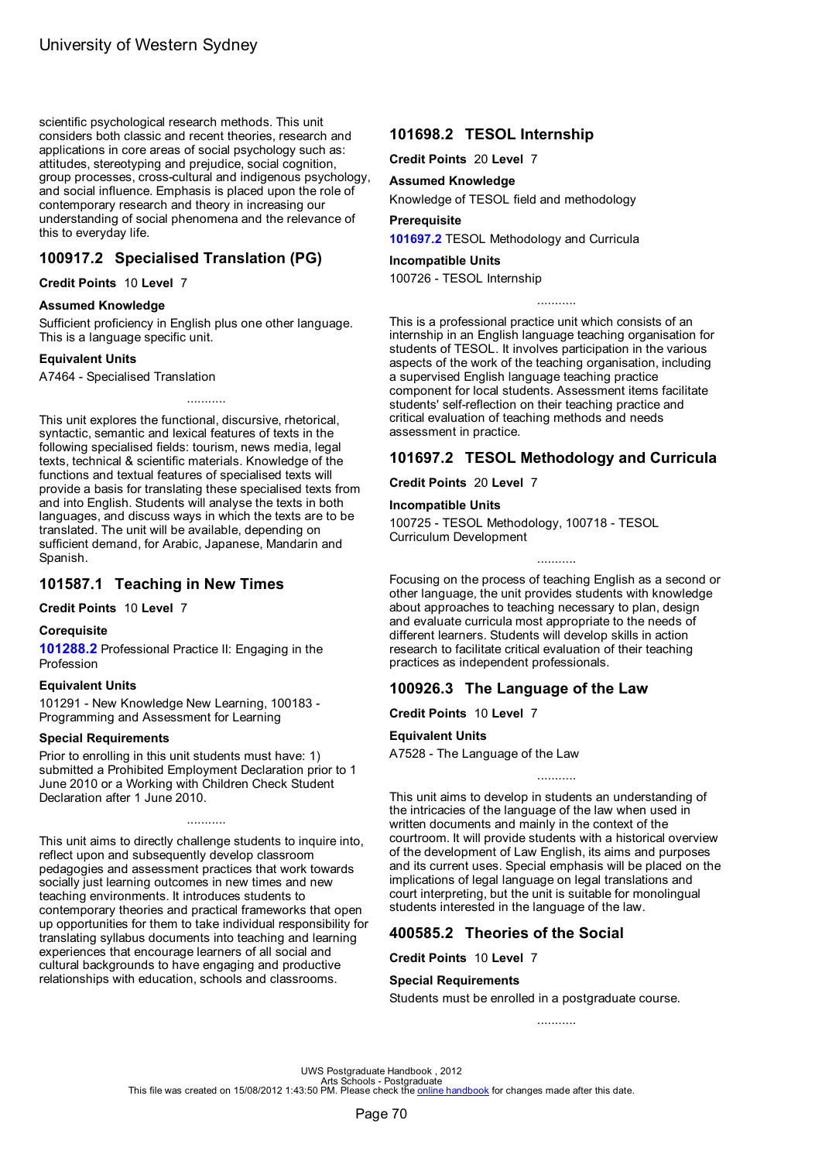<span id="page-73-0"></span>scientific psychological research methods. This unit considers both classic and recent theories, research and applications in core areas of social psychology such as: attitudes, stereotyping and prejudice, social cognition, group processes, cross-cultural and indigenous psychology, and social influence. Emphasis is placed upon the role of contemporary research and theory in increasing our understanding of social phenomena and the relevance of this to everyday life.

# **100917.2 Specialised Translation (PG)**

**Credit Points** 10 **Level** 7

### **Assumed Knowledge**

Sufficient proficiency in English plus one other language. This is a language specific unit.

### **Equivalent Units**

A7464 - Specialised Translation

This unit explores the functional, discursive, rhetorical, syntactic, semantic and lexical features of texts in the following specialised fields: tourism, news media, legal texts, technical & scientific materials. Knowledge of the functions and textual features of specialised texts will provide a basis for translating these specialised texts from and into English. Students will analyse the texts in both languages, and discuss ways in which the texts are to be translated. The unit will be available, depending on sufficient demand, for Arabic, Japanese, Mandarin and Spanish.

...........

### **101587.1 Teaching in New Times**

**Credit Points** 10 **Level** 7

### **Corequisite**

**[101288.2](#page-68-0)** Professional Practice II: Engaging in the Profession

#### **Equivalent Units**

101291 - New Knowledge New Learning, 100183 - Programming and Assessment for Learning

#### **Special Requirements**

Prior to enrolling in this unit students must have: 1) submitted a Prohibited Employment Declaration prior to 1 June 2010 or a Working with Children Check Student Declaration after 1 June 2010.

...........

This unit aims to directly challenge students to inquire into, reflect upon and subsequently develop classroom pedagogies and assessment practices that work towards socially just learning outcomes in new times and new teaching environments. It introduces students to contemporary theories and practical frameworks that open up opportunities for them to take individual responsibility for translating syllabus documents into teaching and learning experiences that encourage learners of all social and cultural backgrounds to have engaging and productive relationships with education, schools and classrooms.

# **101698.2 TESOL Internship**

**Credit Points** 20 **Level** 7

**Assumed Knowledge**

Knowledge of TESOL field and methodology

### **Prerequisite**

**101697.2** TESOL Methodology and Curricula

### **Incompatible Units**

100726 - TESOL Internship

This is a professional practice unit which consists of an internship in an English language teaching organisation for students of TESOL. It involves participation in the various aspects of the work of the teaching organisation, including a supervised English language teaching practice component for local students. Assessment items facilitate students' self-reflection on their teaching practice and critical evaluation of teaching methods and needs assessment in practice.

...........

# **101697.2 TESOL Methodology and Curricula**

#### **Credit Points** 20 **Level** 7

### **Incompatible Units**

100725 - TESOL Methodology, 100718 - TESOL Curriculum Development

...........

Focusing on the process of teaching English as a second or other language, the unit provides students with knowledge about approaches to teaching necessary to plan, design and evaluate curricula most appropriate to the needs of different learners. Students will develop skills in action research to facilitate critical evaluation of their teaching practices as independent professionals.

### **100926.3 The Language of the Law**

**Credit Points** 10 **Level** 7

### **Equivalent Units**

A7528 - The Language of the Law

This unit aims to develop in students an understanding of the intricacies of the language of the law when used in written documents and mainly in the context of the courtroom. It will provide students with a historical overview of the development of Law English, its aims and purposes and its current uses. Special emphasis will be placed on the implications of legal language on legal translations and court interpreting, but the unit is suitable for monolingual students interested in the language of the law.

...........

# **400585.2 Theories of the Social**

**Credit Points** 10 **Level** 7

#### **Special Requirements**

Students must be enrolled in a postgraduate course.

...........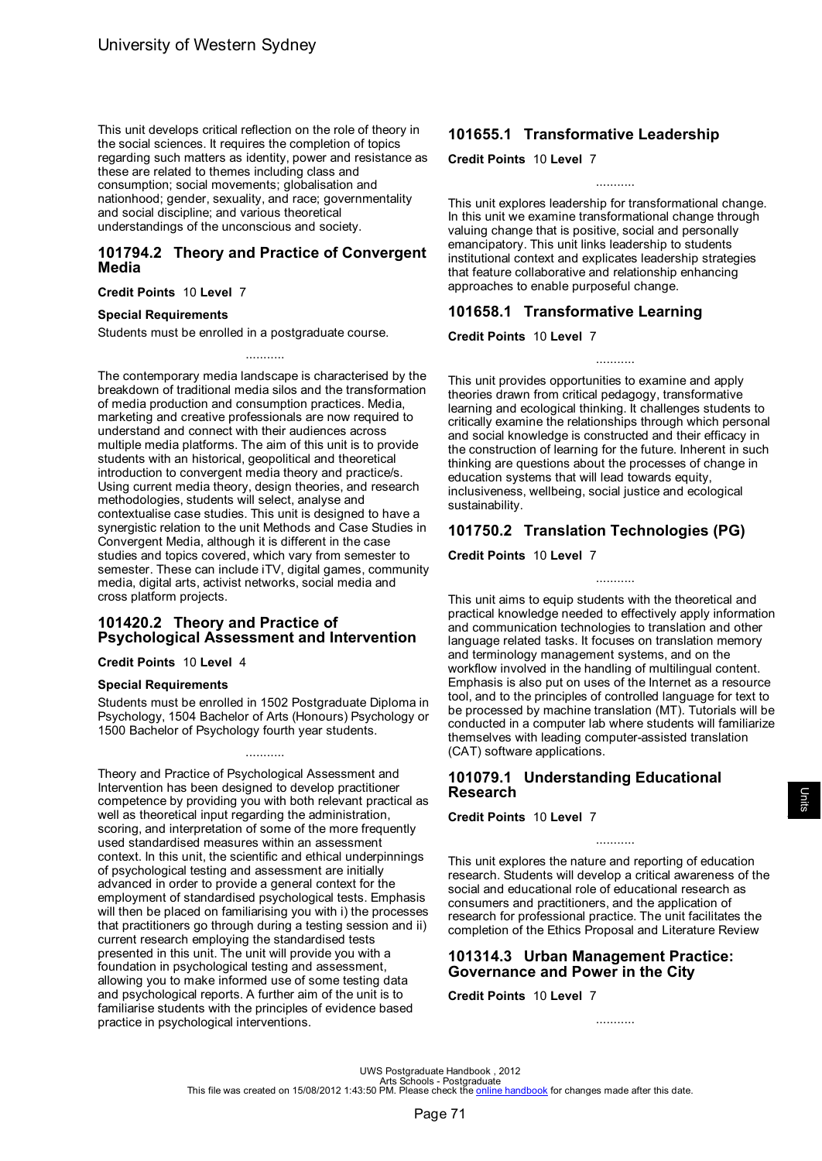<span id="page-74-0"></span>This unit develops critical reflection on the role of theory in the social sciences. It requires the completion of topics regarding such matters as identity, power and resistance as these are related to themes including class and consumption; social movements; globalisation and nationhood; gender, sexuality, and race; governmentality and social discipline; and various theoretical understandings of the unconscious and society.

### **101794.2 Theory and Practice of Convergent Media**

...........

**Credit Points** 10 **Level** 7

### **Special Requirements**

Students must be enrolled in a postgraduate course.

The contemporary media landscape is characterised by the breakdown of traditional media silos and the transformation of media production and consumption practices. Media, marketing and creative professionals are now required to understand and connect with their audiences across multiple media platforms. The aim of this unit is to provide students with an historical, geopolitical and theoretical introduction to convergent media theory and practice/s. Using current media theory, design theories, and research methodologies, students will select, analyse and contextualise case studies. This unit is designed to have a synergistic relation to the unit Methods and Case Studies in Convergent Media, although it is different in the case studies and topics covered, which vary from semester to semester. These can include iTV, digital games, community media, digital arts, activist networks, social media and cross platform projects.

### **101420.2 Theory and Practice of Psychological Assessment and Intervention**

**Credit Points** 10 **Level** 4

#### **Special Requirements**

Students must be enrolled in 1502 Postgraduate Diploma in Psychology, 1504 Bachelor of Arts (Honours) Psychology or 1500 Bachelor of Psychology fourth year students.

...........

Theory and Practice of Psychological Assessment and Intervention has been designed to develop practitioner competence by providing you with both relevant practical as well as theoretical input regarding the administration, scoring, and interpretation of some of the more frequently used standardised measures within an assessment context. In this unit, the scientific and ethical underpinnings of psychological testing and assessment are initially advanced in order to provide a general context for the employment of standardised psychological tests. Emphasis will then be placed on familiarising you with i) the processes that practitioners go through during a testing session and ii) current research employing the standardised tests presented in this unit. The unit will provide you with a foundation in psychological testing and assessment, allowing you to make informed use of some testing data and psychological reports. A further aim of the unit is to familiarise students with the principles of evidence based practice in psychological interventions.

# **101655.1 Transformative Leadership**

**Credit Points** 10 **Level** 7

This unit explores leadership for transformational change. In this unit we examine transformational change through valuing change that is positive, social and personally emancipatory. This unit links leadership to students institutional context and explicates leadership strategies that feature collaborative and relationship enhancing approaches to enable purposeful change.

### **101658.1 Transformative Learning**

#### **Credit Points** 10 **Level** 7

This unit provides opportunities to examine and apply theories drawn from critical pedagogy, transformative learning and ecological thinking. It challenges students to critically examine the relationships through which personal and social knowledge is constructed and their efficacy in the construction of learning for the future. Inherent in such thinking are questions about the processes of change in education systems that will lead towards equity, inclusiveness, wellbeing, social justice and ecological sustainability.

...........

### **101750.2 Translation Technologies (PG)**

#### **Credit Points** 10 **Level** 7

This unit aims to equip students with the theoretical and practical knowledge needed to effectively apply information and communication technologies to translation and other language related tasks. It focuses on translation memory and terminology management systems, and on the workflow involved in the handling of multilingual content. Emphasis is also put on uses of the Internet as a resource tool, and to the principles of controlled language for text to be processed by machine translation (MT). Tutorials will be conducted in a computer lab where students will familiarize themselves with leading computer-assisted translation (CAT) software applications.

...........

### **101079.1 Understanding Educational Research**

**Credit Points** 10 **Level** 7

This unit explores the nature and reporting of education research. Students will develop a critical awareness of the social and educational role of educational research as consumers and practitioners, and the application of research for professional practice. The unit facilitates the completion of the Ethics Proposal and Literature Review

...........

...........

### **101314.3 Urban Management Practice: Governance and Power in the City**

**Credit Points** 10 **Level** 7

Units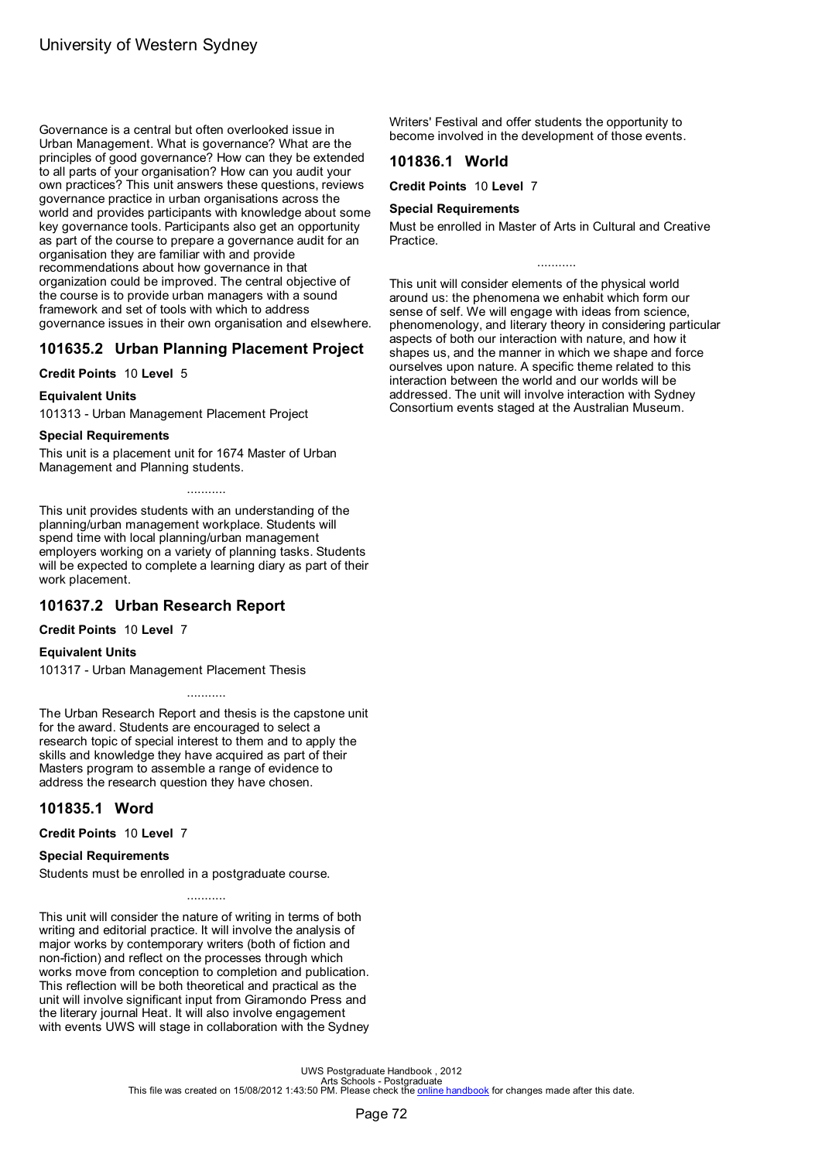<span id="page-75-0"></span>Governance is a central but often overlooked issue in Urban Management. What is governance? What are the principles of good governance? How can they be extended to all parts of your organisation? How can you audit your own practices? This unit answers these questions, reviews governance practice in urban organisations across the world and provides participants with knowledge about some key governance tools. Participants also get an opportunity as part of the course to prepare a governance audit for an organisation they are familiar with and provide recommendations about how governance in that organization could be improved. The central objective of the course is to provide urban managers with a sound framework and set of tools with which to address governance issues in their own organisation and elsewhere.

# **101635.2 Urban Planning Placement Project**

#### **Credit Points** 10 **Level** 5

### **Equivalent Units**

101313 - Urban Management Placement Project

#### **Special Requirements**

This unit is a placement unit for 1674 Master of Urban Management and Planning students.

This unit provides students with an understanding of the planning/urban management workplace. Students will spend time with local planning/urban management employers working on a variety of planning tasks. Students will be expected to complete a learning diary as part of their work placement.

...........

### **101637.2 Urban Research Report**

**Credit Points** 10 **Level** 7

#### **Equivalent Units**

101317 - Urban Management Placement Thesis

The Urban Research Report and thesis is the capstone unit for the award. Students are encouraged to select a research topic of special interest to them and to apply the skills and knowledge they have acquired as part of their Masters program to assemble a range of evidence to address the research question they have chosen.

...........

### **101835.1 Word**

**Credit Points** 10 **Level** 7

#### **Special Requirements**

Students must be enrolled in a postgraduate course.

This unit will consider the nature of writing in terms of both writing and editorial practice. It will involve the analysis of major works by contemporary writers (both of fiction and non-fiction) and reflect on the processes through which works move from conception to completion and publication. This reflection will be both theoretical and practical as the unit will involve significant input from Giramondo Press and the literary journal Heat. It will also involve engagement with events UWS will stage in collaboration with the Sydney

...........

Writers' Festival and offer students the opportunity to become involved in the development of those events.

### **101836.1 World**

**Credit Points** 10 **Level** 7

#### **Special Requirements**

Must be enrolled in Master of Arts in Cultural and Creative Practice.

...........

This unit will consider elements of the physical world around us: the phenomena we enhabit which form our sense of self. We will engage with ideas from science, phenomenology, and literary theory in considering particular aspects of both our interaction with nature, and how it shapes us, and the manner in which we shape and force ourselves upon nature. A specific theme related to this interaction between the world and our worlds will be addressed. The unit will involve interaction with Sydney Consortium events staged at the Australian Museum.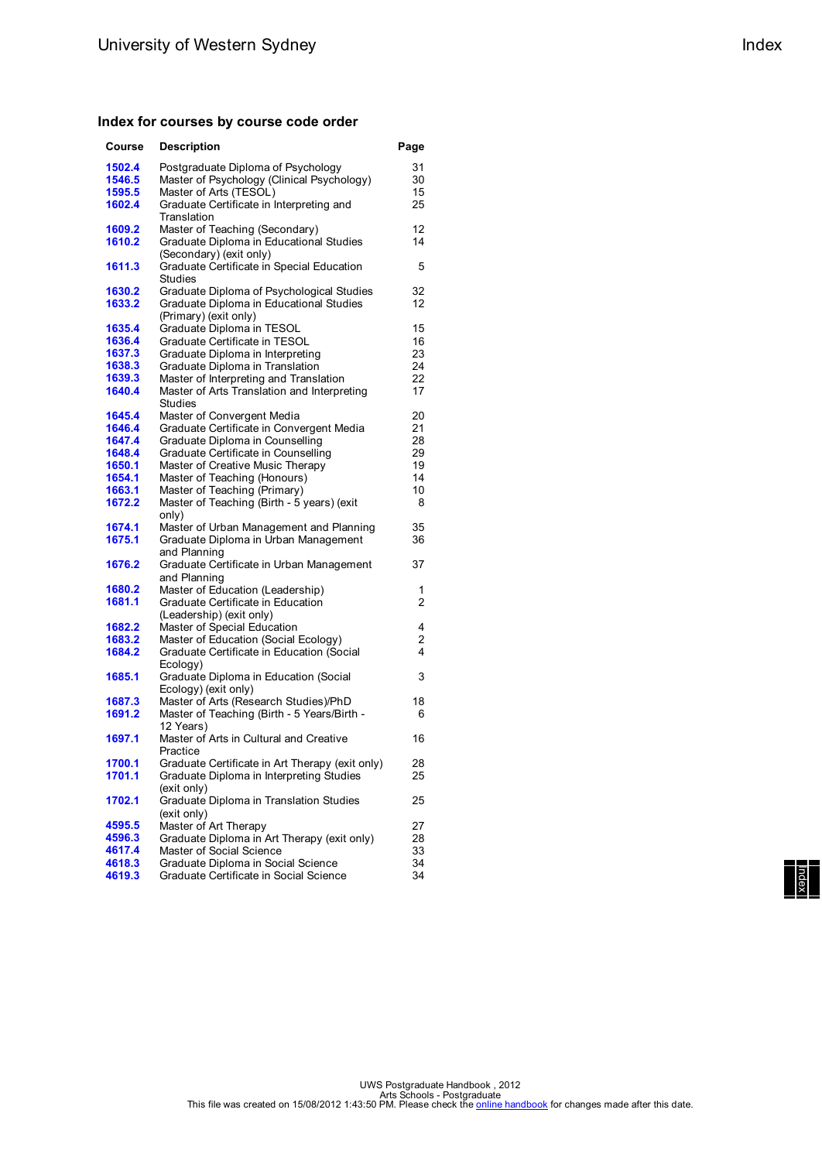### **Index for courses by course code order**

| Course           | <b>Description</b>                                                           | Page           |
|------------------|------------------------------------------------------------------------------|----------------|
| 1502.4           | Postgraduate Diploma of Psychology                                           | 31             |
| 1546.5           | Master of Psychology (Clinical Psychology)                                   | 30             |
| 1595.5           | Master of Arts (TESOL)                                                       | 15             |
| 1602.4           | Graduate Certificate in Interpreting and                                     | 25             |
|                  | Translation                                                                  |                |
| 1609.2           | Master of Teaching (Secondary)                                               | 12             |
| 1610.2           | Graduate Diploma in Educational Studies                                      | 14             |
|                  | (Secondary) (exit only)                                                      |                |
| 1611.3           | Graduate Certificate in Special Education                                    | 5              |
|                  | Studies                                                                      |                |
| 1630.2           | Graduate Diploma of Psychological Studies                                    | 32             |
| 1633.2           | Graduate Diploma in Educational Studies                                      | 12             |
|                  | (Primary) (exit only)                                                        |                |
| 1635.4           | Graduate Diploma in TESOL                                                    | 15             |
| 1636.4           | Graduate Certificate in TESOL                                                | 16             |
| 1637.3           | Graduate Diploma in Interpreting                                             | 23             |
| 1638.3           | Graduate Diploma in Translation                                              | 24             |
| 1639.3           | Master of Interpreting and Translation                                       | 22             |
| 1640.4           | Master of Arts Translation and Interpreting                                  | 17             |
| 1645.4           | Studies<br>Master of Convergent Media                                        | 20             |
| 1646.4           | Graduate Certificate in Convergent Media                                     | 21             |
| 1647.4           | Graduate Diploma in Counselling                                              | 28             |
| 1648.4           | Graduate Certificate in Counselling                                          | 29             |
| 1650.1           | Master of Creative Music Therapy                                             | 19             |
| 1654.1           | Master of Teaching (Honours)                                                 | 14             |
| 1663.1           | Master of Teaching (Primary)                                                 | 10             |
| 1672.2           | Master of Teaching (Birth - 5 years) (exit                                   | 8              |
|                  | only)                                                                        |                |
| 1674.1           | Master of Urban Management and Planning                                      | 35             |
| 1675.1           | Graduate Diploma in Urban Management                                         | 36             |
|                  | and Planning                                                                 |                |
| 1676.2           | Graduate Certificate in Urban Management                                     | 37             |
|                  | and Planning                                                                 |                |
| 1680.2           | Master of Education (Leadership)                                             | 1              |
| 1681.1           | Graduate Certificate in Education                                            | $\overline{c}$ |
|                  | (Leadership) (exit only)                                                     |                |
| 1682.2           | Master of Special Education                                                  | 4              |
| 1683.2           | Master of Education (Social Ecology)                                         | 2              |
| 1684.2           | Graduate Certificate in Education (Social                                    | 4              |
|                  | Ecology)                                                                     |                |
| 1685.1           | Graduate Diploma in Education (Social                                        | 3              |
|                  | Ecology) (exit only)                                                         |                |
| 1687.3           | Master of Arts (Research Studies)/PhD                                        | 18             |
| 1691.2           | Master of Teaching (Birth - 5 Years/Birth -                                  | 6              |
|                  | 12 Years)                                                                    |                |
| 1697.1           | Master of Arts in Cultural and Creative                                      | 16             |
|                  | Practice                                                                     |                |
| 1700.1           | Graduate Certificate in Art Therapy (exit only)                              | 28             |
| 1701.1           | Graduate Diploma in Interpreting Studies                                     | 25             |
|                  | (exit only)                                                                  |                |
| 1702.1           | Graduate Diploma in Translation Studies                                      | 25             |
|                  | (exit only)                                                                  |                |
| 4595.5           | Master of Art Therapy                                                        | 27             |
| 4596.3           | Graduate Diploma in Art Therapy (exit only)                                  | 28             |
| 4617.4           | Master of Social Science                                                     | 33<br>34       |
| 4618.3<br>4619.3 | Graduate Diploma in Social Science<br>Graduate Certificate in Social Science | 34             |
|                  |                                                                              |                |

| Index | Index | Index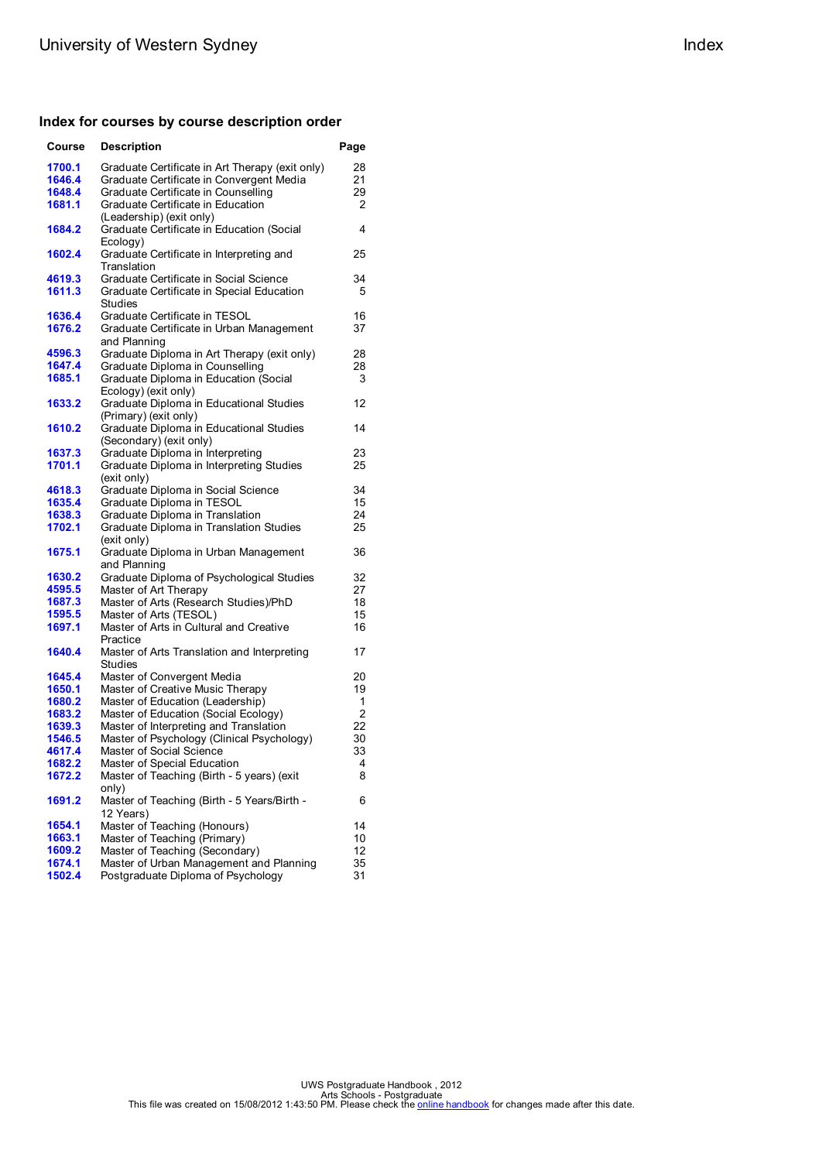### **Index for courses by course description order**

| Course | <b>Description</b>                                                | Page     |
|--------|-------------------------------------------------------------------|----------|
| 1700.1 | Graduate Certificate in Art Therapy (exit only)                   | 28       |
| 1646.4 | Graduate Certificate in Convergent Media                          | 21       |
| 1648.4 | Graduate Certificate in Counselling                               | 29       |
| 1681.1 | Graduate Certificate in Education                                 | 2        |
|        | (Leadership) (exit only)                                          |          |
| 1684.2 | Graduate Certificate in Education (Social                         | 4        |
|        | Ecology)                                                          |          |
| 1602.4 | Graduate Certificate in Interpreting and<br>Translation           | 25       |
| 4619.3 | Graduate Certificate in Social Science                            | 34       |
| 1611.3 | Graduate Certificate in Special Education                         | 5        |
|        | Studies                                                           |          |
| 1636.4 | Graduate Certificate in TESOL                                     | 16       |
| 1676.2 | Graduate Certificate in Urban Management                          | 37       |
|        | and Planning                                                      |          |
| 4596.3 | Graduate Diploma in Art Therapy (exit only)                       | 28       |
| 1647.4 | Graduate Diploma in Counselling                                   | 28       |
| 1685.1 | Graduate Diploma in Education (Social                             | 3        |
|        | Ecology) (exit only)                                              |          |
| 1633.2 | Graduate Diploma in Educational Studies                           | 12       |
|        | (Primary) (exit only)                                             |          |
| 1610.2 | Graduate Diploma in Educational Studies                           | 14       |
| 1637.3 | (Secondary) (exit only)<br>Graduate Diploma in Interpreting       | 23       |
| 1701.1 | Graduate Diploma in Interpreting Studies                          | 25       |
|        | (exit only)                                                       |          |
| 4618.3 | Graduate Diploma in Social Science                                | 34       |
| 1635.4 | Graduate Diploma in TESOL                                         | 15       |
| 1638.3 | Graduate Diploma in Translation                                   | 24       |
| 1702.1 | Graduate Diploma in Translation Studies                           | 25       |
|        | (exit only)                                                       |          |
| 1675.1 | Graduate Diploma in Urban Management                              | 36       |
|        | and Planning                                                      |          |
| 1630.2 | Graduate Diploma of Psychological Studies                         | 32       |
| 4595.5 | Master of Art Therapy                                             | 27       |
| 1687.3 | Master of Arts (Research Studies)/PhD                             | 18       |
| 1595.5 | Master of Arts (TESOL)<br>Master of Arts in Cultural and Creative | 15<br>16 |
| 1697.1 | Practice                                                          |          |
| 1640.4 | Master of Arts Translation and Interpreting                       | 17       |
|        | Studies                                                           |          |
| 1645.4 | Master of Convergent Media                                        | 20       |
| 1650.1 | Master of Creative Music Therapy                                  | 19       |
| 1680.2 | Master of Education (Leadership)                                  | 1        |
| 1683.2 | Master of Education (Social Ecology)                              | 2        |
| 1639.3 | Master of Interpreting and Translation                            | 22       |
| 1546.5 | Master of Psychology (Clinical Psychology)                        | 30       |
| 4617.4 | Master of Social Science                                          | 33       |
| 1682.2 | Master of Special Education                                       | 4        |
| 1672.2 | Master of Teaching (Birth - 5 years) (exit                        | 8        |
| 1691.2 | only)<br>Master of Teaching (Birth - 5 Years/Birth -              | 6        |
|        | 12 Years)                                                         |          |
| 1654.1 | Master of Teaching (Honours)                                      | 14       |
| 1663.1 | Master of Teaching (Primary)                                      | 10       |
| 1609.2 | Master of Teaching (Secondary)                                    | 12       |
| 1674.1 | Master of Urban Management and Planning                           | 35       |
| 1502.4 | Postgraduate Diploma of Psychology                                | 31       |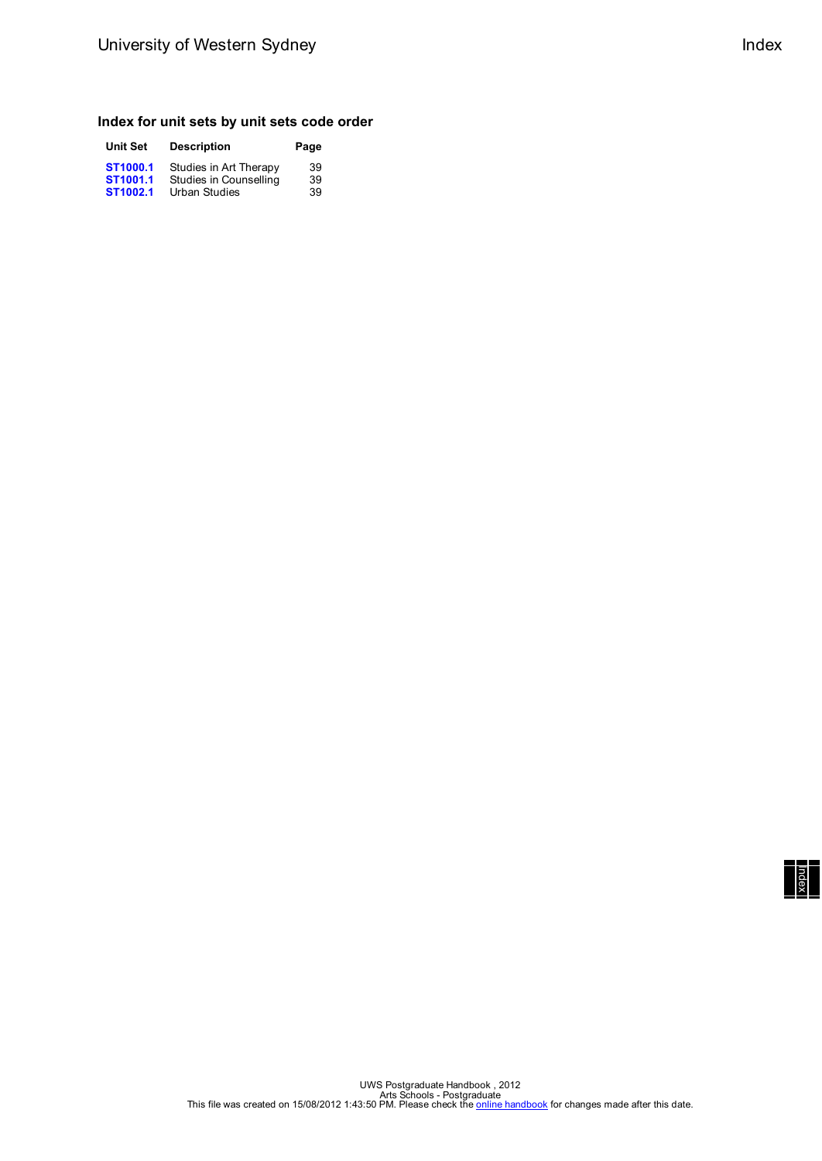### **Index for unit sets by unit sets code order**

| <b>Unit Set</b>             | <b>Description</b>                               | Page     |
|-----------------------------|--------------------------------------------------|----------|
| <b>ST1000.1</b><br>ST1001.1 | Studies in Art Therapy<br>Studies in Counselling | 39<br>39 |
| ST1002.1                    | <b>Urban Studies</b>                             | 39       |

| Index |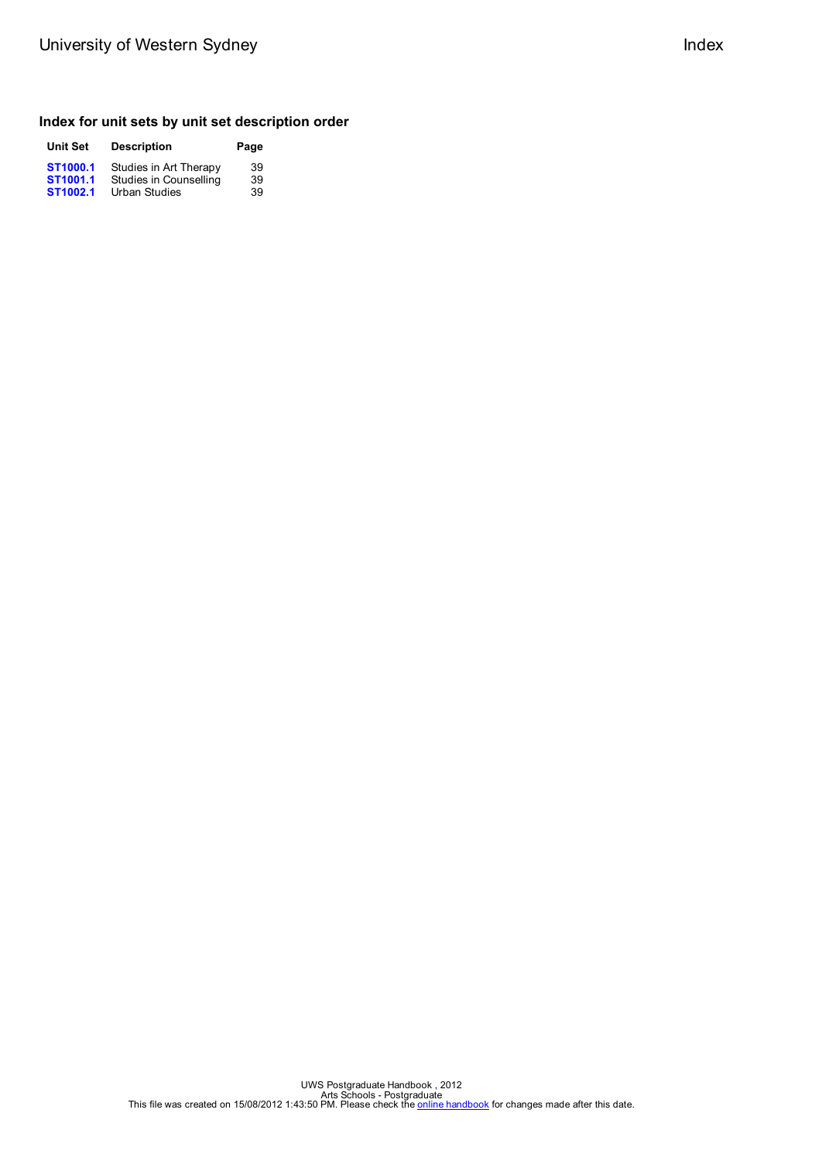### **Index for unit sets by unit set description order**

| <b>Unit Set</b> | <b>Description</b>     | Page |
|-----------------|------------------------|------|
| ST1000.1        | Studies in Art Therapy | 39   |
| ST1001.1        | Studies in Counselling | 39   |
| ST1002.1        | <b>Urban Studies</b>   | 39   |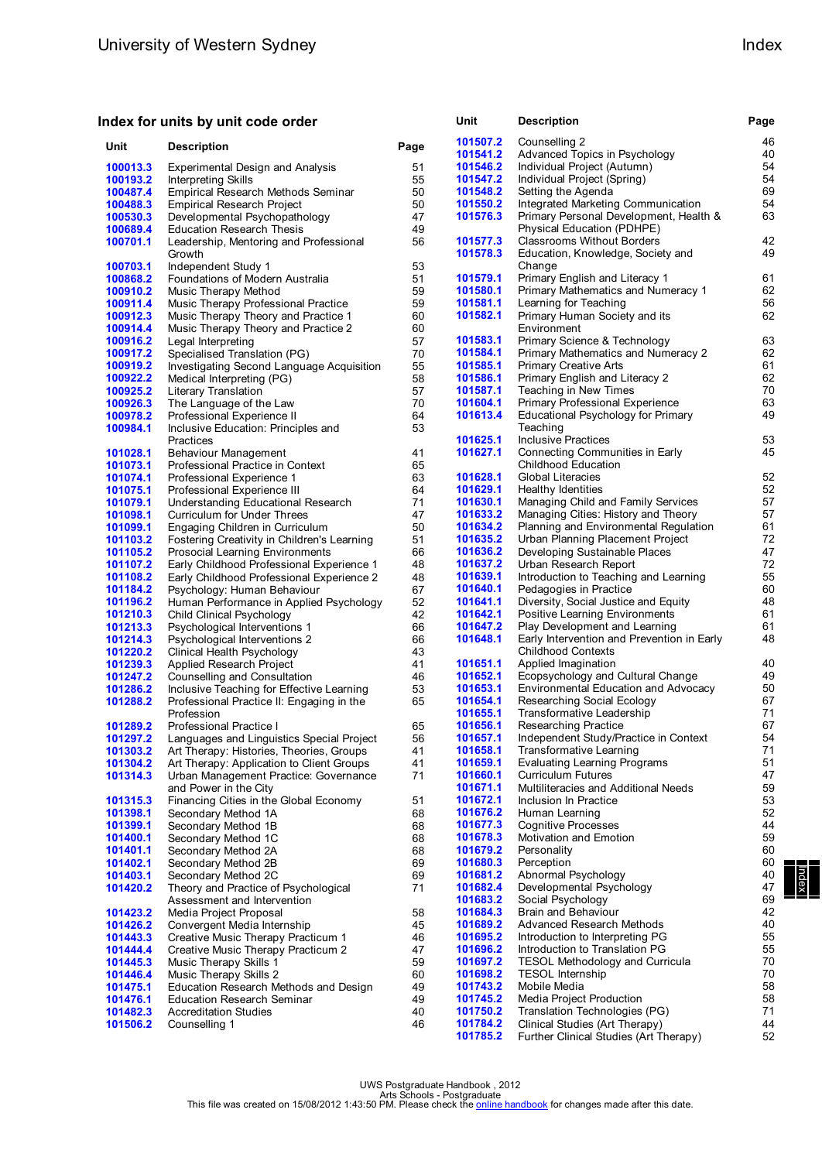### **Index for units by unit code order**

| ndex for units by unit code order |                                             | Unit | <b>Description</b> | Page                                       |    |
|-----------------------------------|---------------------------------------------|------|--------------------|--------------------------------------------|----|
| Unit                              | <b>Description</b>                          | Page | 101507.2           | Counselling 2                              | 46 |
|                                   |                                             |      | 101541.2           | Advanced Topics in Psychology              | 40 |
| 100013.3                          | <b>Experimental Design and Analysis</b>     | 51   | 101546.2           | Individual Project (Autumn)                | 54 |
| 100193.2                          | Interpreting Skills                         | 55   | 101547.2           | Individual Project (Spring)                | 54 |
| 100487.4                          | Empirical Research Methods Seminar          | 50   | 101548.2           | Setting the Agenda                         | 69 |
| 100488.3                          | <b>Empirical Research Project</b>           | 50   | 101550.2           | Integrated Marketing Communication         | 54 |
| 100530.3                          | Developmental Psychopathology               | 47   | 101576.3           | Primary Personal Development, Health &     | 63 |
| 100689.4                          | <b>Education Research Thesis</b>            | 49   |                    | Physical Education (PDHPE)                 |    |
| 100701.1                          | Leadership, Mentoring and Professional      | 56   | 101577.3           | <b>Classrooms Without Borders</b>          | 42 |
|                                   | Growth                                      |      | 101578.3           | Education, Knowledge, Society and          | 49 |
| 100703.1                          | Independent Study 1                         | 53   |                    | Change                                     |    |
| 100868.2                          | Foundations of Modern Australia             | 51   | 101579.1           | Primary English and Literacy 1             | 61 |
| 100910.2                          | Music Therapy Method                        | 59   | 101580.1           | Primary Mathematics and Numeracy 1         | 62 |
| 100911.4                          | Music Therapy Professional Practice         | 59   | 101581.1           | Learning for Teaching                      | 56 |
| 100912.3                          | Music Therapy Theory and Practice 1         | 60   | 101582.1           | Primary Human Society and its              | 62 |
| 100914.4                          | Music Therapy Theory and Practice 2         | 60   |                    | Environment                                |    |
| 100916.2                          | Legal Interpreting                          | 57   | 101583.1           | Primary Science & Technology               | 63 |
| 100917.2                          | Specialised Translation (PG)                | 70   | 101584.1           | Primary Mathematics and Numeracy 2         | 62 |
| 100919.2                          | Investigating Second Language Acquisition   | 55   | 101585.1           | <b>Primary Creative Arts</b>               | 61 |
| 100922.2                          | Medical Interpreting (PG)                   | 58   | 101586.1           | Primary English and Literacy 2             | 62 |
| 100925.2                          | <b>Literary Translation</b>                 | 57   | 101587.1           | Teaching in New Times                      | 70 |
| 100926.3                          | The Language of the Law                     | 70   | 101604.1           | Primary Professional Experience            | 63 |
| 100978.2                          | Professional Experience II                  | 64   | 101613.4           | Educational Psychology for Primary         | 49 |
| 100984.1                          |                                             | 53   |                    | Teaching                                   |    |
|                                   | Inclusive Education: Principles and         |      | 101625.1           |                                            |    |
|                                   | Practices                                   |      |                    | Inclusive Practices                        | 53 |
| 101028.1                          | Behaviour Management                        | 41   | 101627.1           | Connecting Communities in Early            | 45 |
| 101073.1                          | Professional Practice in Context            | 65   |                    | <b>Childhood Education</b>                 |    |
| 101074.1                          | Professional Experience 1                   | 63   | 101628.1           | <b>Global Literacies</b>                   | 52 |
| 101075.1                          | Professional Experience III                 | 64   | 101629.1           | Healthy Identities                         | 52 |
| 101079.1                          | Understanding Educational Research          | 71   | 101630.1           | Managing Child and Family Services         | 57 |
| 101098.1                          | Curriculum for Under Threes                 | 47   | 101633.2           | Managing Cities: History and Theory        | 57 |
| 101099.1                          | Engaging Children in Curriculum             | 50   | 101634.2           | Planning and Environmental Regulation      | 61 |
| 101103.2                          | Fostering Creativity in Children's Learning | 51   | 101635.2           | Urban Planning Placement Project           | 72 |
| 101105.2                          | Prosocial Learning Environments             | 66   | 101636.2           | Developing Sustainable Places              | 47 |
| 101107.2                          | Early Childhood Professional Experience 1   | 48   | 101637.2           | Urban Research Report                      | 72 |
| 101108.2                          | Early Childhood Professional Experience 2   | 48   | 101639.1           | Introduction to Teaching and Learning      | 55 |
| 101184.2                          | Psychology: Human Behaviour                 | 67   | 101640.1           | Pedagogies in Practice                     | 60 |
| 101196.2                          | Human Performance in Applied Psychology     | 52   | 101641.1           | Diversity, Social Justice and Equity       | 48 |
| 101210.3                          | Child Clinical Psychology                   | 42   | 101642.1           | Positive Learning Environments             | 61 |
| 101213.3                          | Psychological Interventions 1               | 66   | 101647.2           | Play Development and Learning              | 61 |
| 101214.3                          | Psychological Interventions 2               | 66   | 101648.1           | Early Intervention and Prevention in Early | 48 |
| 101220.2                          | Clinical Health Psychology                  | 43   |                    | <b>Childhood Contexts</b>                  |    |
| 101239.3                          | Applied Research Project                    | 41   | 101651.1           | Applied Imagination                        | 40 |
| 101247.2                          | Counselling and Consultation                | 46   | 101652.1           | Ecopsychology and Cultural Change          | 49 |
| 101286.2                          | Inclusive Teaching for Effective Learning   | 53   | 101653.1           | Environmental Education and Advocacy       | 50 |
| 101288.2                          | Professional Practice II: Engaging in the   | 65   | 101654.1           | Researching Social Ecology                 | 67 |
|                                   | Profession                                  |      | 101655.1           | Transformative Leadership                  | 71 |
|                                   |                                             | 65   | 101656.1           |                                            | 67 |
| 101289.2                          | <b>Professional Practice I</b>              |      |                    | <b>Researching Practice</b>                |    |
| 101297.2                          | Languages and Linguistics Special Project   | 56   | 101657.1           | Independent Study/Practice in Context      | 54 |
| 101303.2                          | Art Therapy: Histories, Theories, Groups    | 41   | 101658.1           | <b>Transformative Learning</b>             | 71 |
| 101304.2                          | Art Therapy: Application to Client Groups   | 41   | 101659.1           | <b>Evaluating Learning Programs</b>        | 51 |
| 101314.3                          | Urban Management Practice: Governance       | 71   | 101660.1           | <b>Curriculum Futures</b>                  | 47 |
|                                   | and Power in the City                       |      | 101671.1           | Multiliteracies and Additional Needs       | 59 |
| 101315.3                          | Financing Cities in the Global Economy      | 51   | 101672.1           | Inclusion In Practice                      | 53 |
| 101398.1                          | Secondary Method 1A                         | 68   | 101676.2           | Human Learning                             | 52 |
| 101399.1                          | Secondary Method 1B                         | 68   | 101677.3           | <b>Cognitive Processes</b>                 | 44 |
| 101400.1                          | Secondary Method 1C                         | 68   | 101678.3           | Motivation and Emotion                     | 59 |
| 101401.1                          | Secondary Method 2A                         | 68   | 101679.2           | Personality                                | 60 |
| 101402.1                          | Secondary Method 2B                         | 69   | 101680.3           | Perception                                 | 60 |
| 101403.1                          | Secondary Method 2C                         | 69   | 101681.2           | Abnormal Psychology                        | 40 |
| 101420.2                          | Theory and Practice of Psychological        | 71   | 101682.4           | Developmental Psychology                   | 47 |
|                                   | Assessment and Intervention                 |      | 101683.2           | Social Psychology                          | 69 |
| 101423.2                          | Media Project Proposal                      | 58   | 101684.3           | Brain and Behaviour                        | 42 |
| 101426.2                          | Convergent Media Internship                 | 45   | 101689.2           | Advanced Research Methods                  | 40 |
| 101443.3                          | Creative Music Therapy Practicum 1          | 46   | 101695.2           | Introduction to Interpreting PG            | 55 |
| 101444.4                          | Creative Music Therapy Practicum 2          | 47   | 101696.2           | Introduction to Translation PG             | 55 |
| 101445.3                          | Music Therapy Skills 1                      | 59   | 101697.2           | <b>TESOL Methodology and Curricula</b>     | 70 |
| 101446.4                          | Music Therapy Skills 2                      | 60   | 101698.2           | <b>TESOL Internship</b>                    | 70 |
|                                   |                                             |      | 101743.2           | Mobile Media                               | 58 |
| 101475.1                          | Education Research Methods and Design       | 49   |                    |                                            |    |
| 101476.1                          | <b>Education Research Seminar</b>           | 49   | 101745.2           | Media Project Production                   | 58 |
| 101482.3                          | <b>Accreditation Studies</b>                | 40   | 101750.2           | Translation Technologies (PG)              | 71 |
| 101506.2                          | Counselling 1                               | 46   | 101784.2           | Clinical Studies (Art Therapy)             | 44 |
|                                   |                                             |      | 101785.2           | Further Clinical Studies (Art Therapy)     | 52 |

Index Index Index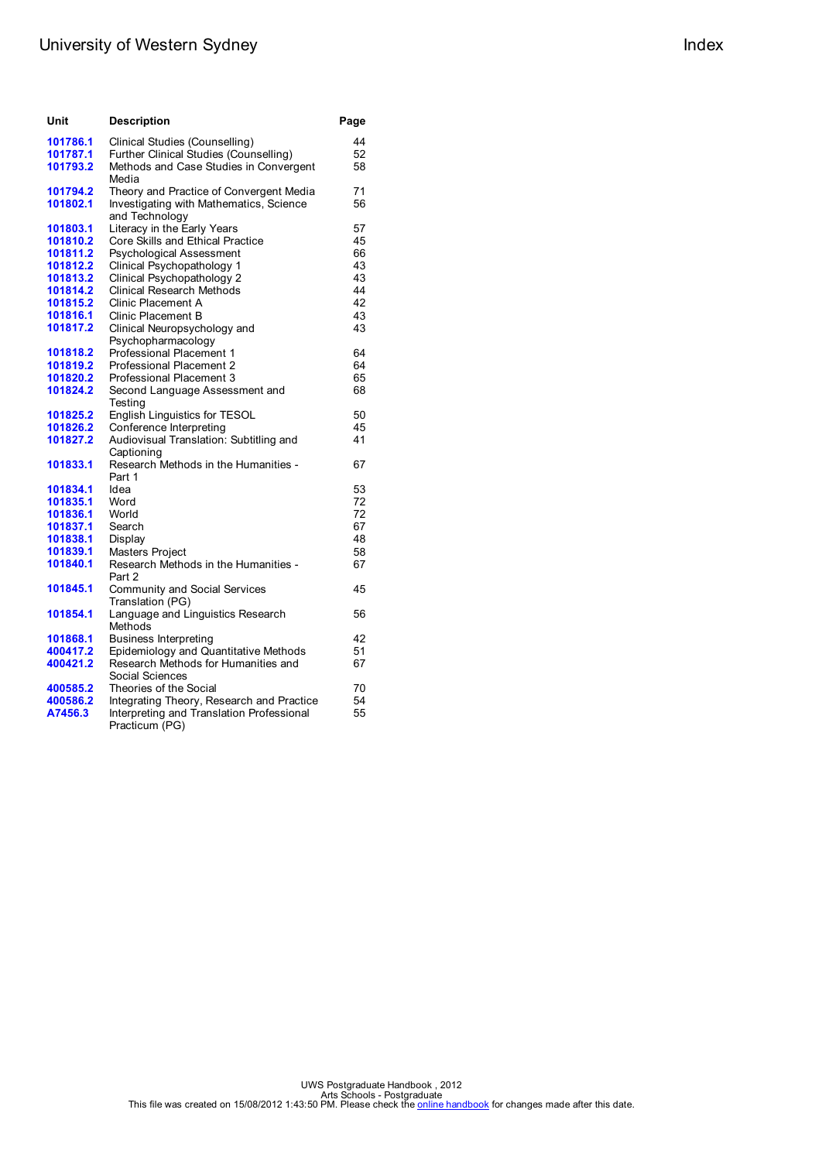| Unit                 | <b>Description</b>                             | Page     |
|----------------------|------------------------------------------------|----------|
| 101786.1             | Clinical Studies (Counselling)                 | 44       |
| 101787.1             | Further Clinical Studies (Counselling)         | 52       |
| 101793.2             | Methods and Case Studies in Convergent         | 58       |
|                      | Media                                          |          |
| 101794.2             | Theory and Practice of Convergent Media        | 71       |
| 101802.1             | Investigating with Mathematics, Science        | 56       |
|                      | and Technology                                 |          |
| 101803.1             | Literacy in the Early Years                    | 57       |
| 101810.2             | Core Skills and Ethical Practice               | 45       |
| 101811.2             | Psychological Assessment                       | 66       |
| 101812.2             | Clinical Psychopathology 1                     | 43       |
| 101813.2             | Clinical Psychopathology 2                     | 43       |
| 101814.2             | Clinical Research Methods                      | 44       |
| 101815.2             | Clinic Placement A                             | 42       |
| 101816.1             | Clinic Placement B                             | 43       |
| 101817.2             | Clinical Neuropsychology and                   | 43       |
|                      | Psychopharmacology                             |          |
| 101818.2             | Professional Placement 1                       | 64       |
| 101819.2             | Professional Placement 2                       | 64       |
| 101820.2             | Professional Placement 3                       | 65       |
| 101824.2             | Second Language Assessment and                 | 68       |
|                      | Testing                                        |          |
| 101825.2             | <b>English Linguistics for TESOL</b>           | 50       |
| 101826.2             | Conference Interpreting                        | 45       |
| 101827.2             | Audiovisual Translation: Subtitling and        | 41       |
|                      | Captioning                                     |          |
| 101833.1             | Research Methods in the Humanities -           | 67       |
|                      | Part 1                                         |          |
| 101834.1             | Idea                                           | 53       |
| 101835.1             | Word                                           | 72       |
| 101836.1             | World                                          | 72       |
| 101837.1             | Search                                         | 67       |
| 101838.1             | Display                                        | 48       |
| 101839.1<br>101840.1 | Masters Project                                | 58<br>67 |
|                      | Research Methods in the Humanities -<br>Part 2 |          |
| 101845.1             | Community and Social Services                  | 45       |
|                      | Translation (PG)                               |          |
| 101854.1             | Language and Linguistics Research              | 56       |
|                      | Methods                                        |          |
| 101868.1             | <b>Business Interpreting</b>                   | 42       |
| 400417.2             | Epidemiology and Quantitative Methods          | 51       |
| 400421.2             | Research Methods for Humanities and            | 67       |
|                      | Social Sciences                                |          |
| 400585.2             | Theories of the Social                         | 70       |
| 400586.2             | Integrating Theory, Research and Practice      | 54       |
| A7456.3              | Interpreting and Translation Professional      | 55       |
|                      | Practicum (PG)                                 |          |
|                      |                                                |          |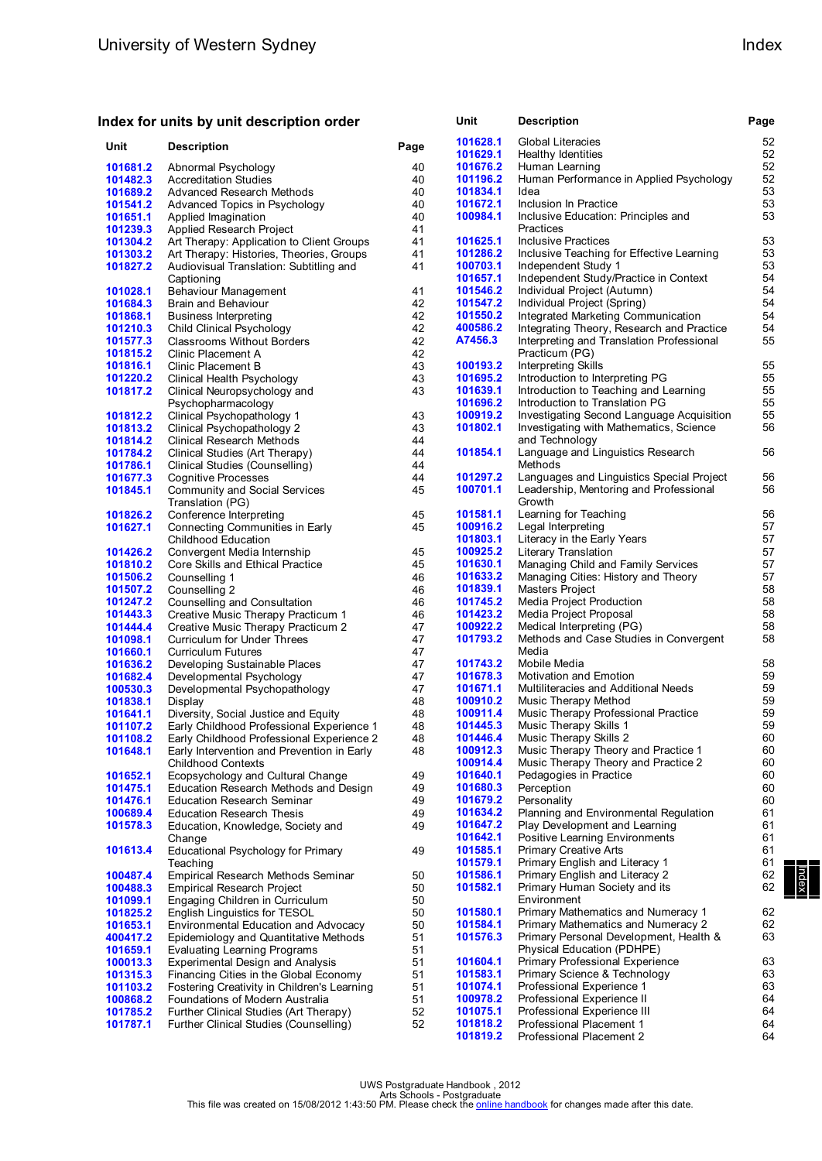**[100868.2](#page-54-0)** Foundations of Modern Australia 51<br>**101785.2** Further Clinical Studies (Art Therapy) 52 **[101785.2](#page-55-0)** Further Clinical Studies (Art Therapy) 52<br>**101787.1** Further Clinical Studies (Counselling) 52 **Further Clinical Studies (Counselling)** 

# **Index for units by unit description order**

|                      | ndex for units by unit description order                          |          |                      | <b>Description</b>                                  | Page     |
|----------------------|-------------------------------------------------------------------|----------|----------------------|-----------------------------------------------------|----------|
| Unit                 | <b>Description</b>                                                | Page     | 101628.1<br>101629.1 | <b>Global Literacies</b><br>Healthy Identities      | 52<br>52 |
| 101681.2             | Abnormal Psychology                                               | 40       | 101676.2             | Human Learning                                      | 52       |
| 101482.3             | <b>Accreditation Studies</b>                                      | 40       | 101196.2             | Human Performance in Applied Psychology             | 52       |
| 101689.2             | Advanced Research Methods                                         | 40       | 101834.1             | Idea                                                | 53       |
| 101541.2             | Advanced Topics in Psychology                                     | 40       | 101672.1             | Inclusion In Practice                               | 53       |
| 101651.1             | Applied Imagination                                               | 40       | 100984.1             | Inclusive Education: Principles and                 | 53       |
| 101239.3             | Applied Research Project                                          | 41       |                      | Practices                                           |          |
| 101304.2             | Art Therapy: Application to Client Groups                         | 41       | 101625.1             | <b>Inclusive Practices</b>                          | 53       |
| 101303.2             | Art Therapy: Histories, Theories, Groups                          | 41       | 101286.2             | Inclusive Teaching for Effective Learning           | 53       |
| 101827.2             | Audiovisual Translation: Subtitling and                           | 41       | 100703.1             | Independent Study 1                                 | 53       |
|                      | Captioning                                                        |          | 101657.1             | Independent Study/Practice in Context               | 54       |
| 101028.1             | Behaviour Management                                              | 41       | 101546.2             | Individual Project (Autumn)                         | 54       |
| 101684.3             | Brain and Behaviour                                               | 42       | 101547.2             | Individual Project (Spring)                         | 54       |
| 101868.1             | <b>Business Interpreting</b>                                      | 42       | 101550.2             | Integrated Marketing Communication                  | 54       |
| 101210.3             | Child Clinical Psychology                                         | 42       | 400586.2             | Integrating Theory, Research and Practice           | 54       |
| 101577.3             | <b>Classrooms Without Borders</b>                                 | 42       | A7456.3              | Interpreting and Translation Professional           | 55       |
| 101815.2             | Clinic Placement A                                                | 42       |                      | Practicum (PG)                                      |          |
| 101816.1             | Clinic Placement B                                                | 43       | 100193.2             | Interpreting Skills                                 | 55       |
| 101220.2             | Clinical Health Psychology                                        | 43       | 101695.2             | Introduction to Interpreting PG                     | 55       |
| 101817.2             | Clinical Neuropsychology and                                      | 43       | 101639.1             | Introduction to Teaching and Learning               | 55       |
|                      | Psychopharmacology                                                |          | 101696.2             | Introduction to Translation PG                      | 55       |
| 101812.2             | Clinical Psychopathology 1                                        | 43       | 100919.2             | Investigating Second Language Acquisition           | 55       |
| 101813.2             | Clinical Psychopathology 2                                        | 43       | 101802.1             | Investigating with Mathematics, Science             | 56       |
| 101814.2             | Clinical Research Methods                                         | 44       |                      | and Technology                                      |          |
| 101784.2             | Clinical Studies (Art Therapy)                                    | 44       | 101854.1             | Language and Linguistics Research                   | 56       |
| 101786.1             | Clinical Studies (Counselling)                                    | 44       |                      | Methods                                             |          |
| 101677.3             | <b>Cognitive Processes</b>                                        | 44       | 101297.2             | Languages and Linguistics Special Project           | 56       |
| 101845.1             | Community and Social Services<br>Translation (PG)                 | 45       | 100701.1             | Leadership, Mentoring and Professional<br>Growth    | 56       |
| 101826.2             | Conference Interpreting                                           | 45       | 101581.1             | Learning for Teaching                               | 56       |
| 101627.1             | Connecting Communities in Early                                   | 45       | 100916.2             | Legal Interpreting                                  | 57       |
|                      | <b>Childhood Education</b>                                        |          | 101803.1             | Literacy in the Early Years                         | 57       |
| 101426.2             | Convergent Media Internship                                       | 45       | 100925.2             | <b>Literary Translation</b>                         | 57       |
| 101810.2             | Core Skills and Ethical Practice                                  | 45       | 101630.1             | Managing Child and Family Services                  | 57       |
| 101506.2             | Counselling 1                                                     | 46       | 101633.2<br>101839.1 | Managing Cities: History and Theory                 | 57       |
| 101507.2             | Counselling 2                                                     | 46       | 101745.2             | Masters Project                                     | 58       |
| 101247.2             | Counselling and Consultation                                      | 46       | 101423.2             | Media Project Production                            | 58<br>58 |
| 101443.3<br>101444.4 | Creative Music Therapy Practicum 1                                | 46<br>47 | 100922.2             | Media Project Proposal<br>Medical Interpreting (PG) | 58       |
| 101098.1             | Creative Music Therapy Practicum 2<br>Curriculum for Under Threes | 47       | 101793.2             | Methods and Case Studies in Convergent              | 58       |
| 101660.1             | <b>Curriculum Futures</b>                                         | 47       |                      | Media                                               |          |
| 101636.2             | Developing Sustainable Places                                     | 47       | 101743.2             | Mobile Media                                        | 58       |
| 101682.4             | Developmental Psychology                                          | 47       | 101678.3             | <b>Motivation and Emotion</b>                       | 59       |
| 100530.3             | Developmental Psychopathology                                     | 47       | 101671.1             | Multiliteracies and Additional Needs                | 59       |
| 101838.1             | Display                                                           | 48       | 100910.2             | Music Therapy Method                                | 59       |
| 101641.1             | Diversity, Social Justice and Equity                              | 48       | 100911.4             | Music Therapy Professional Practice                 | 59       |
| 101107.2             | Early Childhood Professional Experience 1                         | 48       | 101445.3             | Music Therapy Skills 1                              | 59       |
| 101108.2             | Early Childhood Professional Experience 2                         | 48       | 101446.4             | Music Therapy Skills 2                              | 60       |
| 101648.1             | Early Intervention and Prevention in Early                        | 48       | 100912.3             | Music Therapy Theory and Practice 1                 | 60       |
|                      | <b>Childhood Contexts</b>                                         |          | 100914.4             | Music Therapy Theory and Practice 2                 | 60       |
| 101652.1             | Ecopsychology and Cultural Change                                 | 49       | 101640.1             | Pedagogies in Practice                              | 60       |
| 101475.1             | Education Research Methods and Design                             | 49       | 101680.3             | Perception                                          | 60       |
| 101476.1             | <b>Education Research Seminar</b>                                 | 49       | 101679.2             | Personality                                         | 60       |
| 100689.4             | <b>Education Research Thesis</b>                                  | 49       | 101634.2             | Planning and Environmental Regulation               | 61       |
| 101578.3             | Education, Knowledge, Society and                                 | 49       | 101647.2             | Play Development and Learning                       | 61       |
|                      | Change                                                            |          | 101642.1             | Positive Learning Environments                      | 61       |
| 101613.4             | Educational Psychology for Primary                                | 49       | 101585.1             | <b>Primary Creative Arts</b>                        | 61       |
|                      | Teaching                                                          |          | 101579.1             | Primary English and Literacy 1                      | 61       |
| 100487.4             | Empirical Research Methods Seminar                                | 50       | 101586.1             | Primary English and Literacy 2                      | 62       |
| 100488.3             | <b>Empirical Research Project</b>                                 | 50       | 101582.1             | Primary Human Society and its                       | 62       |
| 101099.1             | Engaging Children in Curriculum                                   | 50       |                      | Environment                                         |          |
| 101825.2             | English Linguistics for TESOL                                     | 50       | 101580.1             | Primary Mathematics and Numeracy 1                  | 62       |
| 101653.1             | Environmental Education and Advocacy                              | 50       | 101584.1             | Primary Mathematics and Numeracy 2                  | 62       |
| 400417.2             | Epidemiology and Quantitative Methods                             | 51       | 101576.3             | Primary Personal Development, Health &              | 63       |
| 101659.1             | <b>Evaluating Learning Programs</b>                               | 51       |                      | Physical Education (PDHPE)                          |          |
| 100013.3             | Experimental Design and Analysis                                  | 51       | 101604.1             | Primary Professional Experience                     | 63       |
| 101315.3             | Financing Cities in the Global Economy                            | 51       | 101583.1             | Primary Science & Technology                        | 63       |
| 101103.2             | Fostering Creativity in Children's Learning                       | 51       | 101074.1             | Professional Experience 1                           | 63       |
| 100868.2             | Foundations of Modern Australia                                   | 51       | 100978.2             | Professional Experience II                          | 64       |

**[100978.2](#page-67-0)** Professional Experience II 64<br>**101075.1** Professional Experience III 64 **[101075.1](#page-67-0)** Professional Experience III 64<br>**101818.2** Professional Placement 1 64 **[101818.2](#page-67-0)** Professional Placement 1 64<br> **101819.2** Professional Placement 2 64 Index

**Professional Placement 2**